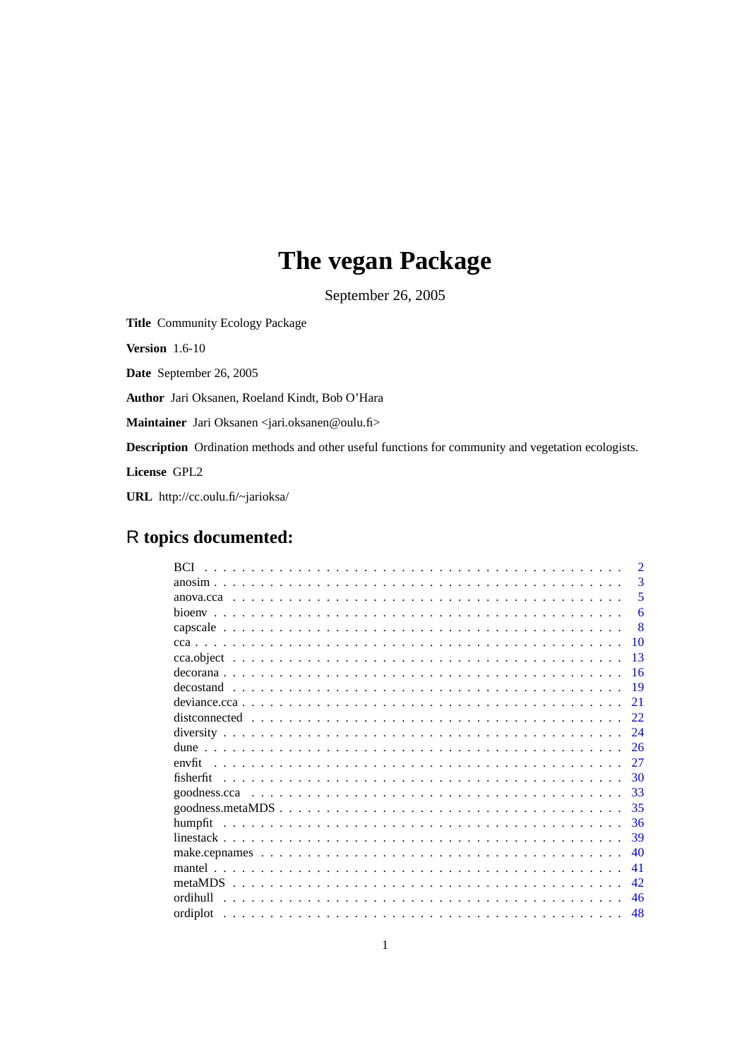# **The vegan Package**

September 26, 2005

<span id="page-0-0"></span>**Title** Community Ecology Package

**Version** 1.6-10

**Date** September 26, 2005

**Author** Jari Oksanen, Roeland Kindt, Bob O'Hara

**Maintainer** Jari Oksanen <jari.oksanen@oulu.fi>

**Description** Ordination methods and other useful functions for community and vegetation ecologists.

**License** GPL2

**URL** http://cc.oulu.fi/~jarioksa/

# R **topics documented:**

| <b>BCI</b> | $\mathcal{D}$ |
|------------|---------------|
|            | 3             |
|            | 5             |
|            | 6             |
|            | 8             |
|            | 10            |
|            | 13            |
|            | -16           |
|            | -19           |
|            | 21            |
|            | 22            |
|            | 24            |
|            | 26            |
|            | 27            |
|            | 30            |
|            | -33           |
|            | 35            |
|            | 36            |
|            | 39            |
|            | 40            |
|            | 41            |
|            | 42            |
|            |               |
| ordihull   | 46            |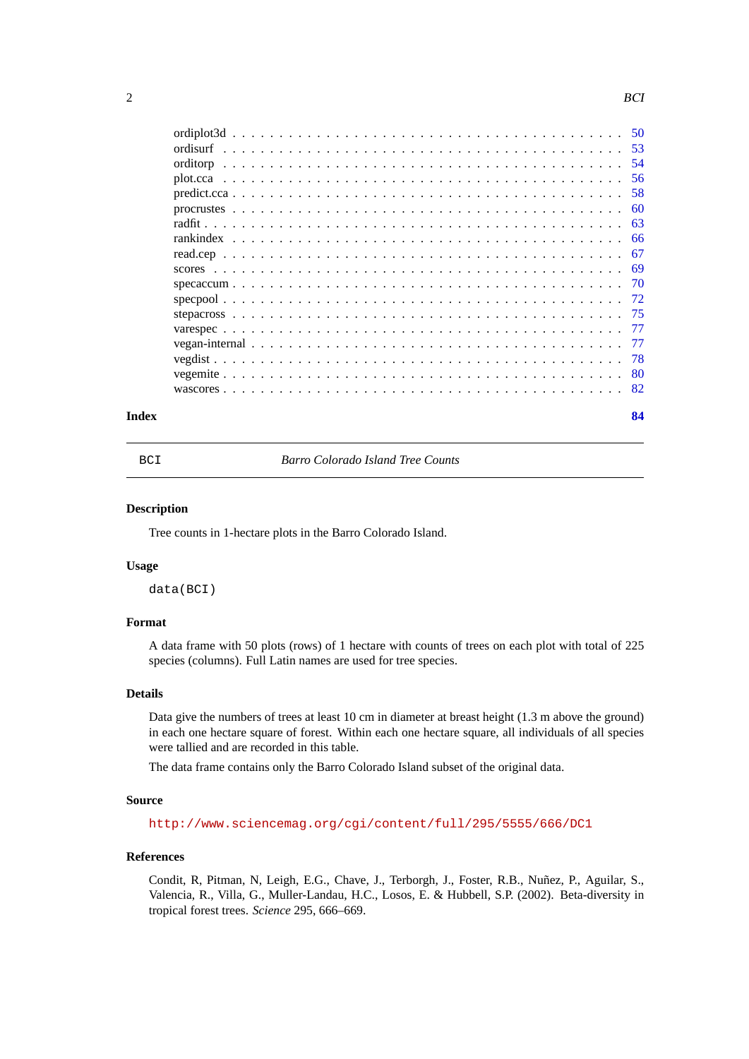<span id="page-1-0"></span>

|       | -56  |
|-------|------|
|       |      |
|       | - 60 |
|       |      |
|       |      |
|       |      |
|       |      |
|       |      |
|       |      |
|       |      |
|       |      |
|       |      |
|       |      |
|       |      |
|       |      |
| Index | 84   |

BCI *Barro Colorado Island Tree Counts*

# **Description**

Tree counts in 1-hectare plots in the Barro Colorado Island.

# **Usage**

data(BCI)

# **Format**

A data frame with 50 plots (rows) of 1 hectare with counts of trees on each plot with total of 225 species (columns). Full Latin names are used for tree species.

# **Details**

Data give the numbers of trees at least 10 cm in diameter at breast height (1.3 m above the ground) in each one hectare square of forest. Within each one hectare square, all individuals of all species were tallied and are recorded in this table.

The data frame contains only the Barro Colorado Island subset of the original data.

# **Source**

<http://www.sciencemag.org/cgi/content/full/295/5555/666/DC1>

# **References**

Condit, R, Pitman, N, Leigh, E.G., Chave, J., Terborgh, J., Foster, R.B., Nuñez, P., Aguilar, S., Valencia, R., Villa, G., Muller-Landau, H.C., Losos, E. & Hubbell, S.P. (2002). Beta-diversity in tropical forest trees. *Science* 295, 666–669.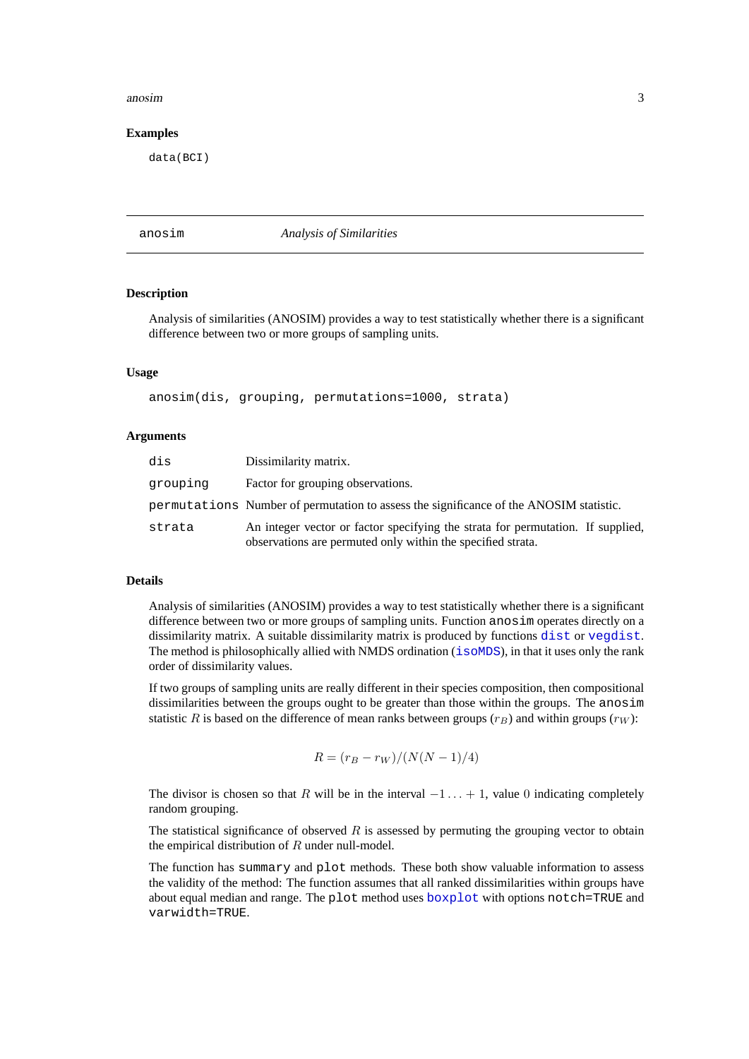# <span id="page-2-0"></span>anosim 3

# **Examples**

data(BCI)

#### anosim *Analysis of Similarities*

#### **Description**

Analysis of similarities (ANOSIM) provides a way to test statistically whether there is a significant difference between two or more groups of sampling units.

# **Usage**

anosim(dis, grouping, permutations=1000, strata)

#### **Arguments**

| dis      | Dissimilarity matrix.                                                                                                                          |
|----------|------------------------------------------------------------------------------------------------------------------------------------------------|
| grouping | Factor for grouping observations.                                                                                                              |
|          | permutations Number of permutation to assess the significance of the ANOSIM statistic.                                                         |
| strata   | An integer vector or factor specifying the strata for permutation. If supplied,<br>observations are permuted only within the specified strata. |

#### **Details**

Analysis of similarities (ANOSIM) provides a way to test statistically whether there is a significant difference between two or more groups of sampling units. Function anosim operates directly on a dissimilarity matrix. A suitable dissimilarity matrix is produced by functions [dist](#page-0-0) or [vegdist](#page-77-1). The method is philosophically allied with NMDS ordination ([isoMDS](#page-0-0)), in that it uses only the rank order of dissimilarity values.

If two groups of sampling units are really different in their species composition, then compositional dissimilarities between the groups ought to be greater than those within the groups. The anosim statistic R is based on the difference of mean ranks between groups ( $r_B$ ) and within groups ( $r_W$ ):

$$
R = (r_B - r_W)/(N(N - 1)/4)
$$

The divisor is chosen so that R will be in the interval  $-1 \dots + 1$ , value 0 indicating completely random grouping.

The statistical significance of observed  $R$  is assessed by permuting the grouping vector to obtain the empirical distribution of  $R$  under null-model.

The function has summary and plot methods. These both show valuable information to assess the validity of the method: The function assumes that all ranked dissimilarities within groups have about equal median and range. The plot method uses [boxplot](#page-0-0) with options notch=TRUE and varwidth=TRUE.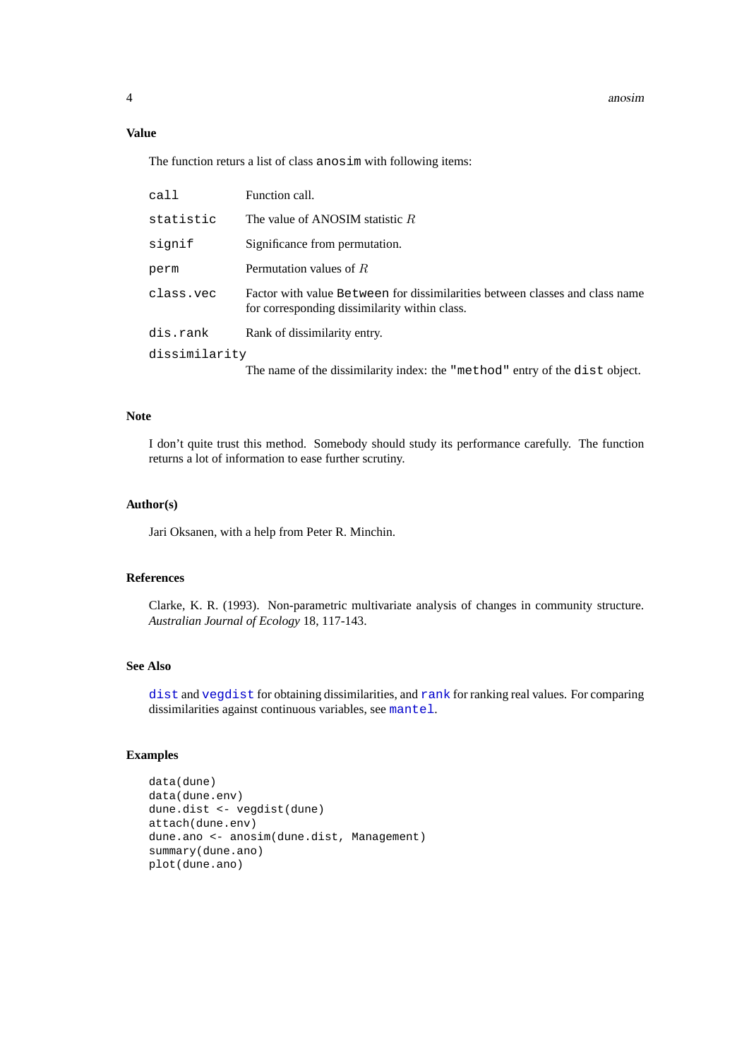# **Value**

The function returs a list of class anosim with following items:

| call          | Function call.                                                                                                                |
|---------------|-------------------------------------------------------------------------------------------------------------------------------|
| statistic     | The value of ANOSIM statistic $R$                                                                                             |
| signif        | Significance from permutation.                                                                                                |
| perm          | Permutation values of $R$                                                                                                     |
| class.vec     | Factor with value Between for dissimilarities between classes and class name<br>for corresponding dissimilarity within class. |
| dis.rank      | Rank of dissimilarity entry.                                                                                                  |
| dissimilarity |                                                                                                                               |
|               | The name of the dissimilarity index: the "method" entry of the dist object.                                                   |

# **Note**

I don't quite trust this method. Somebody should study its performance carefully. The function returns a lot of information to ease further scrutiny.

# **Author(s)**

Jari Oksanen, with a help from Peter R. Minchin.

# **References**

Clarke, K. R. (1993). Non-parametric multivariate analysis of changes in community structure. *Australian Journal of Ecology* 18, 117-143.

# **See Also**

[dist](#page-0-0) and [vegdist](#page-77-1) for obtaining dissimilarities, and [rank](#page-0-0) for ranking real values. For comparing dissimilarities against continuous variables, see [mantel](#page-40-1).

# **Examples**

```
data(dune)
data(dune.env)
dune.dist <- vegdist(dune)
attach(dune.env)
dune.ano <- anosim(dune.dist, Management)
summary(dune.ano)
plot(dune.ano)
```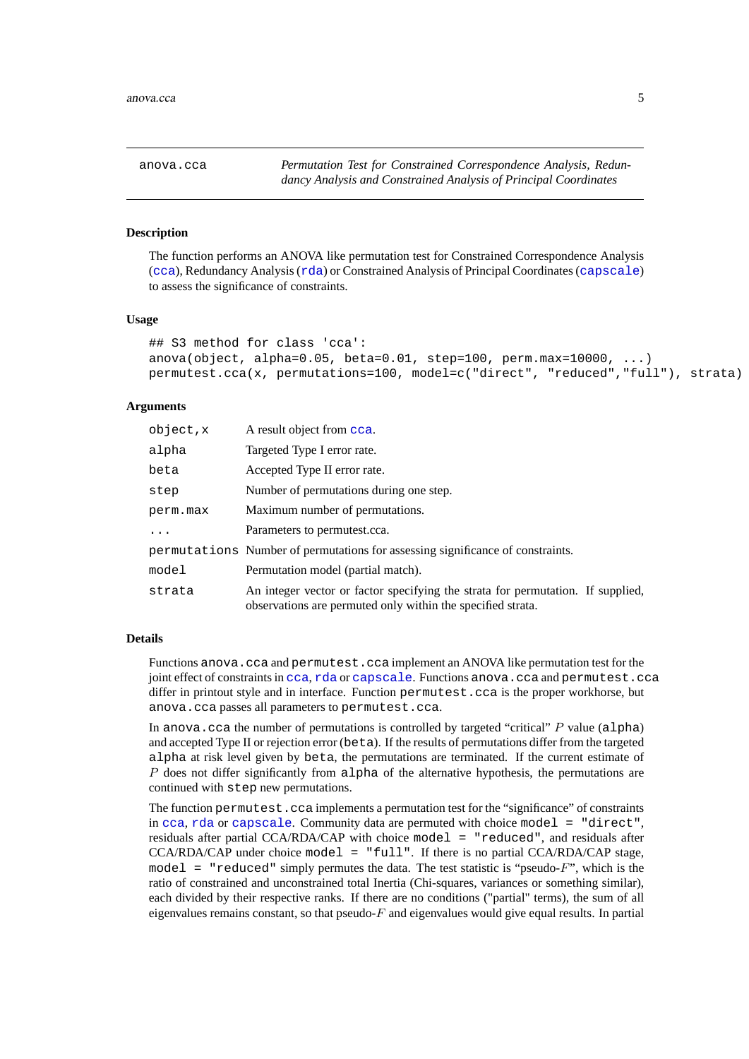<span id="page-4-1"></span><span id="page-4-0"></span>anova.cca *Permutation Test for Constrained Correspondence Analysis, Redundancy Analysis and Constrained Analysis of Principal Coordinates*

# <span id="page-4-2"></span>**Description**

The function performs an ANOVA like permutation test for Constrained Correspondence Analysis ([cca](#page-9-1)), Redundancy Analysis ([rda](#page-9-2)) or Constrained Analysis of Principal Coordinates ([capscale](#page-7-1)) to assess the significance of constraints.

# **Usage**

```
## S3 method for class 'cca':
anova(object, alpha=0.05, beta=0.01, step=100, perm.max=10000, ...)
permutest.cca(x, permutations=100, model=c("direct", "reduced","full"), strata)
```
# **Arguments**

| object,x | A result object from cca.                                                                                                                      |
|----------|------------------------------------------------------------------------------------------------------------------------------------------------|
| alpha    | Targeted Type I error rate.                                                                                                                    |
| beta     | Accepted Type II error rate.                                                                                                                   |
| step     | Number of permutations during one step.                                                                                                        |
| perm.max | Maximum number of permutations.                                                                                                                |
| $\cdots$ | Parameters to permutest.cca.                                                                                                                   |
|          | permutations Number of permutations for assessing significance of constraints.                                                                 |
| model    | Permutation model (partial match).                                                                                                             |
| strata   | An integer vector or factor specifying the strata for permutation. If supplied,<br>observations are permuted only within the specified strata. |

# **Details**

Functions anova.cca and permutest.cca implement an ANOVA like permutation test for the joint effect of constraints in [cca](#page-9-1), [rda](#page-9-2) or [capscale](#page-7-1). Functions anova.cca and permutest.cca differ in printout style and in interface. Function permutest.cca is the proper workhorse, but anova.cca passes all parameters to permutest.cca.

In anova.cca the number of permutations is controlled by targeted "critical"  $P$  value (alpha) and accepted Type II or rejection error (beta). If the results of permutations differ from the targeted alpha at risk level given by beta, the permutations are terminated. If the current estimate of  $P$  does not differ significantly from alpha of the alternative hypothesis, the permutations are continued with step new permutations.

The function permutest.cca implements a permutation test for the "significance" of constraints in [cca](#page-9-1), [rda](#page-9-2) or [capscale](#page-7-1). Community data are permuted with choice model = "direct", residuals after partial CCA/RDA/CAP with choice model = "reduced", and residuals after CCA/RDA/CAP under choice model = "full". If there is no partial CCA/RDA/CAP stage, model = "reduced" simply permutes the data. The test statistic is "pseudo- $F$ ", which is the ratio of constrained and unconstrained total Inertia (Chi-squares, variances or something similar), each divided by their respective ranks. If there are no conditions ("partial" terms), the sum of all eigenvalues remains constant, so that pseudo- $F$  and eigenvalues would give equal results. In partial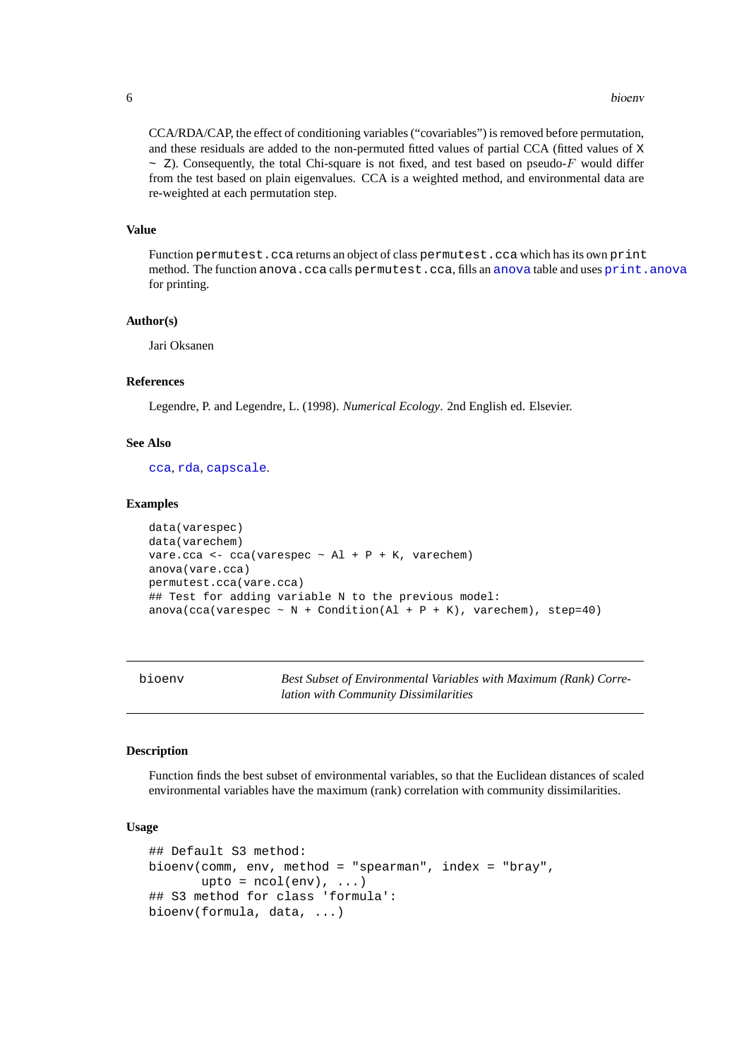CCA/RDA/CAP, the effect of conditioning variables ("covariables") is removed before permutation, and these residuals are added to the non-permuted fitted values of partial CCA (fitted values of X  $\sim$  Z). Consequently, the total Chi-square is not fixed, and test based on pseudo-F would differ from the test based on plain eigenvalues. CCA is a weighted method, and environmental data are re-weighted at each permutation step.

# **Value**

Function permutest.cca returns an object of class permutest.cca which has its own print method. The function [anova](#page-0-0).cca calls permutest.cca, fills an anova table and uses [print.anova](#page-0-0) for printing.

# **Author(s)**

Jari Oksanen

# **References**

Legendre, P. and Legendre, L. (1998). *Numerical Ecology*. 2nd English ed. Elsevier.

# **See Also**

[cca](#page-9-1), [rda](#page-9-2), [capscale](#page-7-1).

# **Examples**

```
data(varespec)
data(varechem)
vare.cca <- cca(varespec \sim Al + P + K, varechem)
anova(vare.cca)
permutest.cca(vare.cca)
## Test for adding variable N to the previous model:
anova(cca(varespec \sim N + Condition(Al + P + K), varechem), step=40)
```
bioenv *Best Subset of Environmental Variables with Maximum (Rank) Correlation with Community Dissimilarities*

# **Description**

Function finds the best subset of environmental variables, so that the Euclidean distances of scaled environmental variables have the maximum (rank) correlation with community dissimilarities.

# **Usage**

```
## Default S3 method:
bioenv(comm, env, method = "spearman", index = "bray",
       upto = ncol(env), ...)
## S3 method for class 'formula':
bioenv(formula, data, ...)
```
<span id="page-5-0"></span>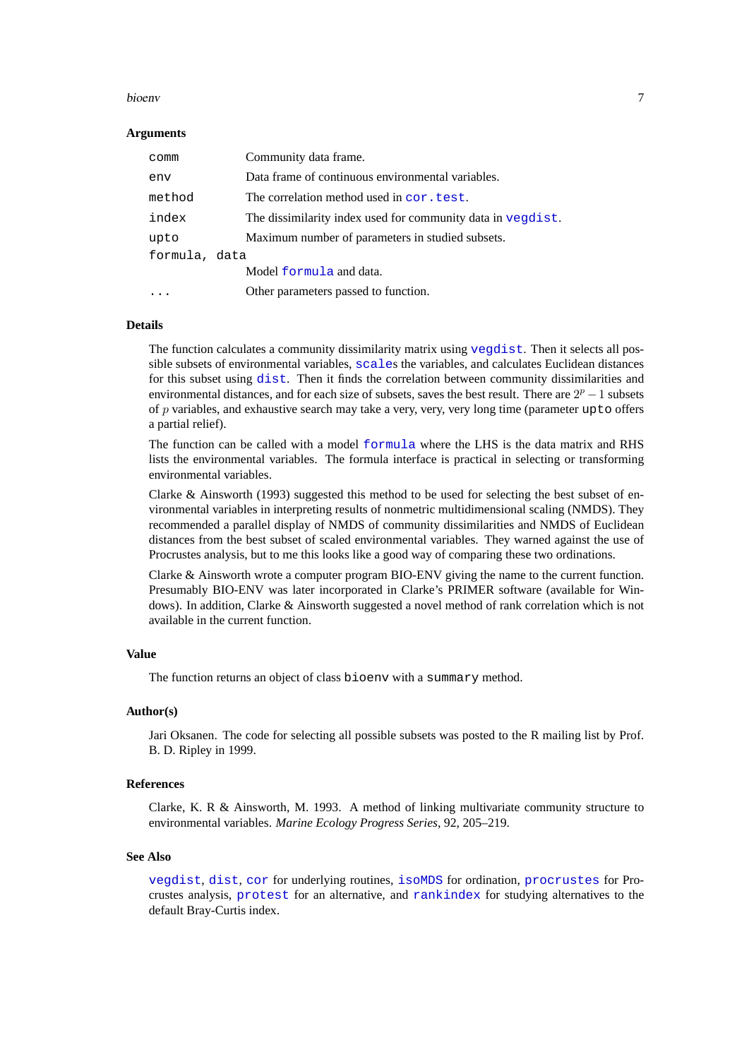# bioenv 7

# **Arguments**

| comm          | Community data frame.                                       |
|---------------|-------------------------------------------------------------|
| env           | Data frame of continuous environmental variables.           |
| method        | The correlation method used in cor. test.                   |
| index         | The dissimilarity index used for community data in vegdist. |
| upto          | Maximum number of parameters in studied subsets.            |
| formula, data |                                                             |
|               | Model formula and data.                                     |
|               | Other parameters passed to function.                        |

# **Details**

The function calculates a community dissimilarity matrix using [vegdist](#page-77-1). Then it selects all possible subsets of environmental variables, [scale](#page-0-0)s the variables, and calculates Euclidean distances for this subset using [dist](#page-0-0). Then it finds the correlation between community dissimilarities and environmental distances, and for each size of subsets, saves the best result. There are  $2^p - 1$  subsets of  $p$  variables, and exhaustive search may take a very, very, very long time (parameter upto offers a partial relief).

The function can be called with a model [formula](#page-0-0) where the LHS is the data matrix and RHS lists the environmental variables. The formula interface is practical in selecting or transforming environmental variables.

Clarke & Ainsworth (1993) suggested this method to be used for selecting the best subset of environmental variables in interpreting results of nonmetric multidimensional scaling (NMDS). They recommended a parallel display of NMDS of community dissimilarities and NMDS of Euclidean distances from the best subset of scaled environmental variables. They warned against the use of Procrustes analysis, but to me this looks like a good way of comparing these two ordinations.

Clarke & Ainsworth wrote a computer program BIO-ENV giving the name to the current function. Presumably BIO-ENV was later incorporated in Clarke's PRIMER software (available for Windows). In addition, Clarke & Ainsworth suggested a novel method of rank correlation which is not available in the current function.

# **Value**

The function returns an object of class bioenv with a summary method.

# **Author(s)**

Jari Oksanen. The code for selecting all possible subsets was posted to the R mailing list by Prof. B. D. Ripley in 1999.

# **References**

Clarke, K. R & Ainsworth, M. 1993. A method of linking multivariate community structure to environmental variables. *Marine Ecology Progress Series*, 92, 205–219.

# **See Also**

[vegdist](#page-77-1), [dist](#page-0-0), [cor](#page-0-0) for underlying routines, [isoMDS](#page-0-0) for ordination, [procrustes](#page-59-1) for Procrustes analysis, [protest](#page-59-2) for an alternative, and [rankindex](#page-65-1) for studying alternatives to the default Bray-Curtis index.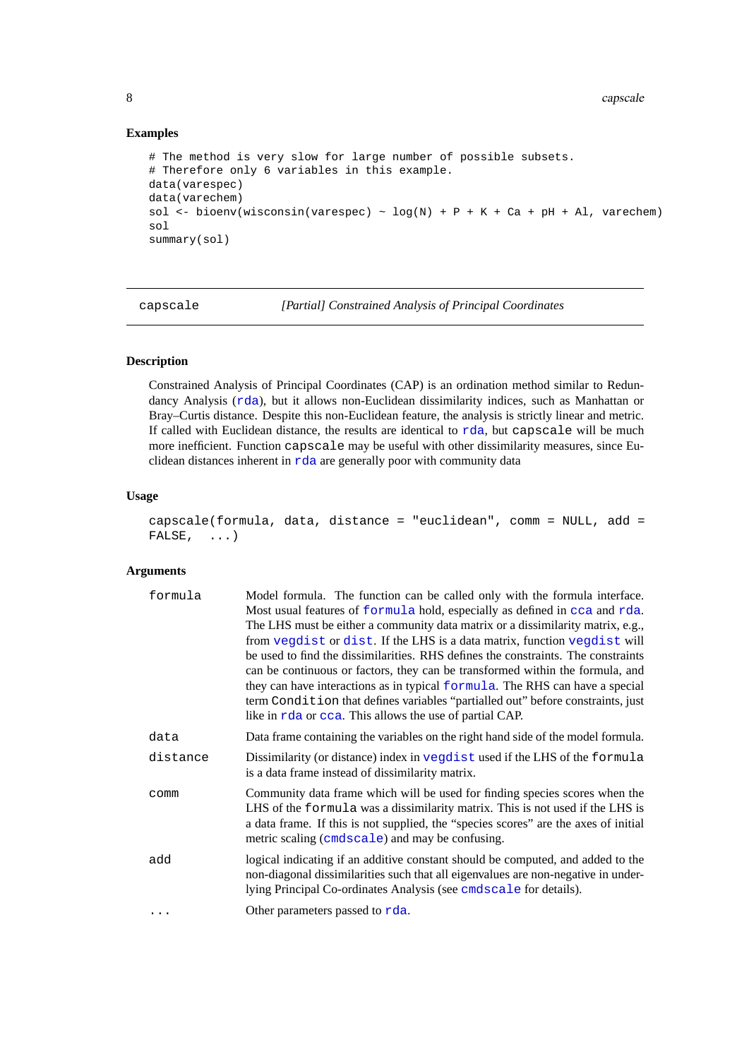# **Examples**

```
# The method is very slow for large number of possible subsets.
# Therefore only 6 variables in this example.
data(varespec)
data(varechem)
sol <- bioenv(wisconsin(varespec) ~ log(N) + P + K + Ca + pH + Al, varechem)
sol
summary(sol)
```
<span id="page-7-1"></span>capscale *[Partial] Constrained Analysis of Principal Coordinates*

# **Description**

Constrained Analysis of Principal Coordinates (CAP) is an ordination method similar to Redundancy Analysis ([rda](#page-9-2)), but it allows non-Euclidean dissimilarity indices, such as Manhattan or Bray–Curtis distance. Despite this non-Euclidean feature, the analysis is strictly linear and metric. If called with Euclidean distance, the results are identical to [rda](#page-9-2), but capscale will be much more inefficient. Function capscale may be useful with other dissimilarity measures, since Euclidean distances inherent in [rda](#page-9-2) are generally poor with community data

# **Usage**

```
capscale(formula, data, distance = "euclidean", comm = NULL, add =
FALSE, \ldots)
```
# **Arguments**

| formula  | Model formula. The function can be called only with the formula interface.<br>Most usual features of formula hold, especially as defined in cca and rda.<br>The LHS must be either a community data matrix or a dissimilarity matrix, e.g.,<br>from vegdist or dist. If the LHS is a data matrix, function vegdist will<br>be used to find the dissimilarities. RHS defines the constraints. The constraints<br>can be continuous or factors, they can be transformed within the formula, and<br>they can have interactions as in typical formula. The RHS can have a special<br>term Condition that defines variables "partialled out" before constraints, just<br>like in rda or cca. This allows the use of partial CAP. |
|----------|-----------------------------------------------------------------------------------------------------------------------------------------------------------------------------------------------------------------------------------------------------------------------------------------------------------------------------------------------------------------------------------------------------------------------------------------------------------------------------------------------------------------------------------------------------------------------------------------------------------------------------------------------------------------------------------------------------------------------------|
| data     | Data frame containing the variables on the right hand side of the model formula.                                                                                                                                                                                                                                                                                                                                                                                                                                                                                                                                                                                                                                            |
| distance | Dissimilarity (or distance) index in vegdist used if the LHS of the formula<br>is a data frame instead of dissimilarity matrix.                                                                                                                                                                                                                                                                                                                                                                                                                                                                                                                                                                                             |
| comm     | Community data frame which will be used for finding species scores when the<br>LHS of the formula was a dissimilarity matrix. This is not used if the LHS is<br>a data frame. If this is not supplied, the "species scores" are the axes of initial<br>metric scaling (cmdscale) and may be confusing.                                                                                                                                                                                                                                                                                                                                                                                                                      |
| add      | logical indicating if an additive constant should be computed, and added to the<br>non-diagonal dissimilarities such that all eigenvalues are non-negative in under-<br>lying Principal Co-ordinates Analysis (see cmdscale for details).                                                                                                                                                                                                                                                                                                                                                                                                                                                                                   |
|          | Other parameters passed to rda.                                                                                                                                                                                                                                                                                                                                                                                                                                                                                                                                                                                                                                                                                             |

<span id="page-7-0"></span>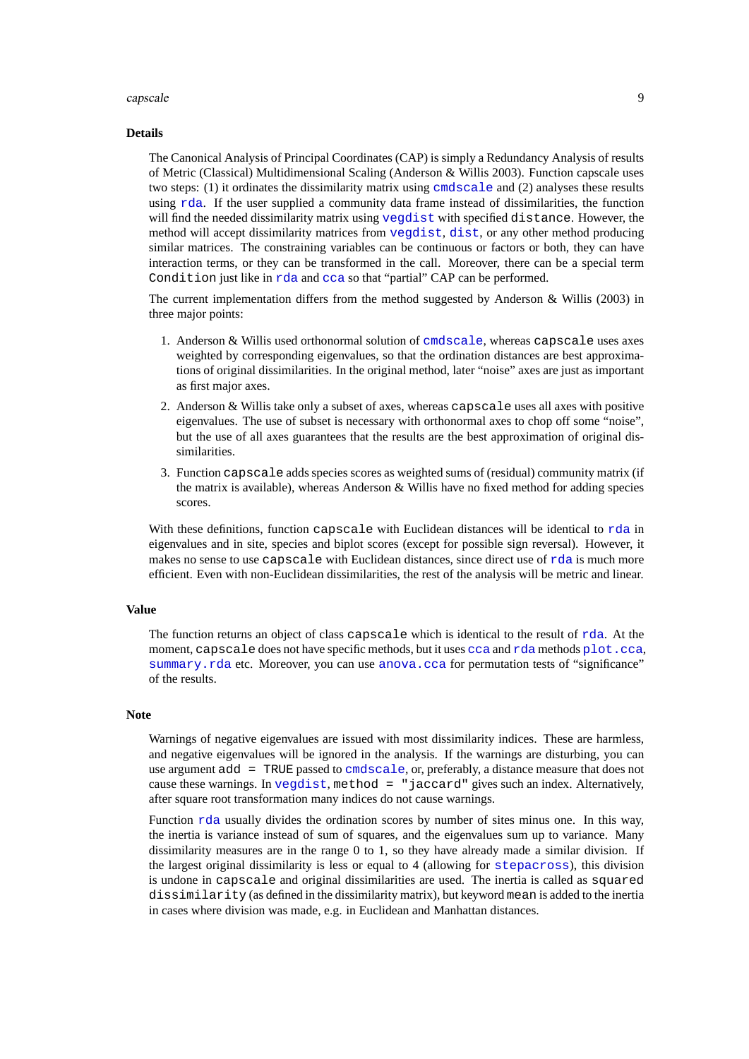# capscale 99

### **Details**

The Canonical Analysis of Principal Coordinates (CAP) is simply a Redundancy Analysis of results of Metric (Classical) Multidimensional Scaling (Anderson & Willis 2003). Function capscale uses two steps: (1) it ordinates the dissimilarity matrix using [cmdscale](#page-0-0) and (2) analyses these results using [rda](#page-9-2). If the user supplied a community data frame instead of dissimilarities, the function will find the needed dissimilarity matrix using [vegdist](#page-77-1) with specified distance. However, the method will accept dissimilarity matrices from [vegdist](#page-77-1), [dist](#page-0-0), or any other method producing similar matrices. The constraining variables can be continuous or factors or both, they can have interaction terms, or they can be transformed in the call. Moreover, there can be a special term Condition just like in [rda](#page-9-2) and [cca](#page-9-1) so that "partial" CAP can be performed.

The current implementation differs from the method suggested by Anderson & Willis (2003) in three major points:

- 1. Anderson & Willis used orthonormal solution of [cmdscale](#page-0-0), whereas capscale uses axes weighted by corresponding eigenvalues, so that the ordination distances are best approximations of original dissimilarities. In the original method, later "noise" axes are just as important as first major axes.
- 2. Anderson & Willis take only a subset of axes, whereas capscale uses all axes with positive eigenvalues. The use of subset is necessary with orthonormal axes to chop off some "noise", but the use of all axes guarantees that the results are the best approximation of original dissimilarities.
- 3. Function capscale adds species scores as weighted sums of (residual) community matrix (if the matrix is available), whereas Anderson & Willis have no fixed method for adding species scores.

With these definitions, function capscale with Euclidean distances will be identical to [rda](#page-9-2) in eigenvalues and in site, species and biplot scores (except for possible sign reversal). However, it makes no sense to use capscale with Euclidean distances, since direct use of [rda](#page-9-2) is much more efficient. Even with non-Euclidean dissimilarities, the rest of the analysis will be metric and linear.

#### **Value**

The function returns an object of class capscale which is identical to the result of [rda](#page-9-2). At the moment, capscale does not have specific methods, but it uses [cca](#page-9-1) and [rda](#page-9-2) methods [plot.cca](#page-55-1), [summary.rda](#page-9-2) etc. Moreover, you can use [anova.cca](#page-4-1) for permutation tests of "significance" of the results.

# **Note**

Warnings of negative eigenvalues are issued with most dissimilarity indices. These are harmless, and negative eigenvalues will be ignored in the analysis. If the warnings are disturbing, you can use argument add = TRUE passed to [cmdscale](#page-0-0), or, preferably, a distance measure that does not cause these warnings. In [vegdist](#page-77-1), method = "jaccard" gives such an index. Alternatively, after square root transformation many indices do not cause warnings.

Function [rda](#page-9-2) usually divides the ordination scores by number of sites minus one. In this way, the inertia is variance instead of sum of squares, and the eigenvalues sum up to variance. Many dissimilarity measures are in the range 0 to 1, so they have already made a similar division. If the largest original dissimilarity is less or equal to 4 (allowing for [stepacross](#page-74-1)), this division is undone in capscale and original dissimilarities are used. The inertia is called as squared dissimilarity (as defined in the dissimilarity matrix), but keyword mean is added to the inertia in cases where division was made, e.g. in Euclidean and Manhattan distances.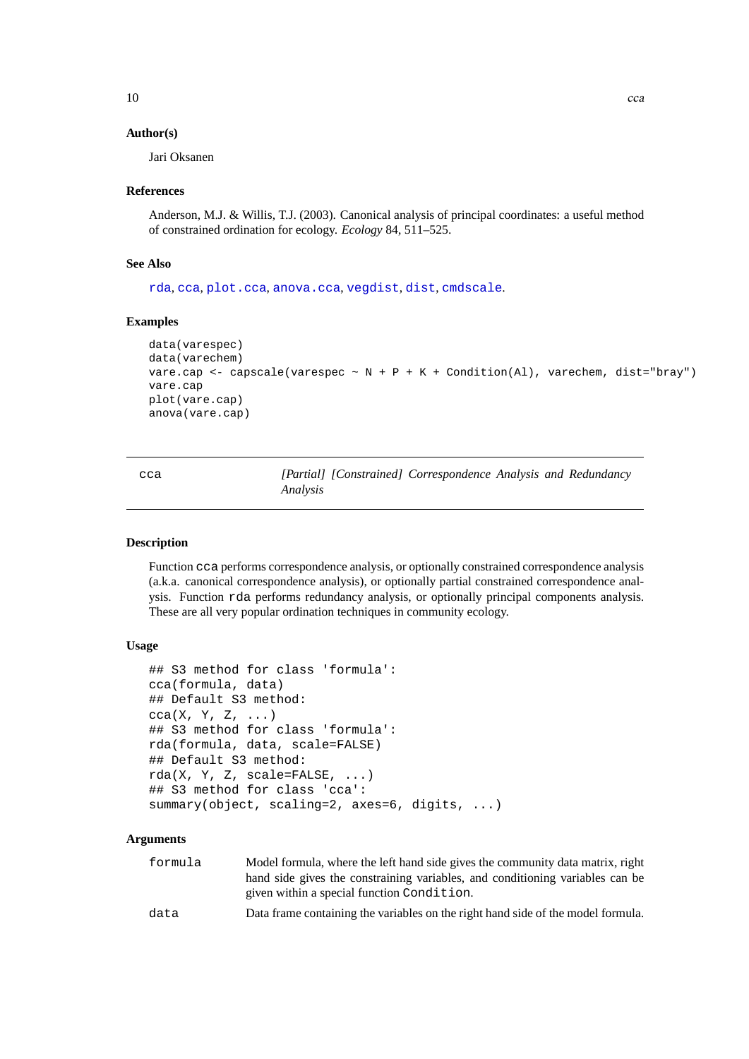# <span id="page-9-0"></span>**Author(s)**

Jari Oksanen

# **References**

Anderson, M.J. & Willis, T.J. (2003). Canonical analysis of principal coordinates: a useful method of constrained ordination for ecology. *Ecology* 84, 511–525.

# **See Also**

[rda](#page-9-2), [cca](#page-9-1), [plot.cca](#page-55-1), [anova.cca](#page-4-1), [vegdist](#page-77-1), [dist](#page-0-0), [cmdscale](#page-0-0).

# **Examples**

```
data(varespec)
data(varechem)
vare.cap <- capscale(varespec ~ N + P + K + Condition(Al), varechem, dist="bray")
vare.cap
plot(vare.cap)
anova(vare.cap)
```
<span id="page-9-1"></span>cca *[Partial] [Constrained] Correspondence Analysis and Redundancy Analysis*

# <span id="page-9-2"></span>**Description**

Function cca performs correspondence analysis, or optionally constrained correspondence analysis (a.k.a. canonical correspondence analysis), or optionally partial constrained correspondence analysis. Function rda performs redundancy analysis, or optionally principal components analysis. These are all very popular ordination techniques in community ecology.

# **Usage**

```
## S3 method for class 'formula':
cca(formula, data)
## Default S3 method:
cca(X, Y, Z, ...)## S3 method for class 'formula':
rda(formula, data, scale=FALSE)
## Default S3 method:
rda(X, Y, Z, scale=FALSE, ...)
## S3 method for class 'cca':
summary(object, scaling=2, axes=6, digits, ...)
```
#### **Arguments**

| formula | Model formula, where the left hand side gives the community data matrix, right   |
|---------|----------------------------------------------------------------------------------|
|         | hand side gives the constraining variables, and conditioning variables can be    |
|         | given within a special function Condition.                                       |
| data    | Data frame containing the variables on the right hand side of the model formula. |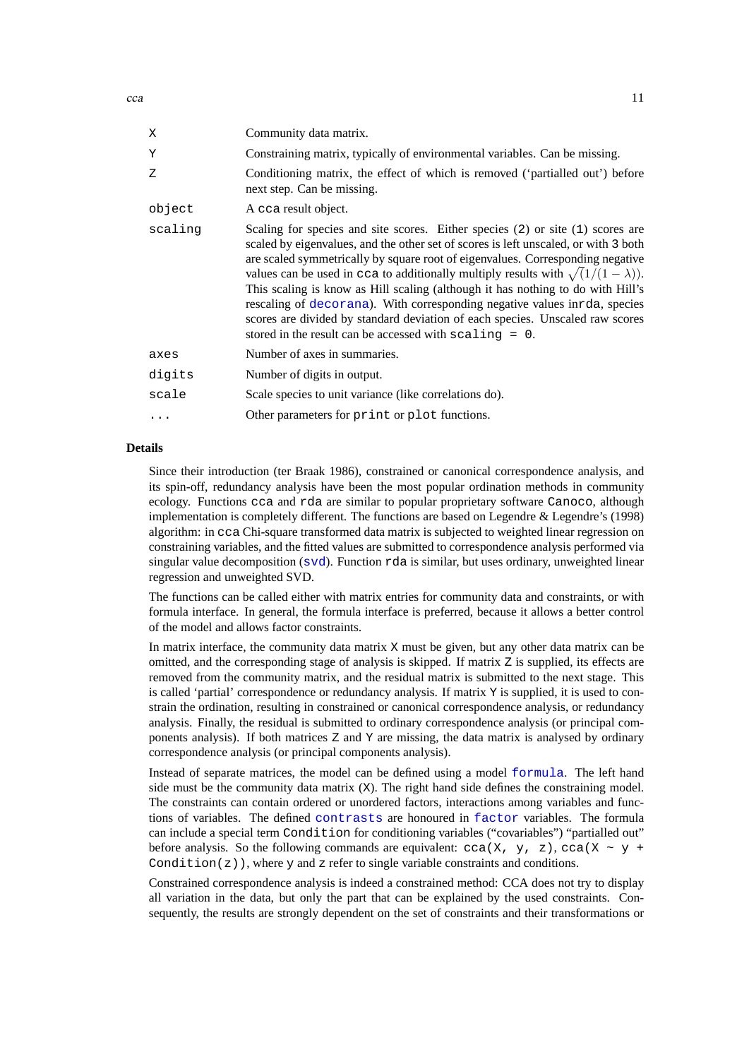| X       | Community data matrix.                                                                                                                                                                                                                                                                                                                                                                                                                                                                                                                                                                                                                                              |
|---------|---------------------------------------------------------------------------------------------------------------------------------------------------------------------------------------------------------------------------------------------------------------------------------------------------------------------------------------------------------------------------------------------------------------------------------------------------------------------------------------------------------------------------------------------------------------------------------------------------------------------------------------------------------------------|
| Υ       | Constraining matrix, typically of environmental variables. Can be missing.                                                                                                                                                                                                                                                                                                                                                                                                                                                                                                                                                                                          |
| Ζ       | Conditioning matrix, the effect of which is removed ('partialled out') before<br>next step. Can be missing.                                                                                                                                                                                                                                                                                                                                                                                                                                                                                                                                                         |
| object  | A cca result object.                                                                                                                                                                                                                                                                                                                                                                                                                                                                                                                                                                                                                                                |
| scaling | Scaling for species and site scores. Either species (2) or site (1) scores are<br>scaled by eigenvalues, and the other set of scores is left unscaled, or with 3 both<br>are scaled symmetrically by square root of eigenvalues. Corresponding negative<br>values can be used in cca to additionally multiply results with $\sqrt{(1/(1-\lambda))}$ .<br>This scaling is know as Hill scaling (although it has nothing to do with Hill's<br>rescaling of decorana). With corresponding negative values inrda, species<br>scores are divided by standard deviation of each species. Unscaled raw scores<br>stored in the result can be accessed with $scaling = 0$ . |
| axes    | Number of axes in summaries.                                                                                                                                                                                                                                                                                                                                                                                                                                                                                                                                                                                                                                        |
| digits  | Number of digits in output.                                                                                                                                                                                                                                                                                                                                                                                                                                                                                                                                                                                                                                         |
| scale   | Scale species to unit variance (like correlations do).                                                                                                                                                                                                                                                                                                                                                                                                                                                                                                                                                                                                              |
|         | Other parameters for print or plot functions.                                                                                                                                                                                                                                                                                                                                                                                                                                                                                                                                                                                                                       |

# **Details**

Since their introduction (ter Braak 1986), constrained or canonical correspondence analysis, and its spin-off, redundancy analysis have been the most popular ordination methods in community ecology. Functions cca and rda are similar to popular proprietary software Canoco, although implementation is completely different. The functions are based on Legendre & Legendre's (1998) algorithm: in cca Chi-square transformed data matrix is subjected to weighted linear regression on constraining variables, and the fitted values are submitted to correspondence analysis performed via singular value decomposition ( $svd$ ). Function  $rda$  is similar, but uses ordinary, unweighted linear regression and unweighted SVD.

The functions can be called either with matrix entries for community data and constraints, or with formula interface. In general, the formula interface is preferred, because it allows a better control of the model and allows factor constraints.

In matrix interface, the community data matrix X must be given, but any other data matrix can be omitted, and the corresponding stage of analysis is skipped. If matrix Z is supplied, its effects are removed from the community matrix, and the residual matrix is submitted to the next stage. This is called 'partial' correspondence or redundancy analysis. If matrix Y is supplied, it is used to constrain the ordination, resulting in constrained or canonical correspondence analysis, or redundancy analysis. Finally, the residual is submitted to ordinary correspondence analysis (or principal components analysis). If both matrices  $Z$  and  $Y$  are missing, the data matrix is analysed by ordinary correspondence analysis (or principal components analysis).

Instead of separate matrices, the model can be defined using a model [formula](#page-0-0). The left hand side must be the community data matrix (X). The right hand side defines the constraining model. The constraints can contain ordered or unordered factors, interactions among variables and functions of variables. The defined [contrasts](#page-0-0) are honoured in [factor](#page-0-0) variables. The formula can include a special term Condition for conditioning variables ("covariables") "partialled out" before analysis. So the following commands are equivalent:  $cca(X, y, z)$ ,  $cca(X \sim y +$ Condition( $z)$ ), where y and z refer to single variable constraints and conditions.

Constrained correspondence analysis is indeed a constrained method: CCA does not try to display all variation in the data, but only the part that can be explained by the used constraints. Consequently, the results are strongly dependent on the set of constraints and their transformations or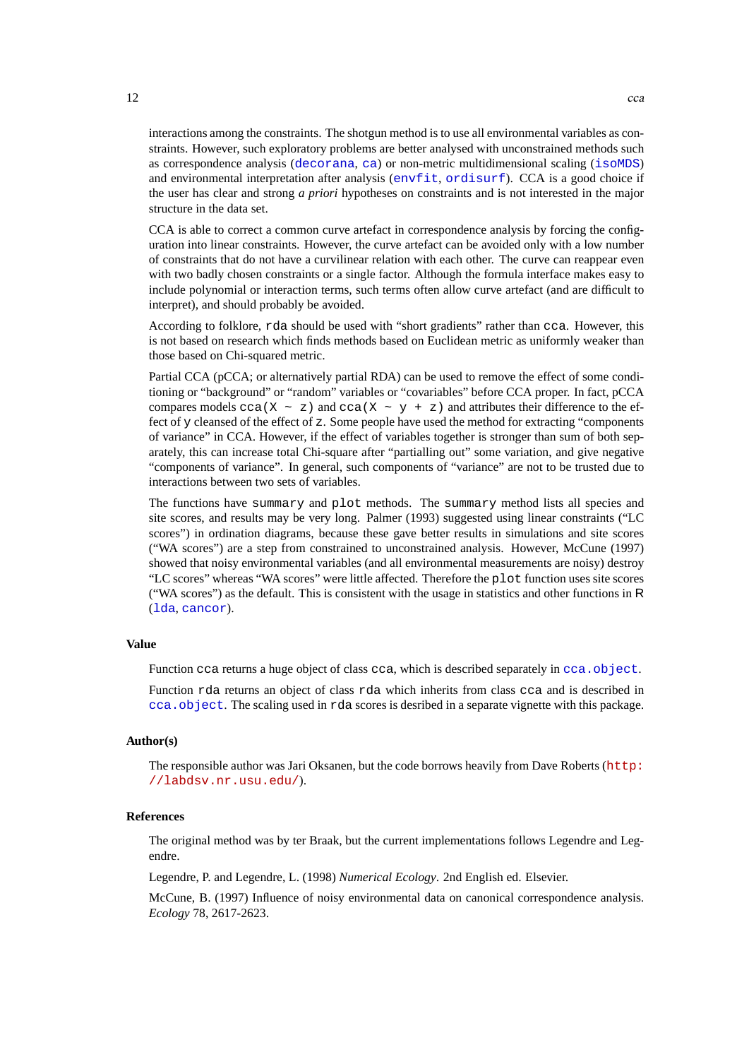interactions among the constraints. The shotgun method is to use all environmental variables as constraints. However, such exploratory problems are better analysed with unconstrained methods such as correspondence analysis ([decorana](#page-15-1), [ca](#page-0-0)) or non-metric multidimensional scaling ([isoMDS](#page-0-0)) and environmental interpretation after analysis ([envfit](#page-26-1), [ordisurf](#page-52-1)). CCA is a good choice if the user has clear and strong *a priori* hypotheses on constraints and is not interested in the major structure in the data set.

CCA is able to correct a common curve artefact in correspondence analysis by forcing the configuration into linear constraints. However, the curve artefact can be avoided only with a low number of constraints that do not have a curvilinear relation with each other. The curve can reappear even with two badly chosen constraints or a single factor. Although the formula interface makes easy to include polynomial or interaction terms, such terms often allow curve artefact (and are difficult to interpret), and should probably be avoided.

According to folklore, rda should be used with "short gradients" rather than cca. However, this is not based on research which finds methods based on Euclidean metric as uniformly weaker than those based on Chi-squared metric.

Partial CCA (pCCA; or alternatively partial RDA) can be used to remove the effect of some conditioning or "background" or "random" variables or "covariables" before CCA proper. In fact, pCCA compares models cca(X ~ z) and cca(X ~ y + z) and attributes their difference to the effect of y cleansed of the effect of z. Some people have used the method for extracting "components of variance" in CCA. However, if the effect of variables together is stronger than sum of both separately, this can increase total Chi-square after "partialling out" some variation, and give negative "components of variance". In general, such components of "variance" are not to be trusted due to interactions between two sets of variables.

The functions have summary and plot methods. The summary method lists all species and site scores, and results may be very long. Palmer (1993) suggested using linear constraints ("LC scores") in ordination diagrams, because these gave better results in simulations and site scores ("WA scores") are a step from constrained to unconstrained analysis. However, McCune (1997) showed that noisy environmental variables (and all environmental measurements are noisy) destroy "LC scores" whereas "WA scores" were little affected. Therefore the plot function uses site scores ("WA scores") as the default. This is consistent with the usage in statistics and other functions in R ([lda](#page-0-0), [cancor](#page-0-0)).

# **Value**

Function cca returns a huge object of class cca, which is described separately in  $cca$ . object.

Function rda returns an object of class rda which inherits from class cca and is described in [cca.object](#page-12-1). The scaling used in rda scores is desribed in a separate vignette with this package.

# **Author(s)**

The responsible author was Jari Oksanen, but the code borrows heavily from Dave Roberts ([http:](http://labdsv.nr.usu.edu/) [//labdsv.nr.usu.edu/](http://labdsv.nr.usu.edu/)).

# **References**

The original method was by ter Braak, but the current implementations follows Legendre and Legendre.

Legendre, P. and Legendre, L. (1998) *Numerical Ecology*. 2nd English ed. Elsevier.

McCune, B. (1997) Influence of noisy environmental data on canonical correspondence analysis. *Ecology* 78, 2617-2623.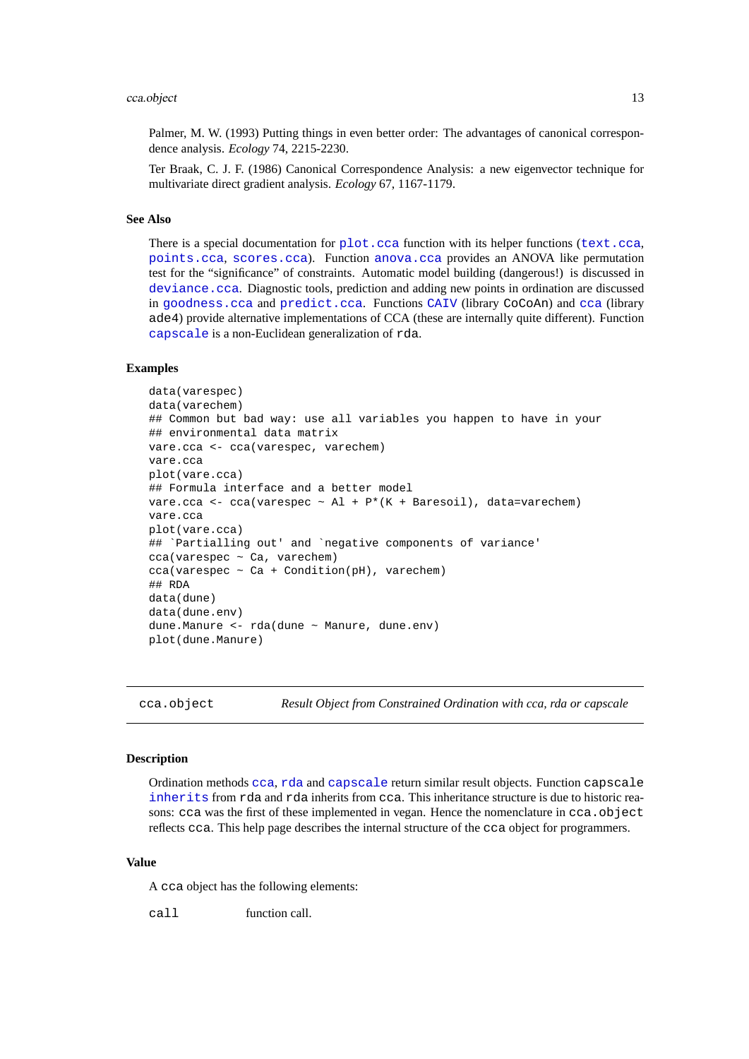# <span id="page-12-0"></span>cca.object 13

Palmer, M. W. (1993) Putting things in even better order: The advantages of canonical correspondence analysis. *Ecology* 74, 2215-2230.

Ter Braak, C. J. F. (1986) Canonical Correspondence Analysis: a new eigenvector technique for multivariate direct gradient analysis. *Ecology* 67, 1167-1179.

# **See Also**

There is a special documentation for  $plot$ .cca function with its helper functions ([text.cca](#page-55-2), [points.cca](#page-55-2), [scores.cca](#page-55-2)). Function [anova.cca](#page-4-1) provides an ANOVA like permutation test for the "significance" of constraints. Automatic model building (dangerous!) is discussed in [deviance.cca](#page-20-1). Diagnostic tools, prediction and adding new points in ordination are discussed in [goodness.cca](#page-32-1) and [predict.cca](#page-57-1). Functions [CAIV](#page-0-0) (library CoCoAn) and [cca](#page-9-1) (library ade4) provide alternative implementations of CCA (these are internally quite different). Function [capscale](#page-7-1) is a non-Euclidean generalization of rda.

# **Examples**

```
data(varespec)
data(varechem)
## Common but bad way: use all variables you happen to have in your
## environmental data matrix
vare.cca <- cca(varespec, varechem)
vare.cca
plot(vare.cca)
## Formula interface and a better model
vare.cca <- cca(varespec \sim Al + P*(K + Baresoil), data=varechem)
vare.cca
plot(vare.cca)
## `Partialling out' and `negative components of variance'
cca(varespec ~ Ca, varechem)
cca(varespec ~ Ca + Condition(pH), varechem)
## RDA
data(dune)
data(dune.env)
dune.Manure <- rda(dune ~ Manure, dune.env)
plot(dune.Manure)
```
cca.object *Result Object from Constrained Ordination with cca, rda or capscale*

# **Description**

Ordination methods [cca](#page-9-1), [rda](#page-9-2) and [capscale](#page-7-1) return similar result objects. Function capscale [inherits](#page-0-0) from rda and rda inherits from cca. This inheritance structure is due to historic reasons: cca was the first of these implemented in vegan. Hence the nomenclature in cca.object reflects cca. This help page describes the internal structure of the cca object for programmers.

# **Value**

A cca object has the following elements:

call function call.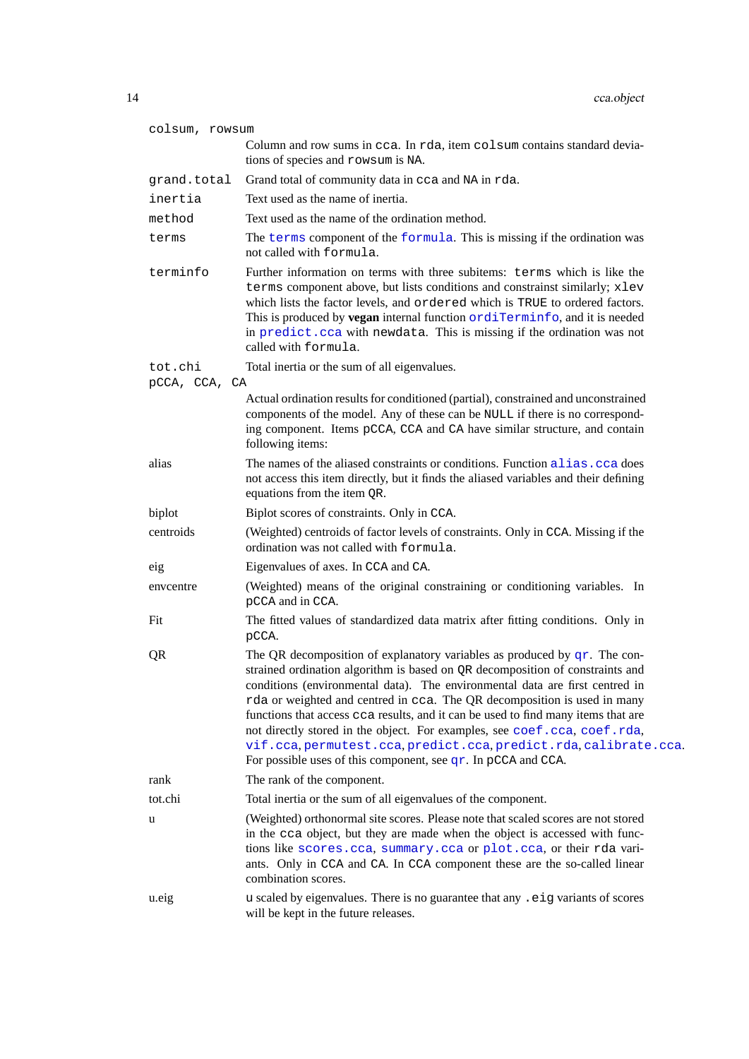| colsum, rowsum           |                                                                                                                                                                                                                                                                                                                                                                                                                                                                                                                                                                                                                                    |
|--------------------------|------------------------------------------------------------------------------------------------------------------------------------------------------------------------------------------------------------------------------------------------------------------------------------------------------------------------------------------------------------------------------------------------------------------------------------------------------------------------------------------------------------------------------------------------------------------------------------------------------------------------------------|
|                          | Column and row sums in cca. In rda, item colsum contains standard devia-<br>tions of species and rowsum is NA.                                                                                                                                                                                                                                                                                                                                                                                                                                                                                                                     |
| grand.total              | Grand total of community data in cca and NA in rda.                                                                                                                                                                                                                                                                                                                                                                                                                                                                                                                                                                                |
| inertia                  | Text used as the name of inertia.                                                                                                                                                                                                                                                                                                                                                                                                                                                                                                                                                                                                  |
| method                   | Text used as the name of the ordination method.                                                                                                                                                                                                                                                                                                                                                                                                                                                                                                                                                                                    |
| terms                    | The terms component of the formula. This is missing if the ordination was<br>not called with formula.                                                                                                                                                                                                                                                                                                                                                                                                                                                                                                                              |
| terminfo                 | Further information on terms with three subitems: terms which is like the<br>terms component above, but lists conditions and constrainst similarly; xlev<br>which lists the factor levels, and ordered which is TRUE to ordered factors.<br>This is produced by vegan internal function ordiTerminfo, and it is needed<br>in predict.cca with newdata. This is missing if the ordination was not<br>called with formula.                                                                                                                                                                                                           |
| tot.chi<br>pCCA, CCA, CA | Total inertia or the sum of all eigenvalues.                                                                                                                                                                                                                                                                                                                                                                                                                                                                                                                                                                                       |
|                          | Actual ordination results for conditioned (partial), constrained and unconstrained<br>components of the model. Any of these can be NULL if there is no correspond-<br>ing component. Items pCCA, CCA and CA have similar structure, and contain<br>following items:                                                                                                                                                                                                                                                                                                                                                                |
| alias                    | The names of the aliased constraints or conditions. Function alias. cca does<br>not access this item directly, but it finds the aliased variables and their defining<br>equations from the item QR.                                                                                                                                                                                                                                                                                                                                                                                                                                |
| biplot                   | Biplot scores of constraints. Only in CCA.                                                                                                                                                                                                                                                                                                                                                                                                                                                                                                                                                                                         |
| centroids                | (Weighted) centroids of factor levels of constraints. Only in CCA. Missing if the<br>ordination was not called with formula.                                                                                                                                                                                                                                                                                                                                                                                                                                                                                                       |
| eig                      | Eigenvalues of axes. In CCA and CA.                                                                                                                                                                                                                                                                                                                                                                                                                                                                                                                                                                                                |
| enveentre                | (Weighted) means of the original constraining or conditioning variables. In<br>pCCA and in CCA.                                                                                                                                                                                                                                                                                                                                                                                                                                                                                                                                    |
| Fit                      | The fitted values of standardized data matrix after fitting conditions. Only in<br>pCCA.                                                                                                                                                                                                                                                                                                                                                                                                                                                                                                                                           |
| QR                       | The QR decomposition of explanatory variables as produced by $qr$ . The con-<br>strained ordination algorithm is based on QR decomposition of constraints and<br>conditions (environmental data). The environmental data are first centred in<br>rda or weighted and centred in cca. The QR decomposition is used in many<br>functions that access cca results, and it can be used to find many items that are<br>not directly stored in the object. For examples, see coef.cca, coef.rda,<br>vif.cca, permutest.cca, predict.cca, predict.rda, calibrate.cca.<br>For possible uses of this component, see $qr$ . In pCCA and CCA. |
| rank                     | The rank of the component.                                                                                                                                                                                                                                                                                                                                                                                                                                                                                                                                                                                                         |
| tot.chi                  | Total inertia or the sum of all eigenvalues of the component.                                                                                                                                                                                                                                                                                                                                                                                                                                                                                                                                                                      |
| u                        | (Weighted) orthonormal site scores. Please note that scaled scores are not stored<br>in the cca object, but they are made when the object is accessed with func-<br>tions like scores.cca, summary.cca or plot.cca, or their rda vari-<br>ants. Only in CCA and CA. In CCA component these are the so-called linear<br>combination scores.                                                                                                                                                                                                                                                                                         |
| u.eig                    | u scaled by eigenvalues. There is no guarantee that any . eig variants of scores<br>will be kept in the future releases.                                                                                                                                                                                                                                                                                                                                                                                                                                                                                                           |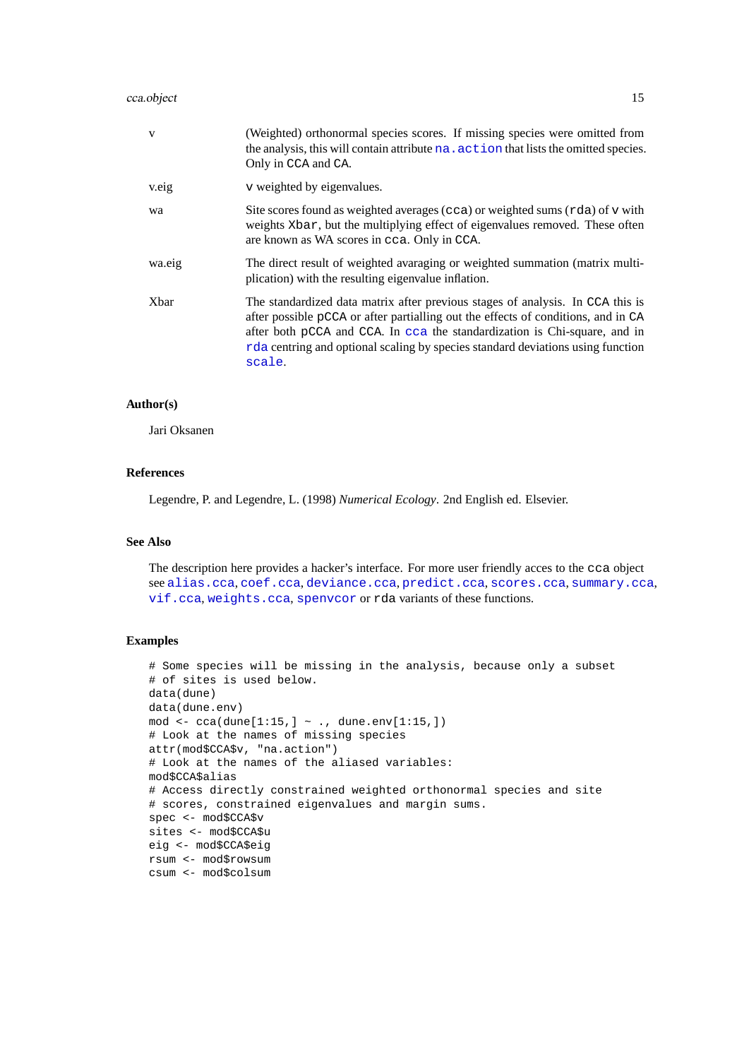# cca.object 15

| V            | (Weighted) orthonormal species scores. If missing species were omitted from<br>the analysis, this will contain attribute na. action that lists the omitted species.<br>Only in CCA and CA.                                                                                                                                                    |
|--------------|-----------------------------------------------------------------------------------------------------------------------------------------------------------------------------------------------------------------------------------------------------------------------------------------------------------------------------------------------|
| v.eig        | v weighted by eigenvalues.                                                                                                                                                                                                                                                                                                                    |
| wa           | Site scores found as weighted averages (cca) or weighted sums (rda) of v with<br>weights Xbar, but the multiplying effect of eigenvalues removed. These often<br>are known as WA scores in cca. Only in CCA.                                                                                                                                  |
| wa.eig       | The direct result of weighted avaraging or weighted summation (matrix multi-<br>plication) with the resulting eigenvalue inflation.                                                                                                                                                                                                           |
| <b>X</b> bar | The standardized data matrix after previous stages of analysis. In CCA this is<br>after possible pCCA or after partialling out the effects of conditions, and in CA<br>after both pCCA and CCA. In cca the standardization is Chi-square, and in<br>rda centring and optional scaling by species standard deviations using function<br>scale. |

# **Author(s)**

Jari Oksanen

# **References**

Legendre, P. and Legendre, L. (1998) *Numerical Ecology*. 2nd English ed. Elsevier.

# **See Also**

The description here provides a hacker's interface. For more user friendly acces to the cca object see [alias.cca](#page-32-2), [coef.cca](#page-57-2), [deviance.cca](#page-20-1), [predict.cca](#page-57-1), [scores.cca](#page-55-2), [summary.cca](#page-9-2), [vif.cca](#page-32-2), [weights.cca](#page-45-1), [spenvcor](#page-32-2) or rda variants of these functions.

# **Examples**

```
# Some species will be missing in the analysis, because only a subset
# of sites is used below.
data(dune)
data(dune.env)
mod <- cca(dune[1:15,] ~ ., dune.env[1:15,])
# Look at the names of missing species
attr(mod$CCA$v, "na.action")
# Look at the names of the aliased variables:
mod$CCA$alias
# Access directly constrained weighted orthonormal species and site
# scores, constrained eigenvalues and margin sums.
spec <- mod$CCA$v
sites <- mod$CCA$u
eig <- mod$CCA$eig
rsum <- mod$rowsum
csum <- mod$colsum
```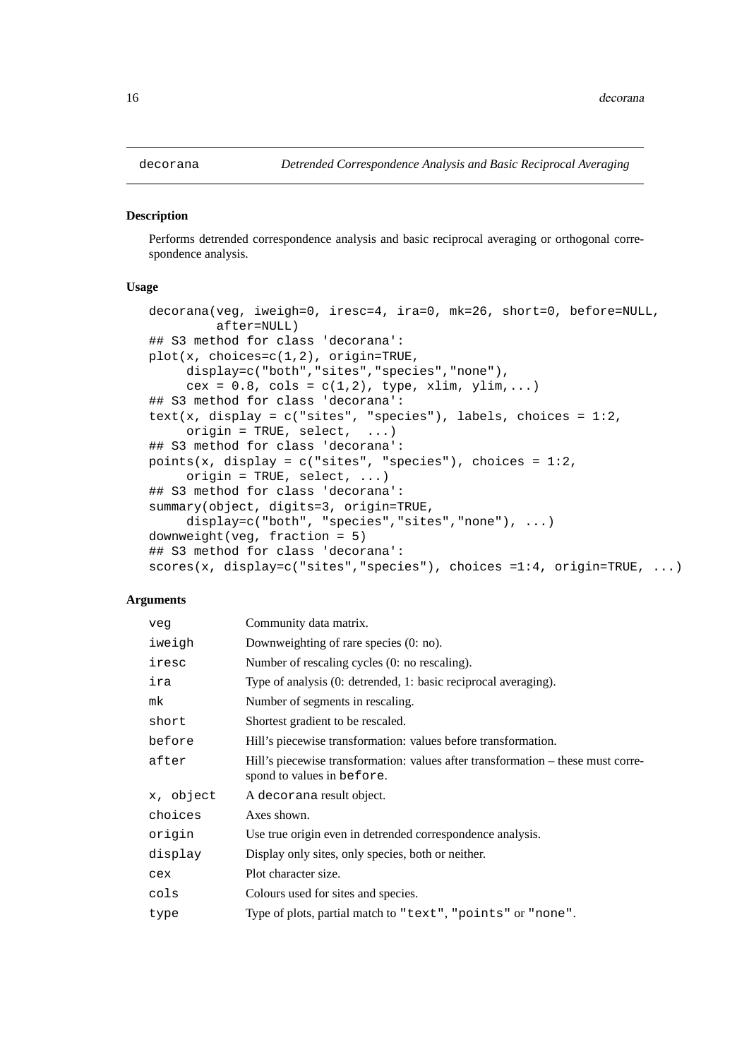# <span id="page-15-1"></span><span id="page-15-0"></span>**Description**

Performs detrended correspondence analysis and basic reciprocal averaging or orthogonal correspondence analysis.

# **Usage**

```
decorana(veg, iweigh=0, iresc=4, ira=0, mk=26, short=0, before=NULL,
         after=NULL)
## S3 method for class 'decorana':
plot(x, choices=c(1,2), origin=TRUE,
     display=c("both","sites","species","none"),
     cex = 0.8, cols = c(1,2), type, xlim, ylim,...)
## S3 method for class 'decorana':
text(x, display = c("sites", "species"), labels, choices = 1:2,origin = TRUE, select, \ldots)
## S3 method for class 'decorana':
points(x, display = c("sites", "species"), choices = 1:2,origin = TRUE, select, \ldots)
## S3 method for class 'decorana':
summary(object, digits=3, origin=TRUE,
     display=c("both", "species","sites","none"), ...)
downweight(veg, fraction = 5)
## S3 method for class 'decorana':
scores(x, display=c("sites","species"), choices =1:4, origin=TRUE, ...)
```
# **Arguments**

| veq       | Community data matrix.                                                                                         |
|-----------|----------------------------------------------------------------------------------------------------------------|
| iweigh    | Downweighting of rare species (0: no).                                                                         |
| iresc     | Number of rescaling cycles (0: no rescaling).                                                                  |
| ira       | Type of analysis (0: detrended, 1: basic reciprocal averaging).                                                |
| mk        | Number of segments in rescaling.                                                                               |
| short     | Shortest gradient to be rescaled.                                                                              |
| before    | Hill's piecewise transformation: values before transformation.                                                 |
| after     | Hill's piecewise transformation: values after transformation – these must corre-<br>spond to values in before. |
| x, object | A decorana result object.                                                                                      |
| choices   | Axes shown.                                                                                                    |
| origin    | Use true origin even in detrended correspondence analysis.                                                     |
| display   | Display only sites, only species, both or neither.                                                             |
| cex       | Plot character size.                                                                                           |
| cols      | Colours used for sites and species.                                                                            |
| type      | Type of plots, partial match to "text", "points" or "none".                                                    |
|           |                                                                                                                |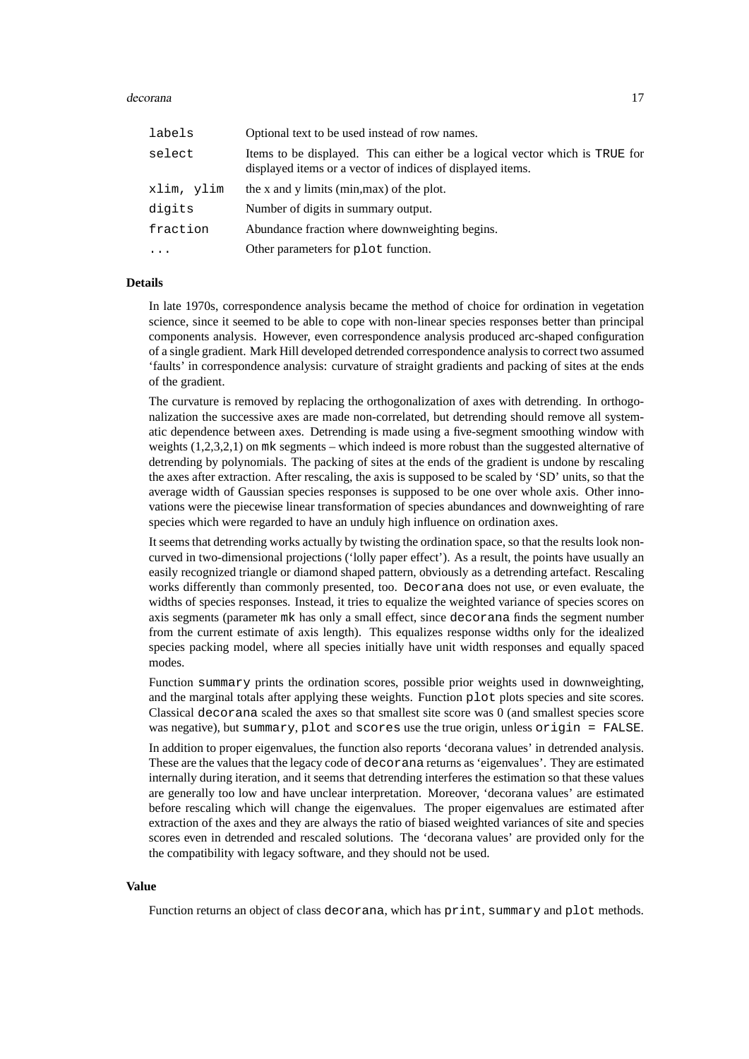# decorana and the contract of the contract of the contract of the contract of the contract of the contract of the contract of the contract of the contract of the contract of the contract of the contract of the contract of t

| labels     | Optional text to be used instead of row names.                                                                                             |
|------------|--------------------------------------------------------------------------------------------------------------------------------------------|
| select     | Items to be displayed. This can either be a logical vector which is TRUE for<br>displayed items or a vector of indices of displayed items. |
| xlim, ylim | the x and y limits (min, max) of the plot.                                                                                                 |
| digits     | Number of digits in summary output.                                                                                                        |
| fraction   | Abundance fraction where downweighting begins.                                                                                             |
| $\ddots$   | Other parameters for plot function.                                                                                                        |

# **Details**

In late 1970s, correspondence analysis became the method of choice for ordination in vegetation science, since it seemed to be able to cope with non-linear species responses better than principal components analysis. However, even correspondence analysis produced arc-shaped configuration of a single gradient. Mark Hill developed detrended correspondence analysis to correct two assumed 'faults' in correspondence analysis: curvature of straight gradients and packing of sites at the ends of the gradient.

The curvature is removed by replacing the orthogonalization of axes with detrending. In orthogonalization the successive axes are made non-correlated, but detrending should remove all systematic dependence between axes. Detrending is made using a five-segment smoothing window with weights (1,2,3,2,1) on mk segments – which indeed is more robust than the suggested alternative of detrending by polynomials. The packing of sites at the ends of the gradient is undone by rescaling the axes after extraction. After rescaling, the axis is supposed to be scaled by 'SD' units, so that the average width of Gaussian species responses is supposed to be one over whole axis. Other innovations were the piecewise linear transformation of species abundances and downweighting of rare species which were regarded to have an unduly high influence on ordination axes.

It seems that detrending works actually by twisting the ordination space, so that the results look noncurved in two-dimensional projections ('lolly paper effect'). As a result, the points have usually an easily recognized triangle or diamond shaped pattern, obviously as a detrending artefact. Rescaling works differently than commonly presented, too. Decorana does not use, or even evaluate, the widths of species responses. Instead, it tries to equalize the weighted variance of species scores on axis segments (parameter mk has only a small effect, since decorana finds the segment number from the current estimate of axis length). This equalizes response widths only for the idealized species packing model, where all species initially have unit width responses and equally spaced modes.

Function summary prints the ordination scores, possible prior weights used in downweighting, and the marginal totals after applying these weights. Function plot plots species and site scores. Classical decorana scaled the axes so that smallest site score was 0 (and smallest species score was negative), but summary, plot and scores use the true origin, unless origin = FALSE.

In addition to proper eigenvalues, the function also reports 'decorana values' in detrended analysis. These are the values that the legacy code of decorana returns as 'eigenvalues'. They are estimated internally during iteration, and it seems that detrending interferes the estimation so that these values are generally too low and have unclear interpretation. Moreover, 'decorana values' are estimated before rescaling which will change the eigenvalues. The proper eigenvalues are estimated after extraction of the axes and they are always the ratio of biased weighted variances of site and species scores even in detrended and rescaled solutions. The 'decorana values' are provided only for the the compatibility with legacy software, and they should not be used.

# **Value**

Function returns an object of class decorana, which has print, summary and plot methods.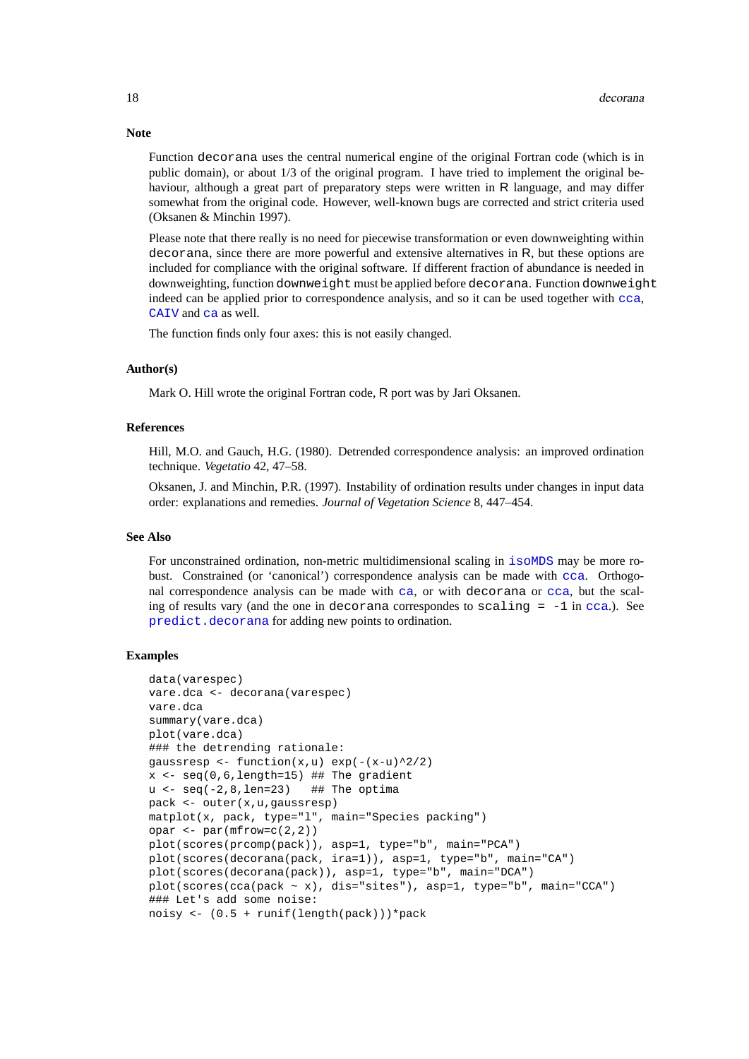Function decorana uses the central numerical engine of the original Fortran code (which is in public domain), or about 1/3 of the original program. I have tried to implement the original behaviour, although a great part of preparatory steps were written in R language, and may differ somewhat from the original code. However, well-known bugs are corrected and strict criteria used (Oksanen & Minchin 1997).

Please note that there really is no need for piecewise transformation or even downweighting within decorana, since there are more powerful and extensive alternatives in R, but these options are included for compliance with the original software. If different fraction of abundance is needed in downweighting, function downweight must be applied before decorana. Function downweight indeed can be applied prior to correspondence analysis, and so it can be used together with [cca](#page-9-1), [CAIV](#page-0-0) and [ca](#page-0-0) as well.

The function finds only four axes: this is not easily changed.

# **Author(s)**

Mark O. Hill wrote the original Fortran code, R port was by Jari Oksanen.

# **References**

Hill, M.O. and Gauch, H.G. (1980). Detrended correspondence analysis: an improved ordination technique. *Vegetatio* 42, 47–58.

Oksanen, J. and Minchin, P.R. (1997). Instability of ordination results under changes in input data order: explanations and remedies. *Journal of Vegetation Science* 8, 447–454.

#### **See Also**

For unconstrained ordination, non-metric multidimensional scaling in  $i$  somps may be more robust. Constrained (or 'canonical') correspondence analysis can be made with [cca](#page-9-1). Orthogonal correspondence analysis can be made with [ca](#page-0-0), or with decorana or [cca](#page-9-1), but the scaling of results vary (and the one in decorana correspondes to scaling  $= -1$  in [cca](#page-9-1).). See [predict.decorana](#page-57-2) for adding new points to ordination.

# **Examples**

```
data(varespec)
vare.dca <- decorana(varespec)
vare.dca
summary(vare.dca)
plot(vare.dca)
### the detrending rationale:
gaussresp <- function(x,u) exp(-(x-u)^2/2)x \leftarrow \text{seq}(0, 6, \text{length=15}) ## The gradient
u \leftarrow seq(-2, 8, len=23) ## The optima
pack <- outer(x,u,gaussresp)
matplot(x, pack, type="l", main="Species packing")
opar <- par(mfrow=c(2,2))
plot(scores(prcomp(pack)), asp=1, type="b", main="PCA")
plot(scores(decorana(pack, ira=1)), asp=1, type="b", main="CA")
plot(scores(decorana(pack)), asp=1, type="b", main="DCA")
plot(scores(cca(pack \sim x), dis="sites"), asp=1, type="b", main="CCA")
### Let's add some noise:
noisy <- (0.5 + runif(length(pack)))*pack
```
# **Note**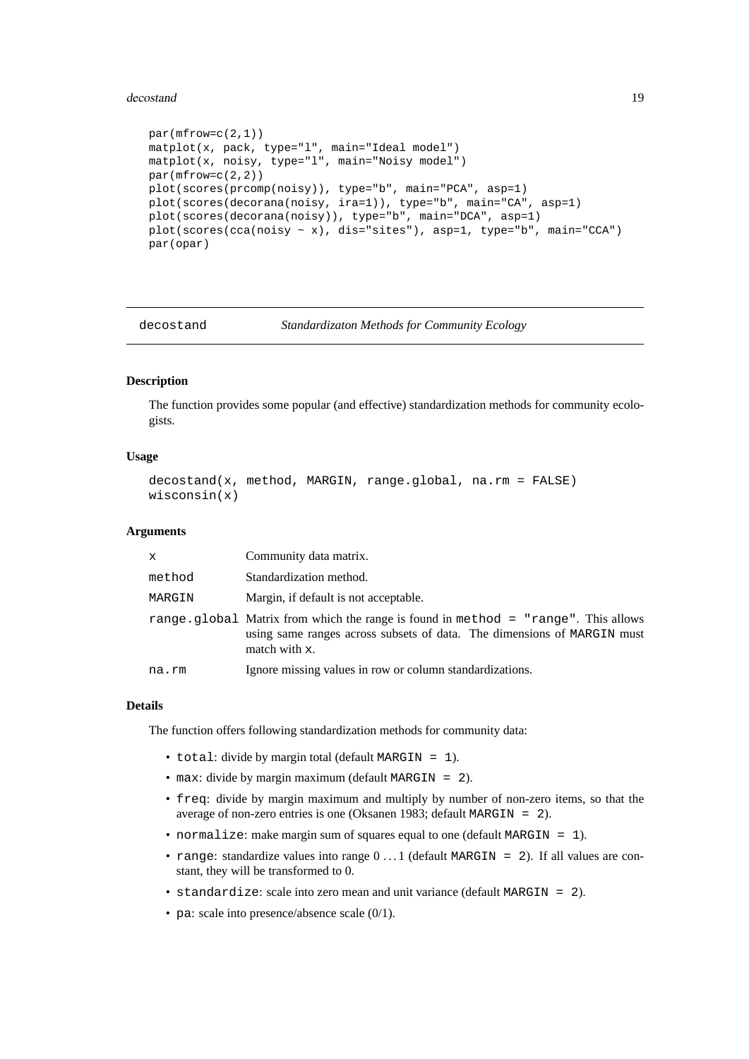# <span id="page-18-0"></span>decostand 19

```
par(mfrow=c(2,1))matplot(x, pack, type="l", main="Ideal model")
matplot(x, noisy, type="l", main="Noisy model")
par(mfrow=c(2,2))plot(scores(prcomp(noisy)), type="b", main="PCA", asp=1)
plot(scores(decorana(noisy, ira=1)), type="b", main="CA", asp=1)
plot(scores(decorana(noisy)), type="b", main="DCA", asp=1)
plot(scores(cca(noisy ~ x), dis="sites"), asp=1, type="b", main="CCA")
par(opar)
```
decostand *Standardizaton Methods for Community Ecology*

# **Description**

The function provides some popular (and effective) standardization methods for community ecologists.

# **Usage**

```
decostand(x, method, MARGIN, range.global, na.rm = FALSE)
wisconsin(x)
```
# **Arguments**

| $\mathbf{x}$ | Community data matrix.                                                                                                                                                         |
|--------------|--------------------------------------------------------------------------------------------------------------------------------------------------------------------------------|
| method       | Standardization method.                                                                                                                                                        |
| MARGIN       | Margin, if default is not acceptable.                                                                                                                                          |
|              | range.global Matrix from which the range is found in method = "range". This allows<br>using same ranges across subsets of data. The dimensions of MARGIN must<br>match with x. |
| na.rm        | Ignore missing values in row or column standardizations.                                                                                                                       |

# **Details**

The function offers following standardization methods for community data:

- total: divide by margin total (default MARGIN = 1).
- max: divide by margin maximum (default MARGIN = 2).
- freq: divide by margin maximum and multiply by number of non-zero items, so that the average of non-zero entries is one (Oksanen 1983; default MARGIN = 2).
- normalize: make margin sum of squares equal to one (default MARGIN = 1).
- range: standardize values into range  $0 \ldots 1$  (default MARGIN = 2). If all values are constant, they will be transformed to 0.
- standardize: scale into zero mean and unit variance (default MARGIN = 2).
- pa: scale into presence/absence scale  $(0/1)$ .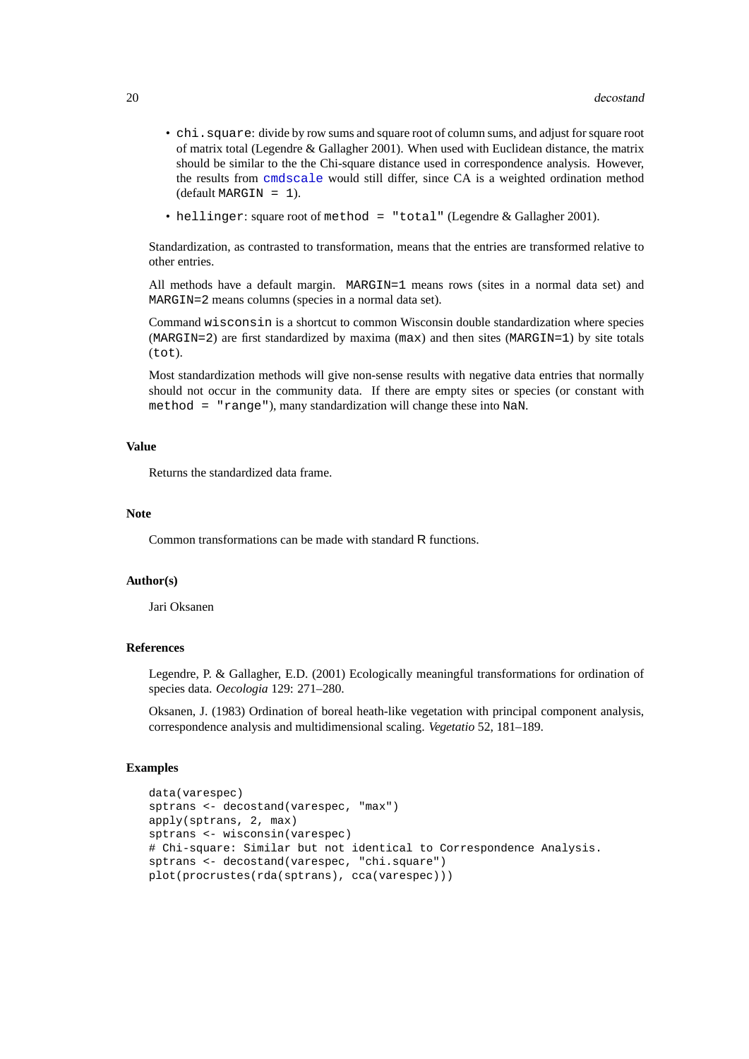- chi. square: divide by row sums and square root of column sums, and adjust for square root of matrix total (Legendre & Gallagher 2001). When used with Euclidean distance, the matrix should be similar to the the Chi-square distance used in correspondence analysis. However, the results from [cmdscale](#page-0-0) would still differ, since CA is a weighted ordination method (default MARGIN = 1).
- hellinger: square root of method = "total" (Legendre & Gallagher 2001).

Standardization, as contrasted to transformation, means that the entries are transformed relative to other entries.

All methods have a default margin. MARGIN=1 means rows (sites in a normal data set) and MARGIN=2 means columns (species in a normal data set).

Command wisconsin is a shortcut to common Wisconsin double standardization where species  $(MARGIN=2)$  are first standardized by maxima  $(max)$  and then sites  $(MARGIN=1)$  by site totals (tot).

Most standardization methods will give non-sense results with negative data entries that normally should not occur in the community data. If there are empty sites or species (or constant with method = "range"), many standardization will change these into NaN.

# **Value**

Returns the standardized data frame.

# **Note**

Common transformations can be made with standard R functions.

# **Author(s)**

Jari Oksanen

# **References**

Legendre, P. & Gallagher, E.D. (2001) Ecologically meaningful transformations for ordination of species data. *Oecologia* 129: 271–280.

Oksanen, J. (1983) Ordination of boreal heath-like vegetation with principal component analysis, correspondence analysis and multidimensional scaling. *Vegetatio* 52, 181–189.

# **Examples**

```
data(varespec)
sptrans <- decostand(varespec, "max")
apply(sptrans, 2, max)
sptrans <- wisconsin(varespec)
# Chi-square: Similar but not identical to Correspondence Analysis.
sptrans <- decostand(varespec, "chi.square")
plot(procrustes(rda(sptrans), cca(varespec)))
```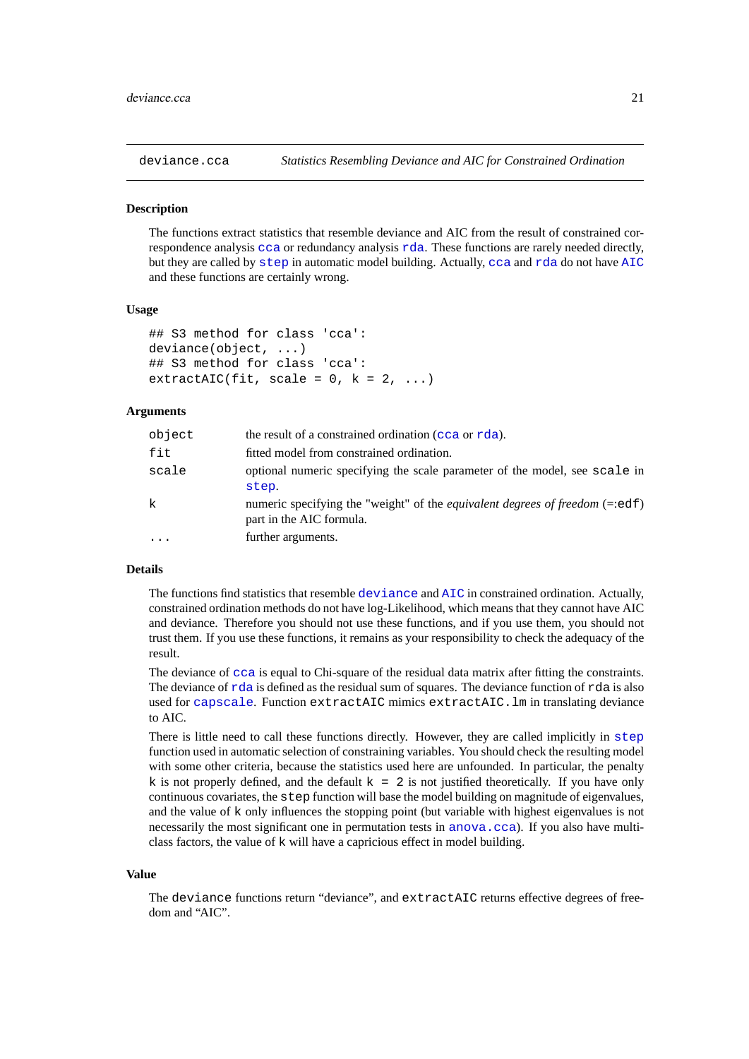<span id="page-20-1"></span><span id="page-20-0"></span>

# **Description**

The functions extract statistics that resemble deviance and AIC from the result of constrained correspondence analysis [cca](#page-9-1) or redundancy analysis [rda](#page-9-2). These functions are rarely needed directly, but they are called by [step](#page-0-0) in automatic model building. Actually, [cca](#page-9-1) and [rda](#page-9-2) do not have [AIC](#page-0-0) and these functions are certainly wrong.

# **Usage**

```
## S3 method for class 'cca':
deviance(object, ...)
## S3 method for class 'cca':
extractAIC(fit, scale = 0, k = 2, ...)
```
# **Arguments**

| object | the result of a constrained ordination (cca or rda).                                                                  |
|--------|-----------------------------------------------------------------------------------------------------------------------|
| fit    | fitted model from constrained ordination.                                                                             |
| scale  | optional numeric specifying the scale parameter of the model, see scale in<br>step.                                   |
| k      | numeric specifying the "weight" of the <i>equivalent degrees of freedom</i> $(=$ : $edf)$<br>part in the AIC formula. |
|        | further arguments.                                                                                                    |

# **Details**

The functions find statistics that resemble [deviance](#page-0-0) and [AIC](#page-0-0) in constrained ordination. Actually, constrained ordination methods do not have log-Likelihood, which means that they cannot have AIC and deviance. Therefore you should not use these functions, and if you use them, you should not trust them. If you use these functions, it remains as your responsibility to check the adequacy of the result.

The deviance of  $cca$  is equal to Chi-square of the residual data matrix after fitting the constraints. The deviance of  $rda$  is defined as the residual sum of squares. The deviance function of  $rda$  is also used for [capscale](#page-7-1). Function extractAIC mimics extractAIC.lm in translating deviance to AIC.

There is little need to call these functions directly. However, they are called implicitly in [step](#page-0-0) function used in automatic selection of constraining variables. You should check the resulting model with some other criteria, because the statistics used here are unfounded. In particular, the penalty k is not properly defined, and the default  $k = 2$  is not justified theoretically. If you have only continuous covariates, the step function will base the model building on magnitude of eigenvalues, and the value of k only influences the stopping point (but variable with highest eigenvalues is not necessarily the most significant one in permutation tests in [anova.cca](#page-4-1)). If you also have multiclass factors, the value of k will have a capricious effect in model building.

#### **Value**

The deviance functions return "deviance", and extractAIC returns effective degrees of freedom and "AIC".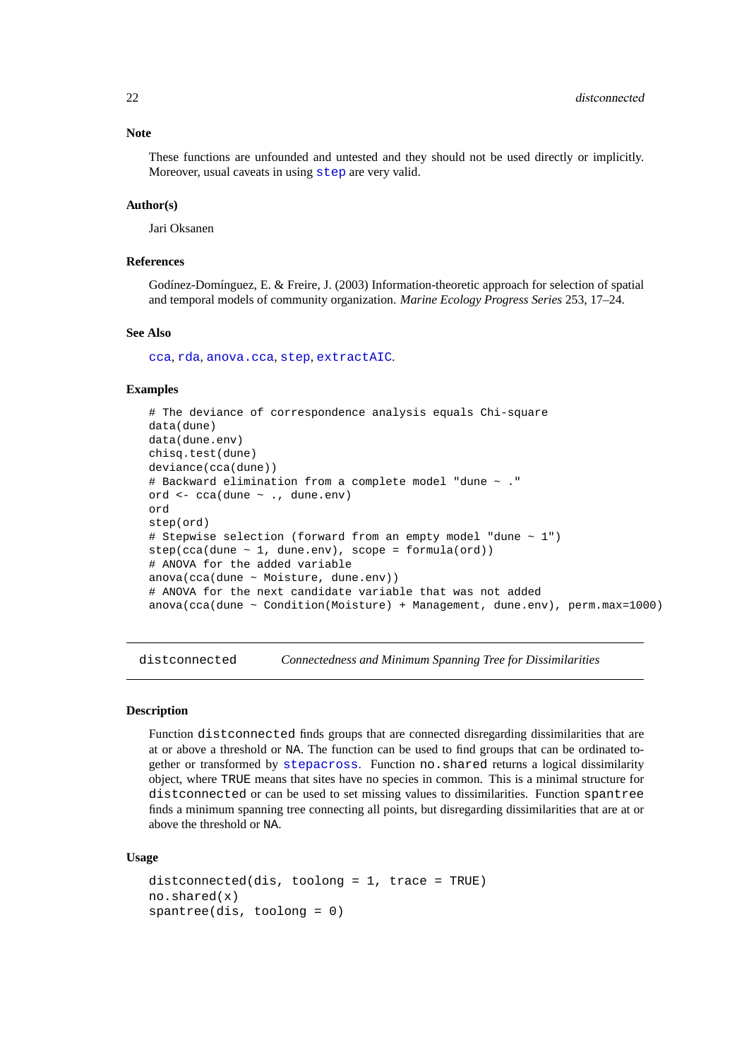#### **Note**

These functions are unfounded and untested and they should not be used directly or implicitly. Moreover, usual caveats in using [step](#page-0-0) are very valid.

# **Author(s)**

Jari Oksanen

# **References**

Godínez-Domínguez, E. & Freire, J. (2003) Information-theoretic approach for selection of spatial and temporal models of community organization. *Marine Ecology Progress Series* 253, 17–24.

#### **See Also**

[cca](#page-9-1), [rda](#page-9-2), [anova.cca](#page-4-1), [step](#page-0-0), [extractAIC](#page-0-0).

# **Examples**

```
# The deviance of correspondence analysis equals Chi-square
data(dune)
data(dune.env)
chisq.test(dune)
deviance(cca(dune))
# Backward elimination from a complete model "dune ~ ."
ord <- cca(dune ~ ., dune.env)
ord
step(ord)
# Stepwise selection (forward from an empty model "dune ~ 1")
step(cca(dune ~ 1, dune env), scope = formula(crd))# ANOVA for the added variable
anova(cca(dune ~ Moisture, dune.env))
# ANOVA for the next candidate variable that was not added
anova(cca(dune \sim Condition(Moisture) + Management, dune.env), perm.max=1000)
```
distconnected *Connectedness and Minimum Spanning Tree for Dissimilarities*

# **Description**

Function distconnected finds groups that are connected disregarding dissimilarities that are at or above a threshold or NA. The function can be used to find groups that can be ordinated together or transformed by [stepacross](#page-74-1). Function no.shared returns a logical dissimilarity object, where TRUE means that sites have no species in common. This is a minimal structure for distconnected or can be used to set missing values to dissimilarities. Function spantree finds a minimum spanning tree connecting all points, but disregarding dissimilarities that are at or above the threshold or NA.

# **Usage**

```
distconnected(dis, toolong = 1, trace = TRUE)
no.shared(x)
spantree(dis, toolong = 0)
```
<span id="page-21-0"></span>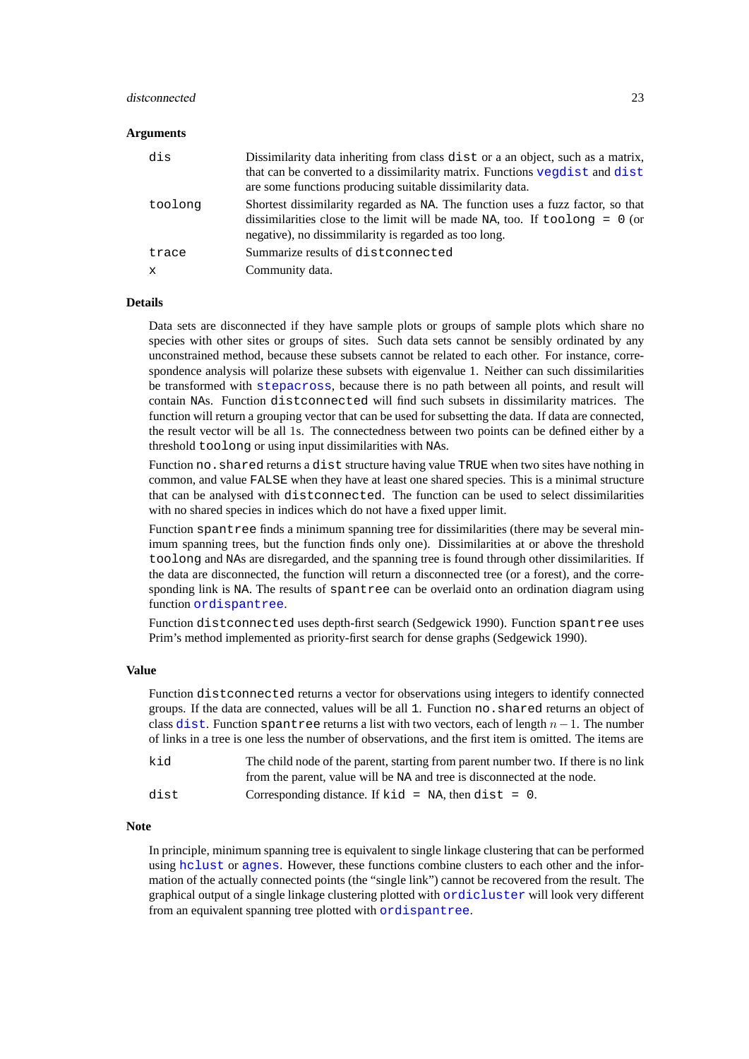### distconnected 23

# **Arguments**

| dis     | Dissimilarity data inheriting from class dist or a an object, such as a matrix,<br>that can be converted to a dissimilarity matrix. Functions vegdist and dist<br>are some functions producing suitable dissimilarity data.     |
|---------|---------------------------------------------------------------------------------------------------------------------------------------------------------------------------------------------------------------------------------|
| toolong | Shortest dissimilarity regarded as NA. The function uses a fuzz factor, so that<br>dissimilarities close to the limit will be made NA, too. If $to \circ$ long = 0 (or<br>negative), no dissimmilarity is regarded as too long. |
| trace   | Summarize results of dist connected                                                                                                                                                                                             |
| X       | Community data.                                                                                                                                                                                                                 |

#### **Details**

Data sets are disconnected if they have sample plots or groups of sample plots which share no species with other sites or groups of sites. Such data sets cannot be sensibly ordinated by any unconstrained method, because these subsets cannot be related to each other. For instance, correspondence analysis will polarize these subsets with eigenvalue 1. Neither can such dissimilarities be transformed with [stepacross](#page-74-1), because there is no path between all points, and result will contain NAs. Function distconnected will find such subsets in dissimilarity matrices. The function will return a grouping vector that can be used for subsetting the data. If data are connected, the result vector will be all 1s. The connectedness between two points can be defined either by a threshold toolong or using input dissimilarities with NAs.

Function no.shared returns a dist structure having value TRUE when two sites have nothing in common, and value FALSE when they have at least one shared species. This is a minimal structure that can be analysed with distconnected. The function can be used to select dissimilarities with no shared species in indices which do not have a fixed upper limit.

Function spantree finds a minimum spanning tree for dissimilarities (there may be several minimum spanning trees, but the function finds only one). Dissimilarities at or above the threshold toolong and NAs are disregarded, and the spanning tree is found through other dissimilarities. If the data are disconnected, the function will return a disconnected tree (or a forest), and the corresponding link is NA. The results of spantree can be overlaid onto an ordination diagram using function [ordispantree](#page-45-1).

Function distconnected uses depth-first search (Sedgewick 1990). Function spantree uses Prim's method implemented as priority-first search for dense graphs (Sedgewick 1990).

#### **Value**

Function distconnected returns a vector for observations using integers to identify connected groups. If the data are connected, values will be all 1. Function no.shared returns an object of class [dist](#page-0-0). Function spantree returns a list with two vectors, each of length  $n-1$ . The number of links in a tree is one less the number of observations, and the first item is omitted. The items are

| kid  | The child node of the parent, starting from parent number two. If there is no link |
|------|------------------------------------------------------------------------------------|
|      | from the parent, value will be NA and tree is disconnected at the node.            |
| dist | Corresponding distance. If $kid = NA$ , then dist = 0.                             |

#### **Note**

In principle, minimum spanning tree is equivalent to single linkage clustering that can be performed using [hclust](#page-0-0) or [agnes](#page-0-0). However, these functions combine clusters to each other and the information of the actually connected points (the "single link") cannot be recovered from the result. The graphical output of a single linkage clustering plotted with [ordicluster](#page-45-1) will look very different from an equivalent spanning tree plotted with [ordispantree](#page-45-1).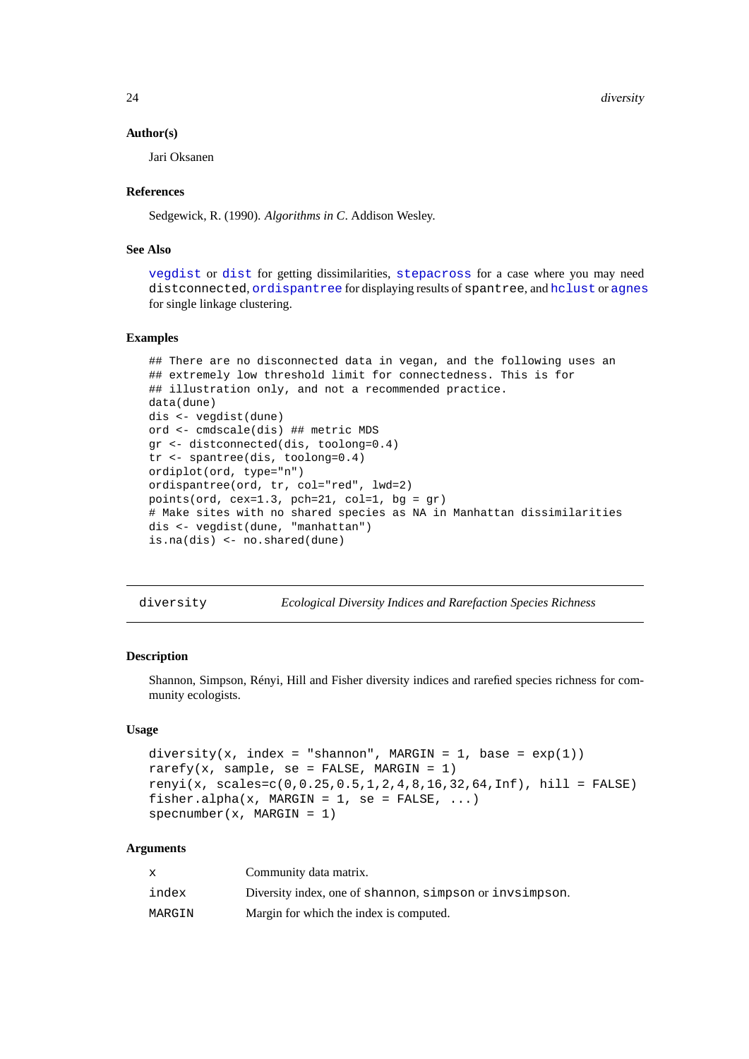24 diversity

# **Author(s)**

Jari Oksanen

# **References**

Sedgewick, R. (1990). *Algorithms in C*. Addison Wesley.

#### **See Also**

[vegdist](#page-77-1) or [dist](#page-0-0) for getting dissimilarities, [stepacross](#page-74-1) for a case where you may need distconnected, [ordispantree](#page-45-1) for displaying results of spantree, and [hclust](#page-0-0) or [agnes](#page-0-0) for single linkage clustering.

# **Examples**

```
## There are no disconnected data in vegan, and the following uses an
## extremely low threshold limit for connectedness. This is for
## illustration only, and not a recommended practice.
data(dune)
dis <- vegdist(dune)
ord <- cmdscale(dis) ## metric MDS
gr <- distconnected(dis, toolong=0.4)
tr <- spantree(dis, toolong=0.4)
ordiplot(ord, type="n")
ordispantree(ord, tr, col="red", lwd=2)
points(ord, cex=1.3, pch=21, col=1, bg = gr)
# Make sites with no shared species as NA in Manhattan dissimilarities
dis <- vegdist(dune, "manhattan")
is.na(dis) <- no.shared(dune)
```
<span id="page-23-2"></span>diversity *Ecological Diversity Indices and Rarefaction Species Richness*

# <span id="page-23-1"></span>**Description**

Shannon, Simpson, Rényi, Hill and Fisher diversity indices and rarefied species richness for community ecologists.

# **Usage**

```
diversity(x, index = "shannon", MARGIN = 1, base = exp(1))
rarefy(x, sample, se = FALSE, MARGIN = 1)
renyi(x, scales=c(0,0.25,0.5,1,2,4,8,16,32,64,Inf), hill = FALSE)
fisher.alpha(x, MARGIN = 1, se = FALSE, \ldots)
specnumber(x, MARGIN = 1)
```
#### **Arguments**

| x      | Community data matrix.                                  |
|--------|---------------------------------------------------------|
| index  | Diversity index, one of shannon, simpson or invsimpson. |
| MARGIN | Margin for which the index is computed.                 |

<span id="page-23-0"></span>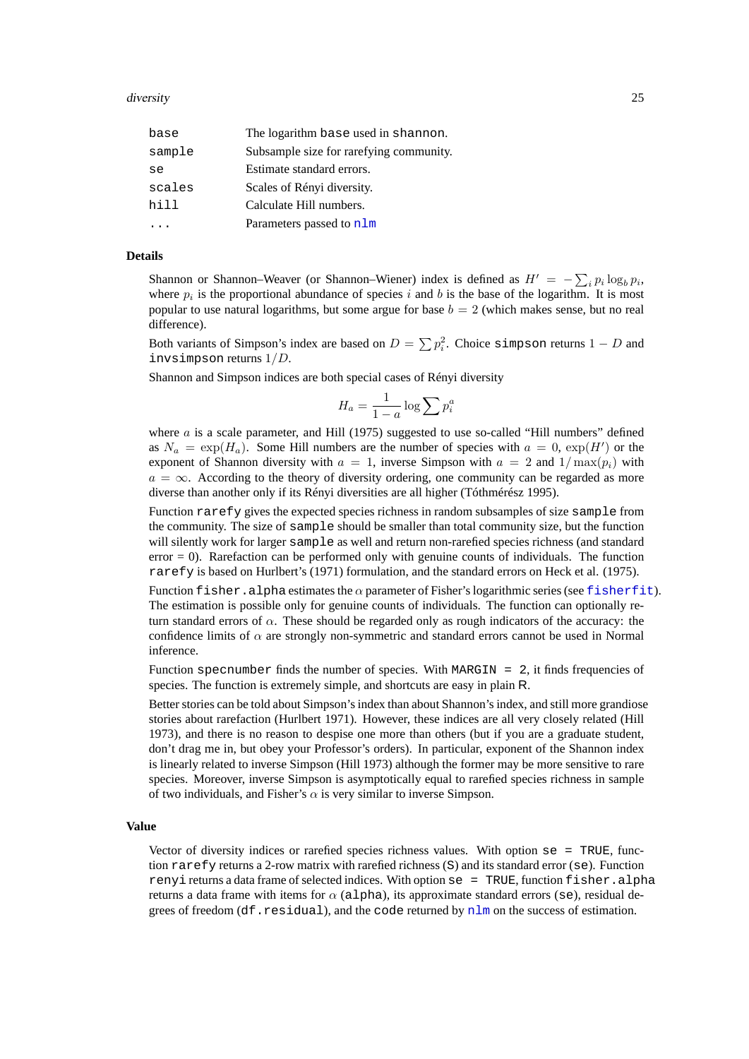# diversity and the contract of the contract of the contract of the contract of the contract of the contract of the contract of the contract of the contract of the contract of the contract of the contract of the contract of

| The logarithm base used in shannon.     |
|-----------------------------------------|
| Subsample size for rarefying community. |
| Estimate standard errors.               |
| Scales of Rényi diversity.              |
| Calculate Hill numbers.                 |
| Parameters passed to nlm                |
|                                         |

# **Details**

Shannon or Shannon–Weaver (or Shannon–Wiener) index is defined as  $H' = -\sum_i p_i \log_b p_i$ , where  $p_i$  is the proportional abundance of species i and b is the base of the logarithm. It is most popular to use natural logarithms, but some argue for base  $b = 2$  (which makes sense, but no real difference).

Both variants of Simpson's index are based on  $D = \sum p_i^2$ . Choice simpson returns  $1 - D$  and invsimpson returns 1/D.

Shannon and Simpson indices are both special cases of Rényi diversity

$$
H_a = \frac{1}{1-a} \log \sum p_i^a
$$

where  $a$  is a scale parameter, and Hill (1975) suggested to use so-called "Hill numbers" defined as  $N_a = \exp(H_a)$ . Some Hill numbers are the number of species with  $a = 0$ ,  $\exp(H')$  or the exponent of Shannon diversity with  $a = 1$ , inverse Simpson with  $a = 2$  and  $1/\max(p_i)$  with  $a = \infty$ . According to the theory of diversity ordering, one community can be regarded as more diverse than another only if its Rényi diversities are all higher (Tóthmérész 1995).

Function rarefy gives the expected species richness in random subsamples of size sample from the community. The size of sample should be smaller than total community size, but the function will silently work for larger sample as well and return non-rarefied species richness (and standard error = 0). Rarefaction can be performed only with genuine counts of individuals. The function rarefy is based on Hurlbert's (1971) formulation, and the standard errors on Heck et al. (1975).

Function fisher.alpha estimates the  $\alpha$  parameter of Fisher's logarithmic series (see [fisherfit](#page-29-1)). The estimation is possible only for genuine counts of individuals. The function can optionally return standard errors of  $\alpha$ . These should be regarded only as rough indicators of the accuracy: the confidence limits of  $\alpha$  are strongly non-symmetric and standard errors cannot be used in Normal inference.

Function specnumber finds the number of species. With MARGIN =  $2$ , it finds frequencies of species. The function is extremely simple, and shortcuts are easy in plain R.

Better stories can be told about Simpson's index than about Shannon's index, and still more grandiose stories about rarefaction (Hurlbert 1971). However, these indices are all very closely related (Hill 1973), and there is no reason to despise one more than others (but if you are a graduate student, don't drag me in, but obey your Professor's orders). In particular, exponent of the Shannon index is linearly related to inverse Simpson (Hill 1973) although the former may be more sensitive to rare species. Moreover, inverse Simpson is asymptotically equal to rarefied species richness in sample of two individuals, and Fisher's  $\alpha$  is very similar to inverse Simpson.

# **Value**

Vector of diversity indices or rarefied species richness values. With option  $se = TRUE$ , function rarefy returns a 2-row matrix with rarefied richness (S) and its standard error (se). Function renyi returns a data frame of selected indices. With option  $se = TRUE$ , function fisher.alpha returns a data frame with items for  $\alpha$  (alpha), its approximate standard errors (se), residual degrees of freedom (df.residual), and the code returned by  $nlm$  on the success of estimation.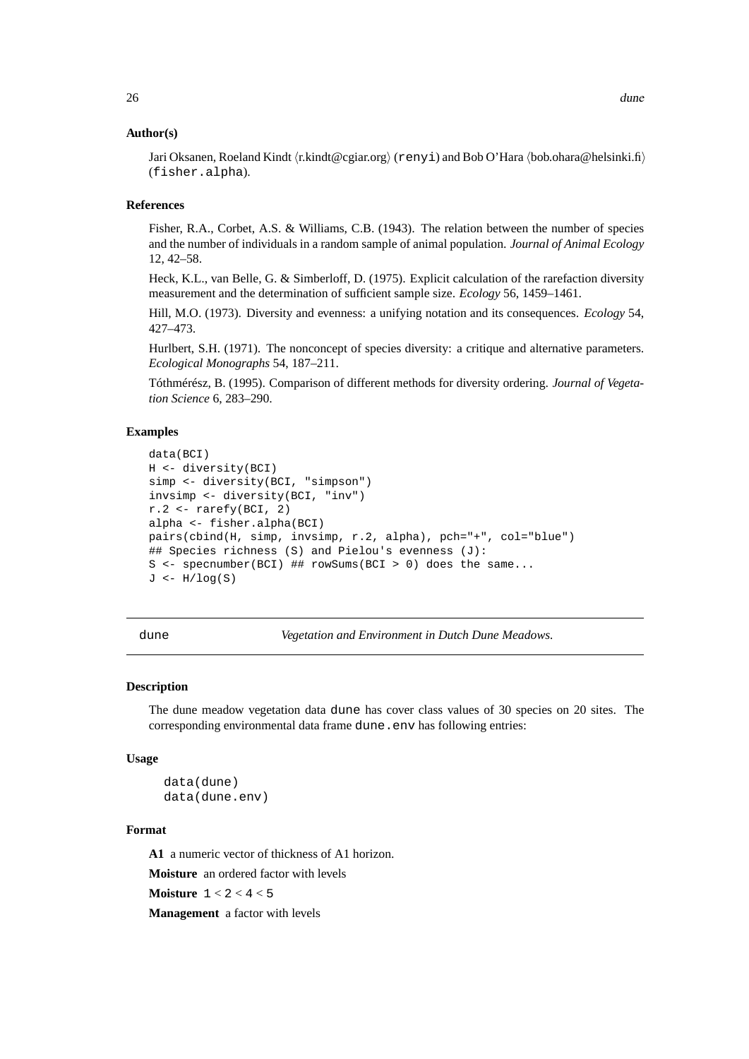# <span id="page-25-0"></span>**Author(s)**

Jari Oksanen, Roeland Kindt (r.kindt@cgiar.org) (renyi) and Bob O'Hara (bob.ohara@helsinki.fi) (fisher.alpha).

# **References**

Fisher, R.A., Corbet, A.S. & Williams, C.B. (1943). The relation between the number of species and the number of individuals in a random sample of animal population. *Journal of Animal Ecology* 12, 42–58.

Heck, K.L., van Belle, G. & Simberloff, D. (1975). Explicit calculation of the rarefaction diversity measurement and the determination of sufficient sample size. *Ecology* 56, 1459–1461.

Hill, M.O. (1973). Diversity and evenness: a unifying notation and its consequences. *Ecology* 54, 427–473.

Hurlbert, S.H. (1971). The nonconcept of species diversity: a critique and alternative parameters. *Ecological Monographs* 54, 187–211.

Tóthmérész, B. (1995). Comparison of different methods for diversity ordering. *Journal of Vegetation Science* 6, 283–290.

# **Examples**

```
data(BCI)
H <- diversity(BCI)
simp <- diversity(BCI, "simpson")
invsimp <- diversity(BCI, "inv")
r.2 \leftarrow \text{rarefy(BCI, 2)}alpha <- fisher.alpha(BCI)
pairs(cbind(H, simp, invsimp, r.2, alpha), pch="+", col="blue")
## Species richness (S) and Pielou's evenness (J):
S <- specnumber(BCI) ## rowSums(BCI > 0) does the same...
J \leftarrow H/log(S)
```
dune *Vegetation and Environment in Dutch Dune Meadows.*

#### **Description**

The dune meadow vegetation data dune has cover class values of 30 species on 20 sites. The corresponding environmental data frame dune.env has following entries:

# **Usage**

data(dune) data(dune.env)

#### **Format**

**A1** a numeric vector of thickness of A1 horizon.

**Moisture** an ordered factor with levels

**Moisture** 1 < 2 < 4 < 5

**Management** a factor with levels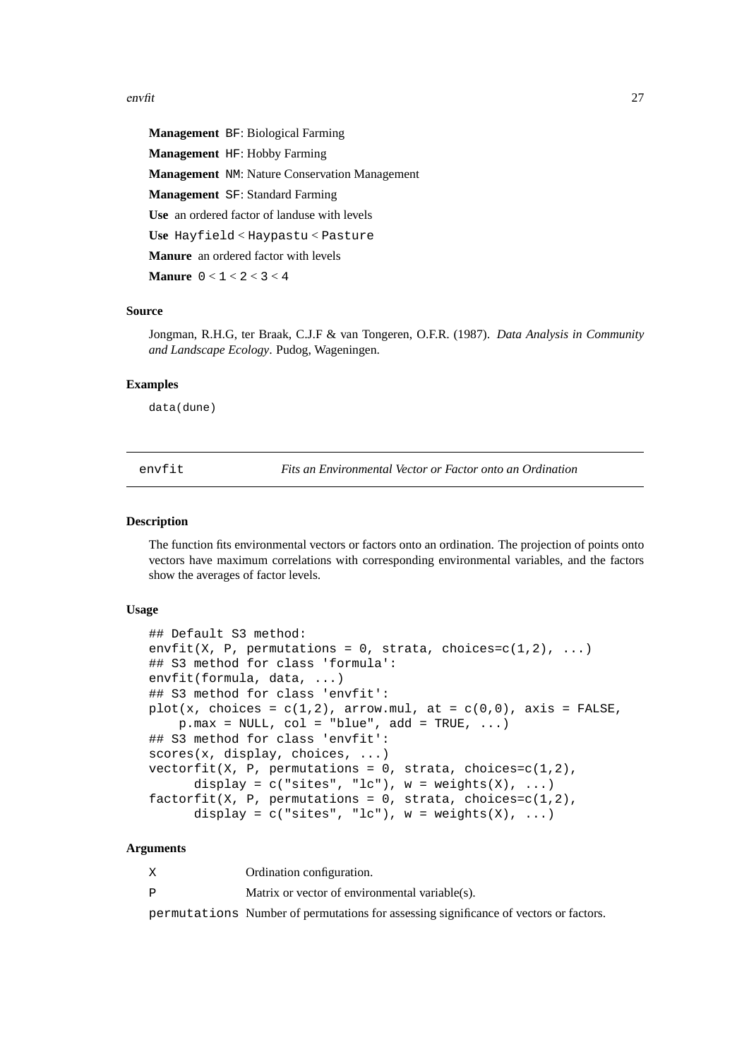# <span id="page-26-0"></span>envfit 27

**Management** BF: Biological Farming **Management** HF: Hobby Farming **Management** NM: Nature Conservation Management **Management** SF: Standard Farming **Use** an ordered factor of landuse with levels **Use** Hayfield < Haypastu < Pasture **Manure** an ordered factor with levels

**Manure** 0 < 1 < 2 < 3 < 4

# **Source**

Jongman, R.H.G, ter Braak, C.J.F & van Tongeren, O.F.R. (1987). *Data Analysis in Community and Landscape Ecology*. Pudog, Wageningen.

# **Examples**

data(dune)

<span id="page-26-1"></span>envfit *Fits an Environmental Vector or Factor onto an Ordination*

#### **Description**

The function fits environmental vectors or factors onto an ordination. The projection of points onto vectors have maximum correlations with corresponding environmental variables, and the factors show the averages of factor levels.

#### **Usage**

```
## Default S3 method:
envfit(X, P, permutations = 0, strata, choices=c(1,2), ...)
## S3 method for class 'formula':
envfit(formula, data, ...)
## S3 method for class 'envfit':
plot(x, choices = c(1,2), arrow.mul, at = c(0,0), axis = FALSE,
    p.max = NULL, col = "blue", add = TRUE, ...)## S3 method for class 'envfit':
scores(x, display, choices, ...)
vectorfit(X, P, permutations = 0, strata, choices=c(1,2),display = c("sites", "lc"), w = weights(X), ...)factorfit(X, P, permutations = 0, strata, choices=c(1,2),display = c("sites", "lc"), w = weights(X), ...
```
# **Arguments**

X Ordination configuration.

P Matrix or vector of environmental variable(s).

permutations Number of permutations for assessing significance of vectors or factors.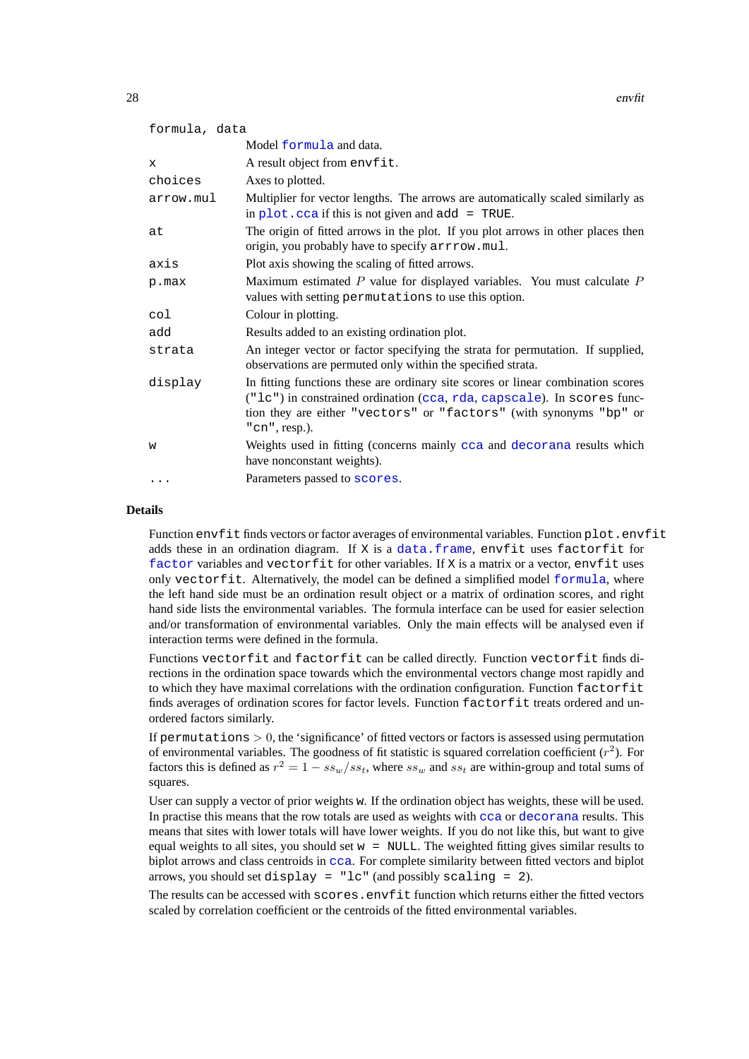| formula, data |                                                                                                                                                                                                                                                          |
|---------------|----------------------------------------------------------------------------------------------------------------------------------------------------------------------------------------------------------------------------------------------------------|
|               | Model formula and data.                                                                                                                                                                                                                                  |
| X             | A result object from envfit.                                                                                                                                                                                                                             |
| choices       | Axes to plotted.                                                                                                                                                                                                                                         |
| arrow.mul     | Multiplier for vector lengths. The arrows are automatically scaled similarly as<br>in $plot$ . $cca$ if this is not given and $add = TRUE$ .                                                                                                             |
| at            | The origin of fitted arrows in the plot. If you plot arrows in other places then<br>origin, you probably have to specify arrrow.mul.                                                                                                                     |
| axis          | Plot axis showing the scaling of fitted arrows.                                                                                                                                                                                                          |
| p.max         | Maximum estimated $P$ value for displayed variables. You must calculate $P$<br>values with setting permutations to use this option.                                                                                                                      |
| col           | Colour in plotting.                                                                                                                                                                                                                                      |
| add           | Results added to an existing ordination plot.                                                                                                                                                                                                            |
| strata        | An integer vector or factor specifying the strata for permutation. If supplied,<br>observations are permuted only within the specified strata.                                                                                                           |
| display       | In fitting functions these are ordinary site scores or linear combination scores<br>("1c") in constrained ordination (cca, rda, capscale). In scores func-<br>tion they are either "vectors" or "factors" (with synonyms "bp" or<br>$"$ cn $"$ , resp.). |
| W             | Weights used in fitting (concerns mainly cca and decorana results which<br>have nonconstant weights).                                                                                                                                                    |
| $\cdots$      | Parameters passed to scores.                                                                                                                                                                                                                             |

#### **Details**

Function envfit finds vectors or factor averages of environmental variables. Function plot.envfit adds these in an ordination diagram. If X is a [data.frame](#page-0-0), envfit uses factorfit for [factor](#page-0-0) variables and vectorfit for other variables. If X is a matrix or a vector, envfit uses only vectorfit. Alternatively, the model can be defined a simplified model [formula](#page-0-0), where the left hand side must be an ordination result object or a matrix of ordination scores, and right hand side lists the environmental variables. The formula interface can be used for easier selection and/or transformation of environmental variables. Only the main effects will be analysed even if interaction terms were defined in the formula.

Functions vectorfit and factorfit can be called directly. Function vectorfit finds directions in the ordination space towards which the environmental vectors change most rapidly and to which they have maximal correlations with the ordination configuration. Function factorfit finds averages of ordination scores for factor levels. Function factorfit treats ordered and unordered factors similarly.

If permutations  $> 0$ , the 'significance' of fitted vectors or factors is assessed using permutation of environmental variables. The goodness of fit statistic is squared correlation coefficient  $(r^2)$ . For factors this is defined as  $r^2 = 1 - ss_w/s_{st}$ , where  $ss_w$  and  $ss_t$  are within-group and total sums of squares.

User can supply a vector of prior weights w. If the ordination object has weights, these will be used. In practise this means that the row totals are used as weights with [cca](#page-9-1) or [decorana](#page-15-1) results. This means that sites with lower totals will have lower weights. If you do not like this, but want to give equal weights to all sites, you should set  $w = NULL$ . The weighted fitting gives similar results to biplot arrows and class centroids in [cca](#page-9-1). For complete similarity between fitted vectors and biplot arrows, you should set display = "lc" (and possibly scaling = 2).

The results can be accessed with scores. envfit function which returns either the fitted vectors scaled by correlation coefficient or the centroids of the fitted environmental variables.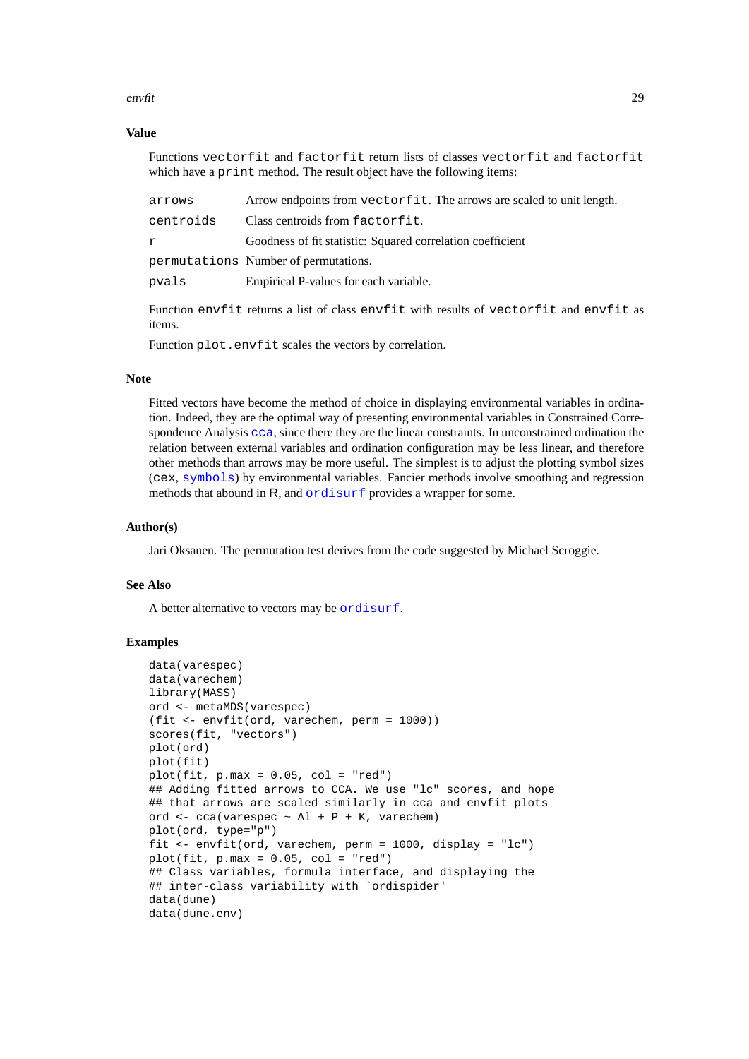# envfit 29

# **Value**

Functions vectorfit and factorfit return lists of classes vectorfit and factorfit which have a print method. The result object have the following items:

| arrows    | Arrow endpoints from vectorfit. The arrows are scaled to unit length. |
|-----------|-----------------------------------------------------------------------|
| centroids | Class centroids from factorfit.                                       |
| r         | Goodness of fit statistic: Squared correlation coefficient            |
|           | permutations Number of permutations.                                  |
| pvals     | Empirical P-values for each variable.                                 |
|           |                                                                       |

Function envfit returns a list of class envfit with results of vectorfit and envfit as items.

Function plot.envfit scales the vectors by correlation.

# **Note**

Fitted vectors have become the method of choice in displaying environmental variables in ordination. Indeed, they are the optimal way of presenting environmental variables in Constrained Correspondence Analysis [cca](#page-9-1), since there they are the linear constraints. In unconstrained ordination the relation between external variables and ordination configuration may be less linear, and therefore other methods than arrows may be more useful. The simplest is to adjust the plotting symbol sizes (cex, [symbols](#page-0-0)) by environmental variables. Fancier methods involve smoothing and regression methods that abound in R, and [ordisurf](#page-52-1) provides a wrapper for some.

# **Author(s)**

Jari Oksanen. The permutation test derives from the code suggested by Michael Scroggie.

# **See Also**

A better alternative to vectors may be [ordisurf](#page-52-1).

# **Examples**

```
data(varespec)
data(varechem)
library(MASS)
ord <- metaMDS(varespec)
(fit <- envfit(ord, varechem, perm = 1000))
scores(fit, "vectors")
plot(ord)
plot(fit)
plot(fit, p.max = 0.05, col = "red")## Adding fitted arrows to CCA. We use "lc" scores, and hope
## that arrows are scaled similarly in cca and envfit plots
ord \leq cca(varespec \sim Al + P + K, varechem)
plot(ord, type="p")
fit <- envfit(ord, varechem, perm = 1000, display = "lc")
plot(fit, p.max = 0.05, col = "red")## Class variables, formula interface, and displaying the
## inter-class variability with `ordispider'
data(dune)
data(dune.env)
```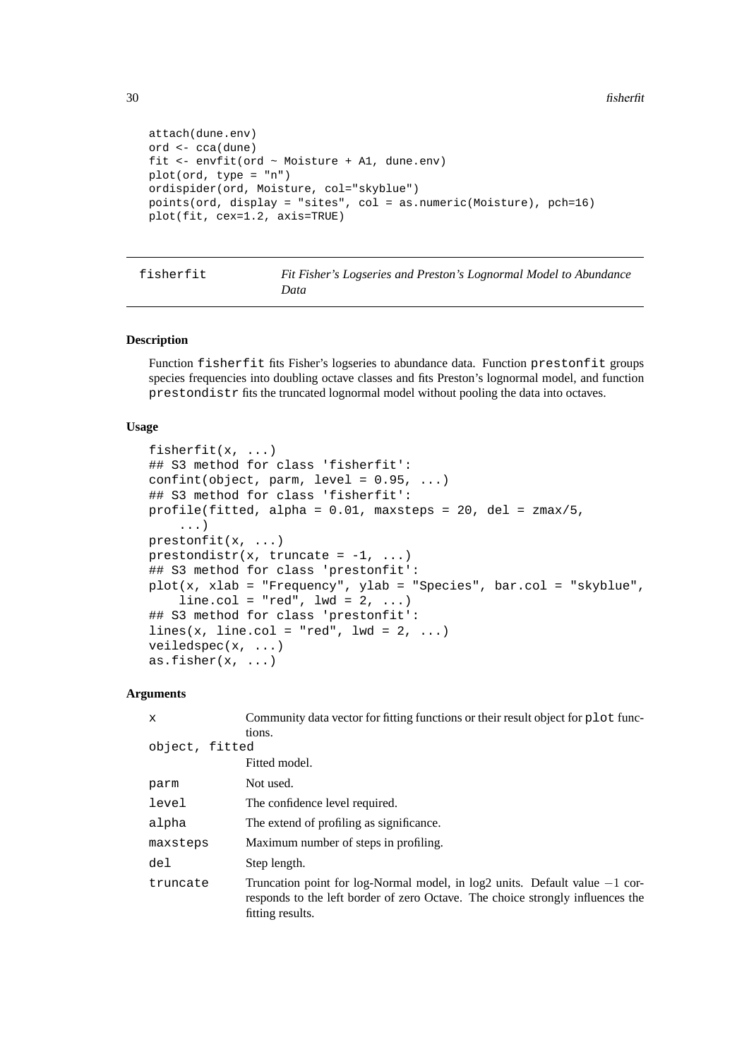```
attach(dune.env)
ord <- cca(dune)
fit <- envfit(ord ~ Moisture + A1, dune.env)
plot(ord, type = "n")
ordispider(ord, Moisture, col="skyblue")
points(ord, display = "sites", col = as.numeric(Moisture), pch=16)
plot(fit, cex=1.2, axis=TRUE)
```
<span id="page-29-1"></span>fisherfit *Fit Fisher's Logseries and Preston's Lognormal Model to Abundance Data*

# **Description**

Function fisherfit fits Fisher's logseries to abundance data. Function prestonfit groups species frequencies into doubling octave classes and fits Preston's lognormal model, and function prestondistr fits the truncated lognormal model without pooling the data into octaves.

# **Usage**

```
fisherfit(x, ...)
## S3 method for class 'fisherfit':
confint(object, parm, level = 0.95, ...)
## S3 method for class 'fisherfit':
profile(fitted, alpha = 0.01, maxsteps = 20, del = zmax/5,
    ...)
prestonfit(x, ...)
prestondistr(x, truncate = -1, ...)
## S3 method for class 'prestonfit':
plot(x, xlab = "Frequency", ylab = "Species", bar.col = "skyblue",
    line.col = "red", 1wd = 2, ...## S3 method for class 'prestonfit':
lines(x, line.col = "red", lwd = 2, ...)
veiledspec(x, ...)
as.fisher(x, \ldots)
```
#### **Arguments**

| Community data vector for fitting functions or their result object for plot func-                                                                                                   |
|-------------------------------------------------------------------------------------------------------------------------------------------------------------------------------------|
| tions.                                                                                                                                                                              |
| object, fitted                                                                                                                                                                      |
| Fitted model.                                                                                                                                                                       |
| Not used.                                                                                                                                                                           |
| The confidence level required.                                                                                                                                                      |
| The extend of profiling as significance.                                                                                                                                            |
| Maximum number of steps in profiling.                                                                                                                                               |
| Step length.                                                                                                                                                                        |
| Truncation point for log-Normal model, in log2 units. Default value $-1$ cor-<br>responds to the left border of zero Octave. The choice strongly influences the<br>fitting results. |
|                                                                                                                                                                                     |

<span id="page-29-0"></span>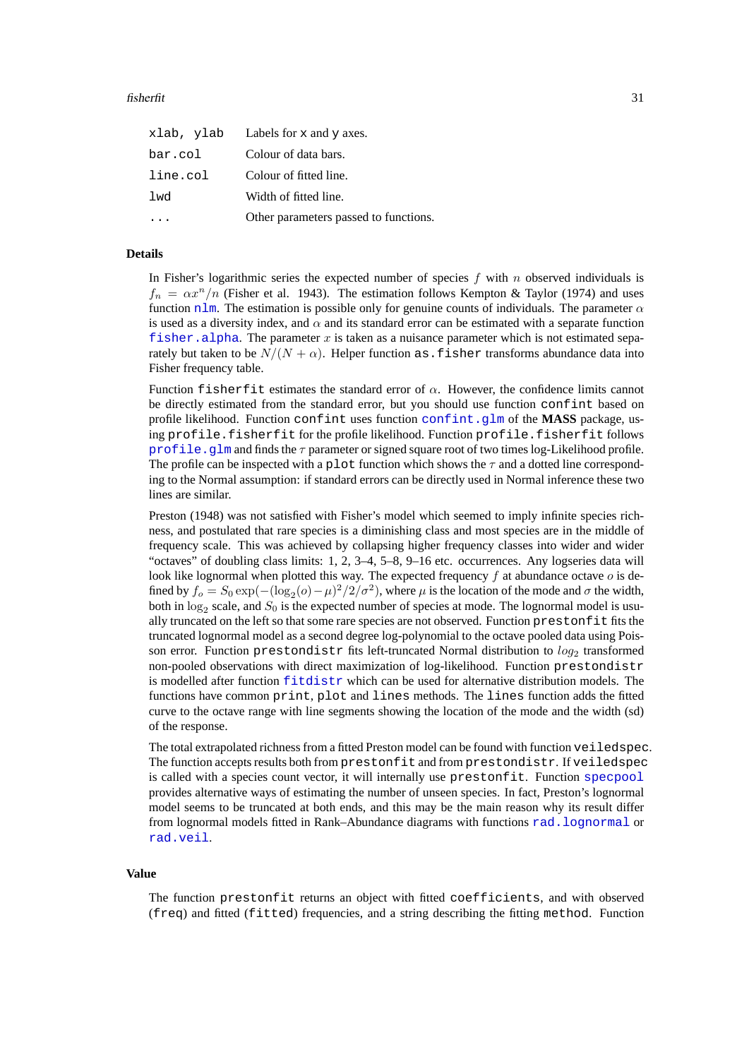# fisherfit 31

|          | xlab, ylab Labels for x and y axes.   |
|----------|---------------------------------------|
| bar.col  | Colour of data bars.                  |
| line.col | Colour of fitted line.                |
| lwd      | Width of fitted line.                 |
|          | Other parameters passed to functions. |
|          |                                       |

# **Details**

In Fisher's logarithmic series the expected number of species  $f$  with  $n$  observed individuals is  $f_n = \alpha x^n/n$  (Fisher et al. 1943). The estimation follows Kempton & Taylor (1974) and uses function [nlm](#page-0-0). The estimation is possible only for genuine counts of individuals. The parameter  $\alpha$ is used as a diversity index, and  $\alpha$  and its standard error can be estimated with a separate function f i sher. alpha. The parameter x is taken as a nuisance parameter which is not estimated separately but taken to be  $N/(N + \alpha)$ . Helper function as fisher transforms abundance data into Fisher frequency table.

Function fisherfit estimates the standard error of  $\alpha$ . However, the confidence limits cannot be directly estimated from the standard error, but you should use function confint based on profile likelihood. Function confint uses function [confint.glm](#page-0-0) of the **MASS** package, using profile.fisherfit for the profile likelihood. Function profile.fisherfit follows [profile.glm](#page-0-0) and finds the  $\tau$  parameter or signed square root of two times log-Likelihood profile. The profile can be inspected with a plot function which shows the  $\tau$  and a dotted line corresponding to the Normal assumption: if standard errors can be directly used in Normal inference these two lines are similar.

Preston (1948) was not satisfied with Fisher's model which seemed to imply infinite species richness, and postulated that rare species is a diminishing class and most species are in the middle of frequency scale. This was achieved by collapsing higher frequency classes into wider and wider "octaves" of doubling class limits: 1, 2, 3–4, 5–8, 9–16 etc. occurrences. Any logseries data will look like lognormal when plotted this way. The expected frequency  $f$  at abundance octave  $o$  is defined by  $f_o = S_0 \exp(-(\log_2(o) - \mu)^2/2/\sigma^2)$ , where  $\mu$  is the location of the mode and  $\sigma$  the width, both in  $log_2$  scale, and  $S_0$  is the expected number of species at mode. The lognormal model is usually truncated on the left so that some rare species are not observed. Function prestonfit fits the truncated lognormal model as a second degree log-polynomial to the octave pooled data using Poisson error. Function prestondistr fits left-truncated Normal distribution to  $log_2$  transformed non-pooled observations with direct maximization of log-likelihood. Function prestondistr is modelled after function [fitdistr](#page-0-0) which can be used for alternative distribution models. The functions have common print, plot and lines methods. The lines function adds the fitted curve to the octave range with line segments showing the location of the mode and the width (sd) of the response.

The total extrapolated richness from a fitted Preston model can be found with function veiledspec. The function accepts results both from prestonfit and from prestondistr. If veiledspec is called with a species count vector, it will internally use prestonfit. Function [specpool](#page-71-1) provides alternative ways of estimating the number of unseen species. In fact, Preston's lognormal model seems to be truncated at both ends, and this may be the main reason why its result differ from lognormal models fitted in Rank–Abundance diagrams with functions [rad.lognormal](#page-62-1) or [rad.veil](#page-62-1).

# **Value**

The function prestonfit returns an object with fitted coefficients, and with observed (freq) and fitted (fitted) frequencies, and a string describing the fitting method. Function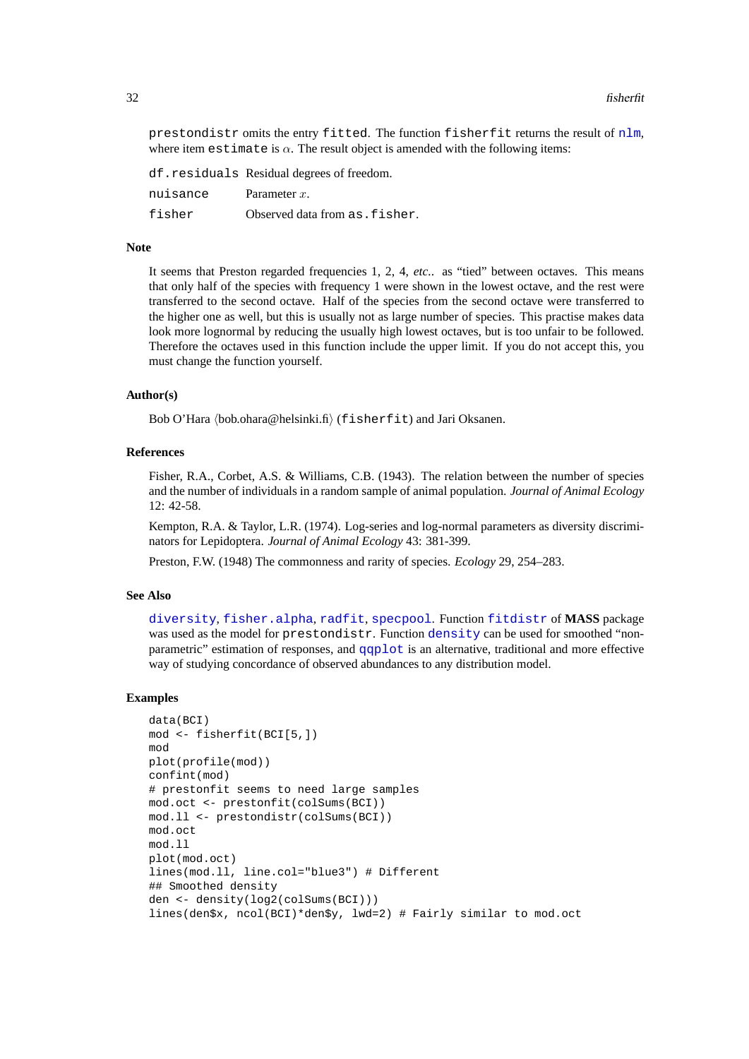prestondistr omits the entry fitted. The function fisherfit returns the result of [nlm](#page-0-0), where item estimate is  $\alpha$ . The result object is amended with the following items:

df.residuals Residual degrees of freedom. nuisance Parameter x. fisher Observed data from as.fisher.

# **Note**

It seems that Preston regarded frequencies 1, 2, 4, *etc.*. as "tied" between octaves. This means that only half of the species with frequency 1 were shown in the lowest octave, and the rest were transferred to the second octave. Half of the species from the second octave were transferred to the higher one as well, but this is usually not as large number of species. This practise makes data look more lognormal by reducing the usually high lowest octaves, but is too unfair to be followed. Therefore the octaves used in this function include the upper limit. If you do not accept this, you must change the function yourself.

# **Author(s)**

Bob O'Hara  $\langle$ bob.ohara@helsinki.fi $\rangle$  (fisherfit) and Jari Oksanen.

# **References**

Fisher, R.A., Corbet, A.S. & Williams, C.B. (1943). The relation between the number of species and the number of individuals in a random sample of animal population. *Journal of Animal Ecology* 12: 42-58.

Kempton, R.A. & Taylor, L.R. (1974). Log-series and log-normal parameters as diversity discriminators for Lepidoptera. *Journal of Animal Ecology* 43: 381-399.

Preston, F.W. (1948) The commonness and rarity of species. *Ecology* 29, 254–283.

#### **See Also**

[diversity](#page-23-2), [fisher.alpha](#page-23-1), [radfit](#page-62-2), [specpool](#page-71-1). Function [fitdistr](#page-0-0) of **MASS** package was used as the model for prestondistr. Function [density](#page-0-0) can be used for smoothed "nonparametric" estimation of responses, and [qqplot](#page-0-0) is an alternative, traditional and more effective way of studying concordance of observed abundances to any distribution model.

#### **Examples**

```
data(BCI)
mod <- fisherfit(BCI[5,])
mod
plot(profile(mod))
confint(mod)
# prestonfit seems to need large samples
mod.oct <- prestonfit(colSums(BCI))
mod.ll <- prestondistr(colSums(BCI))
mod.oct
mod.ll
plot(mod.oct)
lines(mod.ll, line.col="blue3") # Different
## Smoothed density
den <- density(log2(colSums(BCI)))
lines(den$x, ncol(BCI)*den$y, lwd=2) # Fairly similar to mod.oct
```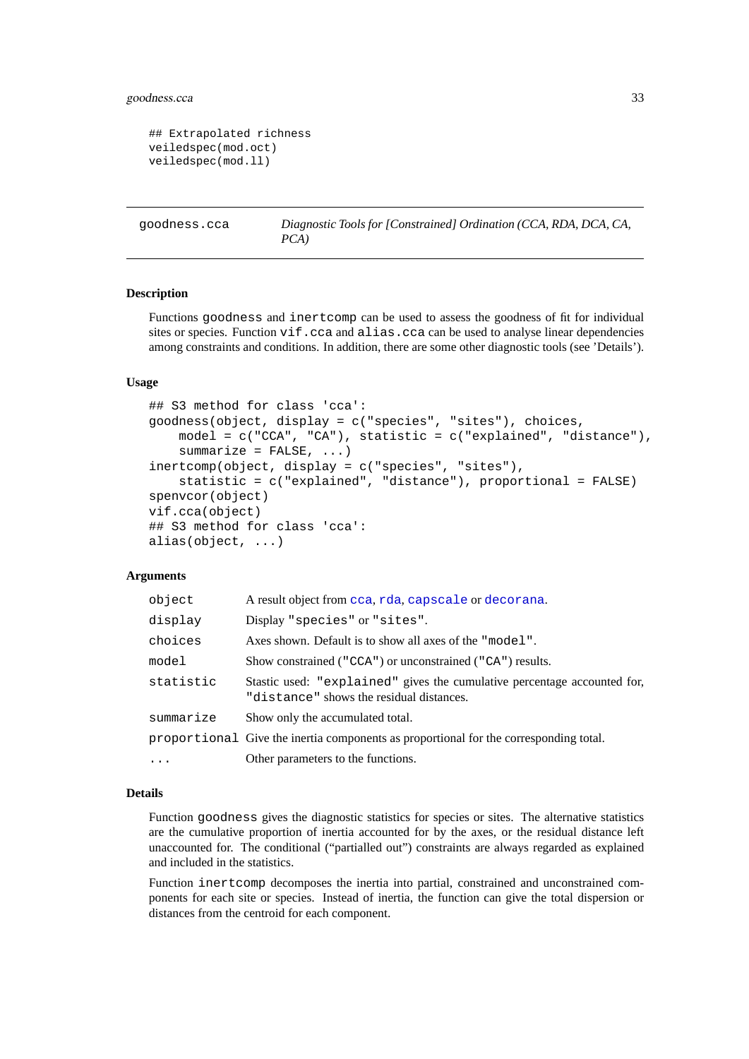# <span id="page-32-0"></span>goodness.cca 33

```
## Extrapolated richness
veiledspec(mod.oct)
veiledspec(mod.ll)
```

```
goodness.cca Diagnostic Tools for [Constrained] Ordination (CCA, RDA, DCA, CA,
                      PCA)
```
# <span id="page-32-2"></span>**Description**

Functions goodness and inertcomp can be used to assess the goodness of fit for individual sites or species. Function vif.cca and alias.cca can be used to analyse linear dependencies among constraints and conditions. In addition, there are some other diagnostic tools (see 'Details').

# **Usage**

```
## S3 method for class 'cca':
goodness(object, display = c("species", "sites"), choices,
    model = c("CCA", "CA"), statistic = c("explained", "distance"),
    summarize = FALSE, \ldots)inertcomp(object, display = c("species", "sites"),
    statistic = c("explained", "distance"), proportional = FALSE)
spenvcor(object)
vif.cca(object)
## S3 method for class 'cca':
alias(object, ...)
```
# **Arguments**

| object    | A result object from cca, rda, capscale or decorana.                                                                 |
|-----------|----------------------------------------------------------------------------------------------------------------------|
| display   | Display "species" or "sites".                                                                                        |
| choices   | Axes shown. Default is to show all axes of the "model".                                                              |
| model     | Show constrained ("CCA") or unconstrained ("CA") results.                                                            |
| statistic | Stastic used: "explained" gives the cumulative percentage accounted for.<br>"distance" shows the residual distances. |
| summarize | Show only the accumulated total.                                                                                     |
|           | proportional Give the inertia components as proportional for the corresponding total.                                |
| $\cdots$  | Other parameters to the functions.                                                                                   |

# **Details**

Function goodness gives the diagnostic statistics for species or sites. The alternative statistics are the cumulative proportion of inertia accounted for by the axes, or the residual distance left unaccounted for. The conditional ("partialled out") constraints are always regarded as explained and included in the statistics.

Function inertcomp decomposes the inertia into partial, constrained and unconstrained components for each site or species. Instead of inertia, the function can give the total dispersion or distances from the centroid for each component.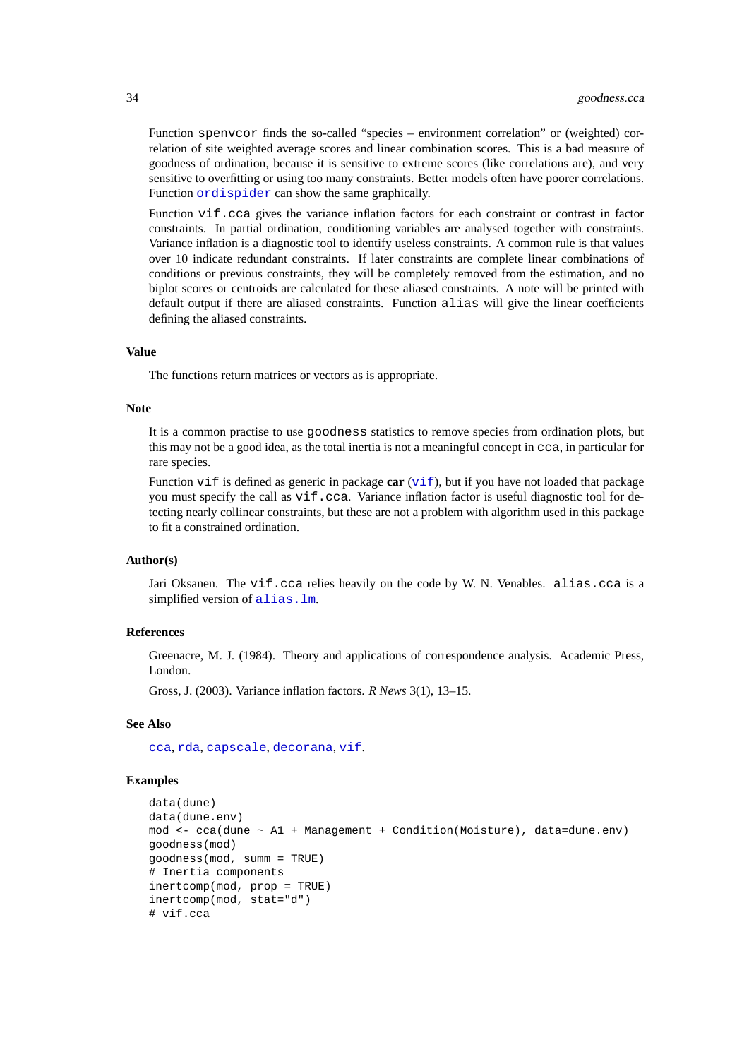Function spenvcor finds the so-called "species – environment correlation" or (weighted) correlation of site weighted average scores and linear combination scores. This is a bad measure of goodness of ordination, because it is sensitive to extreme scores (like correlations are), and very sensitive to overfitting or using too many constraints. Better models often have poorer correlations. Function [ordispider](#page-45-1) can show the same graphically.

Function vif.cca gives the variance inflation factors for each constraint or contrast in factor constraints. In partial ordination, conditioning variables are analysed together with constraints. Variance inflation is a diagnostic tool to identify useless constraints. A common rule is that values over 10 indicate redundant constraints. If later constraints are complete linear combinations of conditions or previous constraints, they will be completely removed from the estimation, and no biplot scores or centroids are calculated for these aliased constraints. A note will be printed with default output if there are aliased constraints. Function alias will give the linear coefficients defining the aliased constraints.

# **Value**

The functions return matrices or vectors as is appropriate.

#### **Note**

It is a common practise to use goodness statistics to remove species from ordination plots, but this may not be a good idea, as the total inertia is not a meaningful concept in cca, in particular for rare species.

Function [vif](#page-0-0) is defined as generic in package **car** (vif), but if you have not loaded that package you must specify the call as  $\forall$ i f.cca. Variance inflation factor is useful diagnostic tool for detecting nearly collinear constraints, but these are not a problem with algorithm used in this package to fit a constrained ordination.

# **Author(s)**

Jari Oksanen. The vif.cca relies heavily on the code by W. N. Venables. alias.cca is a simplified version of alias. lm.

# **References**

Greenacre, M. J. (1984). Theory and applications of correspondence analysis. Academic Press, London.

Gross, J. (2003). Variance inflation factors. *R News* 3(1), 13–15.

# **See Also**

[cca](#page-9-1), [rda](#page-9-2), [capscale](#page-7-1), [decorana](#page-15-1), [vif](#page-0-0).

# **Examples**

```
data(dune)
data(dune.env)
mod <- cca(dune ~ A1 + Management + Condition(Moisture), data=dune.env)
goodness(mod)
goodness(mod, summ = TRUE)
# Inertia components
inertcomp(mod, prop = TRUE)
inertcomp(mod, stat="d")
# vif.cca
```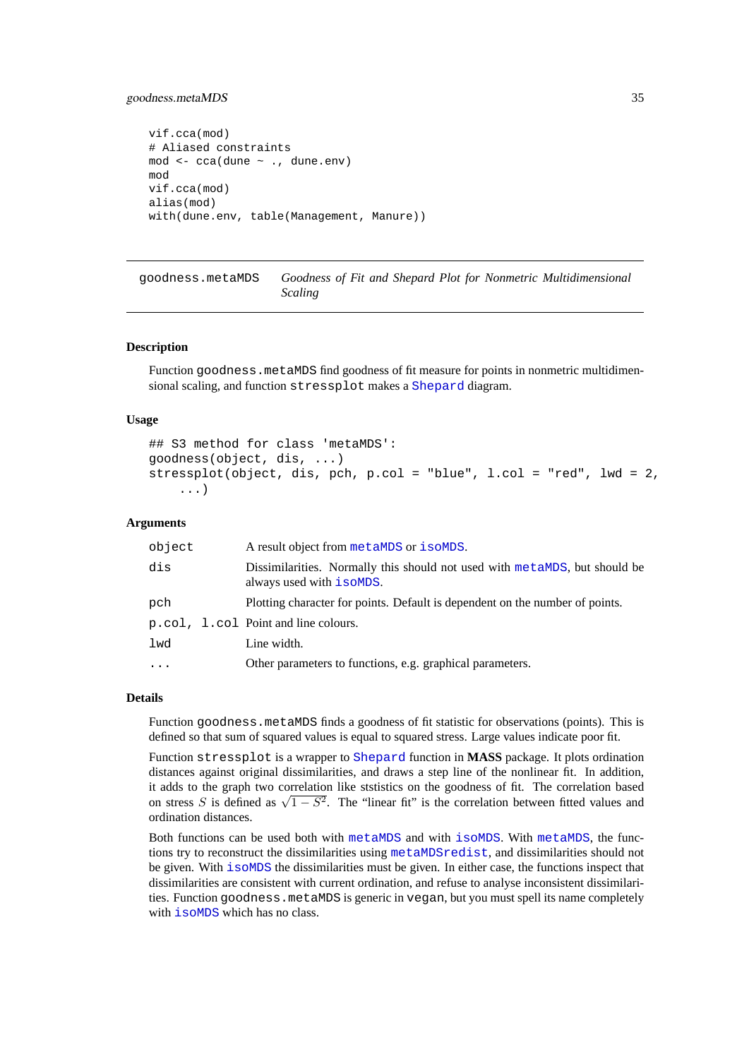# <span id="page-34-0"></span>goodness.metaMDS 35

```
vif.cca(mod)
# Aliased constraints
mod <- cca(dune ~ ., dune.env)
mod
vif.cca(mod)
alias(mod)
with(dune.env, table(Management, Manure))
```
goodness.metaMDS *Goodness of Fit and Shepard Plot for Nonmetric Multidimensional Scaling*

#### **Description**

Function goodness.metaMDS find goodness of fit measure for points in nonmetric multidimensional scaling, and function stressplot makes a [Shepard](#page-0-0) diagram.

# **Usage**

```
## S3 method for class 'metaMDS':
goodness(object, dis, ...)
stressplot(object, dis, pch, p.col = "blue", l.col = "red", lwd = 2,
    ...)
```
# **Arguments**

| object    | A result object from metaMDS or isoMDS.                                                                |
|-----------|--------------------------------------------------------------------------------------------------------|
| dis       | Dissimilarities. Normally this should not used with metaMDS, but should be<br>always used with isoMDS. |
| pch       | Plotting character for points. Default is dependent on the number of points.                           |
|           | p.col, 1.col Point and line colours.                                                                   |
| lwd       | Line width.                                                                                            |
| $\ddotsc$ | Other parameters to functions, e.g. graphical parameters.                                              |
|           |                                                                                                        |

#### **Details**

Function goodness.metaMDS finds a goodness of fit statistic for observations (points). This is defined so that sum of squared values is equal to squared stress. Large values indicate poor fit.

Function stressplot is a wrapper to [Shepard](#page-0-0) function in **MASS** package. It plots ordination distances against original dissimilarities, and draws a step line of the nonlinear fit. In addition, it adds to the graph two correlation like ststistics on the goodness of fit. The correlation based It adds to the graph two correlation like statistics on the goodness of  $\pi$ . The correlation based<br>on stress S is defined as  $\sqrt{1 - S^2}$ . The "linear fit" is the correlation between fitted values and ordination distances.

Both functions can be used both with [metaMDS](#page-41-1) and with [isoMDS](#page-0-0). With [metaMDS](#page-41-1), the functions try to reconstruct the dissimilarities using [metaMDSredist](#page-41-2), and dissimilarities should not be given. With [isoMDS](#page-0-0) the dissimilarities must be given. In either case, the functions inspect that dissimilarities are consistent with current ordination, and refuse to analyse inconsistent dissimilarities. Function goodness.metaMDS is generic in vegan, but you must spell its name completely with  $i$  somps which has no class.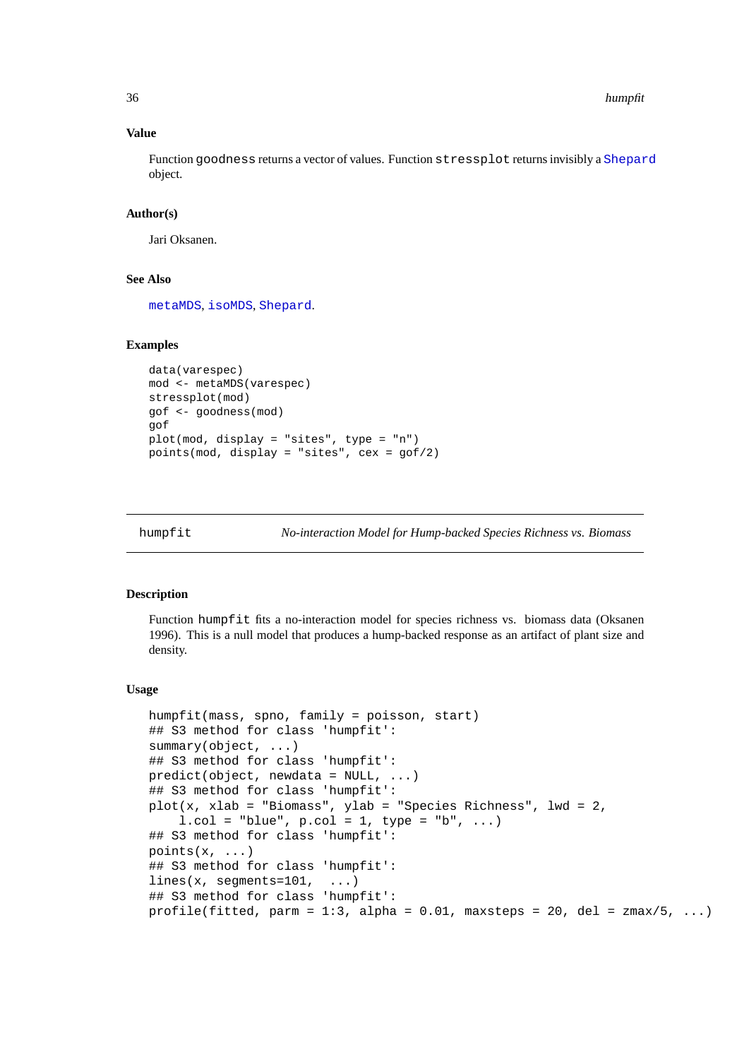36 humpfit and the contract of the contract of the contract of the contract of the contract of the contract of the contract of the contract of the contract of the contract of the contract of the contract of the contract of

# **Value**

Function goodness returns a vector of values. Function stressplot returns invisibly a [Shepard](#page-0-0) object.

# **Author(s)**

Jari Oksanen.

# **See Also**

[metaMDS](#page-41-1), [isoMDS](#page-0-0), [Shepard](#page-0-0).

# **Examples**

```
data(varespec)
mod <- metaMDS(varespec)
stressplot(mod)
gof <- goodness(mod)
gof
plot(mod, display = "sites", type = "n")
points(mod, display = "sites", cex = gof/2)
```
humpfit *No-interaction Model for Hump-backed Species Richness vs. Biomass*

# **Description**

Function humpfit fits a no-interaction model for species richness vs. biomass data (Oksanen 1996). This is a null model that produces a hump-backed response as an artifact of plant size and density.

# **Usage**

```
humpfit(mass, spno, family = poisson, start)
## S3 method for class 'humpfit':
summary(object, ...)
## S3 method for class 'humpfit':
predict(object, newdata = NULL, ...)
## S3 method for class 'humpfit':
plot(x, xlab = "Biomass", ylab = "Species Richness", lwd = 2,
    l.col = "blue", p.col = 1, type = "b", ...## S3 method for class 'humpfit':
points(x, ...)
## S3 method for class 'humpfit':
lines(x, segments=101, ...)## S3 method for class 'humpfit':
profile(fitted, parm = 1:3, alpha = 0.01, maxsteps = 20, del = zmax/5, ...)
```
<span id="page-35-0"></span>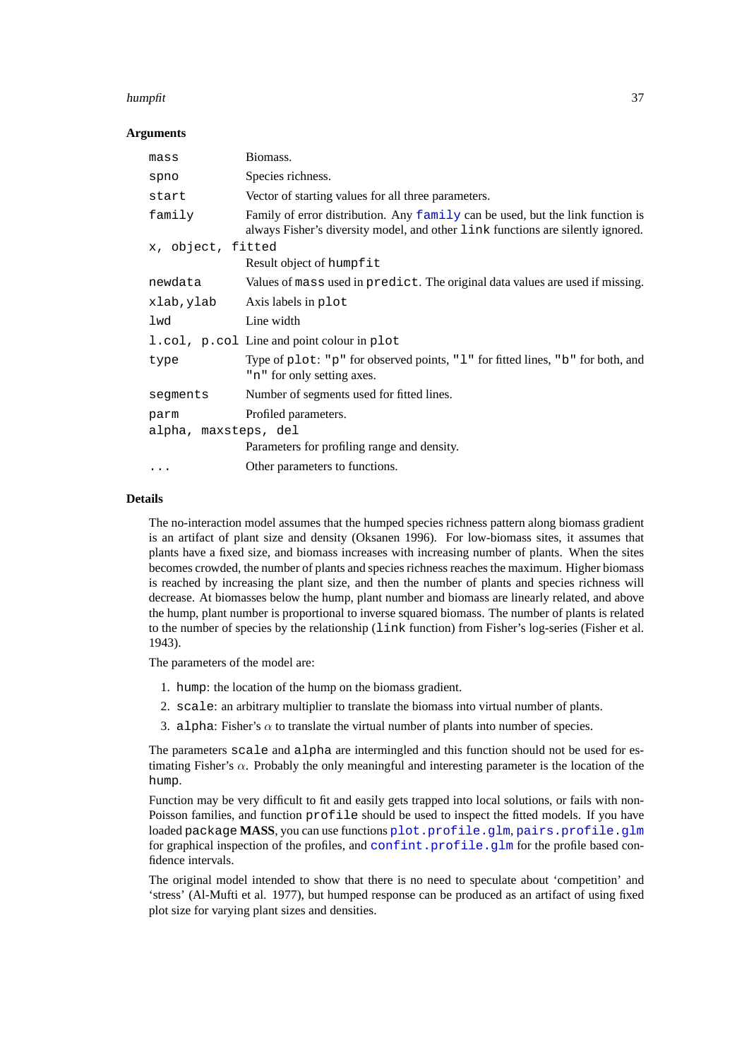### humpfit 37 September 2014 and 2014 and 30 September 2014 and 30 September 2014 and 37 September 2014 and 37 September 2014 and 37 September 2014 and 37 September 2014 and 37 September 2014 and 37 September 2014 and 37 Sept

### **Arguments**

| mass                 | Biomass.                                                                                                                                                          |
|----------------------|-------------------------------------------------------------------------------------------------------------------------------------------------------------------|
| spno                 | Species richness.                                                                                                                                                 |
| start                | Vector of starting values for all three parameters.                                                                                                               |
| family               | Family of error distribution. Any family can be used, but the link function is<br>always Fisher's diversity model, and other link functions are silently ignored. |
| x, object, fitted    |                                                                                                                                                                   |
|                      | Result object of humpfit                                                                                                                                          |
| newdata              | Values of mass used in predict. The original data values are used if missing.                                                                                     |
| xlab,ylab            | Axis labels in plot                                                                                                                                               |
| lwd                  | Line width                                                                                                                                                        |
|                      | 1.col, p.col Line and point colour in plot                                                                                                                        |
| type                 | Type of plot: "p" for observed points, "l" for fitted lines, "b" for both, and<br>"n" for only setting axes.                                                      |
| segments             | Number of segments used for fitted lines.                                                                                                                         |
| parm                 | Profiled parameters.                                                                                                                                              |
| alpha, maxsteps, del |                                                                                                                                                                   |
|                      | Parameters for profiling range and density.                                                                                                                       |
| $\cdots$             | Other parameters to functions.                                                                                                                                    |

#### **Details**

The no-interaction model assumes that the humped species richness pattern along biomass gradient is an artifact of plant size and density (Oksanen 1996). For low-biomass sites, it assumes that plants have a fixed size, and biomass increases with increasing number of plants. When the sites becomes crowded, the number of plants and species richness reaches the maximum. Higher biomass is reached by increasing the plant size, and then the number of plants and species richness will decrease. At biomasses below the hump, plant number and biomass are linearly related, and above the hump, plant number is proportional to inverse squared biomass. The number of plants is related to the number of species by the relationship (link function) from Fisher's log-series (Fisher et al. 1943).

The parameters of the model are:

- 1. hump: the location of the hump on the biomass gradient.
- 2. scale: an arbitrary multiplier to translate the biomass into virtual number of plants.
- 3. alpha: Fisher's  $\alpha$  to translate the virtual number of plants into number of species.

The parameters scale and alpha are intermingled and this function should not be used for estimating Fisher's  $\alpha$ . Probably the only meaningful and interesting parameter is the location of the hump.

Function may be very difficult to fit and easily gets trapped into local solutions, or fails with non-Poisson families, and function profile should be used to inspect the fitted models. If you have loaded package **MASS**, you can use functions [plot.profile.glm](#page-0-0), [pairs.profile.glm](#page-0-0) for graphical inspection of the profiles, and [confint.profile.glm](#page-0-0) for the profile based confidence intervals.

The original model intended to show that there is no need to speculate about 'competition' and 'stress' (Al-Mufti et al. 1977), but humped response can be produced as an artifact of using fixed plot size for varying plant sizes and densities.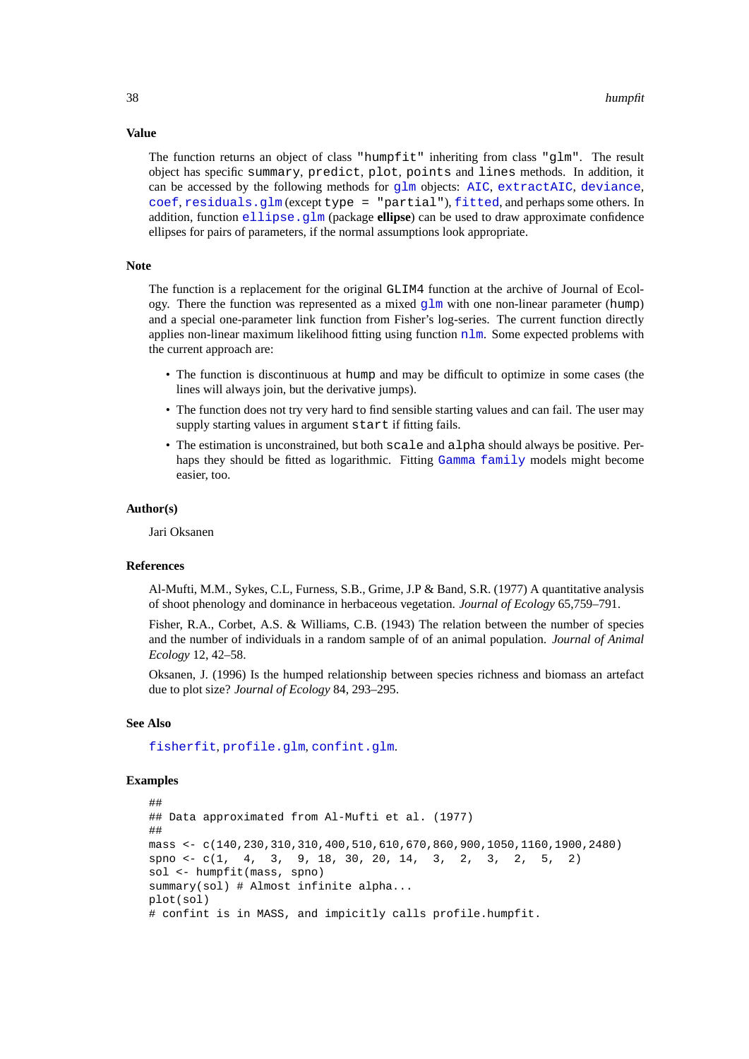#### **Value**

The function returns an object of class "humpfit" inheriting from class "glm". The result object has specific summary, predict, plot, points and lines methods. In addition, it can be accessed by the following methods for  $qlm$  objects: [AIC](#page-0-0), [extractAIC](#page-0-0), [deviance](#page-0-0), [coef](#page-0-0), [residuals.glm](#page-0-0) (except type = "partial"), [fitted](#page-0-0), and perhaps some others. In addition, function [ellipse.glm](#page-0-0) (package **ellipse**) can be used to draw approximate confidence ellipses for pairs of parameters, if the normal assumptions look appropriate.

### **Note**

The function is a replacement for the original GLIM4 function at the archive of Journal of Ecology. There the function was represented as a mixed  $glm$  with one non-linear parameter (hump) and a special one-parameter link function from Fisher's log-series. The current function directly applies non-linear maximum likelihood fitting using function [nlm](#page-0-0). Some expected problems with the current approach are:

- The function is discontinuous at hump and may be difficult to optimize in some cases (the lines will always join, but the derivative jumps).
- The function does not try very hard to find sensible starting values and can fail. The user may supply starting values in argument start if fitting fails.
- The estimation is unconstrained, but both scale and alpha should always be positive. Perhaps they should be fitted as logarithmic. Fitting [Gamma](#page-0-0) [family](#page-0-0) models might become easier, too.

#### **Author(s)**

Jari Oksanen

#### **References**

Al-Mufti, M.M., Sykes, C.L, Furness, S.B., Grime, J.P & Band, S.R. (1977) A quantitative analysis of shoot phenology and dominance in herbaceous vegetation. *Journal of Ecology* 65,759–791.

Fisher, R.A., Corbet, A.S. & Williams, C.B. (1943) The relation between the number of species and the number of individuals in a random sample of of an animal population. *Journal of Animal Ecology* 12, 42–58.

Oksanen, J. (1996) Is the humped relationship between species richness and biomass an artefact due to plot size? *Journal of Ecology* 84, 293–295.

### **See Also**

[fisherfit](#page-29-0), [profile.glm](#page-0-0), [confint.glm](#page-0-0).

```
##
## Data approximated from Al-Mufti et al. (1977)
##
mass <- c(140,230,310,310,400,510,610,670,860,900,1050,1160,1900,2480)
spno \langle -c(1, 4, 3, 9, 18, 30, 20, 14, 3, 2, 3, 2, 5, 2) \ranglesol <- humpfit(mass, spno)
summary(sol) # Almost infinite alpha...
plot(sol)
# confint is in MASS, and impicitly calls profile.humpfit.
```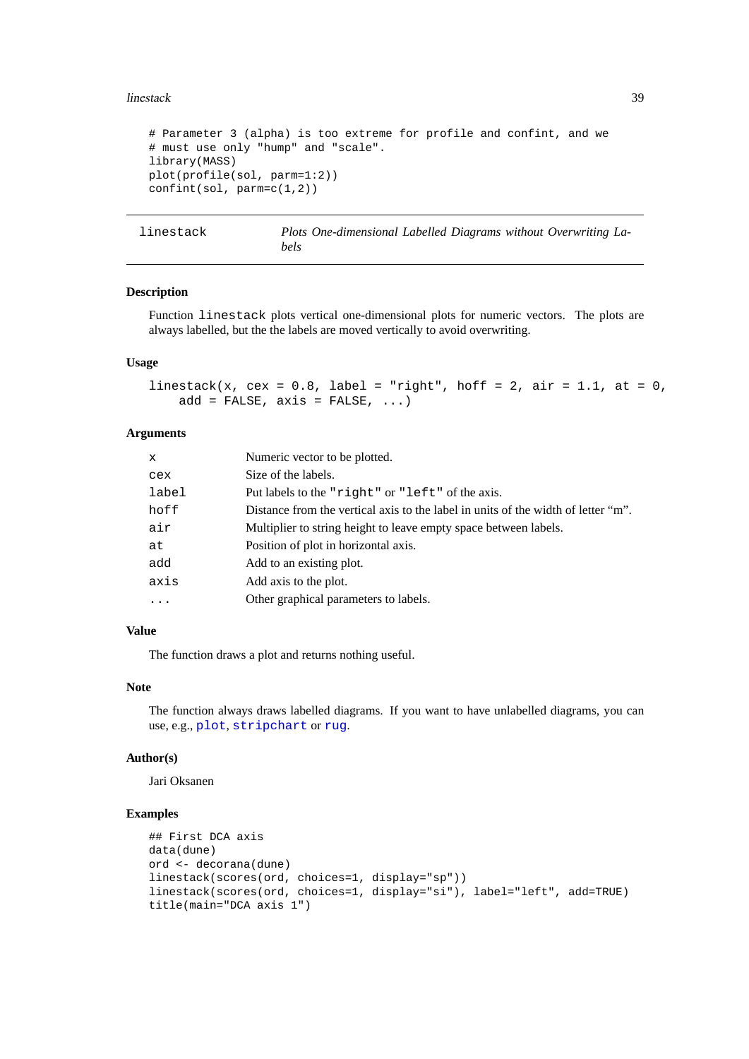### linestack 39

```
# Parameter 3 (alpha) is too extreme for profile and confint, and we
# must use only "hump" and "scale".
library(MASS)
plot(profile(sol, parm=1:2))
confint(sol, parm=c(1,2))
```
linestack *Plots One-dimensional Labelled Diagrams without Overwriting Labels*

### **Description**

Function linestack plots vertical one-dimensional plots for numeric vectors. The plots are always labelled, but the the labels are moved vertically to avoid overwriting.

## **Usage**

```
linestack(x, cex = 0.8, label = "right", hoff = 2, air = 1.1, at = 0,
   add = FALSE, axis = FALSE, ...)
```
# **Arguments**

| x        | Numeric vector to be plotted.                                                     |
|----------|-----------------------------------------------------------------------------------|
| cex      | Size of the labels.                                                               |
| label    | Put labels to the "right" or "left" of the axis.                                  |
| hoff     | Distance from the vertical axis to the label in units of the width of letter "m". |
| air      | Multiplier to string height to leave empty space between labels.                  |
| at       | Position of plot in horizontal axis.                                              |
| add      | Add to an existing plot.                                                          |
| axis     | Add axis to the plot.                                                             |
| $\cdots$ | Other graphical parameters to labels.                                             |
|          |                                                                                   |

# **Value**

The function draws a plot and returns nothing useful.

# **Note**

The function always draws labelled diagrams. If you want to have unlabelled diagrams, you can use, e.g., [plot](#page-0-0), [stripchart](#page-0-0) or [rug](#page-0-0).

### **Author(s)**

Jari Oksanen

```
## First DCA axis
data(dune)
ord <- decorana(dune)
linestack(scores(ord, choices=1, display="sp"))
linestack(scores(ord, choices=1, display="si"), label="left", add=TRUE)
title(main="DCA axis 1")
```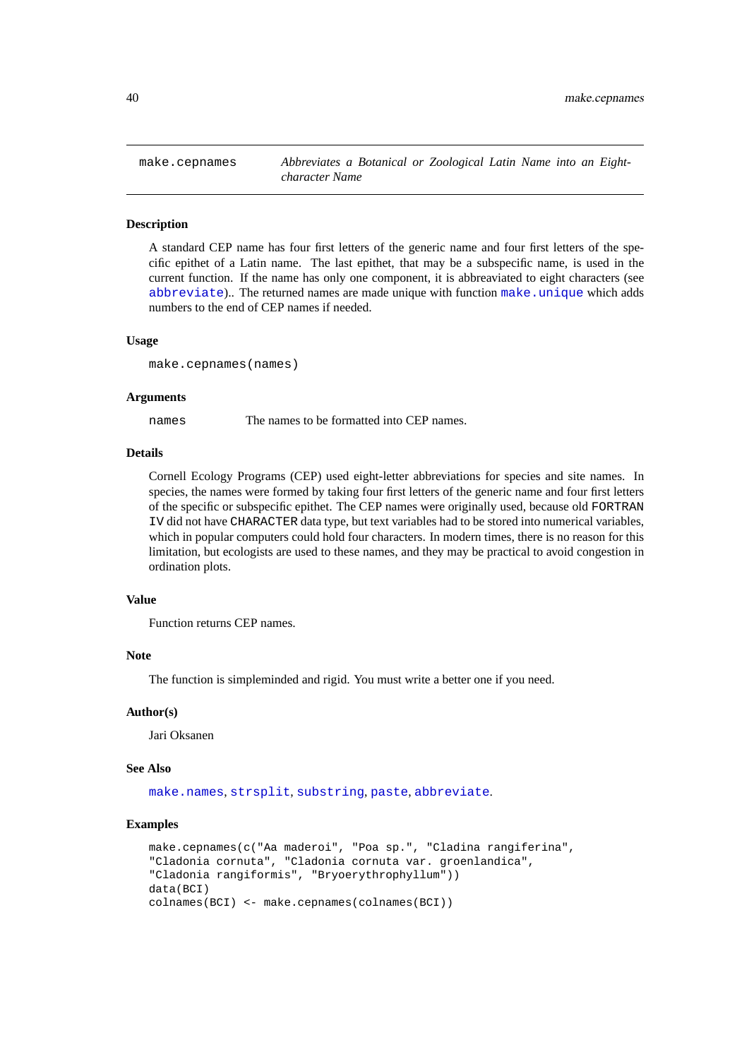make.cepnames *Abbreviates a Botanical or Zoological Latin Name into an Eightcharacter Name*

#### **Description**

A standard CEP name has four first letters of the generic name and four first letters of the specific epithet of a Latin name. The last epithet, that may be a subspecific name, is used in the current function. If the name has only one component, it is abbreaviated to eight characters (see [abbreviate](#page-0-0)).. The returned names are made unique with function [make.unique](#page-0-0) which adds numbers to the end of CEP names if needed.

### **Usage**

```
make.cepnames(names)
```
#### **Arguments**

names The names to be formatted into CEP names.

### **Details**

Cornell Ecology Programs (CEP) used eight-letter abbreviations for species and site names. In species, the names were formed by taking four first letters of the generic name and four first letters of the specific or subspecific epithet. The CEP names were originally used, because old FORTRAN IV did not have CHARACTER data type, but text variables had to be stored into numerical variables, which in popular computers could hold four characters. In modern times, there is no reason for this limitation, but ecologists are used to these names, and they may be practical to avoid congestion in ordination plots.

### **Value**

Function returns CEP names.

#### **Note**

The function is simpleminded and rigid. You must write a better one if you need.

### **Author(s)**

Jari Oksanen

#### **See Also**

[make.names](#page-0-0), [strsplit](#page-0-0), [substring](#page-0-0), [paste](#page-0-0), [abbreviate](#page-0-0).

```
make.cepnames(c("Aa maderoi", "Poa sp.", "Cladina rangiferina",
"Cladonia cornuta", "Cladonia cornuta var. groenlandica",
"Cladonia rangiformis", "Bryoerythrophyllum"))
data(BCI)
colnames(BCI) <- make.cepnames(colnames(BCI))
```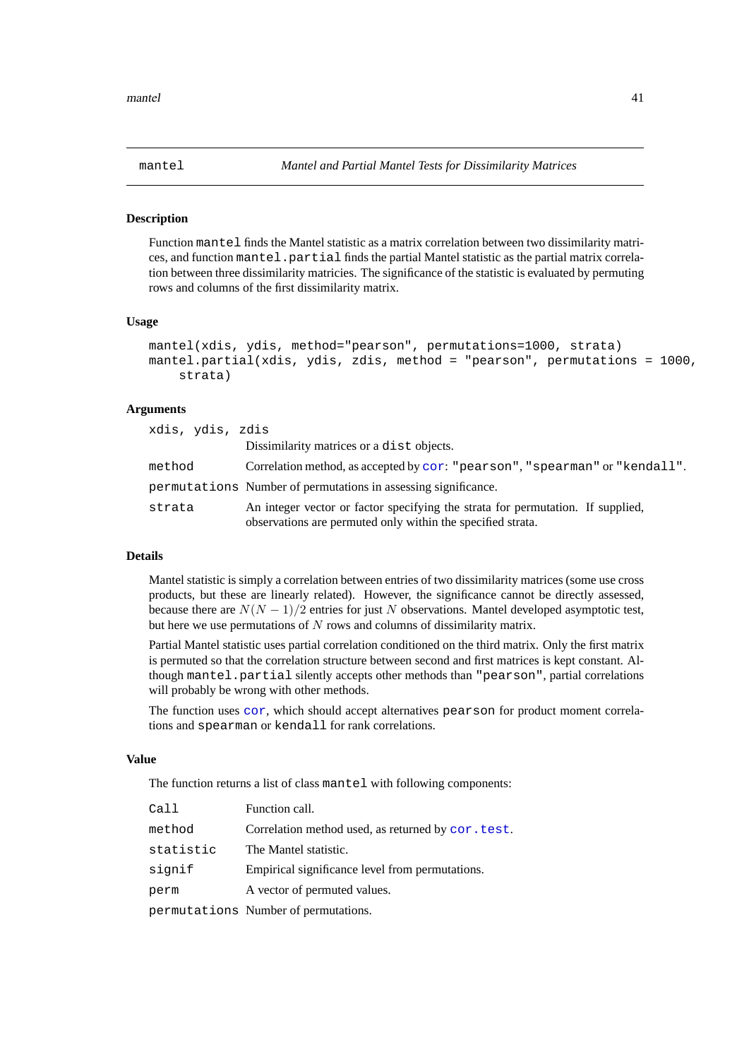<span id="page-40-0"></span>

#### **Description**

Function mantel finds the Mantel statistic as a matrix correlation between two dissimilarity matrices, and function mantel.partial finds the partial Mantel statistic as the partial matrix correlation between three dissimilarity matricies. The significance of the statistic is evaluated by permuting rows and columns of the first dissimilarity matrix.

#### **Usage**

```
mantel(xdis, ydis, method="pearson", permutations=1000, strata)
mantel.partial(xdis, ydis, zdis, method = "pearson", permutations = 1000,
    strata)
```
### **Arguments**

| xdis, ydis, zdis |                                                                                                                                                |
|------------------|------------------------------------------------------------------------------------------------------------------------------------------------|
|                  | Dissimilarity matrices or a dist objects.                                                                                                      |
| method           | Correlation method, as accepted by cor: "pearson", "spearman" or "kendall".                                                                    |
|                  | permutations Number of permutations in assessing significance.                                                                                 |
| strata           | An integer vector or factor specifying the strata for permutation. If supplied,<br>observations are permuted only within the specified strata. |

# **Details**

Mantel statistic is simply a correlation between entries of two dissimilarity matrices (some use cross products, but these are linearly related). However, the significance cannot be directly assessed, because there are  $N(N-1)/2$  entries for just N observations. Mantel developed asymptotic test, but here we use permutations of  $N$  rows and columns of dissimilarity matrix.

Partial Mantel statistic uses partial correlation conditioned on the third matrix. Only the first matrix is permuted so that the correlation structure between second and first matrices is kept constant. Although mantel.partial silently accepts other methods than "pearson", partial correlations will probably be wrong with other methods.

The function uses [cor](#page-0-0), which should accept alternatives pearson for product moment correlations and spearman or kendall for rank correlations.

# **Value**

The function returns a list of class mantel with following components:

| Call      | Function call.                                     |
|-----------|----------------------------------------------------|
| method    | Correlation method used, as returned by cor. test. |
| statistic | The Mantel statistic.                              |
| signif    | Empirical significance level from permutations.    |
| perm      | A vector of permuted values.                       |
|           | permutations Number of permutations.               |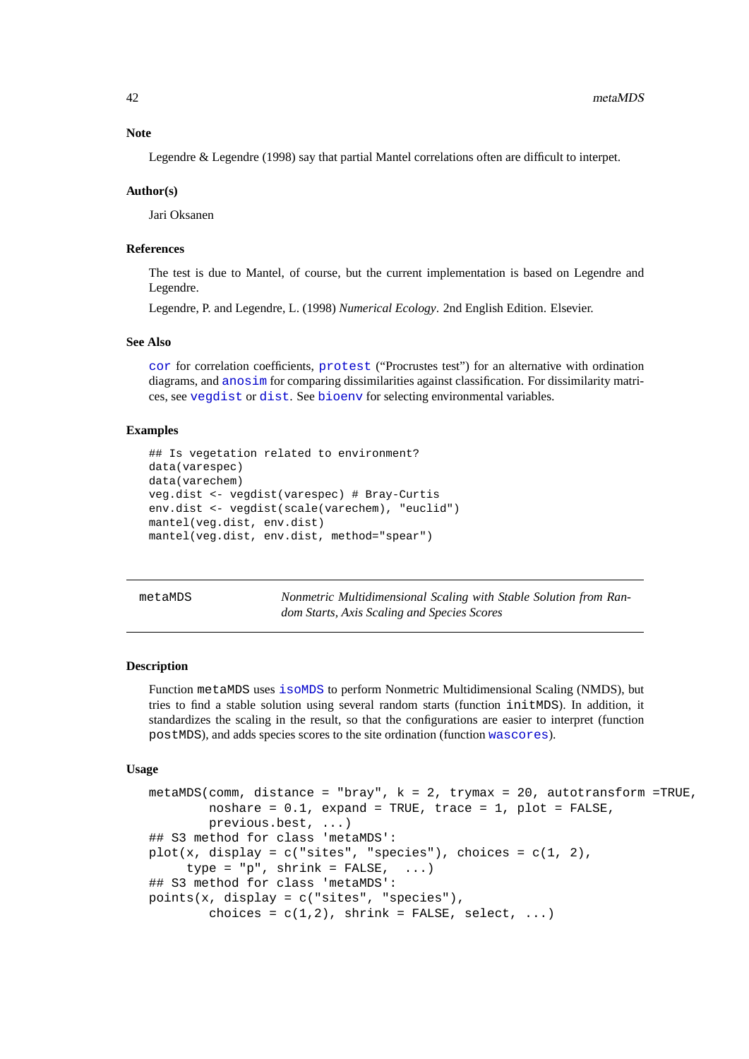### **Note**

Legendre & Legendre (1998) say that partial Mantel correlations often are difficult to interpet.

#### **Author(s)**

Jari Oksanen

#### **References**

The test is due to Mantel, of course, but the current implementation is based on Legendre and Legendre.

Legendre, P. and Legendre, L. (1998) *Numerical Ecology*. 2nd English Edition. Elsevier.

### **See Also**

[cor](#page-0-0) for correlation coefficients, [protest](#page-59-0) ("Procrustes test") for an alternative with ordination diagrams, and [anosim](#page-2-0) for comparing dissimilarities against classification. For dissimilarity matrices, see [vegdist](#page-77-0) or [dist](#page-0-0). See [bioenv](#page-5-0) for selecting environmental variables.

# **Examples**

```
## Is vegetation related to environment?
data(varespec)
data(varechem)
veg.dist <- vegdist(varespec) # Bray-Curtis
env.dist <- vegdist(scale(varechem), "euclid")
mantel(veg.dist, env.dist)
mantel(veg.dist, env.dist, method="spear")
```
metaMDS *Nonmetric Multidimensional Scaling with Stable Solution from Random Starts, Axis Scaling and Species Scores*

#### <span id="page-41-0"></span>**Description**

Function metaMDS uses [isoMDS](#page-0-0) to perform Nonmetric Multidimensional Scaling (NMDS), but tries to find a stable solution using several random starts (function initMDS). In addition, it standardizes the scaling in the result, so that the configurations are easier to interpret (function postMDS), and adds species scores to the site ordination (function [wascores](#page-81-0)).

#### **Usage**

```
metaMDS(comm, distance = "bray", k = 2, trymax = 20, autotransform =TRUE,
        noshare = 0.1, expand = TRUE, trace = 1, plot = FALSE,
        previous.best, ...)
## S3 method for class 'metaMDS':
plot(x, display = c("sites", "species"), choices = c(1, 2),type = "p", shrink = FALSE, ...)## S3 method for class 'metaMDS':
points(x, display = c("sites", "species"),
        choices = c(1,2), shrink = FALSE, select, ...)
```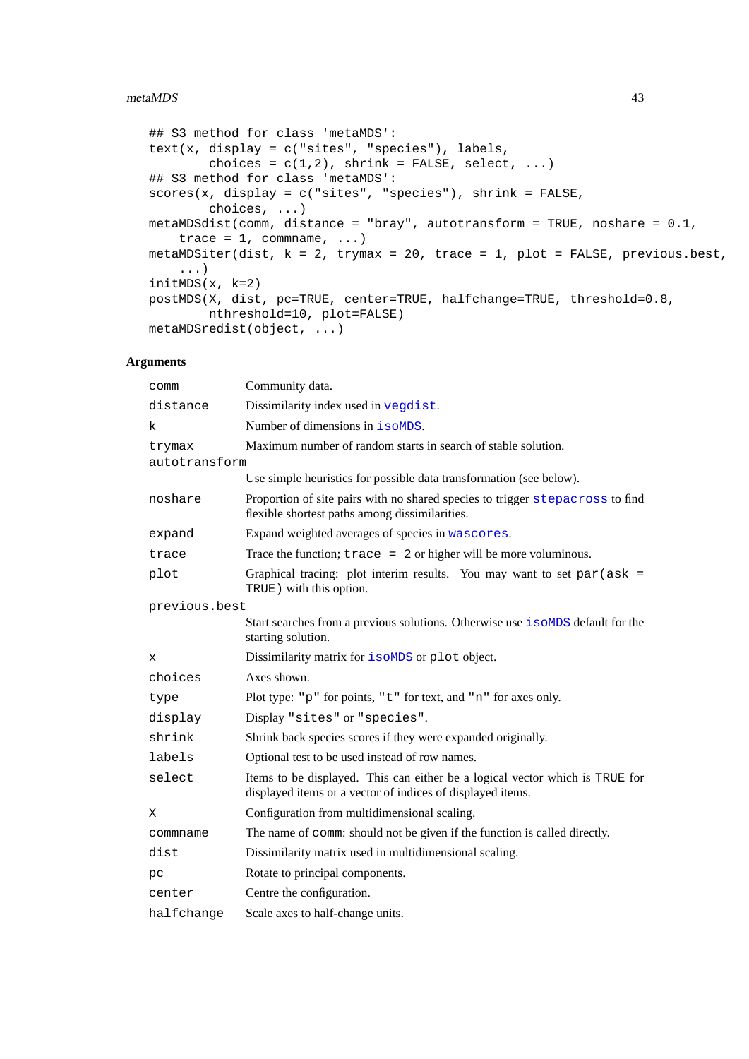### metaMDS 43

```
## S3 method for class 'metaMDS':
text(x, display = c("sites", "species"), labels,
        choices = c(1,2), shrink = FALSE, select, ...)
## S3 method for class 'metaMDS':
scores(x, display = c("sites", "species"), shrink = FALSE,
       choices, ...)
metaMDSdist(comm, distance = "bray", autotransform = TRUE, noshare = 0.1,
   trace = 1, communame, ...)
metaMDSiter(dist, k = 2, trymax = 20, trace = 1, plot = FALSE, previous.best,...)
initMDS(x, k=2)postMDS(X, dist, pc=TRUE, center=TRUE, halfchange=TRUE, threshold=0.8,
        nthreshold=10, plot=FALSE)
metaMDSredist(object, ...)
```
### **Arguments**

| comm                    | Community data.                                                                                                                            |  |
|-------------------------|--------------------------------------------------------------------------------------------------------------------------------------------|--|
| distance                | Dissimilarity index used in vegdist.                                                                                                       |  |
| k                       | Number of dimensions in <i>i</i> soMDS.                                                                                                    |  |
| trymax<br>autotransform | Maximum number of random starts in search of stable solution.                                                                              |  |
|                         | Use simple heuristics for possible data transformation (see below).                                                                        |  |
| noshare                 | Proportion of site pairs with no shared species to trigger stepacross to find<br>flexible shortest paths among dissimilarities.            |  |
| expand                  | Expand weighted averages of species in wascores.                                                                                           |  |
| trace                   | Trace the function; $trace = 2$ or higher will be more voluminous.                                                                         |  |
| plot                    | Graphical tracing: plot interim results. You may want to set $par(ask =$<br>TRUE) with this option.                                        |  |
| previous.best           |                                                                                                                                            |  |
|                         | Start searches from a previous solutions. Otherwise use isoMDS default for the<br>starting solution.                                       |  |
| х                       | Dissimilarity matrix for isoMDS or plot object.                                                                                            |  |
| choices                 | Axes shown.                                                                                                                                |  |
| type                    | Plot type: "p" for points, "t" for text, and "n" for axes only.                                                                            |  |
| display                 | Display "sites" or "species".                                                                                                              |  |
| shrink                  | Shrink back species scores if they were expanded originally.                                                                               |  |
| labels                  | Optional test to be used instead of row names.                                                                                             |  |
| select                  | Items to be displayed. This can either be a logical vector which is TRUE for<br>displayed items or a vector of indices of displayed items. |  |
| Χ                       | Configuration from multidimensional scaling.                                                                                               |  |
| commname                | The name of comm: should not be given if the function is called directly.                                                                  |  |
| dist                    | Dissimilarity matrix used in multidimensional scaling.                                                                                     |  |
| pс                      | Rotate to principal components.                                                                                                            |  |
| center                  | Centre the configuration.                                                                                                                  |  |
| halfchange              | Scale axes to half-change units.                                                                                                           |  |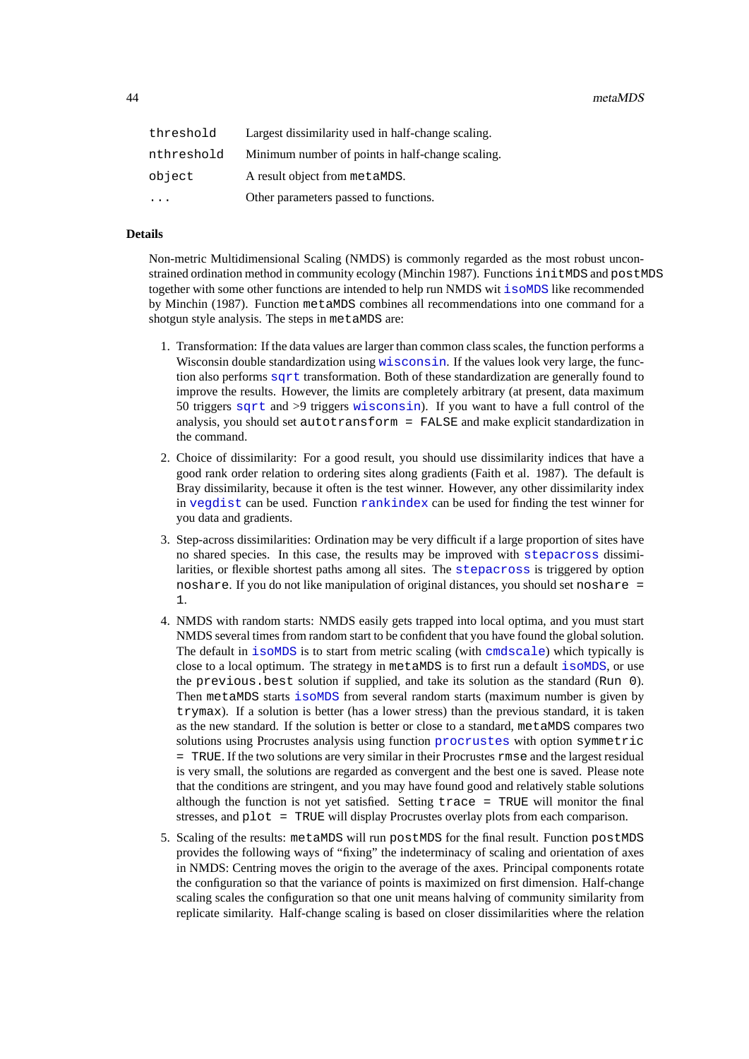| threshold  | Largest dissimilarity used in half-change scaling. |
|------------|----------------------------------------------------|
| nthreshold | Minimum number of points in half-change scaling.   |
| object     | A result object from metaMDS.                      |
| $\cdots$   | Other parameters passed to functions.              |

# **Details**

Non-metric Multidimensional Scaling (NMDS) is commonly regarded as the most robust unconstrained ordination method in community ecology (Minchin 1987). Functions initMDS and postMDS together with some other functions are intended to help run NMDS wit [isoMDS](#page-0-0) like recommended by Minchin (1987). Function metaMDS combines all recommendations into one command for a shotgun style analysis. The steps in metaMDS are:

- 1. Transformation: If the data values are larger than common class scales, the function performs a Wisconsin double standardization using [wisconsin](#page-18-0). If the values look very large, the function also performs [sqrt](#page-0-0) transformation. Both of these standardization are generally found to improve the results. However, the limits are completely arbitrary (at present, data maximum 50 triggers [sqrt](#page-0-0) and >9 triggers [wisconsin](#page-18-0)). If you want to have a full control of the analysis, you should set autotransform = FALSE and make explicit standardization in the command.
- 2. Choice of dissimilarity: For a good result, you should use dissimilarity indices that have a good rank order relation to ordering sites along gradients (Faith et al. 1987). The default is Bray dissimilarity, because it often is the test winner. However, any other dissimilarity index in [vegdist](#page-77-0) can be used. Function [rankindex](#page-65-0) can be used for finding the test winner for you data and gradients.
- 3. Step-across dissimilarities: Ordination may be very difficult if a large proportion of sites have no shared species. In this case, the results may be improved with [stepacross](#page-74-0) dissimilarities, or flexible shortest paths among all sites. The [stepacross](#page-74-0) is triggered by option noshare. If you do not like manipulation of original distances, you should set noshare = 1.
- 4. NMDS with random starts: NMDS easily gets trapped into local optima, and you must start NMDS several times from random start to be confident that you have found the global solution. The default in [isoMDS](#page-0-0) is to start from metric scaling (with [cmdscale](#page-0-0)) which typically is close to a local optimum. The strategy in metaMDS is to first run a default [isoMDS](#page-0-0), or use the previous.best solution if supplied, and take its solution as the standard (Run 0). Then metaMDS starts [isoMDS](#page-0-0) from several random starts (maximum number is given by trymax). If a solution is better (has a lower stress) than the previous standard, it is taken as the new standard. If the solution is better or close to a standard, metaMDS compares two solutions using Procrustes analysis using function [procrustes](#page-59-1) with option symmetric = TRUE. If the two solutions are very similar in their Procrustes rmse and the largest residual is very small, the solutions are regarded as convergent and the best one is saved. Please note that the conditions are stringent, and you may have found good and relatively stable solutions although the function is not yet satisfied. Setting  $trace = TRUE$  will monitor the final stresses, and plot = TRUE will display Procrustes overlay plots from each comparison.
- 5. Scaling of the results: metaMDS will run postMDS for the final result. Function postMDS provides the following ways of "fixing" the indeterminacy of scaling and orientation of axes in NMDS: Centring moves the origin to the average of the axes. Principal components rotate the configuration so that the variance of points is maximized on first dimension. Half-change scaling scales the configuration so that one unit means halving of community similarity from replicate similarity. Half-change scaling is based on closer dissimilarities where the relation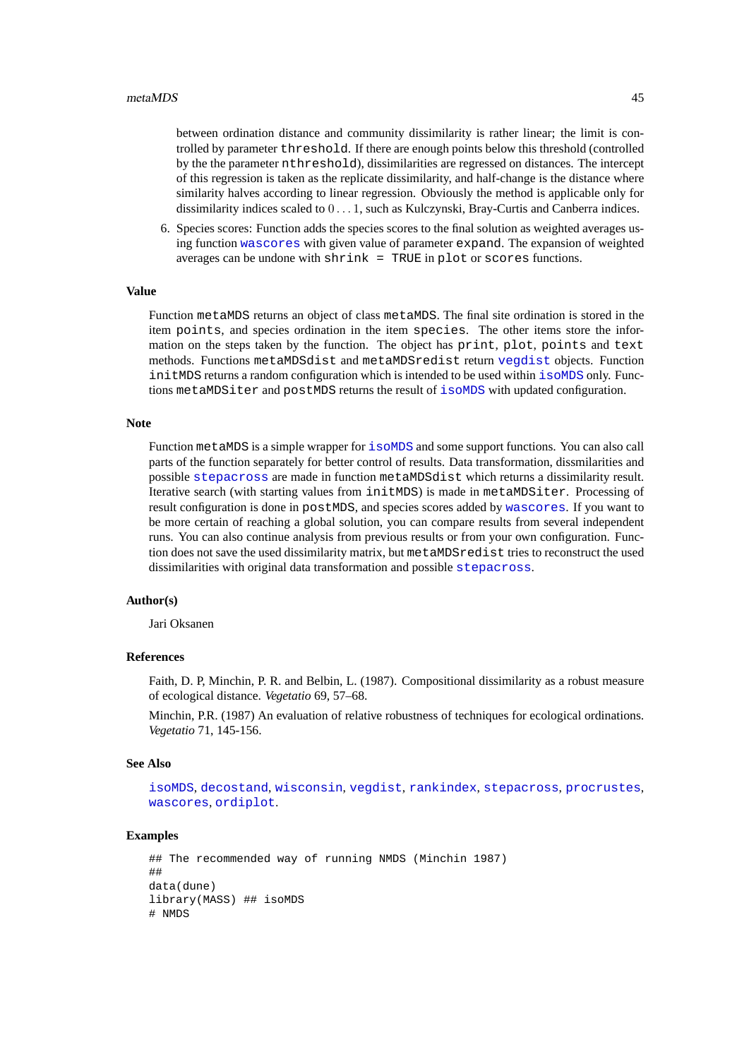between ordination distance and community dissimilarity is rather linear; the limit is controlled by parameter threshold. If there are enough points below this threshold (controlled by the the parameter nthreshold), dissimilarities are regressed on distances. The intercept of this regression is taken as the replicate dissimilarity, and half-change is the distance where similarity halves according to linear regression. Obviously the method is applicable only for dissimilarity indices scaled to 0 . . . 1, such as Kulczynski, Bray-Curtis and Canberra indices.

6. Species scores: Function adds the species scores to the final solution as weighted averages using function [wascores](#page-81-0) with given value of parameter expand. The expansion of weighted averages can be undone with  $\text{shrink} = \text{TRUE}$  in plot or scores functions.

### **Value**

Function metaMDS returns an object of class metaMDS. The final site ordination is stored in the item points, and species ordination in the item species. The other items store the information on the steps taken by the function. The object has print, plot, points and text methods. Functions metaMDSdist and metaMDSredist return [vegdist](#page-77-0) objects. Function initMDS returns a random configuration which is intended to be used within [isoMDS](#page-0-0) only. Functions metaMDSiter and postMDS returns the result of [isoMDS](#page-0-0) with updated configuration.

### **Note**

Function metaMDS is a simple wrapper for [isoMDS](#page-0-0) and some support functions. You can also call parts of the function separately for better control of results. Data transformation, dissmilarities and possible [stepacross](#page-74-0) are made in function metaMDSdist which returns a dissimilarity result. Iterative search (with starting values from initMDS) is made in metaMDSiter. Processing of result configuration is done in postMDS, and species scores added by [wascores](#page-81-0). If you want to be more certain of reaching a global solution, you can compare results from several independent runs. You can also continue analysis from previous results or from your own configuration. Function does not save the used dissimilarity matrix, but metaMDSredist tries to reconstruct the used dissimilarities with original data transformation and possible [stepacross](#page-74-0).

# **Author(s)**

Jari Oksanen

## **References**

Faith, D. P, Minchin, P. R. and Belbin, L. (1987). Compositional dissimilarity as a robust measure of ecological distance. *Vegetatio* 69, 57–68.

Minchin, P.R. (1987) An evaluation of relative robustness of techniques for ecological ordinations. *Vegetatio* 71, 145-156.

### **See Also**

[isoMDS](#page-0-0), [decostand](#page-18-1), [wisconsin](#page-18-0), [vegdist](#page-77-0), [rankindex](#page-65-0), [stepacross](#page-74-0), [procrustes](#page-59-1), [wascores](#page-81-0), [ordiplot](#page-47-0).

```
## The recommended way of running NMDS (Minchin 1987)
##
data(dune)
library(MASS) ## isoMDS
# NMDS
```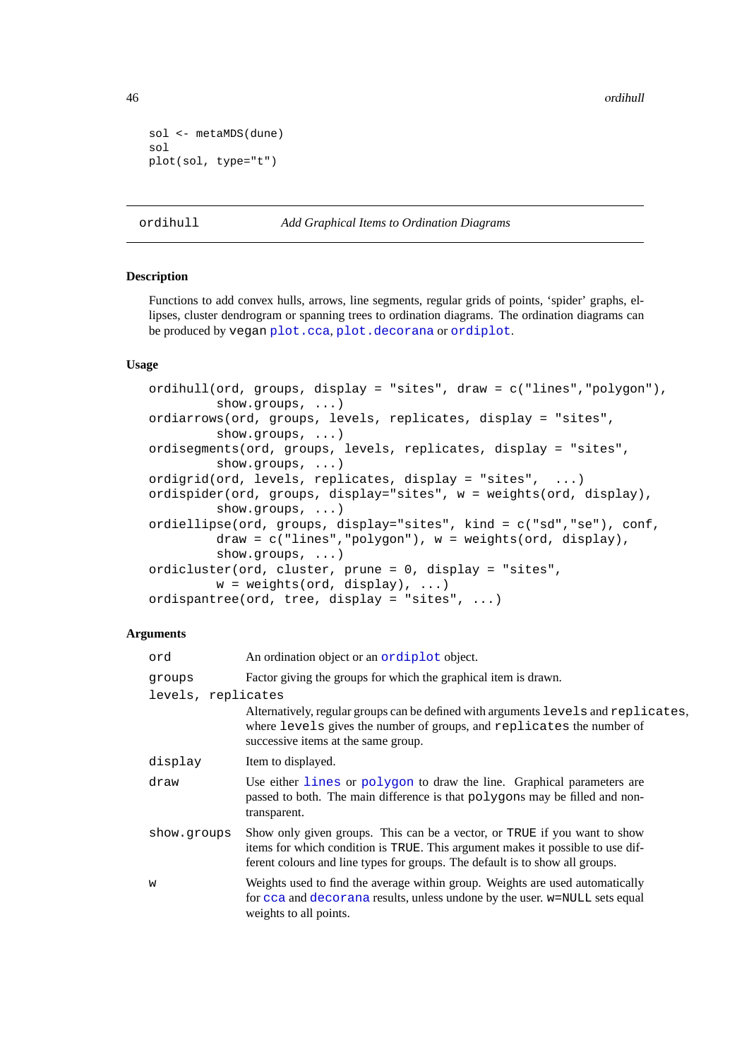46 ordihull

```
sol <- metaMDS(dune)
sol
plot(sol, type="t")
```

```
ordihull Add Graphical Items to Ordination Diagrams
```
### <span id="page-45-1"></span>**Description**

Functions to add convex hulls, arrows, line segments, regular grids of points, 'spider' graphs, ellipses, cluster dendrogram or spanning trees to ordination diagrams. The ordination diagrams can be produced by vegan [plot.cca](#page-55-0), [plot.decorana](#page-15-0) or [ordiplot](#page-47-0).

# **Usage**

```
ordihull(ord, groups, display = "sites", draw = c("lines","polygon"),
         show.groups, ...)
ordiarrows(ord, groups, levels, replicates, display = "sites",
         show.groups, ...)
ordisegments(ord, groups, levels, replicates, display = "sites",
         show.groups, ...)
ordigrid(ord, levels, replicates, display = "sites", ...)
ordispider(ord, groups, display="sites", w = weights(ord, display),
         show.groups, ...)
ordiellipse(ord, groups, display="sites", kind = c("sd","se"), conf,
         draw = c("lines","polygon"), w = weights(ord, display),
         show.groups, ...)
ordicluster(ord, cluster, prune = 0, display = "sites",
         w = weights(ord, display), \dots)ordispantree(ord, tree, display = "sites", ...)
```
# **Arguments**

| ord                | An ordination object or an ordiplot object.                                                                                                                                                                                                 |
|--------------------|---------------------------------------------------------------------------------------------------------------------------------------------------------------------------------------------------------------------------------------------|
| groups             | Factor giving the groups for which the graphical item is drawn.                                                                                                                                                                             |
| levels, replicates |                                                                                                                                                                                                                                             |
|                    | Alternatively, regular groups can be defined with arguments levels and replicates,<br>where levels gives the number of groups, and replicates the number of<br>successive items at the same group.                                          |
| display            | Item to displayed.                                                                                                                                                                                                                          |
| draw               | Use either lines or polygon to draw the line. Graphical parameters are<br>passed to both. The main difference is that polygons may be filled and non-<br>transparent.                                                                       |
| show.groups        | Show only given groups. This can be a vector, or TRUE if you want to show<br>items for which condition is TRUE. This argument makes it possible to use dif-<br>ferent colours and line types for groups. The default is to show all groups. |
| W                  | Weights used to find the average within group. Weights are used automatically<br>for cca and decorana results, unless undone by the user. w=NULL sets equal<br>weights to all points.                                                       |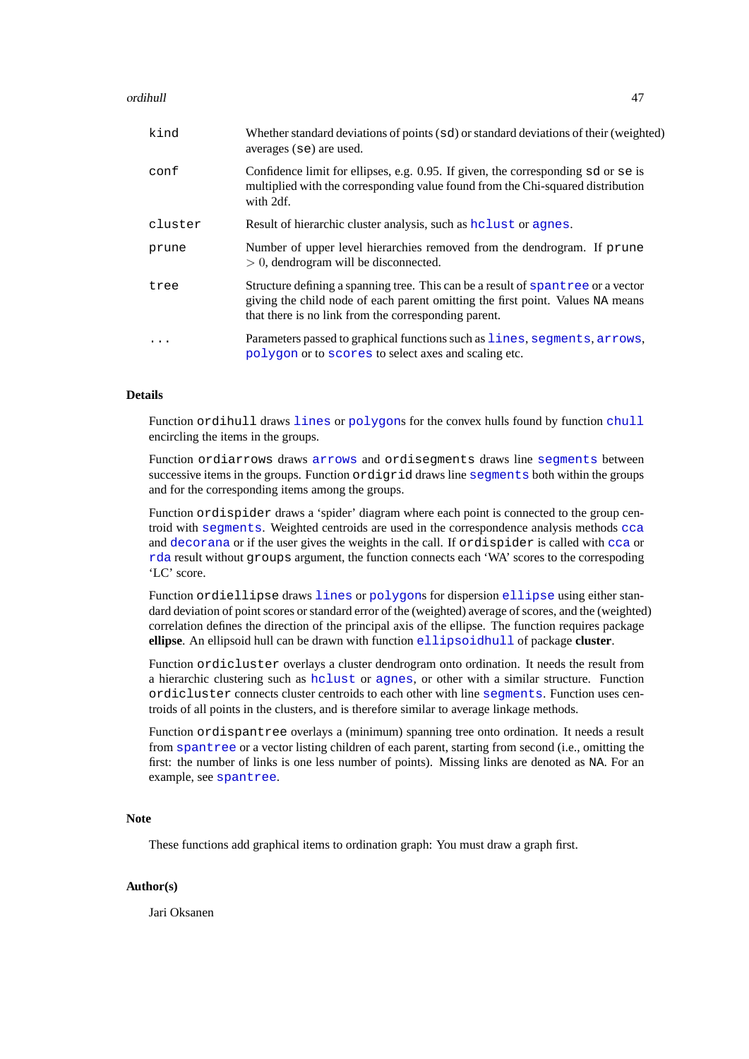### ordihull and the control of the control of the control of the control of the control of the control of the control of the control of the control of the control of the control of the control of the control of the control of

| kind      | Whether standard deviations of points (sd) or standard deviations of their (weighted)<br>averages (se) are used.                                                                                                           |
|-----------|----------------------------------------------------------------------------------------------------------------------------------------------------------------------------------------------------------------------------|
| conf      | Confidence limit for ellipses, e.g. 0.95. If given, the corresponding sd or se is<br>multiplied with the corresponding value found from the Chi-squared distribution<br>with 2df.                                          |
| cluster   | Result of hierarchic cluster analysis, such as holast or agnes.                                                                                                                                                            |
| prune     | Number of upper level hierarchies removed from the dendrogram. If prune<br>$> 0$ , dendrogram will be disconnected.                                                                                                        |
| tree      | Structure defining a spanning tree. This can be a result of spantree or a vector<br>giving the child node of each parent omitting the first point. Values NA means<br>that there is no link from the corresponding parent. |
| $\cdot$ . | Parameters passed to graphical functions such as lines, segments, arrows,<br>polygon or to scores to select axes and scaling etc.                                                                                          |

# **Details**

Function ordihull draws [lines](#page-0-0) or [polygon](#page-0-0)s for the convex hulls found by function [chull](#page-0-0) encircling the items in the groups.

Function ordiarrows draws [arrows](#page-0-0) and ordisegments draws line [segments](#page-0-0) between successive items in the groups. Function ordigrid draws line [segments](#page-0-0) both within the groups and for the corresponding items among the groups.

Function ordispider draws a 'spider' diagram where each point is connected to the group centroid with [segments](#page-0-0). Weighted centroids are used in the correspondence analysis methods [cca](#page-9-0) and [decorana](#page-15-1) or if the user gives the weights in the call. If ordispider is called with [cca](#page-9-0) or [rda](#page-9-1) result without groups argument, the function connects each 'WA' scores to the correspoding 'LC' score.

Function ordiellipse draws [lines](#page-0-0) or [polygon](#page-0-0)s for dispersion [ellipse](#page-0-0) using either standard deviation of point scores or standard error of the (weighted) average of scores, and the (weighted) correlation defines the direction of the principal axis of the ellipse. The function requires package **ellipse**. An ellipsoid hull can be drawn with function [ellipsoidhull](#page-0-0) of package **cluster**.

Function ordicluster overlays a cluster dendrogram onto ordination. It needs the result from a hierarchic clustering such as [hclust](#page-0-0) or [agnes](#page-0-0), or other with a similar structure. Function ordicluster connects cluster centroids to each other with line [segments](#page-0-0). Function uses centroids of all points in the clusters, and is therefore similar to average linkage methods.

Function ordispantree overlays a (minimum) spanning tree onto ordination. It needs a result from [spantree](#page-21-0) or a vector listing children of each parent, starting from second (i.e., omitting the first: the number of links is one less number of points). Missing links are denoted as NA. For an example, see [spantree](#page-21-0).

# **Note**

These functions add graphical items to ordination graph: You must draw a graph first.

# **Author(s)**

Jari Oksanen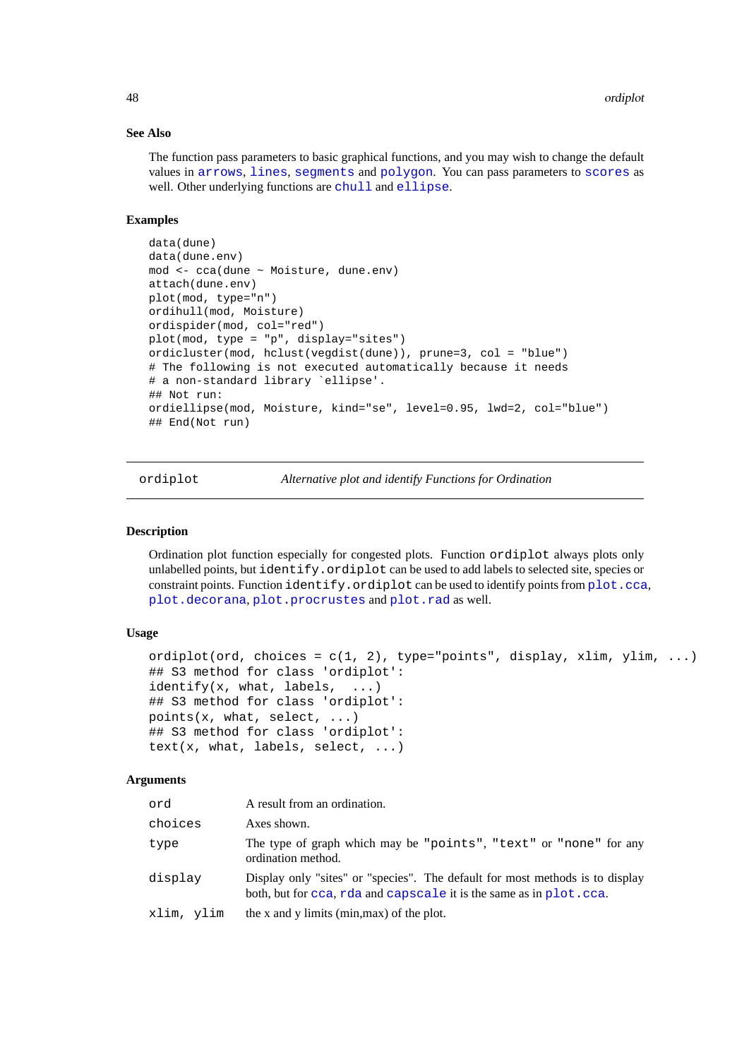### **See Also**

The function pass parameters to basic graphical functions, and you may wish to change the default values in [arrows](#page-0-0), [lines](#page-0-0), [segments](#page-0-0) and [polygon](#page-0-0). You can pass parameters to [scores](#page-68-0) as well. Other underlying functions are [chull](#page-0-0) and [ellipse](#page-0-0).

# **Examples**

```
data(dune)
data(dune.env)
mod <- cca(dune ~ Moisture, dune.env)
attach(dune.env)
plot(mod, type="n")
ordihull(mod, Moisture)
ordispider(mod, col="red")
plot(mod, type = "p", display="sites")
ordicluster(mod, hclust(vegdist(dune)), prune=3, col = "blue")
# The following is not executed automatically because it needs
# a non-standard library `ellipse'.
## Not run:
ordiellipse(mod, Moisture, kind="se", level=0.95, lwd=2, col="blue")
## End(Not run)
```
<span id="page-47-0"></span>ordiplot *Alternative plot and identify Functions for Ordination*

## <span id="page-47-1"></span>**Description**

Ordination plot function especially for congested plots. Function ordiplot always plots only unlabelled points, but identify.ordiplot can be used to add labels to selected site, species or constraint points. Function identify.ordiplot can be used to identify points from [plot.cca](#page-55-0), [plot.decorana](#page-15-0), [plot.procrustes](#page-59-0) and [plot.rad](#page-62-0) as well.

# **Usage**

```
ordiplot(ord, choices = c(1, 2), type="points", display, xlim, ylim, ...)
## S3 method for class 'ordiplot':
identify(x, what, labels, \dots)
## S3 method for class 'ordiplot':
points(x, what, select, ...)
## S3 method for class 'ordiplot':
text(x, what, labels, select, ...)
```
### **Arguments**

| ord        | A result from an ordination.                                                                                                                         |
|------------|------------------------------------------------------------------------------------------------------------------------------------------------------|
| choices    | Axes shown.                                                                                                                                          |
| type       | The type of graph which may be "points", "text" or "none" for any<br>ordination method.                                                              |
| display    | Display only "sites" or "species". The default for most methods is to display<br>both, but for cca, rda and capscale it is the same as in plot. cca. |
| xlim, ylim | the x and y limits (min, max) of the plot.                                                                                                           |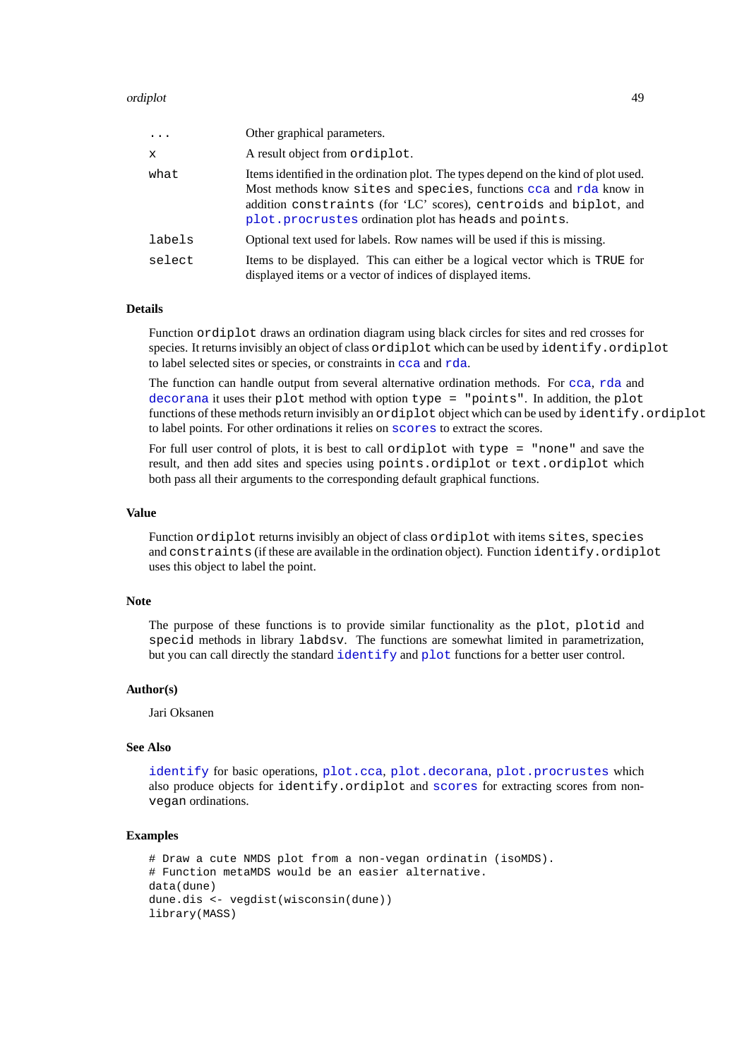### ordiplot that the control of the control of the control of the control of the control of the control of the control of the control of the control of the control of the control of the control of the control of the control o

| $\ddots$     | Other graphical parameters.                                                                                                                                                                                                                                                             |
|--------------|-----------------------------------------------------------------------------------------------------------------------------------------------------------------------------------------------------------------------------------------------------------------------------------------|
| $\mathbf{x}$ | A result object from ordiplot.                                                                                                                                                                                                                                                          |
| what         | Items identified in the ordination plot. The types depend on the kind of plot used.<br>Most methods know sites and species, functions cca and rda know in<br>addition constraints (for 'LC' scores), centroids and biplot, and<br>plot.procrustes ordination plot has heads and points. |
| labels       | Optional text used for labels. Row names will be used if this is missing.                                                                                                                                                                                                               |
| select       | Items to be displayed. This can either be a logical vector which is TRUE for<br>displayed items or a vector of indices of displayed items.                                                                                                                                              |

## **Details**

Function ordiplot draws an ordination diagram using black circles for sites and red crosses for species. It returns invisibly an object of class ordiplot which can be used by identify. ordiplot to label selected sites or species, or constraints in [cca](#page-9-0) and [rda](#page-9-1).

The function can handle output from several alternative ordination methods. For [cca](#page-9-0), [rda](#page-9-1) and [decorana](#page-15-1) it uses their plot method with option type = "points". In addition, the plot functions of these methods return invisibly an ordiplot object which can be used by identify.ordiplot to label points. For other ordinations it relies on [scores](#page-68-0) to extract the scores.

For full user control of plots, it is best to call ordiplot with type = "none" and save the result, and then add sites and species using points.ordiplot or text.ordiplot which both pass all their arguments to the corresponding default graphical functions.

#### **Value**

Function ordiplot returns invisibly an object of class ordiplot with items sites, species and constraints (if these are available in the ordination object). Function identify.ordiplot uses this object to label the point.

# **Note**

The purpose of these functions is to provide similar functionality as the plot, plotid and specid methods in library labdsv. The functions are somewhat limited in parametrization, but you can call directly the standard [identify](#page-0-0) and [plot](#page-0-0) functions for a better user control.

#### **Author(s)**

Jari Oksanen

#### **See Also**

[identify](#page-0-0) for basic operations, [plot.cca](#page-55-0), [plot.decorana](#page-15-0), [plot.procrustes](#page-59-0) which also produce objects for identify.ordiplot and [scores](#page-68-0) for extracting scores from nonvegan ordinations.

```
# Draw a cute NMDS plot from a non-vegan ordinatin (isoMDS).
# Function metaMDS would be an easier alternative.
data(dune)
dune.dis <- vegdist(wisconsin(dune))
library(MASS)
```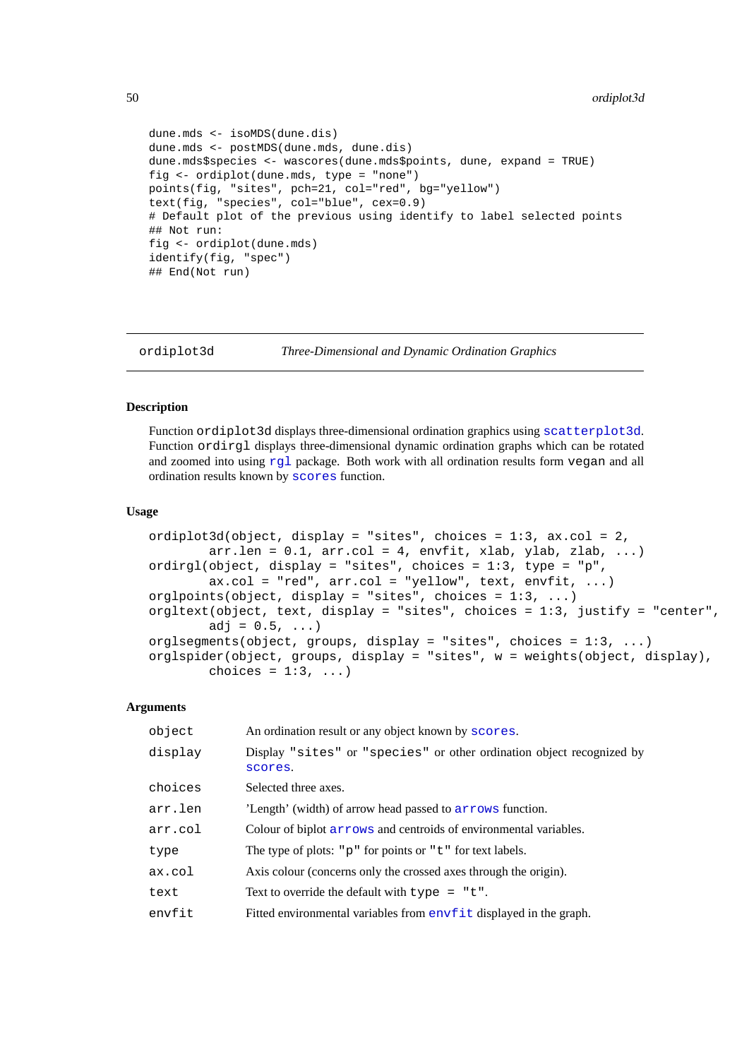```
dune.mds <- isoMDS(dune.dis)
dune.mds <- postMDS(dune.mds, dune.dis)
dune.mds$species <- wascores(dune.mds$points, dune, expand = TRUE)
fig <- ordiplot(dune.mds, type = "none")
points(fig, "sites", pch=21, col="red", bg="yellow")
text(fig, "species", col="blue", cex=0.9)
# Default plot of the previous using identify to label selected points
## Not run:
fig <- ordiplot(dune.mds)
identify(fig, "spec")
## End(Not run)
```

```
ordiplot3d Three-Dimensional and Dynamic Ordination Graphics
```
# **Description**

Function ordiplot3d displays three-dimensional ordination graphics using [scatterplot3d](#page-0-0). Function ordirgl displays three-dimensional dynamic ordination graphs which can be rotated and zoomed into using  $r \notin I$  package. Both work with all ordination results form vegan and all ordination results known by [scores](#page-68-0) function.

### **Usage**

```
ordiplot3d(object, display = "sites", choices = 1:3, ax.col = 2,
        arr.length = 0.1, arr.col = 4, envfit, xlab, ylab, zlab, ...)
ordirgl(object, display = "sites", choices = 1:3, type = "p",
        ax.col = "red", arr.col = "yellow", text, envfit, ...)orglpoints(object, display = "sites", choices = 1:3, ...)
orgltext(object, text, display = "sites", choices = 1:3, justify = "center",
        adj = 0.5, ...orglsegments(object, groups, display = "sites", choices = 1:3, ...)
orglspider(object, groups, display = "sites", w = weights(object, display),
        choices = 1:3, ...)
```
# **Arguments**

| object  | An ordination result or any object known by scores.                              |
|---------|----------------------------------------------------------------------------------|
| display | Display "sites" or "species" or other ordination object recognized by<br>scores. |
| choices | Selected three axes.                                                             |
| arr.len | 'Length' (width) of arrow head passed to arrows function.                        |
| arr.col | Colour of biplot arrows and centroids of environmental variables.                |
| type    | The type of plots: " $p$ " for points or " $t$ " for text labels.                |
| ax.col  | Axis colour (concerns only the crossed axes through the origin).                 |
| text    | Text to override the default with $type = "t".$                                  |
| envfit  | Fitted environmental variables from envfit displayed in the graph.               |
|         |                                                                                  |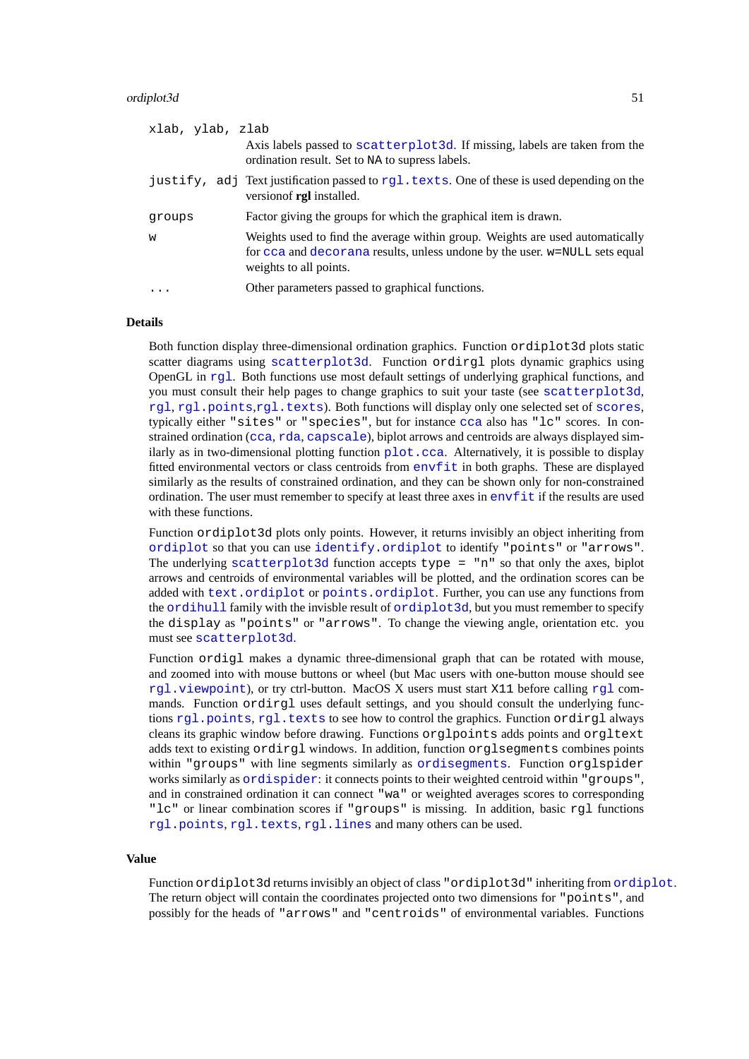### ordiplot3d 51

| xlab, ylab, zlab |                                                                                                                                                                                       |
|------------------|---------------------------------------------------------------------------------------------------------------------------------------------------------------------------------------|
|                  | Axis labels passed to scatterplot 3d. If missing, labels are taken from the<br>ordination result. Set to NA to supress labels.                                                        |
|                  | justify, adj Text justification passed to rgl. texts. One of these is used depending on the<br>version of rgl installed.                                                              |
| groups           | Factor giving the groups for which the graphical item is drawn.                                                                                                                       |
| W                | Weights used to find the average within group. Weights are used automatically<br>for cca and decorana results, unless undone by the user. w=NULL sets equal<br>weights to all points. |
|                  | Other parameters passed to graphical functions.                                                                                                                                       |

## **Details**

Both function display three-dimensional ordination graphics. Function ordiplot3d plots static scatter diagrams using [scatterplot3d](#page-0-0). Function ordirgl plots dynamic graphics using OpenGL in [rgl](#page-0-0). Both functions use most default settings of underlying graphical functions, and you must consult their help pages to change graphics to suit your taste (see [scatterplot3d](#page-0-0), [rgl](#page-0-0), [rgl.points](#page-0-0),[rgl.texts](#page-0-0)). Both functions will display only one selected set of [scores](#page-68-0), typically either "sites" or "species", but for instance [cca](#page-9-0) also has "lc" scores. In constrained ordination ([cca](#page-9-0), [rda](#page-9-1), [capscale](#page-7-0)), biplot arrows and centroids are always displayed similarly as in two-dimensional plotting function  $p$ lot.cca. Alternatively, it is possible to display fitted environmental vectors or class centroids from [envfit](#page-26-0) in both graphs. These are displayed similarly as the results of constrained ordination, and they can be shown only for non-constrained ordination. The user must remember to specify at least three axes in  $envf$  it if the results are used with these functions.

Function ordiplot3d plots only points. However, it returns invisibly an object inheriting from [ordiplot](#page-47-0) so that you can use [identify.ordiplot](#page-47-1) to identify "points" or "arrows". The underlying [scatterplot3d](#page-0-0) function accepts type =  $\mathbb{R}^n$  so that only the axes, biplot arrows and centroids of environmental variables will be plotted, and the ordination scores can be added with [text.ordiplot](#page-47-1) or [points.ordiplot](#page-47-1). Further, you can use any functions from the [ordihull](#page-45-0) family with the invisble result of [ordiplot3d](#page-49-0), but you must remember to specify the display as "points" or "arrows". To change the viewing angle, orientation etc. you must see [scatterplot3d](#page-0-0).

Function ordigl makes a dynamic three-dimensional graph that can be rotated with mouse, and zoomed into with mouse buttons or wheel (but Mac users with one-button mouse should see [rgl.viewpoint](#page-0-0)), or try ctrl-button. MacOS X users must start X11 before calling [rgl](#page-0-0) commands. Function ordirgl uses default settings, and you should consult the underlying functions [rgl.points](#page-0-0), [rgl.texts](#page-0-0) to see how to control the graphics. Function ordirgl always cleans its graphic window before drawing. Functions orglpoints adds points and orgltext adds text to existing ordirgl windows. In addition, function orglsegments combines points within "groups" with line segments similarly as [ordisegments](#page-45-1). Function orglspider works similarly as [ordispider](#page-45-1): it connects points to their weighted centroid within "groups", and in constrained ordination it can connect "wa" or weighted averages scores to corresponding "lc" or linear combination scores if "groups" is missing. In addition, basic rgl functions [rgl.points](#page-0-0), [rgl.texts](#page-0-0), [rgl.lines](#page-0-0) and many others can be used.

# **Value**

Function [ordiplot](#page-47-0) 3d returns invisibly an object of class "ordiplot 3d" inheriting from ordiplot. The return object will contain the coordinates projected onto two dimensions for "points", and possibly for the heads of "arrows" and "centroids" of environmental variables. Functions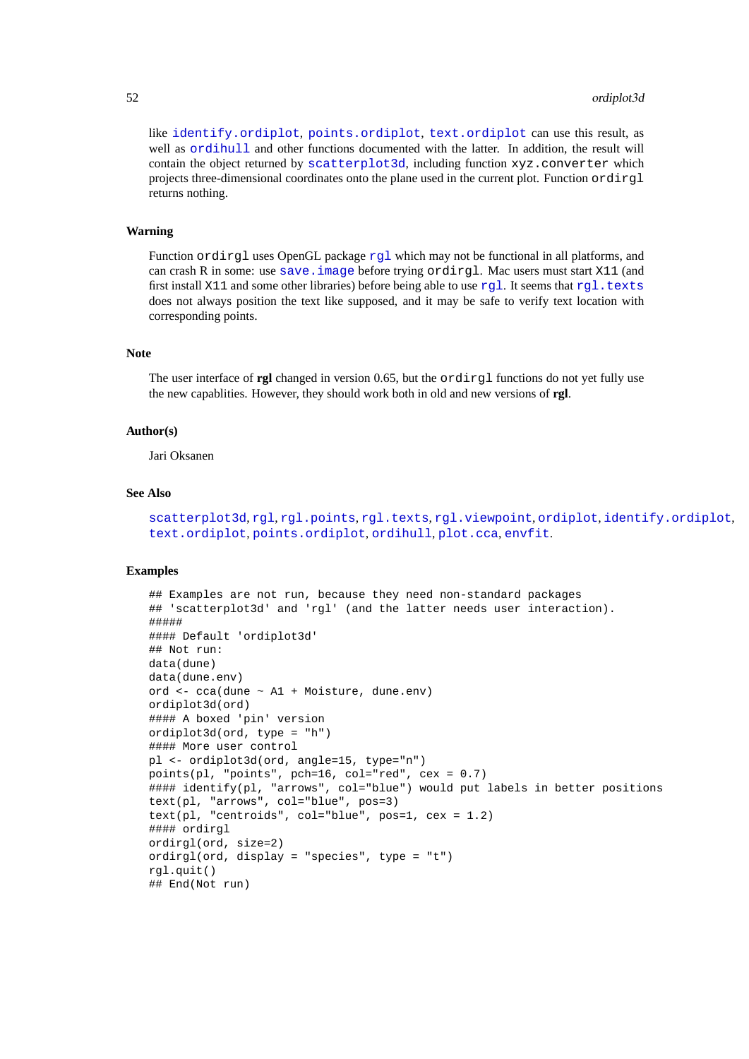like [identify.ordiplot](#page-47-1), [points.ordiplot](#page-47-1), [text.ordiplot](#page-47-1) can use this result, as well as  $\text{ordihull}$  $\text{ordihull}$  $\text{ordihull}$  and other functions documented with the latter. In addition, the result will contain the object returned by [scatterplot3d](#page-0-0), including function xyz.converter which projects three-dimensional coordinates onto the plane used in the current plot. Function ordirgl returns nothing.

### **Warning**

Function ordi[rgl](#page-0-0) uses OpenGL package rgl which may not be functional in all platforms, and can crash R in some: use [save.image](#page-0-0) before trying ordirgl. Mac users must start X11 (and first install X11 and some other libraries) before being able to use [rgl](#page-0-0). It seems that [rgl.texts](#page-0-0) does not always position the text like supposed, and it may be safe to verify text location with corresponding points.

# **Note**

The user interface of **rgl** changed in version 0.65, but the ordirgl functions do not yet fully use the new capablities. However, they should work both in old and new versions of **rgl**.

### **Author(s)**

Jari Oksanen

### **See Also**

[scatterplot3d](#page-0-0), [rgl](#page-0-0).points, [rgl.texts](#page-0-0), [rgl.viewpoint](#page-0-0), [ordiplot](#page-47-0), [identify.ordiplot](#page-47-1), [text.ordiplot](#page-47-1), [points.ordiplot](#page-47-1), [ordihull](#page-45-0), [plot.cca](#page-55-0), [envfit](#page-26-0).

```
## Examples are not run, because they need non-standard packages
## 'scatterplot3d' and 'rgl' (and the latter needs user interaction).
#####
#### Default 'ordiplot3d'
## Not run:
data(dune)
data(dune.env)
ord <- cca(dune ~ A1 + Moisture, dune.env)
ordiplot3d(ord)
#### A boxed 'pin' version
ordiplot3d(ord, type = "h")
#### More user control
pl <- ordiplot3d(ord, angle=15, type="n")
points(pl, "points", pch=16, col="red", cex = 0.7)
#### identify(pl, "arrows", col="blue") would put labels in better positions
text(pl, "arrows", col="blue", pos=3)
text(pl, "centroids", col="blue", pos=1, cex = 1.2)
#### ordirgl
ordirgl(ord, size=2)
ordirgl(ord, display = "species", type = "t")
rgl.quit()
## End(Not run)
```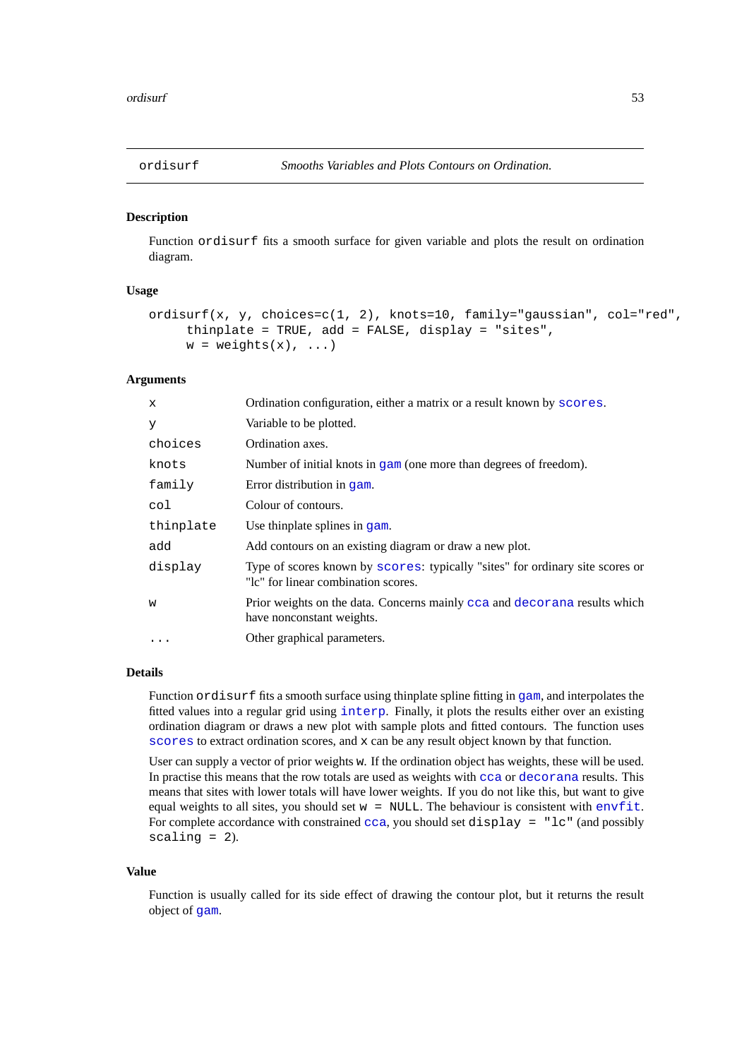### **Description**

Function ordisurf fits a smooth surface for given variable and plots the result on ordination diagram.

# **Usage**

```
ordisurf(x, y, choices=c(1, 2), knots=10, family="gaussian", col="red",
     thinplate = TRUE, add = FALSE, display = "sites",
     w = weights(x), \ldots
```
### **Arguments**

| X         | Ordination configuration, either a matrix or a result known by scores.                                               |
|-----------|----------------------------------------------------------------------------------------------------------------------|
| У         | Variable to be plotted.                                                                                              |
| choices   | Ordination axes.                                                                                                     |
| knots     | Number of initial knots in $\sigma$ am (one more than degrees of freedom).                                           |
| family    | Error distribution in gam.                                                                                           |
| col       | Colour of contours.                                                                                                  |
| thinplate | Use thinplate splines in gam.                                                                                        |
| add       | Add contours on an existing diagram or draw a new plot.                                                              |
| display   | Type of scores known by scores: typically "sites" for ordinary site scores or<br>"Ic" for linear combination scores. |
| W         | Prior weights on the data. Concerns mainly cca and decorana results which<br>have nonconstant weights.               |
|           | Other graphical parameters.                                                                                          |
|           |                                                                                                                      |

# **Details**

Function ordisurf fits a smooth surface using thinplate spline fitting in [gam](#page-0-0), and interpolates the fitted values into a regular grid using [interp](#page-0-0). Finally, it plots the results either over an existing ordination diagram or draws a new plot with sample plots and fitted contours. The function uses [scores](#page-68-0) to extract ordination scores, and x can be any result object known by that function.

User can supply a vector of prior weights w. If the ordination object has weights, these will be used. In practise this means that the row totals are used as weights with [cca](#page-9-0) or [decorana](#page-15-1) results. This means that sites with lower totals will have lower weights. If you do not like this, but want to give equal weights to all sites, you should set  $w = NULL$ . The behaviour is consistent with [envfit](#page-26-0). For complete accordance with constrained  $cca$ , you should set display = "lc" (and possibly scaling  $= 2$ ).

# **Value**

Function is usually called for its side effect of drawing the contour plot, but it returns the result object of [gam](#page-0-0).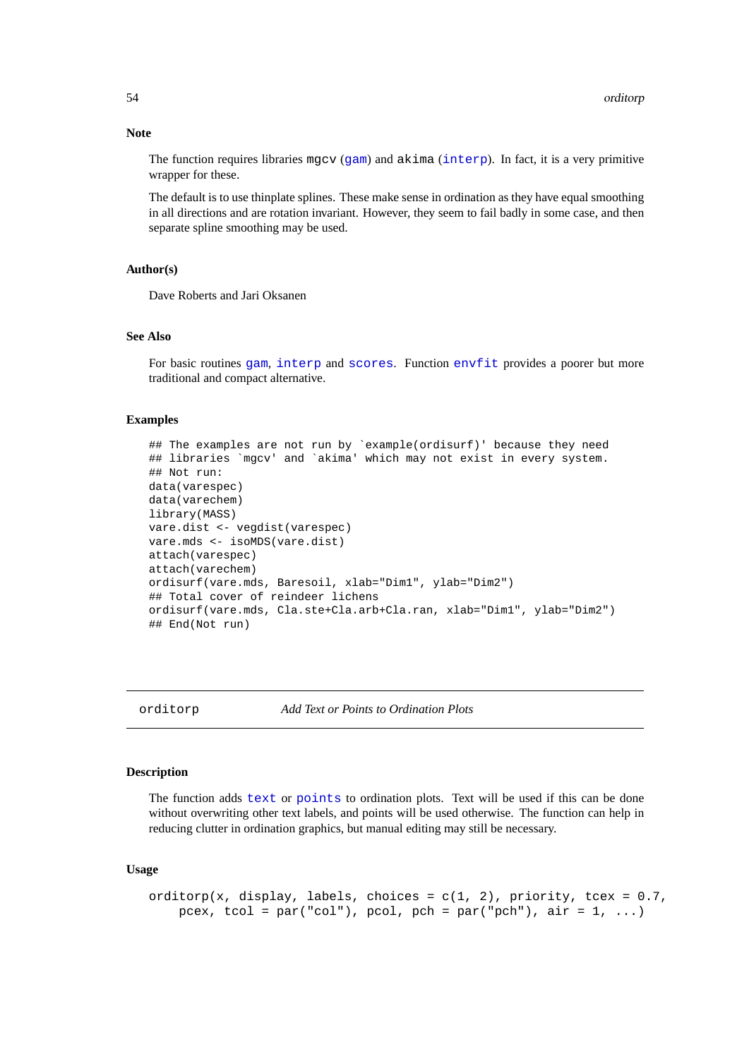#### **Note**

The function requires libraries mgcv ([gam](#page-0-0)) and akima ([interp](#page-0-0)). In fact, it is a very primitive wrapper for these.

The default is to use thinplate splines. These make sense in ordination as they have equal smoothing in all directions and are rotation invariant. However, they seem to fail badly in some case, and then separate spline smoothing may be used.

# **Author(s)**

Dave Roberts and Jari Oksanen

# **See Also**

For basic routines [gam](#page-0-0), [interp](#page-0-0) and [scores](#page-68-0). Function [envfit](#page-26-0) provides a poorer but more traditional and compact alternative.

#### **Examples**

```
## The examples are not run by `example(ordisurf)' because they need
## libraries `mgcv' and `akima' which may not exist in every system.
## Not run:
data(varespec)
data(varechem)
library(MASS)
vare.dist <- vegdist(varespec)
vare.mds <- isoMDS(vare.dist)
attach(varespec)
attach(varechem)
ordisurf(vare.mds, Baresoil, xlab="Dim1", ylab="Dim2")
## Total cover of reindeer lichens
ordisurf(vare.mds, Cla.ste+Cla.arb+Cla.ran, xlab="Dim1", ylab="Dim2")
## End(Not run)
```
orditorp *Add Text or Points to Ordination Plots*

## **Description**

The function adds [text](#page-0-0) or [points](#page-0-0) to ordination plots. Text will be used if this can be done without overwriting other text labels, and points will be used otherwise. The function can help in reducing clutter in ordination graphics, but manual editing may still be necessary.

#### **Usage**

```
orditorp(x, display, labels, choices = c(1, 2), priority, tcex = 0.7,
    pcex, tcol = par("col"), pcol, pch = par("pch"), air = 1, ...)
```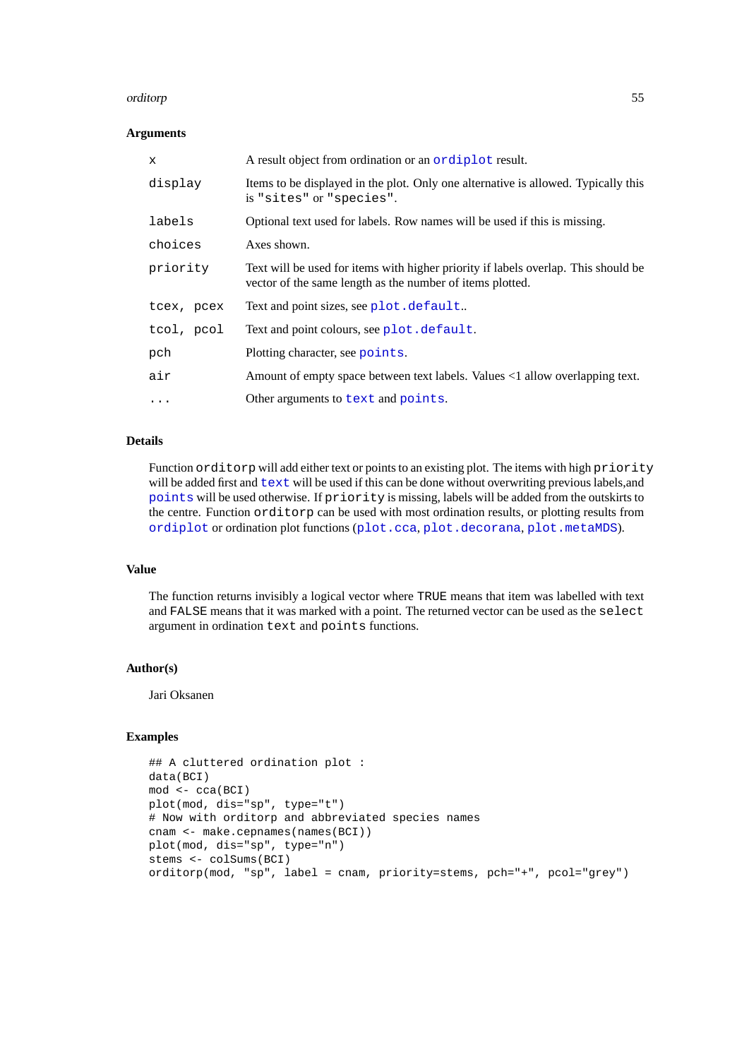### orditorp 55

### **Arguments**

| x          | A result object from ordination or an ordiplot result.                                                                                          |  |
|------------|-------------------------------------------------------------------------------------------------------------------------------------------------|--|
| display    | Items to be displayed in the plot. Only one alternative is allowed. Typically this<br>is "sites" or "species".                                  |  |
| labels     | Optional text used for labels. Row names will be used if this is missing.                                                                       |  |
| choices    | Axes shown.                                                                                                                                     |  |
| priority   | Text will be used for items with higher priority if labels overlap. This should be<br>vector of the same length as the number of items plotted. |  |
| tcex, pcex | Text and point sizes, see plot.default                                                                                                          |  |
| tcol, pcol | Text and point colours, see plot. default.                                                                                                      |  |
| pch        | Plotting character, see points.                                                                                                                 |  |
| air        | Amount of empty space between text labels. Values <1 allow overlapping text.                                                                    |  |
| $\cdots$   | Other arguments to text and points.                                                                                                             |  |

## **Details**

Function orditorp will add either text or points to an existing plot. The items with high priority will be added first and  $text{text will be used if this can be done without overwriting previous labels, and}$  $text{text will be used if this can be done without overwriting previous labels, and}$ [points](#page-0-0) will be used otherwise. If priority is missing, labels will be added from the outskirts to the centre. Function orditorp can be used with most ordination results, or plotting results from [ordiplot](#page-47-0) or ordination plot functions ([plot.cca](#page-55-0), [plot.decorana](#page-15-0), [plot.metaMDS](#page-41-0)).

# **Value**

The function returns invisibly a logical vector where TRUE means that item was labelled with text and FALSE means that it was marked with a point. The returned vector can be used as the select argument in ordination text and points functions.

# **Author(s)**

Jari Oksanen

```
## A cluttered ordination plot :
data(BCI)
mod <- cca(BCI)
plot(mod, dis="sp", type="t")
# Now with orditorp and abbreviated species names
cnam <- make.cepnames(names(BCI))
plot(mod, dis="sp", type="n")
stems <- colSums(BCI)
orditorp(mod, "sp", label = cnam, priority=stems, pch="+", pcol="grey")
```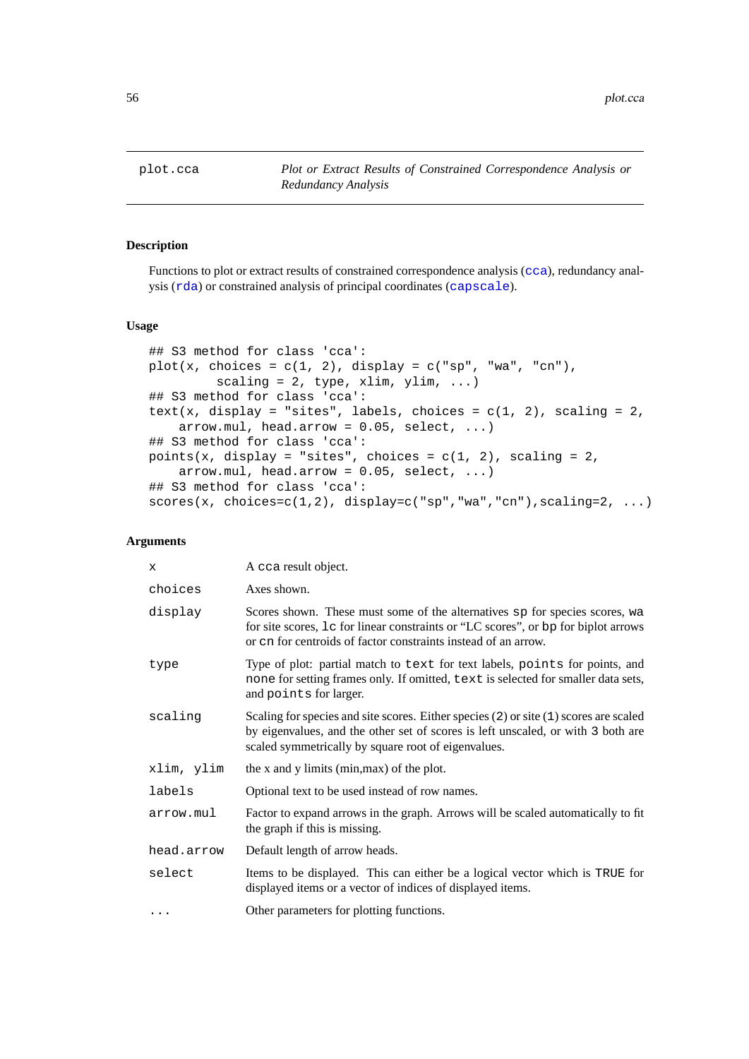<span id="page-55-0"></span>

# <span id="page-55-1"></span>**Description**

Functions to plot or extract results of constrained correspondence analysis ([cca](#page-9-0)), redundancy analysis ([rda](#page-9-1)) or constrained analysis of principal coordinates ([capscale](#page-7-0)).

# **Usage**

```
## S3 method for class 'cca':
plot(x, choices = c(1, 2), display = c("sp", "wa", "cn"),
         scaling = 2, type, xlim, ylim, ...)
## S3 method for class 'cca':
text(x, display = "sites", labels, choices = c(1, 2), scaling = 2,
    arrow.mul, head.array = 0.05, select, ...)## S3 method for class 'cca':
points(x, display = "sites", choices = c(1, 2), scaling = 2,
    arrow.mul, head.arrow = 0.05, select, ...)
## S3 method for class 'cca':
scores(x, choices=c(1,2), display=c("sp","wa","cn"),scaling=2, ...)
```
### **Arguments**

| X          | A cca result object.                                                                                                                                                                                                                |
|------------|-------------------------------------------------------------------------------------------------------------------------------------------------------------------------------------------------------------------------------------|
| choices    | Axes shown.                                                                                                                                                                                                                         |
| display    | Scores shown. These must some of the alternatives sp for species scores, wa<br>for site scores, Le for linear constraints or "LC scores", or bp for biplot arrows<br>or cn for centroids of factor constraints instead of an arrow. |
| type       | Type of plot: partial match to text for text labels, points for points, and<br>none for setting frames only. If omitted, text is selected for smaller data sets,<br>and points for larger.                                          |
| scaling    | Scaling for species and site scores. Either species (2) or site (1) scores are scaled<br>by eigenvalues, and the other set of scores is left unscaled, or with 3 both are<br>scaled symmetrically by square root of eigenvalues.    |
| xlim, ylim | the x and y limits (min, max) of the plot.                                                                                                                                                                                          |
| labels     | Optional text to be used instead of row names.                                                                                                                                                                                      |
| arrow.mul  | Factor to expand arrows in the graph. Arrows will be scaled automatically to fit<br>the graph if this is missing.                                                                                                                   |
| head.arrow | Default length of arrow heads.                                                                                                                                                                                                      |
| select     | Items to be displayed. This can either be a logical vector which is TRUE for<br>displayed items or a vector of indices of displayed items.                                                                                          |
|            | Other parameters for plotting functions.                                                                                                                                                                                            |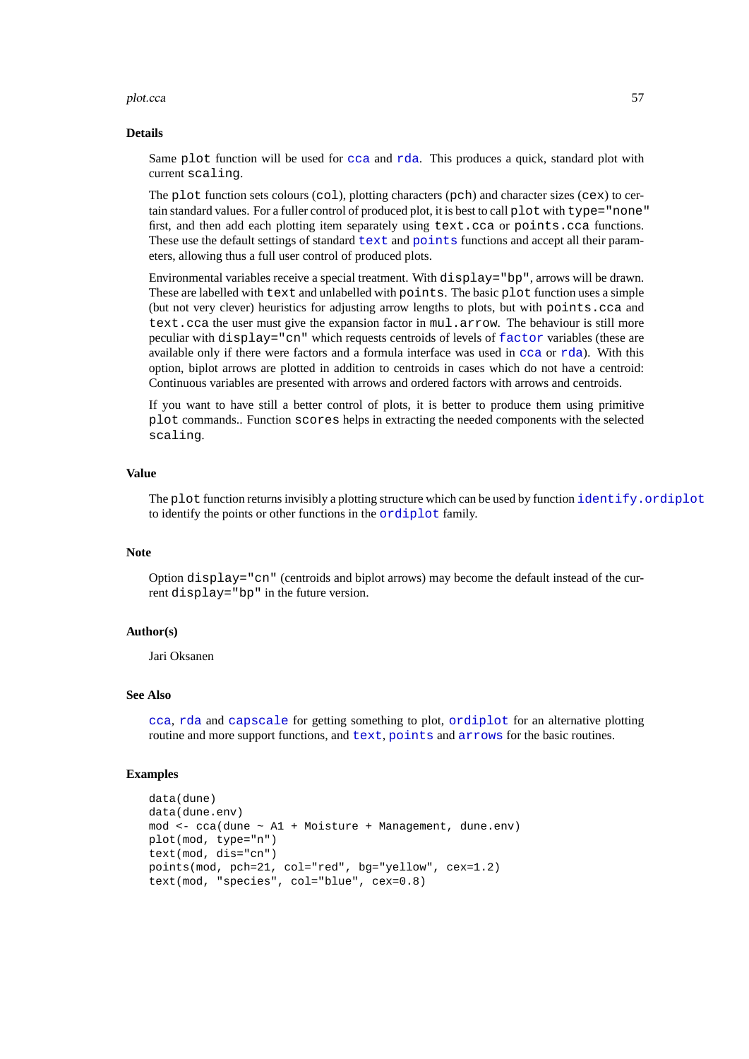### plot.cca 57

#### **Details**

Same plot function will be used for [cca](#page-9-0) and [rda](#page-9-1). This produces a quick, standard plot with current scaling.

The plot function sets colours (col), plotting characters (pch) and character sizes (cex) to certain standard values. For a fuller control of produced plot, it is best to call plot with type="none" first, and then add each plotting item separately using text.cca or points.cca functions. These use the default settings of standard [text](#page-0-0) and [points](#page-0-0) functions and accept all their parameters, allowing thus a full user control of produced plots.

Environmental variables receive a special treatment. With  $display = "bp", arrows will be drawn.$ These are labelled with text and unlabelled with points. The basic plot function uses a simple (but not very clever) heuristics for adjusting arrow lengths to plots, but with points.cca and text.cca the user must give the expansion factor in mul.arrow. The behaviour is still more peculiar with display="cn" which requests centroids of levels of [factor](#page-0-0) variables (these are available only if there were factors and a formula interface was used in [cca](#page-9-0) or [rda](#page-9-1)). With this option, biplot arrows are plotted in addition to centroids in cases which do not have a centroid: Continuous variables are presented with arrows and ordered factors with arrows and centroids.

If you want to have still a better control of plots, it is better to produce them using primitive plot commands.. Function scores helps in extracting the needed components with the selected scaling.

# **Value**

The plot function returns invisibly a plotting structure which can be used by function [identify.ordiplot](#page-47-1) to identify the points or other functions in the [ordiplot](#page-47-0) family.

#### **Note**

Option display="cn" (centroids and biplot arrows) may become the default instead of the current display="bp" in the future version.

### **Author(s)**

Jari Oksanen

# **See Also**

[cca](#page-9-0), [rda](#page-9-1) and [capscale](#page-7-0) for getting something to plot, [ordiplot](#page-47-0) for an alternative plotting routine and more support functions, and [text](#page-0-0), [points](#page-0-0) and [arrows](#page-0-0) for the basic routines.

```
data(dune)
data(dune.env)
mod <- cca(dune ~ A1 + Moisture + Management, dune.env)
plot(mod, type="n")
text(mod, dis="cn")
points(mod, pch=21, col="red", bg="yellow", cex=1.2)
text(mod, "species", col="blue", cex=0.8)
```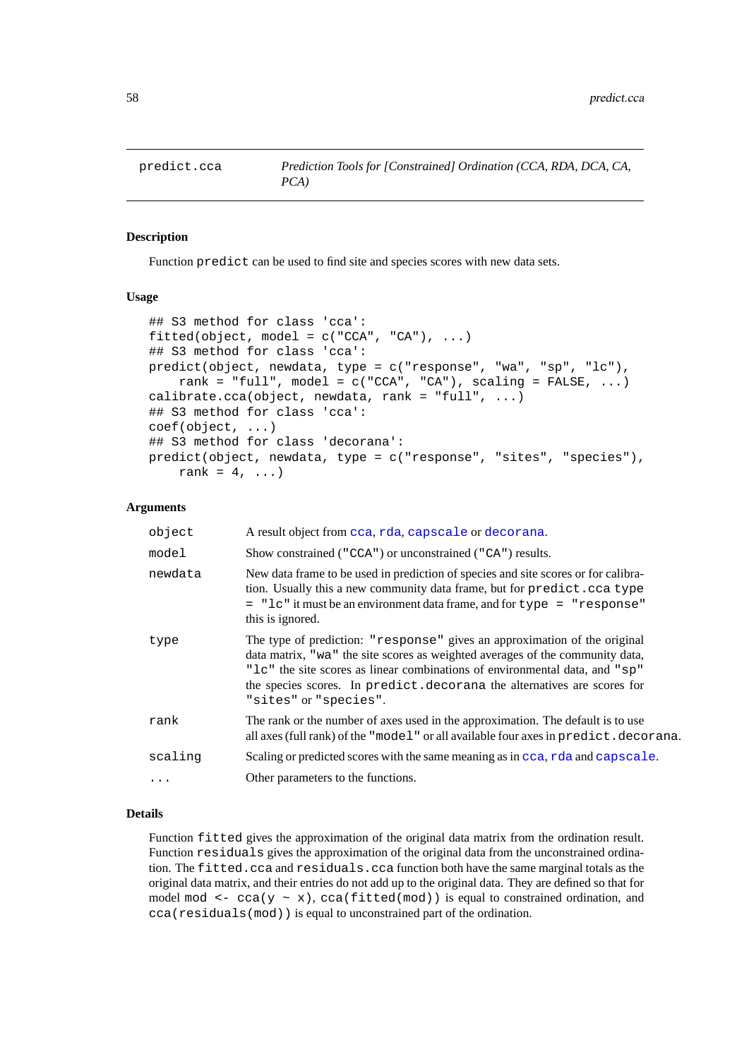#### **Description**

Function predict can be used to find site and species scores with new data sets.

### **Usage**

```
## S3 method for class 'cca':
fitted(object, model = c("CCA", "CA"), ...)## S3 method for class 'cca':
predict(object, newdata, type = c("response", "wa", "sp", "lc"),
    rank = "full", model = c("CCA", "CA"), scaling = FALSE, ...)
calibrate.cca(object, newdata, rank = "full", \dots)
## S3 method for class 'cca':
coef(object, ...)
## S3 method for class 'decorana':
predict(object, newdata, type = c("response", "sites", "species"),
    rank = 4, ...)
```
### **Arguments**

| object     | A result object from cca, rda, capscale or decorana.                                                                                                                                                                                                                                                                                            |
|------------|-------------------------------------------------------------------------------------------------------------------------------------------------------------------------------------------------------------------------------------------------------------------------------------------------------------------------------------------------|
| model      | Show constrained ("CCA") or unconstrained ("CA") results.                                                                                                                                                                                                                                                                                       |
| newdata    | New data frame to be used in prediction of species and site scores or for calibra-<br>tion. Usually this a new community data frame, but for predict.cca type<br>= "lc" it must be an environment data frame, and for type = "response"<br>this is ignored.                                                                                     |
| type       | The type of prediction: "response" gives an approximation of the original<br>data matrix, "wa" the site scores as weighted averages of the community data,<br>" Le" the site scores as linear combinations of environmental data, and "sp"<br>the species scores. In predict. decorana the alternatives are scores for<br>"sites" or "species". |
| rank       | The rank or the number of axes used in the approximation. The default is to use<br>all axes (full rank) of the "model" or all available four axes in predict.decorana.                                                                                                                                                                          |
| scaling    | Scaling or predicted scores with the same meaning as in cca, rda and capscale.                                                                                                                                                                                                                                                                  |
| $\ddots$ . | Other parameters to the functions.                                                                                                                                                                                                                                                                                                              |

### **Details**

Function fitted gives the approximation of the original data matrix from the ordination result. Function residuals gives the approximation of the original data from the unconstrained ordination. The fitted.cca and residuals.cca function both have the same marginal totals as the original data matrix, and their entries do not add up to the original data. They are defined so that for model mod <-  $cca(y \sim x)$ ,  $cca(fitted(mod))$  is equal to constrained ordination, and cca(residuals(mod)) is equal to unconstrained part of the ordination.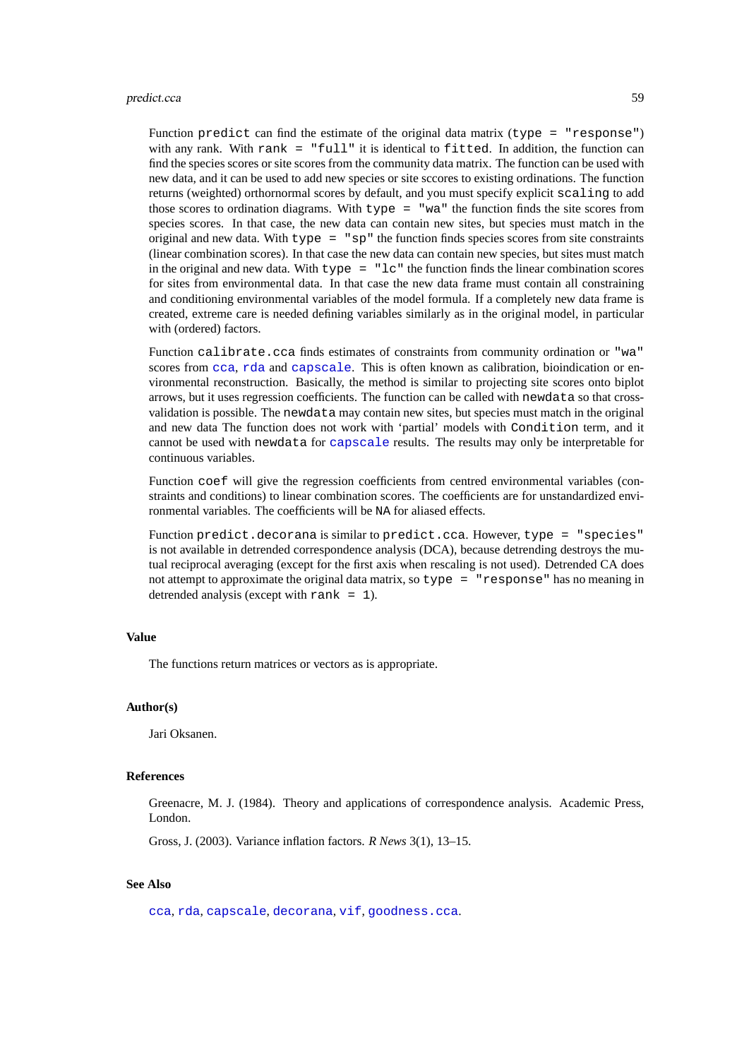Function predict can find the estimate of the original data matrix (type  $=$  "response") with any rank. With rank  $=$  "full" it is identical to fitted. In addition, the function can find the species scores or site scores from the community data matrix. The function can be used with new data, and it can be used to add new species or site sccores to existing ordinations. The function returns (weighted) orthornormal scores by default, and you must specify explicit scaling to add those scores to ordination diagrams. With type = "wa" the function finds the site scores from species scores. In that case, the new data can contain new sites, but species must match in the original and new data. With type = "sp" the function finds species scores from site constraints (linear combination scores). In that case the new data can contain new species, but sites must match in the original and new data. With type  $=$  " $1c$ " the function finds the linear combination scores for sites from environmental data. In that case the new data frame must contain all constraining and conditioning environmental variables of the model formula. If a completely new data frame is created, extreme care is needed defining variables similarly as in the original model, in particular with (ordered) factors.

Function calibrate.cca finds estimates of constraints from community ordination or "wa" scores from [cca](#page-9-0), [rda](#page-9-1) and [capscale](#page-7-0). This is often known as calibration, bioindication or environmental reconstruction. Basically, the method is similar to projecting site scores onto biplot arrows, but it uses regression coefficients. The function can be called with newdata so that crossvalidation is possible. The newdata may contain new sites, but species must match in the original and new data The function does not work with 'partial' models with Condition term, and it cannot be used with newdata for [capscale](#page-7-0) results. The results may only be interpretable for continuous variables.

Function coef will give the regression coefficients from centred environmental variables (constraints and conditions) to linear combination scores. The coefficients are for unstandardized environmental variables. The coefficients will be NA for aliased effects.

Function predict.decorana is similar to predict.cca. However, type = "species" is not available in detrended correspondence analysis (DCA), because detrending destroys the mutual reciprocal averaging (except for the first axis when rescaling is not used). Detrended CA does not attempt to approximate the original data matrix, so type = "response" has no meaning in detrended analysis (except with rank  $= 1$ ).

### **Value**

The functions return matrices or vectors as is appropriate.

# **Author(s)**

Jari Oksanen.

### **References**

Greenacre, M. J. (1984). Theory and applications of correspondence analysis. Academic Press, London.

Gross, J. (2003). Variance inflation factors. *R News* 3(1), 13–15.

# **See Also**

[cca](#page-9-0), [rda](#page-9-1), [capscale](#page-7-0), [decorana](#page-15-1), [vif](#page-0-0), [goodness.cca](#page-32-0).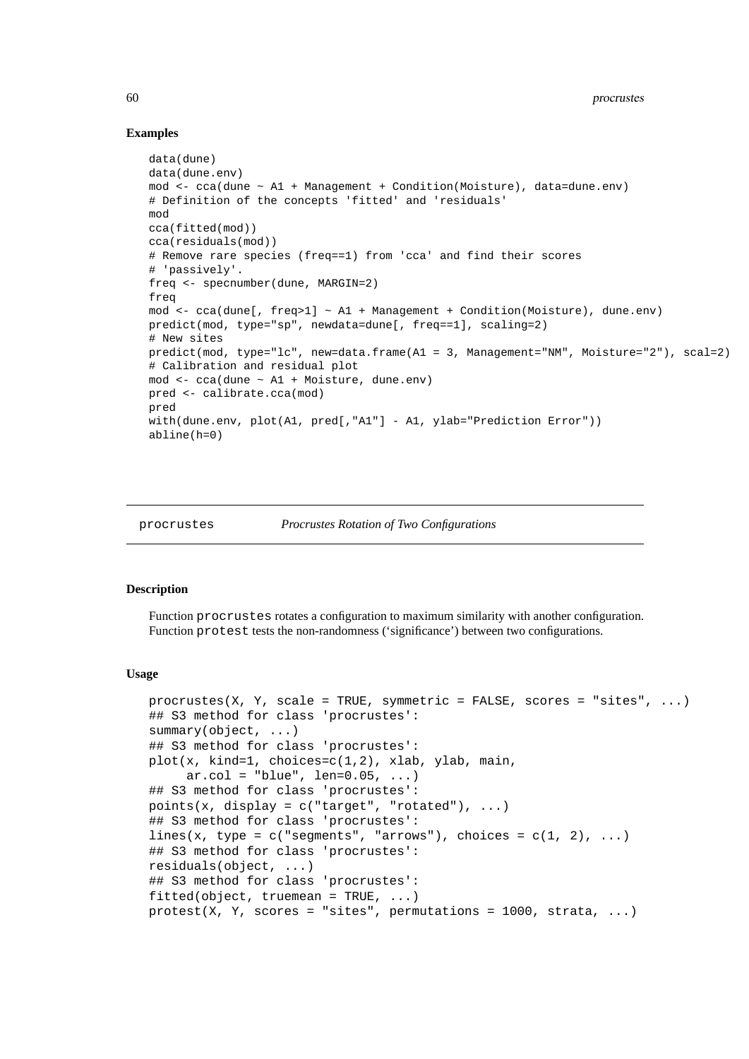## **Examples**

```
data(dune)
data(dune.env)
mod <- cca(dune ~ A1 + Management + Condition(Moisture), data=dune.env)
# Definition of the concepts 'fitted' and 'residuals'
mod
cca(fitted(mod))
cca(residuals(mod))
# Remove rare species (freq==1) from 'cca' and find their scores
# 'passively'.
freq <- specnumber(dune, MARGIN=2)
freq
mod <- cca(dune[, freq>1] ~ A1 + Management + Condition(Moisture), dune.env)
predict(mod, type="sp", newdata=dune[, freq==1], scaling=2)
# New sites
predict(mod, type="lc", new=data.frame(A1 = 3, Management="NM", Moisture="2"), scal=2)
# Calibration and residual plot
mod <- cca(dune ~ A1 + Moisture, dune.env)
pred <- calibrate.cca(mod)
pred
with(dune.env, plot(A1, pred[,"A1"] - A1, ylab="Prediction Error"))
abline(h=0)
```

```
procrustes Procrustes Rotation of Two Configurations
```
#### <span id="page-59-0"></span>**Description**

Function procrustes rotates a configuration to maximum similarity with another configuration. Function protest tests the non-randomness ('significance') between two configurations.

#### **Usage**

```
procrustes(X, Y, scale = TRUE, symmetric = FALSE, scores = "sites", \dots)
## S3 method for class 'procrustes':
summary(object, ...)
## S3 method for class 'procrustes':
plot(x, kind=1, choices=c(1,2), xlab, ylab, main,
     ar.col = "blue", len=0.05, ...)## S3 method for class 'procrustes':
points(x, display = c("target", "rotated"), ...)
## S3 method for class 'procrustes':
lines(x, type = c("segments", "arrows"), choices = <math>c(1, 2), ...)</math>## S3 method for class 'procrustes':
residuals(object, ...)
## S3 method for class 'procrustes':
fitted(object, truemean = TRUE, ...)
protest(X, Y, scores = "sites", permutations = 1000, strata, ...)
```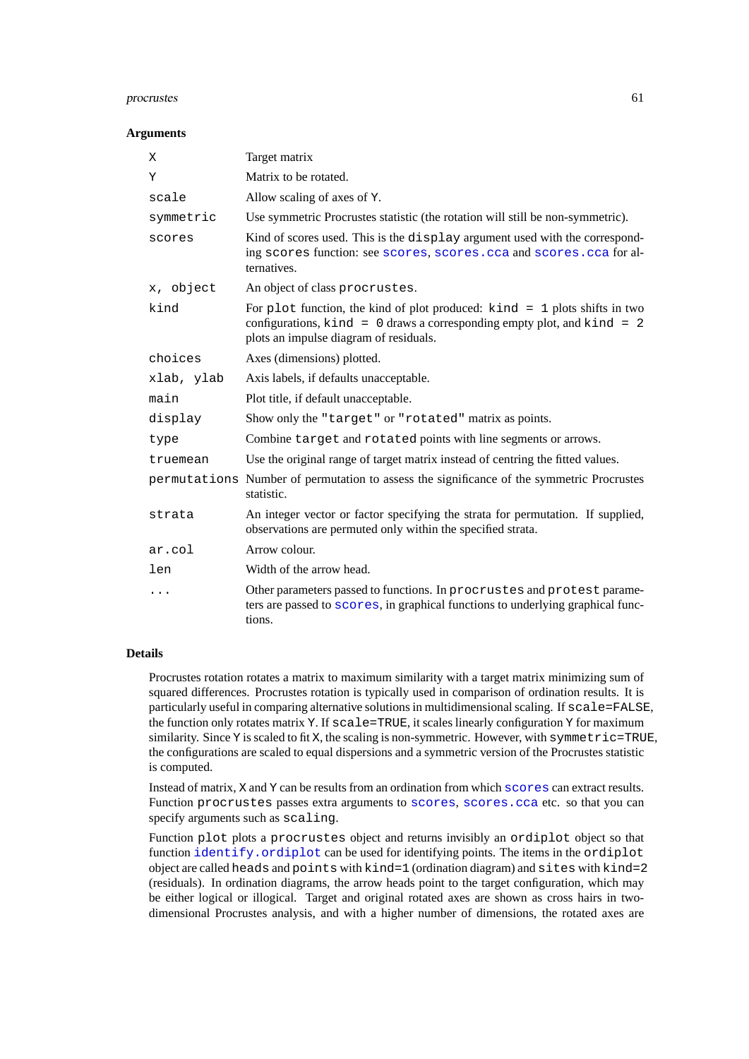### procrustes 61

## **Arguments**

| Χ          | Target matrix                                                                                                                                                                                               |
|------------|-------------------------------------------------------------------------------------------------------------------------------------------------------------------------------------------------------------|
| Υ          | Matrix to be rotated.                                                                                                                                                                                       |
| scale      | Allow scaling of axes of Y.                                                                                                                                                                                 |
| symmetric  | Use symmetric Procrustes statistic (the rotation will still be non-symmetric).                                                                                                                              |
| scores     | Kind of scores used. This is the display argument used with the correspond-<br>ing scores function: see scores, scores.cca and scores.cca for al-<br>ternatives.                                            |
| x, object  | An object of class procrustes.                                                                                                                                                                              |
| kind       | For plot function, the kind of plot produced: $\kappa$ ind = 1 plots shifts in two<br>configurations, $kind = 0$ draws a corresponding empty plot, and $kind = 2$<br>plots an impulse diagram of residuals. |
| choices    | Axes (dimensions) plotted.                                                                                                                                                                                  |
| xlab, ylab | Axis labels, if defaults unacceptable.                                                                                                                                                                      |
| main       | Plot title, if default unacceptable.                                                                                                                                                                        |
| display    | Show only the "target" or "rotated" matrix as points.                                                                                                                                                       |
| type       | Combine target and rotated points with line segments or arrows.                                                                                                                                             |
| truemean   | Use the original range of target matrix instead of centring the fitted values.                                                                                                                              |
|            | permutations Number of permutation to assess the significance of the symmetric Procrustes<br>statistic.                                                                                                     |
| strata     | An integer vector or factor specifying the strata for permutation. If supplied,<br>observations are permuted only within the specified strata.                                                              |
| ar.col     | Arrow colour.                                                                                                                                                                                               |
| len        | Width of the arrow head.                                                                                                                                                                                    |
| .          | Other parameters passed to functions. In procrustes and protest parame-<br>ters are passed to scores, in graphical functions to underlying graphical func-<br>tions.                                        |

# **Details**

Procrustes rotation rotates a matrix to maximum similarity with a target matrix minimizing sum of squared differences. Procrustes rotation is typically used in comparison of ordination results. It is particularly useful in comparing alternative solutions in multidimensional scaling. If scale=FALSE, the function only rotates matrix Y. If scale=TRUE, it scales linearly configuration Y for maximum similarity. Since Y is scaled to fit X, the scaling is non-symmetric. However, with symmetric=TRUE, the configurations are scaled to equal dispersions and a symmetric version of the Procrustes statistic is computed.

Instead of matrix, X and Y can be results from an ordination from which [scores](#page-68-0) can extract results. Function procrustes passes extra arguments to [scores](#page-68-0), [scores.cca](#page-55-1) etc. so that you can specify arguments such as scaling.

Function plot plots a procrustes object and returns invisibly an ordiplot object so that function [identify.ordiplot](#page-47-1) can be used for identifying points. The items in the ordiplot object are called heads and points with kind=1 (ordination diagram) and sites with kind=2 (residuals). In ordination diagrams, the arrow heads point to the target configuration, which may be either logical or illogical. Target and original rotated axes are shown as cross hairs in twodimensional Procrustes analysis, and with a higher number of dimensions, the rotated axes are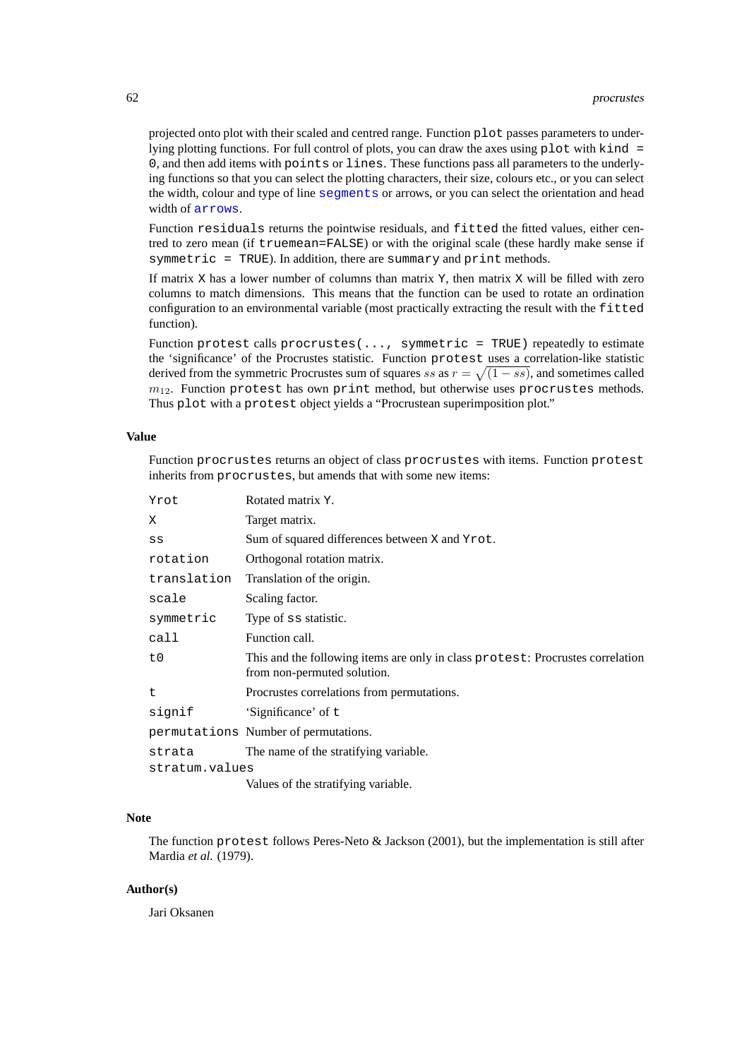projected onto plot with their scaled and centred range. Function plot passes parameters to underlying plotting functions. For full control of plots, you can draw the axes using plot with kind = 0, and then add items with points or lines. These functions pass all parameters to the underlying functions so that you can select the plotting characters, their size, colours etc., or you can select the width, colour and type of line [segments](#page-0-0) or arrows, or you can select the orientation and head width of [arrows](#page-0-0).

Function residuals returns the pointwise residuals, and fitted the fitted values, either centred to zero mean (if truemean=FALSE) or with the original scale (these hardly make sense if symmetric = TRUE). In addition, there are summary and print methods.

If matrix  $X$  has a lower number of columns than matrix  $Y$ , then matrix  $X$  will be filled with zero columns to match dimensions. This means that the function can be used to rotate an ordination configuration to an environmental variable (most practically extracting the result with the fitted function).

Function protest calls procrustes(..., symmetric = TRUE) repeatedly to estimate the 'significance' of the Procrustes statistic. Function protest uses a correlation-like statistic derived from the symmetric Procrustes sum of squares ss as  $r = \sqrt{(1 - ss)}$ , and sometimes called  $m_{12}$ . Function protest has own print method, but otherwise uses procrustes methods. Thus plot with a protest object yields a "Procrustean superimposition plot."

### **Value**

Function procrustes returns an object of class procrustes with items. Function protest inherits from procrustes, but amends that with some new items:

| Yrot           | Rotated matrix Y.                                                                                             |  |
|----------------|---------------------------------------------------------------------------------------------------------------|--|
| X.             | Target matrix.                                                                                                |  |
| $_{\rm SS}$    | Sum of squared differences between X and Yrot.                                                                |  |
| rotation       | Orthogonal rotation matrix.                                                                                   |  |
| translation    | Translation of the origin.                                                                                    |  |
| scale          | Scaling factor.                                                                                               |  |
| symmetric      | Type of ss statistic.                                                                                         |  |
| call           | Function call.                                                                                                |  |
| t0             | This and the following items are only in class protest: Procrustes correlation<br>from non-permuted solution. |  |
| t              | Procrustes correlations from permutations.                                                                    |  |
| signif         | 'Significance' of t                                                                                           |  |
|                | permutations Number of permutations.                                                                          |  |
| strata         | The name of the stratifying variable.                                                                         |  |
| stratum.values |                                                                                                               |  |
|                | Values of the stratifying variable.                                                                           |  |

### **Note**

The function protest follows Peres-Neto & Jackson (2001), but the implementation is still after Mardia *et al.* (1979).

# **Author(s)**

Jari Oksanen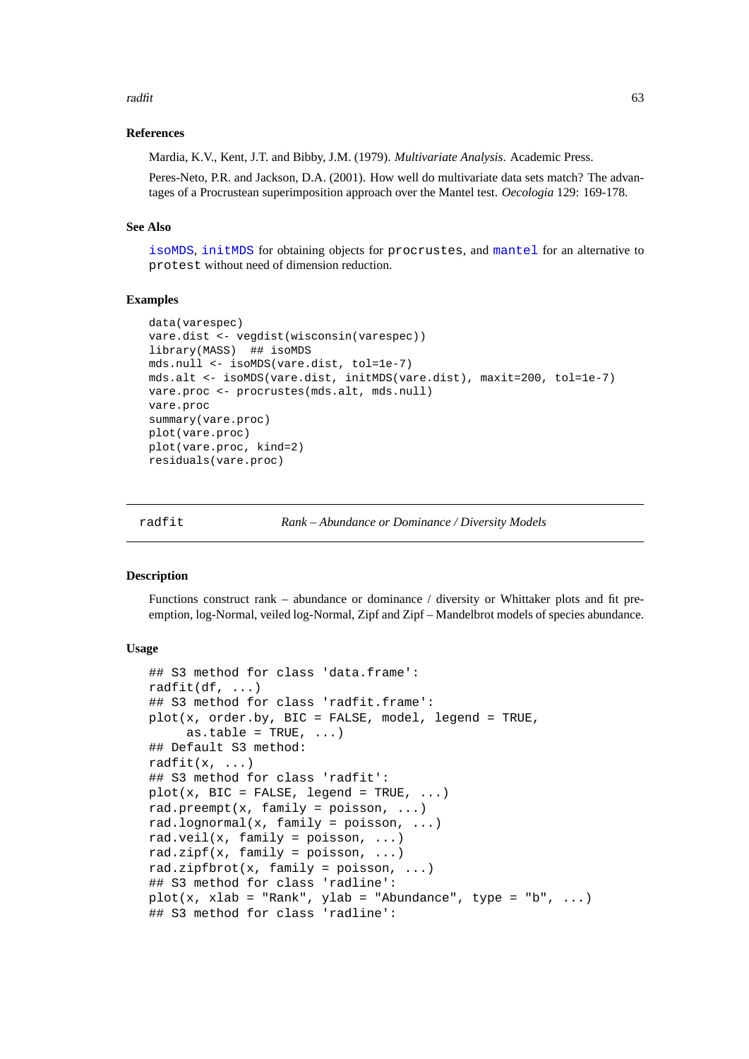### radfit 63

### **References**

Mardia, K.V., Kent, J.T. and Bibby, J.M. (1979). *Multivariate Analysis*. Academic Press.

Peres-Neto, P.R. and Jackson, D.A. (2001). How well do multivariate data sets match? The advantages of a Procrustean superimposition approach over the Mantel test. *Oecologia* 129: 169-178.

# **See Also**

[isoMDS](#page-0-0), [initMDS](#page-41-0) for obtaining objects for procrustes, and [mantel](#page-40-0) for an alternative to protest without need of dimension reduction.

#### **Examples**

```
data(varespec)
vare.dist <- vegdist(wisconsin(varespec))
library(MASS) ## isoMDS
mds.null <- isoMDS(vare.dist, tol=1e-7)
mds.alt <- isoMDS(vare.dist, initMDS(vare.dist), maxit=200, tol=1e-7)
vare.proc <- procrustes(mds.alt, mds.null)
vare.proc
summary(vare.proc)
plot(vare.proc)
plot(vare.proc, kind=2)
residuals(vare.proc)
```
radfit *Rank – Abundance or Dominance / Diversity Models*

#### <span id="page-62-0"></span>**Description**

Functions construct rank – abundance or dominance / diversity or Whittaker plots and fit preemption, log-Normal, veiled log-Normal, Zipf and Zipf – Mandelbrot models of species abundance.

#### **Usage**

```
## S3 method for class 'data.frame':
radfit(df, \ldots)## S3 method for class 'radfit.frame':
plot(x, order.by, BIC = FALSE, model, legend = TRUE,
     as.table = TRUE, ...)
## Default S3 method:
radfit(x, \ldots)## S3 method for class 'radfit':
plot(x, BIC = FALSE, legend = TRUE, ...)rad.preempt(x, family = poisson, \ldots)
rad.lognormal(x, family = poisson, \ldots)
rad.veil(x, family = poisson, \ldots)
rad.zipf(x, family = poisson, \ldots)
rad.zipfbrot(x, family = poisson, ...)
## S3 method for class 'radline':
plot(x, xlab = "Rank", ylab = "Abundance", type = "b", ...)## S3 method for class 'radline':
```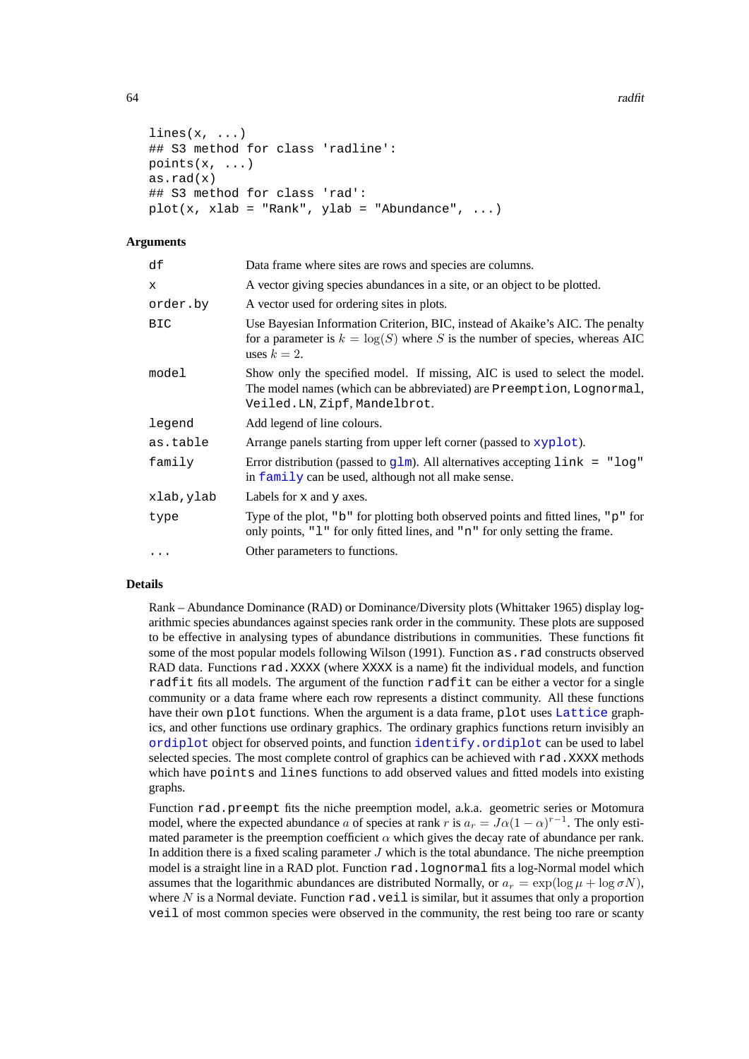```
lines(x, \ldots)## S3 method for class 'radline':
points(x, ...)
as.rad(x)
## S3 method for class 'rad':
plot(x, xlab = "Rank", ylab = "Abundance", ...)
```
# **Arguments**

| df        | Data frame where sites are rows and species are columns.                                                                                                                             |
|-----------|--------------------------------------------------------------------------------------------------------------------------------------------------------------------------------------|
| x         | A vector giving species abundances in a site, or an object to be plotted.                                                                                                            |
| order.by  | A vector used for ordering sites in plots.                                                                                                                                           |
| BIC       | Use Bayesian Information Criterion, BIC, instead of Akaike's AIC. The penalty<br>for a parameter is $k = \log(S)$ where S is the number of species, whereas AIC<br>uses $k=2$ .      |
| model     | Show only the specified model. If missing, AIC is used to select the model.<br>The model names (which can be abbreviated) are Preemption, Lognormal,<br>Veiled.LN, Zipf, Mandelbrot. |
| legend    | Add legend of line colours.                                                                                                                                                          |
| as.table  | Arrange panels starting from upper left corner (passed to xyplot).                                                                                                                   |
| family    | Error distribution (passed to $g1m$ ). All alternatives accepting $1ink = "log"$<br>in family can be used, although not all make sense.                                              |
| xlab,ylab | Labels for $x$ and $y$ axes.                                                                                                                                                         |
| type      | Type of the plot, "b" for plotting both observed points and fitted lines, "p" for<br>only points, "1" for only fitted lines, and "n" for only setting the frame.                     |
| $\cdots$  | Other parameters to functions.                                                                                                                                                       |

### **Details**

Rank – Abundance Dominance (RAD) or Dominance/Diversity plots (Whittaker 1965) display logarithmic species abundances against species rank order in the community. These plots are supposed to be effective in analysing types of abundance distributions in communities. These functions fit some of the most popular models following Wilson (1991). Function as . rad constructs observed RAD data. Functions rad.XXXX (where XXXX is a name) fit the individual models, and function radfit fits all models. The argument of the function radfit can be either a vector for a single community or a data frame where each row represents a distinct community. All these functions have their own plot functions. When the argument is a data frame, plot uses [Lattice](#page-0-0) graphics, and other functions use ordinary graphics. The ordinary graphics functions return invisibly an [ordiplot](#page-47-0) object for observed points, and function [identify.ordiplot](#page-47-1) can be used to label selected species. The most complete control of graphics can be achieved with rad.XXXX methods which have points and lines functions to add observed values and fitted models into existing graphs.

Function rad.preempt fits the niche preemption model, a.k.a. geometric series or Motomura model, where the expected abundance a of species at rank r is  $a_r = J\alpha(1-\alpha)^{r-1}$ . The only estimated parameter is the preemption coefficient  $\alpha$  which gives the decay rate of abundance per rank. In addition there is a fixed scaling parameter  $J$  which is the total abundance. The niche preemption model is a straight line in a RAD plot. Function rad.lognormal fits a log-Normal model which assumes that the logarithmic abundances are distributed Normally, or  $a_r = \exp(\log \mu + \log \sigma N)$ , where N is a Normal deviate. Function  $rad$ . veil is similar, but it assumes that only a proportion veil of most common species were observed in the community, the rest being too rare or scanty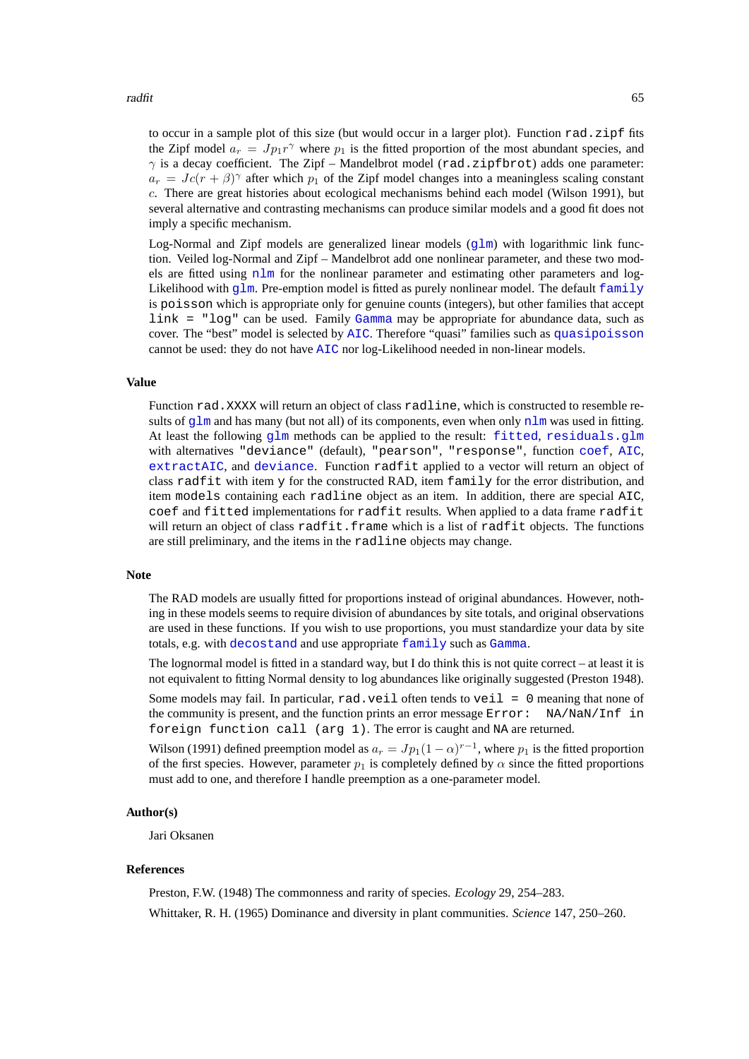to occur in a sample plot of this size (but would occur in a larger plot). Function rad.zipf fits the Zipf model  $a_r = J p_1 r^{\gamma}$  where  $p_1$  is the fitted proportion of the most abundant species, and  $\gamma$  is a decay coefficient. The Zipf – Mandelbrot model (rad.zipfbrot) adds one parameter:  $a_r = Jc(r + \beta)^\gamma$  after which  $p_1$  of the Zipf model changes into a meaningless scaling constant c. There are great histories about ecological mechanisms behind each model (Wilson 1991), but several alternative and contrasting mechanisms can produce similar models and a good fit does not imply a specific mechanism.

Log-Normal and Zipf models are generalized linear models  $(q \text{1m})$  with logarithmic link function. Veiled log-Normal and Zipf – Mandelbrot add one nonlinear parameter, and these two models are fitted using [nlm](#page-0-0) for the nonlinear parameter and estimating other parameters and log-Likelihood with  $g\ln$ . Pre-emption model is fitted as purely nonlinear model. The default [family](#page-0-0) is poisson which is appropriate only for genuine counts (integers), but other families that accept link = "log" can be used. Family [Gamma](#page-0-0) may be appropriate for abundance data, such as cover. The "best" model is selected by [AIC](#page-0-0). Therefore "quasi" families such as [quasipoisson](#page-0-0) cannot be used: they do not have [AIC](#page-0-0) nor log-Likelihood needed in non-linear models.

# **Value**

Function rad.XXXX will return an object of class radline, which is constructed to resemble results of  $g\ln$  and has many (but not all) of its components, even when only  $n\ln$  was used in fitting. At least the following [glm](#page-0-0) methods can be applied to the result: [fitted](#page-0-0), [residuals.glm](#page-0-0) with alternatives "deviance" (default), "pearson", "response", function [coef](#page-0-0), [AIC](#page-0-0), [extractAIC](#page-0-0), and [deviance](#page-0-0). Function radfit applied to a vector will return an object of class radfit with item y for the constructed RAD, item family for the error distribution, and item models containing each radline object as an item. In addition, there are special AIC, coef and fitted implementations for radfit results. When applied to a data frame radfit will return an object of class radfit.frame which is a list of radfit objects. The functions are still preliminary, and the items in the radline objects may change.

### **Note**

The RAD models are usually fitted for proportions instead of original abundances. However, nothing in these models seems to require division of abundances by site totals, and original observations are used in these functions. If you wish to use proportions, you must standardize your data by site totals, e.g. with [decostand](#page-18-1) and use appropriate [family](#page-0-0) such as [Gamma](#page-0-0).

The lognormal model is fitted in a standard way, but I do think this is not quite correct – at least it is not equivalent to fitting Normal density to log abundances like originally suggested (Preston 1948).

Some models may fail. In particular,  $rad$ ,  $veil$  often tends to  $veil = 0$  meaning that none of the community is present, and the function prints an error message Error: NA/NaN/Inf in foreign function call (arg 1). The error is caught and NA are returned.

Wilson (1991) defined preemption model as  $a_r = Jp_1(1-\alpha)^{r-1}$ , where  $p_1$  is the fitted proportion of the first species. However, parameter  $p_1$  is completely defined by  $\alpha$  since the fitted proportions must add to one, and therefore I handle preemption as a one-parameter model.

### **Author(s)**

Jari Oksanen

#### **References**

Preston, F.W. (1948) The commonness and rarity of species. *Ecology* 29, 254–283.

Whittaker, R. H. (1965) Dominance and diversity in plant communities. *Science* 147, 250–260.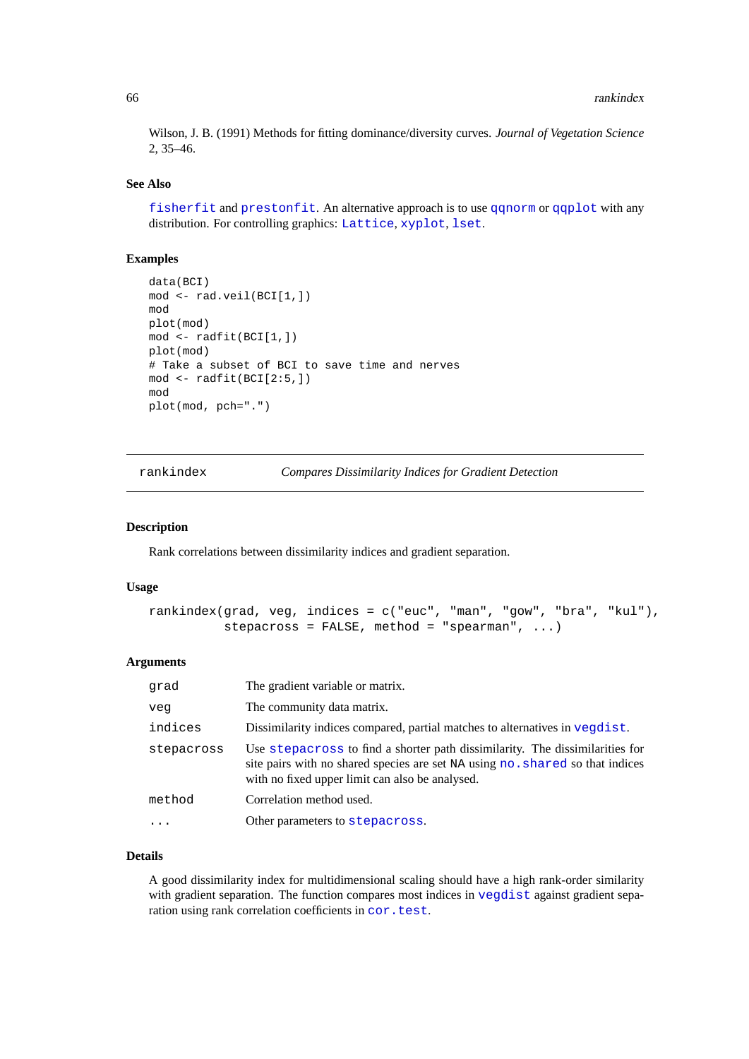Wilson, J. B. (1991) Methods for fitting dominance/diversity curves. *Journal of Vegetation Science* 2, 35–46.

### **See Also**

[fisherfit](#page-29-0) and [prestonfit](#page-29-1). An alternative approach is to use [qqnorm](#page-0-0) or [qqplot](#page-0-0) with any distribution. For controlling graphics: [Lattice](#page-0-0), [xyplot](#page-0-0), [lset](#page-0-0).

# **Examples**

```
data(BCI)
mod <- rad.veil(BCI[1,])
mod
plot(mod)
mod <- radfit(BCI[1,])
plot(mod)
# Take a subset of BCI to save time and nerves
mod \leftarrow radfit(BCI[2:5,])mod
plot(mod, pch=".")
```
<span id="page-65-0"></span>rankindex *Compares Dissimilarity Indices for Gradient Detection*

### **Description**

Rank correlations between dissimilarity indices and gradient separation.

# **Usage**

```
rankindex(grad, veg, indices = c("euc", "man", "gow", "bra", "kul"),
          stepacross = FALSE, method = "spearman", ...)
```
#### **Arguments**

| qrad       | The gradient variable or matrix.                                                                                                                                                                                 |
|------------|------------------------------------------------------------------------------------------------------------------------------------------------------------------------------------------------------------------|
| veq        | The community data matrix.                                                                                                                                                                                       |
| indices    | Dissimilarity indices compared, partial matches to alternatives in vegdist.                                                                                                                                      |
| stepacross | Use stepacross to find a shorter path dissimilarity. The dissimilarities for<br>site pairs with no shared species are set NA using no. shared so that indices<br>with no fixed upper limit can also be analysed. |
| method     | Correlation method used.                                                                                                                                                                                         |
|            | Other parameters to stepacross.                                                                                                                                                                                  |
|            |                                                                                                                                                                                                                  |

# **Details**

A good dissimilarity index for multidimensional scaling should have a high rank-order similarity with gradient separation. The function compares most indices in [vegdist](#page-77-0) against gradient separation using rank correlation coefficients in [cor.test](#page-0-0).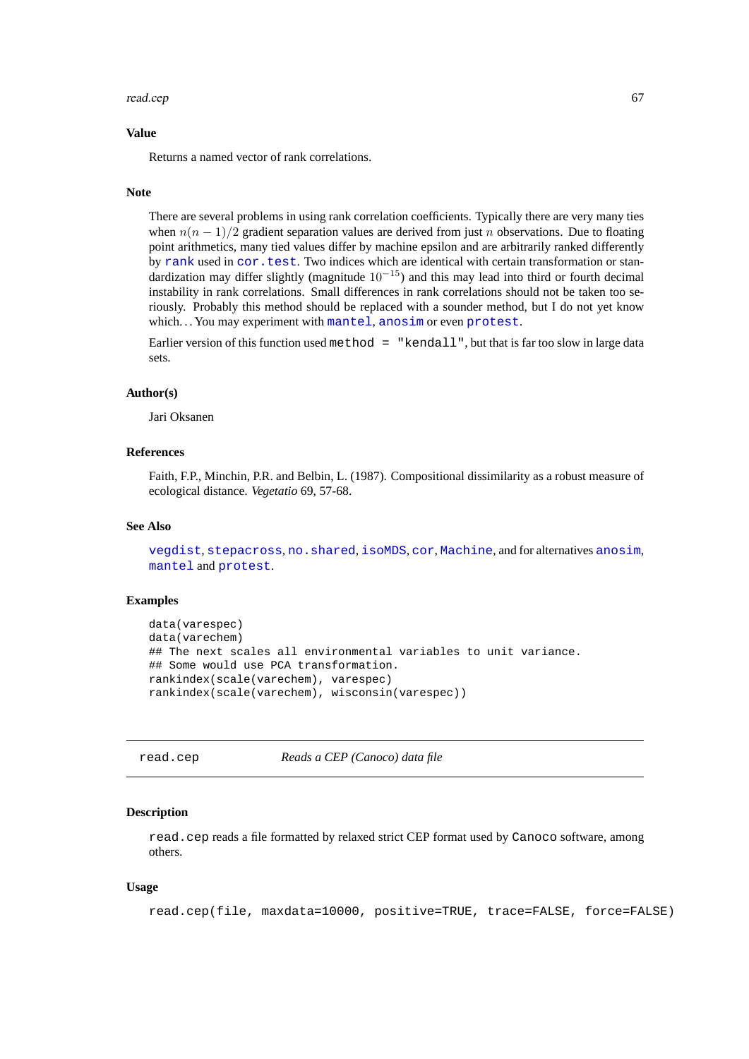### read.cep 67

### **Value**

Returns a named vector of rank correlations.

### **Note**

There are several problems in using rank correlation coefficients. Typically there are very many ties when  $n(n - 1)/2$  gradient separation values are derived from just n observations. Due to floating point arithmetics, many tied values differ by machine epsilon and are arbitrarily ranked differently by [rank](#page-0-0) used in [cor.test](#page-0-0). Two indices which are identical with certain transformation or standardization may differ slightly (magnitude  $10^{-15}$ ) and this may lead into third or fourth decimal instability in rank correlations. Small differences in rank correlations should not be taken too seriously. Probably this method should be replaced with a sounder method, but I do not yet know which. . . You may experiment with [mantel](#page-40-0), [anosim](#page-2-0) or even [protest](#page-59-0).

Earlier version of this function used method  $=$  "kendall", but that is far too slow in large data sets.

# **Author(s)**

Jari Oksanen

# **References**

Faith, F.P., Minchin, P.R. and Belbin, L. (1987). Compositional dissimilarity as a robust measure of ecological distance. *Vegetatio* 69, 57-68.

### **See Also**

[vegdist](#page-77-0), [stepacross](#page-74-0), [no.shared](#page-21-0), [isoMDS](#page-0-0), [cor](#page-0-0), [Machine](#page-0-0), and for alternatives [anosim](#page-2-0), [mantel](#page-40-0) and [protest](#page-59-0).

# **Examples**

```
data(varespec)
data(varechem)
## The next scales all environmental variables to unit variance.
## Some would use PCA transformation.
rankindex(scale(varechem), varespec)
rankindex(scale(varechem), wisconsin(varespec))
```
read.cep *Reads a CEP (Canoco) data file*

#### **Description**

read.cep reads a file formatted by relaxed strict CEP format used by Canoco software, among others.

# **Usage**

```
read.cep(file, maxdata=10000, positive=TRUE, trace=FALSE, force=FALSE)
```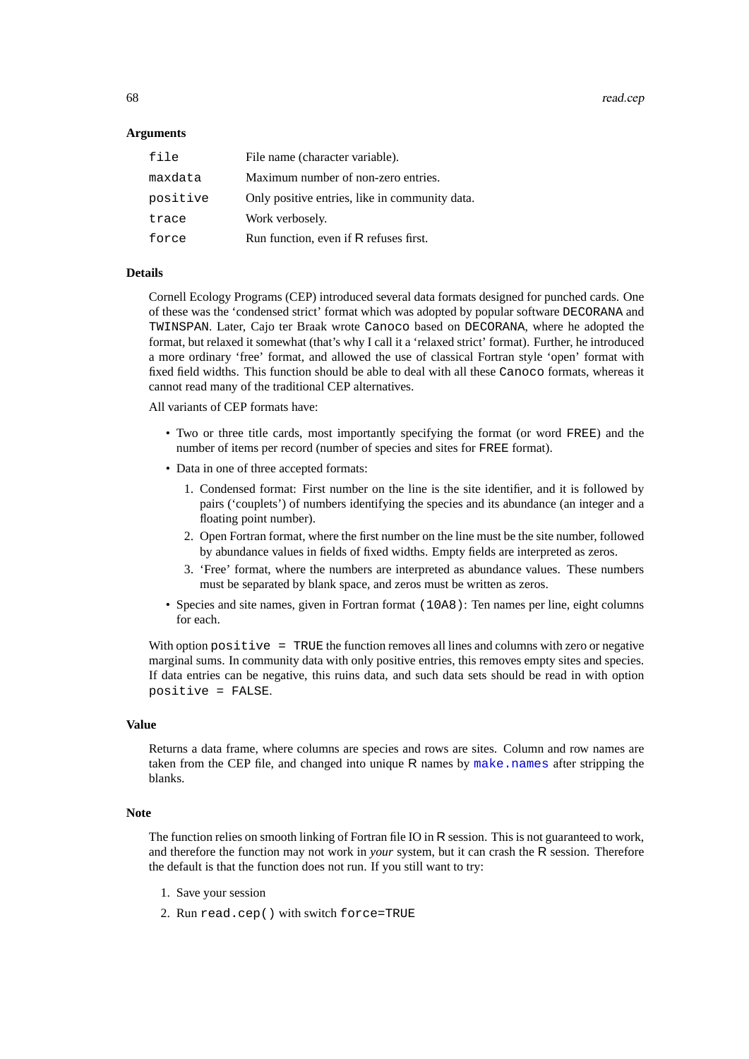68 read.cep

## **Arguments**

| file     | File name (character variable).                |
|----------|------------------------------------------------|
| maxdata  | Maximum number of non-zero entries.            |
| positive | Only positive entries, like in community data. |
| trace    | Work verbosely.                                |
| force    | Run function, even if R refuses first.         |

# **Details**

Cornell Ecology Programs (CEP) introduced several data formats designed for punched cards. One of these was the 'condensed strict' format which was adopted by popular software DECORANA and TWINSPAN. Later, Cajo ter Braak wrote Canoco based on DECORANA, where he adopted the format, but relaxed it somewhat (that's why I call it a 'relaxed strict' format). Further, he introduced a more ordinary 'free' format, and allowed the use of classical Fortran style 'open' format with fixed field widths. This function should be able to deal with all these Canoco formats, whereas it cannot read many of the traditional CEP alternatives.

All variants of CEP formats have:

- Two or three title cards, most importantly specifying the format (or word FREE) and the number of items per record (number of species and sites for FREE format).
- Data in one of three accepted formats:
	- 1. Condensed format: First number on the line is the site identifier, and it is followed by pairs ('couplets') of numbers identifying the species and its abundance (an integer and a floating point number).
	- 2. Open Fortran format, where the first number on the line must be the site number, followed by abundance values in fields of fixed widths. Empty fields are interpreted as zeros.
	- 3. 'Free' format, where the numbers are interpreted as abundance values. These numbers must be separated by blank space, and zeros must be written as zeros.
- Species and site names, given in Fortran format (10A8): Ten names per line, eight columns for each.

With option positive = TRUE the function removes all lines and columns with zero or negative marginal sums. In community data with only positive entries, this removes empty sites and species. If data entries can be negative, this ruins data, and such data sets should be read in with option positive = FALSE.

## **Value**

Returns a data frame, where columns are species and rows are sites. Column and row names are taken from the CEP file, and changed into unique  $R$  names by [make.names](#page-0-0) after stripping the blanks.

#### **Note**

The function relies on smooth linking of Fortran file IO in R session. This is not guaranteed to work, and therefore the function may not work in *your* system, but it can crash the R session. Therefore the default is that the function does not run. If you still want to try:

- 1. Save your session
- 2. Run read.cep() with switch force=TRUE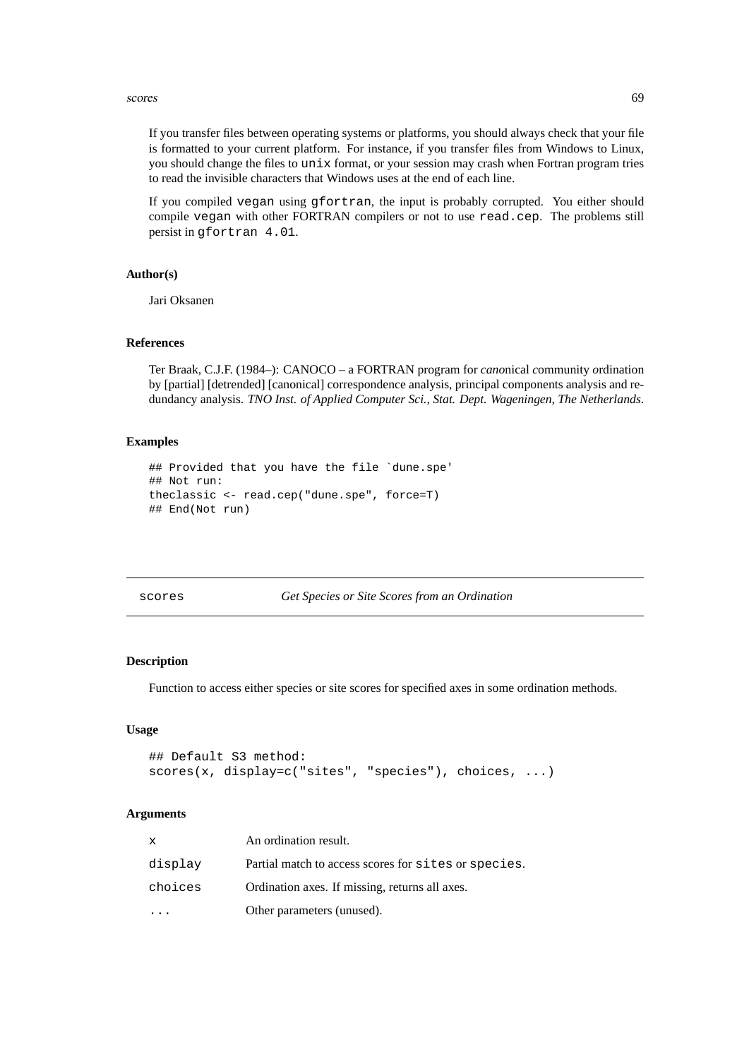### scores 69

If you transfer files between operating systems or platforms, you should always check that your file is formatted to your current platform. For instance, if you transfer files from Windows to Linux, you should change the files to unix format, or your session may crash when Fortran program tries to read the invisible characters that Windows uses at the end of each line.

If you compiled vegan using gfortran, the input is probably corrupted. You either should compile vegan with other FORTRAN compilers or not to use read.cep. The problems still persist in gfortran 4.01.

### **Author(s)**

Jari Oksanen

# **References**

Ter Braak, C.J.F. (1984–): CANOCO – a FORTRAN program for *cano*nical *c*ommunity *o*rdination by [partial] [detrended] [canonical] correspondence analysis, principal components analysis and redundancy analysis. *TNO Inst. of Applied Computer Sci., Stat. Dept. Wageningen, The Netherlands*.

### **Examples**

```
## Provided that you have the file `dune.spe'
## Not run:
theclassic <- read.cep("dune.spe", force=T)
## End(Not run)
```
<span id="page-68-0"></span>scores *Get Species or Site Scores from an Ordination*

#### **Description**

Function to access either species or site scores for specified axes in some ordination methods.

### **Usage**

```
## Default S3 method:
scores(x, display=c("sites", "species"), choices, ...)
```
## **Arguments**

| $\mathbf x$ | An ordination result.                                |
|-------------|------------------------------------------------------|
| display     | Partial match to access scores for sites or species. |
| choices     | Ordination axes. If missing, returns all axes.       |
|             | Other parameters (unused).                           |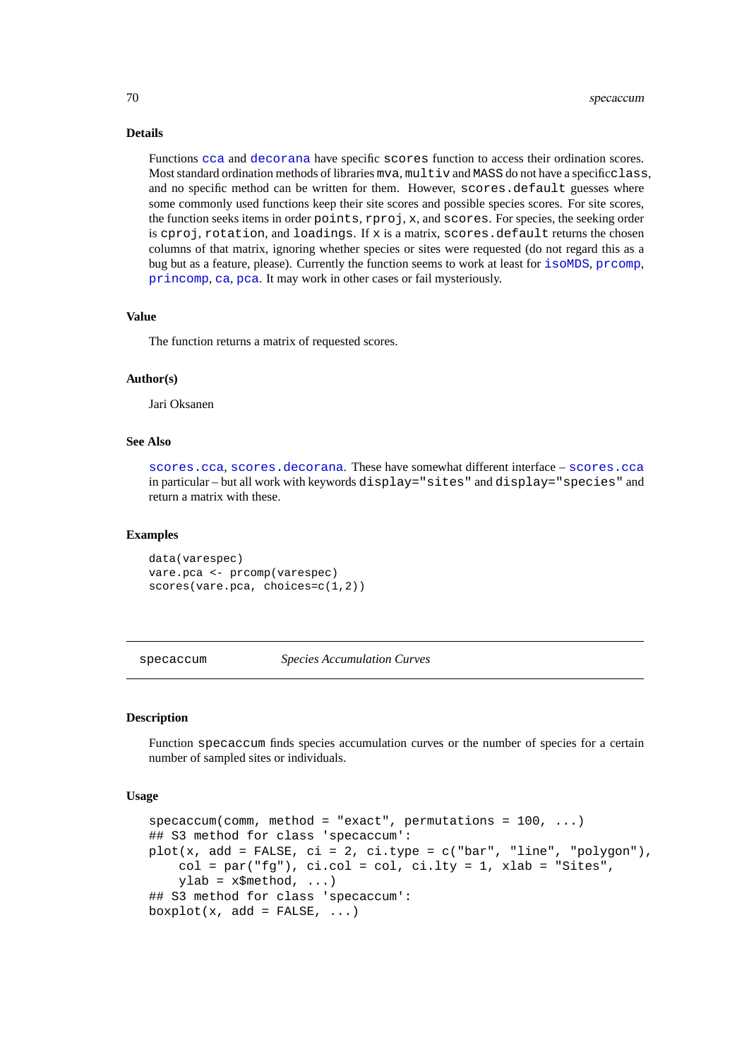### **Details**

Functions [cca](#page-9-0) and [decorana](#page-15-1) have specific scores function to access their ordination scores. Most standard ordination methods of libraries mya, multiv and MASS do not have a specificclass, and no specific method can be written for them. However, scores.default guesses where some commonly used functions keep their site scores and possible species scores. For site scores, the function seeks items in order points, rproj, x, and scores. For species, the seeking order is cproj, rotation, and loadings. If  $x$  is a matrix, scores.default returns the chosen columns of that matrix, ignoring whether species or sites were requested (do not regard this as a bug but as a feature, please). Currently the function seems to work at least for [isoMDS](#page-0-0), [prcomp](#page-0-0), [princomp](#page-0-0), [ca](#page-0-0), [pca](#page-0-0). It may work in other cases or fail mysteriously.

### **Value**

The function returns a matrix of requested scores.

### **Author(s)**

Jari Oksanen

### **See Also**

[scores.cca](#page-55-1), [scores.decorana](#page-15-0). These have somewhat different interface – [scores.cca](#page-55-1) in particular – but all work with keywords display="sites" and display="species" and return a matrix with these.

### **Examples**

```
data(varespec)
vare.pca <- prcomp(varespec)
scores(vare.pca, choices=c(1,2))
```
specaccum *Species Accumulation Curves*

## **Description**

Function specaccum finds species accumulation curves or the number of species for a certain number of sampled sites or individuals.

# **Usage**

```
specaccum(comm, method = "exact", permutations = 100, ...)## S3 method for class 'specaccum':
plot(x, add = FALSE, ci = 2, ci.type = c("bar", "line", "polygon"),col = par("fg"), ci.col = col, ci.lty = 1, xlab = "Sites",ylab = x\frac{2}{3}method, ...)
## S3 method for class 'specaccum':
boxplot(x, add = FALSE, ...)
```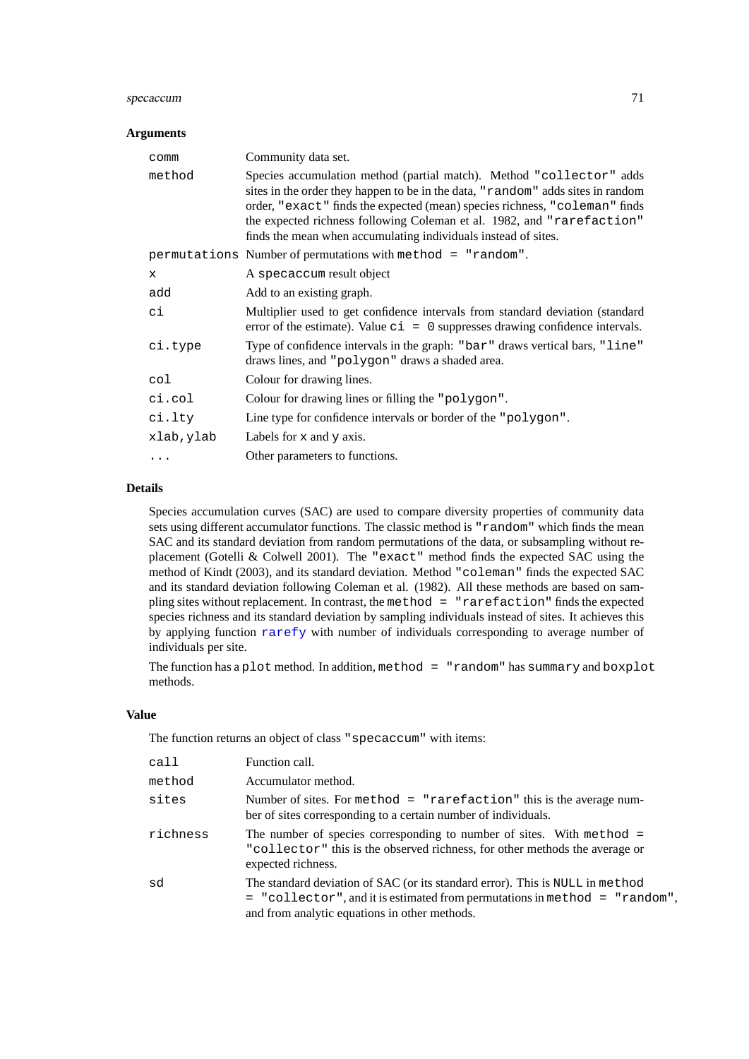### specacum 71

# **Arguments**

| comm         | Community data set.                                                                                                                                                                                                                                                                                                                                                               |
|--------------|-----------------------------------------------------------------------------------------------------------------------------------------------------------------------------------------------------------------------------------------------------------------------------------------------------------------------------------------------------------------------------------|
| method       | Species accumulation method (partial match). Method "collector" adds<br>sites in the order they happen to be in the data, "random" adds sites in random<br>order, "exact" finds the expected (mean) species richness, "coleman" finds<br>the expected richness following Coleman et al. 1982, and "rarefaction"<br>finds the mean when accumulating individuals instead of sites. |
|              | permutations Number of permutations with method = "random".                                                                                                                                                                                                                                                                                                                       |
| $\mathbf{x}$ | A specaccum result object                                                                                                                                                                                                                                                                                                                                                         |
| add          | Add to an existing graph.                                                                                                                                                                                                                                                                                                                                                         |
| сi           | Multiplier used to get confidence intervals from standard deviation (standard<br>error of the estimate). Value $c_i = 0$ suppresses drawing confidence intervals.                                                                                                                                                                                                                 |
| ci.type      | Type of confidence intervals in the graph: "bar" draws vertical bars, "line"<br>draws lines, and "polygon" draws a shaded area.                                                                                                                                                                                                                                                   |
| col          | Colour for drawing lines.                                                                                                                                                                                                                                                                                                                                                         |
| ci.col       | Colour for drawing lines or filling the "polygon".                                                                                                                                                                                                                                                                                                                                |
| ci.lty       | Line type for confidence intervals or border of the "polygon".                                                                                                                                                                                                                                                                                                                    |
| xlab, ylab   | Labels for $x$ and $y$ axis.                                                                                                                                                                                                                                                                                                                                                      |
| .            | Other parameters to functions.                                                                                                                                                                                                                                                                                                                                                    |

# **Details**

Species accumulation curves (SAC) are used to compare diversity properties of community data sets using different accumulator functions. The classic method is "random" which finds the mean SAC and its standard deviation from random permutations of the data, or subsampling without replacement (Gotelli & Colwell 2001). The "exact" method finds the expected SAC using the method of Kindt (2003), and its standard deviation. Method "coleman" finds the expected SAC and its standard deviation following Coleman et al. (1982). All these methods are based on sampling sites without replacement. In contrast, the method = "rarefaction" finds the expected species richness and its standard deviation by sampling individuals instead of sites. It achieves this by applying function [rarefy](#page-23-0) with number of individuals corresponding to average number of individuals per site.

The function has a plot method. In addition, method  $=$  "random" has summary and boxplot methods.

# **Value**

The function returns an object of class "specaccum" with items:

| cal1     | Function call.                                                                                                                                                                                                   |
|----------|------------------------------------------------------------------------------------------------------------------------------------------------------------------------------------------------------------------|
| method   | Accumulator method.                                                                                                                                                                                              |
| sites    | Number of sites. For method $=$ "rarefaction" this is the average num-<br>ber of sites corresponding to a certain number of individuals.                                                                         |
| richness | The number of species corresponding to number of sites. With method $=$<br>"collector" this is the observed richness, for other methods the average or<br>expected richness.                                     |
| sd       | The standard deviation of SAC (or its standard error). This is NULL in method<br>$=$ "collector", and it is estimated from permutations in method $=$ "random",<br>and from analytic equations in other methods. |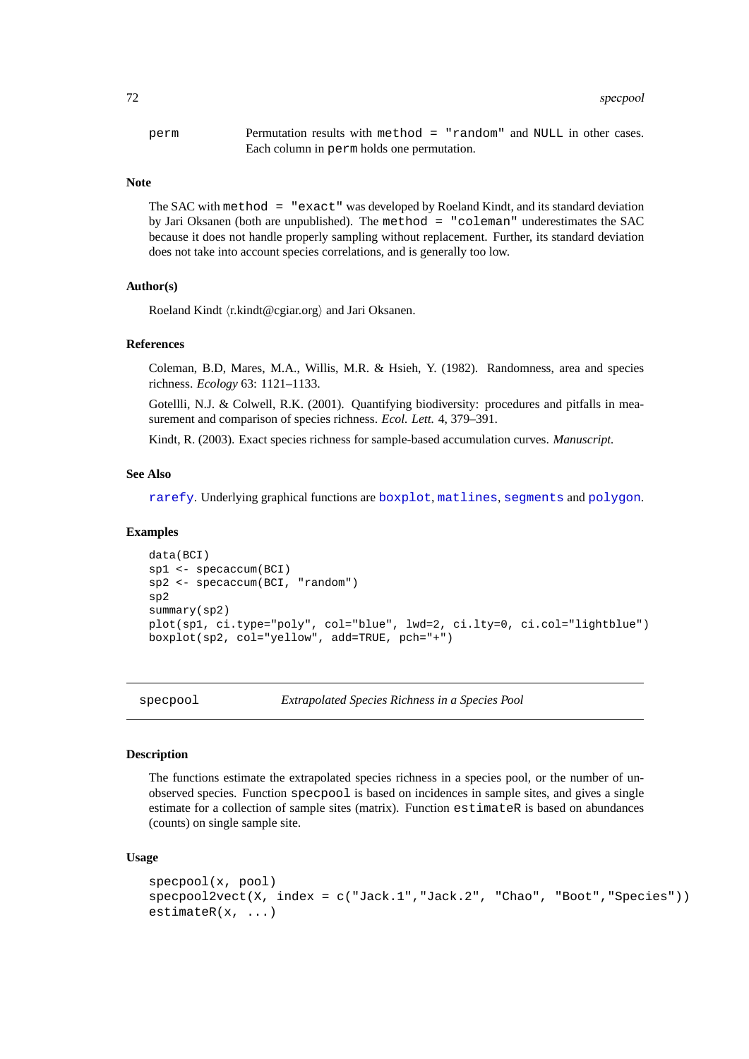perm Permutation results with method = "random" and NULL in other cases. Each column in perm holds one permutation.

#### **Note**

The SAC with method = "exact" was developed by Roeland Kindt, and its standard deviation by Jari Oksanen (both are unpublished). The method = "coleman" underestimates the SAC because it does not handle properly sampling without replacement. Further, its standard deviation does not take into account species correlations, and is generally too low.

### **Author(s)**

Roeland Kindt (r.kindt@cgiar.org) and Jari Oksanen.

#### **References**

Coleman, B.D, Mares, M.A., Willis, M.R. & Hsieh, Y. (1982). Randomness, area and species richness. *Ecology* 63: 1121–1133.

Gotellli, N.J. & Colwell, R.K. (2001). Quantifying biodiversity: procedures and pitfalls in measurement and comparison of species richness. *Ecol. Lett.* 4, 379–391.

Kindt, R. (2003). Exact species richness for sample-based accumulation curves. *Manuscript.*

# **See Also**

[rarefy](#page-23-0). Underlying graphical functions are [boxplot](#page-0-0), [matlines](#page-0-0), [segments](#page-0-0) and [polygon](#page-0-0).

#### **Examples**

```
data(BCI)
sp1 <- specaccum(BCI)
sp2 <- specaccum(BCI, "random")
sp2
summary(sp2)
plot(sp1, ci.type="poly", col="blue", lwd=2, ci.lty=0, ci.col="lightblue")
boxplot(sp2, col="yellow", add=TRUE, pch="+")
```
specpool *Extrapolated Species Richness in a Species Pool*

### **Description**

The functions estimate the extrapolated species richness in a species pool, or the number of unobserved species. Function specpool is based on incidences in sample sites, and gives a single estimate for a collection of sample sites (matrix). Function estimateR is based on abundances (counts) on single sample site.

### **Usage**

```
specpool(x, pool)
specpool2vect(X, index = c("Jack.1","Jack.2", "Chao", "Boot","Species"))
estimateR(x, ...)
```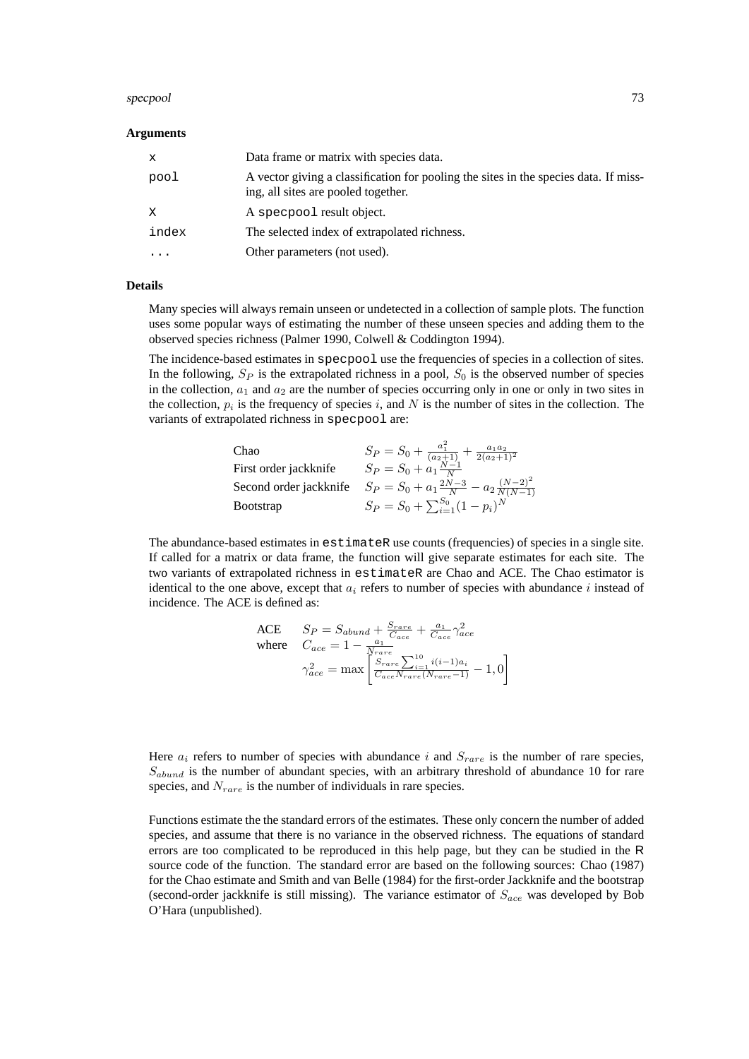#### specpool 73

#### **Arguments**

| $\mathbf{x}$ | Data frame or matrix with species data.                                                                                     |
|--------------|-----------------------------------------------------------------------------------------------------------------------------|
| pool         | A vector giving a classification for pooling the sites in the species data. If miss-<br>ing, all sites are pooled together. |
| X            | A specpool result object.                                                                                                   |
| index        | The selected index of extrapolated richness.                                                                                |
|              | Other parameters (not used).                                                                                                |

#### **Details**

Many species will always remain unseen or undetected in a collection of sample plots. The function uses some popular ways of estimating the number of these unseen species and adding them to the observed species richness (Palmer 1990, Colwell & Coddington 1994).

The incidence-based estimates in specpool use the frequencies of species in a collection of sites. In the following,  $S_P$  is the extrapolated richness in a pool,  $S_0$  is the observed number of species in the collection,  $a_1$  and  $a_2$  are the number of species occurring only in one or only in two sites in the collection,  $p_i$  is the frequency of species i, and N is the number of sites in the collection. The variants of extrapolated richness in specpool are:

| Chao                  | $S_P = S_0 + \frac{a_1^2}{(a_2+1)} + \frac{a_1 a_2}{2(a_2+1)^2}$                     |
|-----------------------|--------------------------------------------------------------------------------------|
| First order jackknife | $S_P = S_0 + a_1 \frac{N-1}{N}$                                                      |
|                       | Second order jackknife $S_P = S_0 + a_1 \frac{2N-3}{N} - a_2 \frac{(N-2)^2}{N(N-1)}$ |
| <b>B</b> ootstrap     | $S_P = S_0 + \sum_{i=1}^{S_0} (1 - p_i)^N$                                           |

The abundance-based estimates in estimateR use counts (frequencies) of species in a single site. If called for a matrix or data frame, the function will give separate estimates for each site. The two variants of extrapolated richness in estimateR are Chao and ACE. The Chao estimator is identical to the one above, except that  $a_i$  refers to number of species with abundance i instead of incidence. The ACE is defined as:

$$
\begin{aligned}\n\text{ACE} \qquad & Sp = S_{abund} + \frac{S_{rare}}{C_{ace}} + \frac{a_1}{C_{ace}} \gamma_{ace}^2 \\
\text{where} \qquad & C_{ace} = 1 - \frac{a_1}{N_{rare}} \\
& \gamma_{ace}^2 = \max \left[ \frac{S_{rare}}{C_{ace} N_{rare} (N_{rare} - 1)} - 1, 0 \right]\n\end{aligned}
$$

Here  $a_i$  refers to number of species with abundance i and  $S_{rare}$  is the number of rare species,  $S_{abund}$  is the number of abundant species, with an arbitrary threshold of abundance 10 for rare species, and  $N_{rare}$  is the number of individuals in rare species.

Functions estimate the the standard errors of the estimates. These only concern the number of added species, and assume that there is no variance in the observed richness. The equations of standard errors are too complicated to be reproduced in this help page, but they can be studied in the R source code of the function. The standard error are based on the following sources: Chao (1987) for the Chao estimate and Smith and van Belle (1984) for the first-order Jackknife and the bootstrap (second-order jackknife is still missing). The variance estimator of  $S_{ace}$  was developed by Bob O'Hara (unpublished).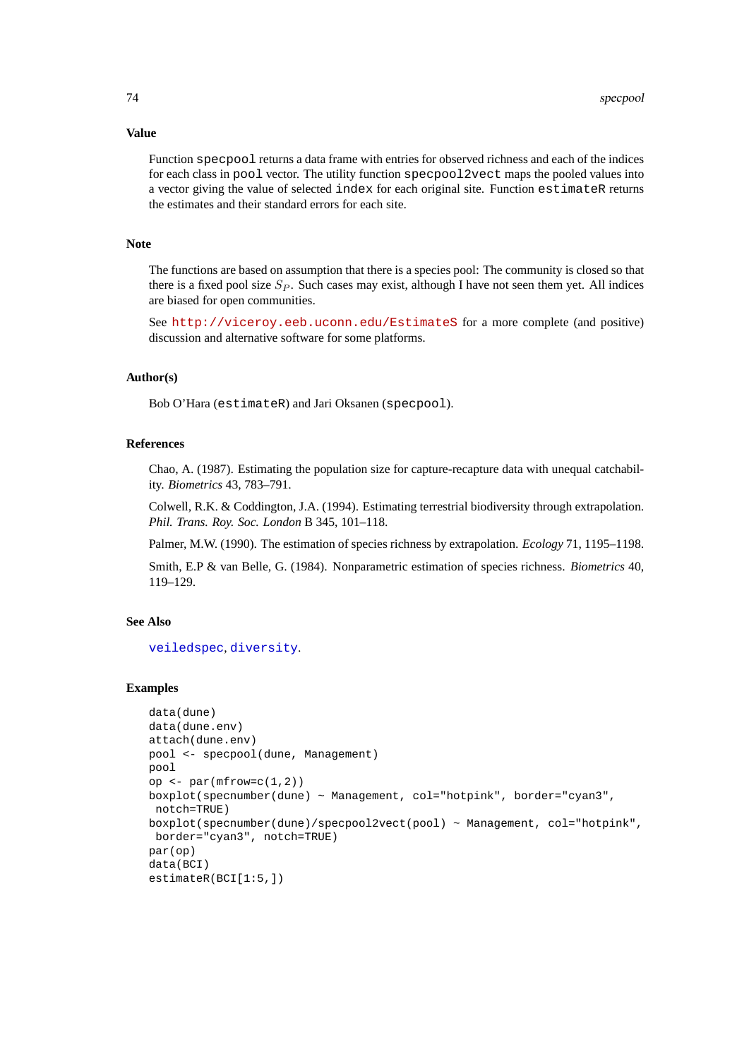# **Value**

Function specpool returns a data frame with entries for observed richness and each of the indices for each class in pool vector. The utility function specpool2vect maps the pooled values into a vector giving the value of selected index for each original site. Function estimateR returns the estimates and their standard errors for each site.

# **Note**

The functions are based on assumption that there is a species pool: The community is closed so that there is a fixed pool size  $S_P$ . Such cases may exist, although I have not seen them yet. All indices are biased for open communities.

See <http://viceroy.eeb.uconn.edu/EstimateS> for a more complete (and positive) discussion and alternative software for some platforms.

# **Author(s)**

Bob O'Hara (estimateR) and Jari Oksanen (specpool).

# **References**

Chao, A. (1987). Estimating the population size for capture-recapture data with unequal catchability. *Biometrics* 43, 783–791.

Colwell, R.K. & Coddington, J.A. (1994). Estimating terrestrial biodiversity through extrapolation. *Phil. Trans. Roy. Soc. London* B 345, 101–118.

Palmer, M.W. (1990). The estimation of species richness by extrapolation. *Ecology* 71, 1195–1198.

Smith, E.P & van Belle, G. (1984). Nonparametric estimation of species richness. *Biometrics* 40, 119–129.

#### **See Also**

[veiledspec](#page-29-0), [diversity](#page-23-0).

#### **Examples**

```
data(dune)
data(dune.env)
attach(dune.env)
pool <- specpool(dune, Management)
pool
op <- par(mfrow=c(1,2))
boxplot(specnumber(dune) ~ Management, col="hotpink", border="cyan3",
notch=TRUE)
boxplot(specnumber(dune)/specpool2vect(pool) ~ Management, col="hotpink",
border="cyan3", notch=TRUE)
par(op)
data(BCI)
estimateR(BCI[1:5,])
```
<span id="page-73-0"></span>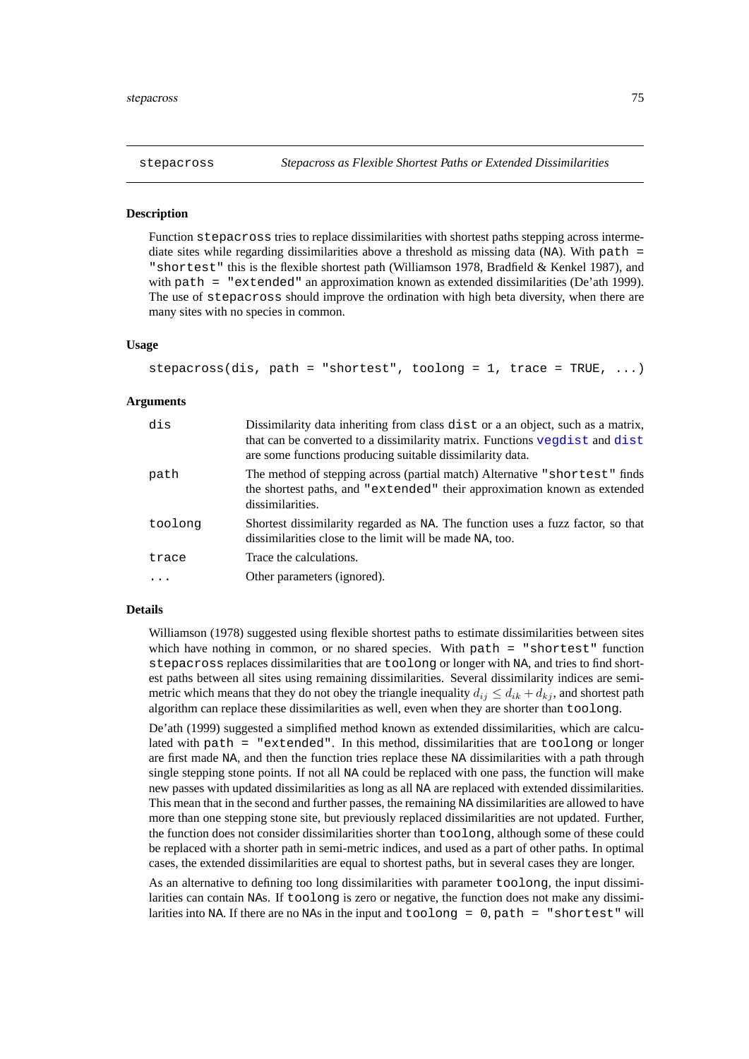<span id="page-74-0"></span>

# **Description**

Function stepacross tries to replace dissimilarities with shortest paths stepping across intermediate sites while regarding dissimilarities above a threshold as missing data (NA). With path  $=$ "shortest" this is the flexible shortest path (Williamson 1978, Bradfield & Kenkel 1987), and with path = "extended" an approximation known as extended dissimilarities (De'ath 1999). The use of stepacross should improve the ordination with high beta diversity, when there are many sites with no species in common.

## **Usage**

```
stepacross(dis, path = "shortest", toolong = 1, trace = TRUE, \dots)
```
#### **Arguments**

| dis     | Dissimilarity data inheriting from class dist or a an object, such as a matrix,<br>that can be converted to a dissimilarity matrix. Functions vegdist and dist<br>are some functions producing suitable dissimilarity data. |
|---------|-----------------------------------------------------------------------------------------------------------------------------------------------------------------------------------------------------------------------------|
| path    | The method of stepping across (partial match) Alternative "shortest" finds<br>the shortest paths, and "extended" their approximation known as extended<br>dissimilarities.                                                  |
| toolong | Shortest dissimilarity regarded as NA. The function uses a fuzz factor, so that<br>dissimilarities close to the limit will be made NA, too.                                                                                 |
| trace   | Trace the calculations.                                                                                                                                                                                                     |
|         | Other parameters (ignored).                                                                                                                                                                                                 |

#### **Details**

Williamson (1978) suggested using flexible shortest paths to estimate dissimilarities between sites which have nothing in common, or no shared species. With path = "shortest" function stepacross replaces dissimilarities that are toolong or longer with NA, and tries to find shortest paths between all sites using remaining dissimilarities. Several dissimilarity indices are semimetric which means that they do not obey the triangle inequality  $d_{ij} \leq d_{ik} + d_{kj}$ , and shortest path algorithm can replace these dissimilarities as well, even when they are shorter than toolong.

De'ath (1999) suggested a simplified method known as extended dissimilarities, which are calculated with path = "extended". In this method, dissimilarities that are toolong or longer are first made NA, and then the function tries replace these NA dissimilarities with a path through single stepping stone points. If not all NA could be replaced with one pass, the function will make new passes with updated dissimilarities as long as all NA are replaced with extended dissimilarities. This mean that in the second and further passes, the remaining NA dissimilarities are allowed to have more than one stepping stone site, but previously replaced dissimilarities are not updated. Further, the function does not consider dissimilarities shorter than toolong, although some of these could be replaced with a shorter path in semi-metric indices, and used as a part of other paths. In optimal cases, the extended dissimilarities are equal to shortest paths, but in several cases they are longer.

As an alternative to defining too long dissimilarities with parameter toolong, the input dissimilarities can contain NAs. If toolong is zero or negative, the function does not make any dissimilarities into NA. If there are no NAs in the input and  $\text{toolong} = 0, \text{path} = \text{ "shortest" will}$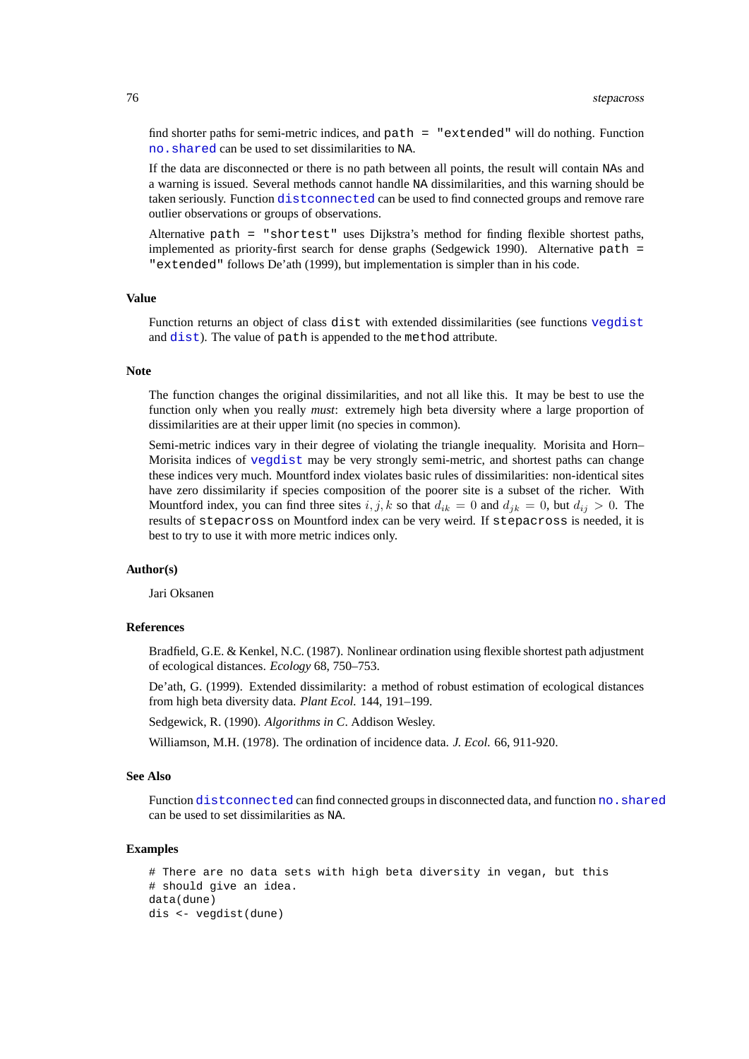find shorter paths for semi-metric indices, and path = "extended" will do nothing. Function [no.shared](#page-21-0) can be used to set dissimilarities to NA.

If the data are disconnected or there is no path between all points, the result will contain NAs and a warning is issued. Several methods cannot handle NA dissimilarities, and this warning should be taken seriously. Function [distconnected](#page-21-1) can be used to find connected groups and remove rare outlier observations or groups of observations.

Alternative path = "shortest" uses Dijkstra's method for finding flexible shortest paths, implemented as priority-first search for dense graphs (Sedgewick 1990). Alternative path = "extended" follows De'ath (1999), but implementation is simpler than in his code.

#### **Value**

Function returns an object of class dist with extended dissimilarities (see functions [vegdist](#page-77-0) and [dist](#page-0-0)). The value of path is appended to the method attribute.

#### **Note**

The function changes the original dissimilarities, and not all like this. It may be best to use the function only when you really *must*: extremely high beta diversity where a large proportion of dissimilarities are at their upper limit (no species in common).

Semi-metric indices vary in their degree of violating the triangle inequality. Morisita and Horn– Morisita indices of [vegdist](#page-77-0) may be very strongly semi-metric, and shortest paths can change these indices very much. Mountford index violates basic rules of dissimilarities: non-identical sites have zero dissimilarity if species composition of the poorer site is a subset of the richer. With Mountford index, you can find three sites  $i, j, k$  so that  $d_{ik} = 0$  and  $d_{jk} = 0$ , but  $d_{ij} > 0$ . The results of stepacross on Mountford index can be very weird. If stepacross is needed, it is best to try to use it with more metric indices only.

# **Author(s)**

Jari Oksanen

### **References**

Bradfield, G.E. & Kenkel, N.C. (1987). Nonlinear ordination using flexible shortest path adjustment of ecological distances. *Ecology* 68, 750–753.

De'ath, G. (1999). Extended dissimilarity: a method of robust estimation of ecological distances from high beta diversity data. *Plant Ecol.* 144, 191–199.

Sedgewick, R. (1990). *Algorithms in C*. Addison Wesley.

Williamson, M.H. (1978). The ordination of incidence data. *J. Ecol.* 66, 911-920.

#### **See Also**

Function [distconnected](#page-21-1) can find connected groups in disconnected data, and function [no.shared](#page-21-0) can be used to set dissimilarities as NA.

# **Examples**

```
# There are no data sets with high beta diversity in vegan, but this
# should give an idea.
data(dune)
dis <- vegdist(dune)
```
<span id="page-75-0"></span>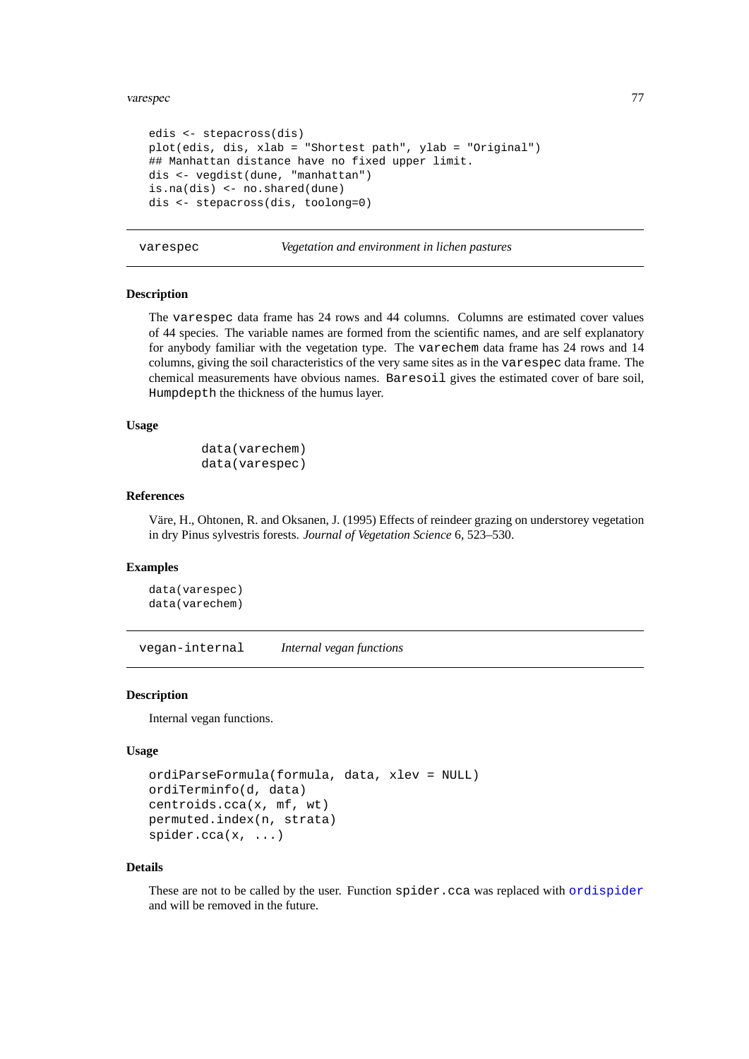#### <span id="page-76-0"></span>varespec 77

```
edis <- stepacross(dis)
plot(edis, dis, xlab = "Shortest path", ylab = "Original")
## Manhattan distance have no fixed upper limit.
dis <- vegdist(dune, "manhattan")
is.na(dis) <- no.shared(dune)
dis <- stepacross(dis, toolong=0)
```
varespec *Vegetation and environment in lichen pastures*

### **Description**

The varespec data frame has 24 rows and 44 columns. Columns are estimated cover values of 44 species. The variable names are formed from the scientific names, and are self explanatory for anybody familiar with the vegetation type. The varechem data frame has 24 rows and 14 columns, giving the soil characteristics of the very same sites as in the varespec data frame. The chemical measurements have obvious names. Baresoil gives the estimated cover of bare soil, Humpdepth the thickness of the humus layer.

# **Usage**

```
data(varechem)
data(varespec)
```
#### **References**

Väre, H., Ohtonen, R. and Oksanen, J. (1995) Effects of reindeer grazing on understorey vegetation in dry Pinus sylvestris forests. *Journal of Vegetation Science* 6, 523–530.

#### **Examples**

```
data(varespec)
data(varechem)
```
vegan-internal *Internal vegan functions*

# **Description**

Internal vegan functions.

## **Usage**

```
ordiParseFormula(formula, data, xlev = NULL)
ordiTerminfo(d, data)
centroids.cca(x, mf, wt)
permuted.index(n, strata)
spider.cca(x, ...)
```
#### **Details**

These are not to be called by the user. Function spider.cca was replaced with [ordispider](#page-45-0) and will be removed in the future.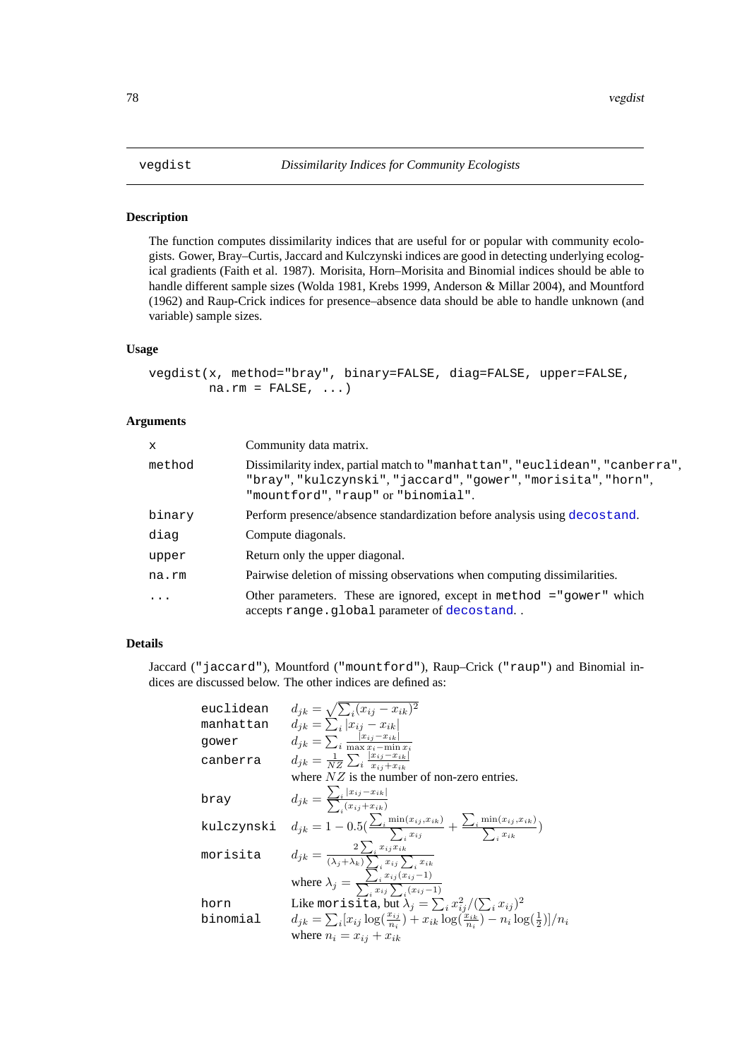# <span id="page-77-0"></span>**Description**

The function computes dissimilarity indices that are useful for or popular with community ecologists. Gower, Bray–Curtis, Jaccard and Kulczynski indices are good in detecting underlying ecological gradients (Faith et al. 1987). Morisita, Horn–Morisita and Binomial indices should be able to handle different sample sizes (Wolda 1981, Krebs 1999, Anderson & Millar 2004), and Mountford (1962) and Raup-Crick indices for presence–absence data should be able to handle unknown (and variable) sample sizes.

# **Usage**

```
vegdist(x, method="bray", binary=FALSE, diag=FALSE, upper=FALSE,
        na.rm = FALSE, ...)
```
# **Arguments**

| $\mathbf{x}$ | Community data matrix.                                                                                                                                                             |
|--------------|------------------------------------------------------------------------------------------------------------------------------------------------------------------------------------|
| method       | Dissimilarity index, partial match to "manhattan", "euclidean", "canberra",<br>"bray", "kulczynski", "jaccard", "gower", "morisita", "horn",<br>"mountford", "raup" or "binomial". |
| binary       | Perform presence/absence standardization before analysis using decostand.                                                                                                          |
| diag         | Compute diagonals.                                                                                                                                                                 |
| upper        | Return only the upper diagonal.                                                                                                                                                    |
| na.rm        | Pairwise deletion of missing observations when computing dissimilarities.                                                                                                          |
| $\ddots$ .   | Other parameters. These are ignored, except in method $=$ "gower" which<br>accepts range.global parameter of decostand                                                             |

# **Details**

Jaccard ("jaccard"), Mountford ("mountford"), Raup–Crick ("raup") and Binomial indices are discussed below. The other indices are defined as:

| euclidean  | $d_{ik} = \sqrt{\sum_i (x_{ij} - x_{ik})^2}$                                                                                                                                           |
|------------|----------------------------------------------------------------------------------------------------------------------------------------------------------------------------------------|
| manhattan  | $d_{ik} = \sum_{i}  x_{ij} - x_{ik} $                                                                                                                                                  |
| gower      | $d_{jk} = \sum_i \frac{ x_{ij} - x_{ik} }{\max x_i - \min x_i}$                                                                                                                        |
| canberra   | $d_{jk} = \frac{1}{NZ} \sum_{i} \frac{ x_{ij} - x_{ik} }{x_{ii} + x_{ik}}$                                                                                                             |
|            | where $NZ$ is the number of non-zero entries.                                                                                                                                          |
| bray       | $d_{jk} = \frac{\sum_{i}  x_{ij} - x_{ik} }{\sum_{i} (x_{ij} + x_{ik})}$                                                                                                               |
| kulczynski | $d_{jk} = 1 - 0.5(\frac{\sum_i \min(x_{ij}, x_{ik})}{\sum_i x_{ij}} + \frac{\sum_i \min(x_{ij}, x_{ik})}{\sum_i x_{ik}})$                                                              |
| morisita   | $d_{jk} = \frac{2 \sum_i x_{ij} x_{ik}}{(\lambda_j + \lambda_k) \sum_i x_{ij} \sum_i x_{ik}}$ where $\lambda_j = \frac{\sum_i x_{ij} (x_{ij} - 1)}{\sum_i x_{ij} \sum_i (x_{ij} - 1)}$ |
|            |                                                                                                                                                                                        |
| horn       | Like morisita, but $\lambda_j = \sum_i x_{ij}^2/(\sum_i x_{ij})^2$                                                                                                                     |
| binomial   | $d_{jk} = \sum_i [x_{ij} \log(\frac{x_{ij}}{n_i}) + x_{ik} \log(\frac{x_{ik}}{n_i}) - n_i \log(\frac{1}{2})]/n_i$                                                                      |
|            | where $n_i = x_{i,i} + x_{ik}$                                                                                                                                                         |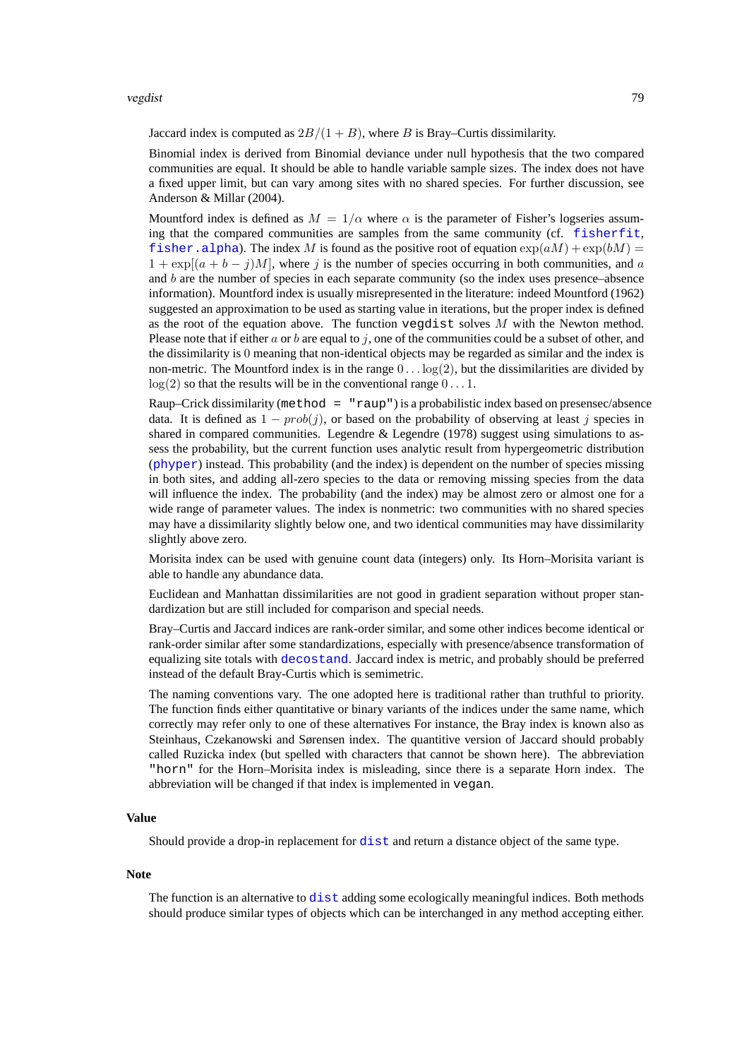<span id="page-78-0"></span>Jaccard index is computed as  $2B/(1 + B)$ , where B is Bray–Curtis dissimilarity.

Binomial index is derived from Binomial deviance under null hypothesis that the two compared communities are equal. It should be able to handle variable sample sizes. The index does not have a fixed upper limit, but can vary among sites with no shared species. For further discussion, see Anderson & Millar (2004).

Mountford index is defined as  $M = 1/\alpha$  where  $\alpha$  is the parameter of Fisher's logseries assuming that the compared communities are samples from the same community (cf. [fisherfit](#page-29-1), f i sher. alpha). The index M is found as the positive root of equation  $\exp(aM) + \exp(bM) =$  $1 + \exp[(a + b - j)M]$ , where j is the number of species occurring in both communities, and a and  $b$  are the number of species in each separate community (so the index uses presence–absence information). Mountford index is usually misrepresented in the literature: indeed Mountford (1962) suggested an approximation to be used as starting value in iterations, but the proper index is defined as the root of the equation above. The function vegdist solves  $M$  with the Newton method. Please note that if either a or b are equal to j, one of the communities could be a subset of other, and the dissimilarity is 0 meaning that non-identical objects may be regarded as similar and the index is non-metric. The Mountford index is in the range  $0 \dots \log(2)$ , but the dissimilarities are divided by  $log(2)$  so that the results will be in the conventional range  $0 \dots 1$ .

Raup–Crick dissimilarity (method = "raup") is a probabilistic index based on presensec/absence data. It is defined as  $1 - prob(j)$ , or based on the probability of observing at least j species in shared in compared communities. Legendre  $&$  Legendre (1978) suggest using simulations to assess the probability, but the current function uses analytic result from hypergeometric distribution ([phyper](#page-0-0)) instead. This probability (and the index) is dependent on the number of species missing in both sites, and adding all-zero species to the data or removing missing species from the data will influence the index. The probability (and the index) may be almost zero or almost one for a wide range of parameter values. The index is nonmetric: two communities with no shared species may have a dissimilarity slightly below one, and two identical communities may have dissimilarity slightly above zero.

Morisita index can be used with genuine count data (integers) only. Its Horn–Morisita variant is able to handle any abundance data.

Euclidean and Manhattan dissimilarities are not good in gradient separation without proper standardization but are still included for comparison and special needs.

Bray–Curtis and Jaccard indices are rank-order similar, and some other indices become identical or rank-order similar after some standardizations, especially with presence/absence transformation of equalizing site totals with [decostand](#page-18-0). Jaccard index is metric, and probably should be preferred instead of the default Bray-Curtis which is semimetric.

The naming conventions vary. The one adopted here is traditional rather than truthful to priority. The function finds either quantitative or binary variants of the indices under the same name, which correctly may refer only to one of these alternatives For instance, the Bray index is known also as Steinhaus, Czekanowski and Sørensen index. The quantitive version of Jaccard should probably called Ruzicka index (but spelled with characters that cannot be shown here). The abbreviation "horn" for the Horn–Morisita index is misleading, since there is a separate Horn index. The abbreviation will be changed if that index is implemented in vegan.

#### **Value**

Should provide a drop-in replacement for [dist](#page-0-0) and return a distance object of the same type.

#### **Note**

The function is an alternative to [dist](#page-0-0) adding some ecologically meaningful indices. Both methods should produce similar types of objects which can be interchanged in any method accepting either.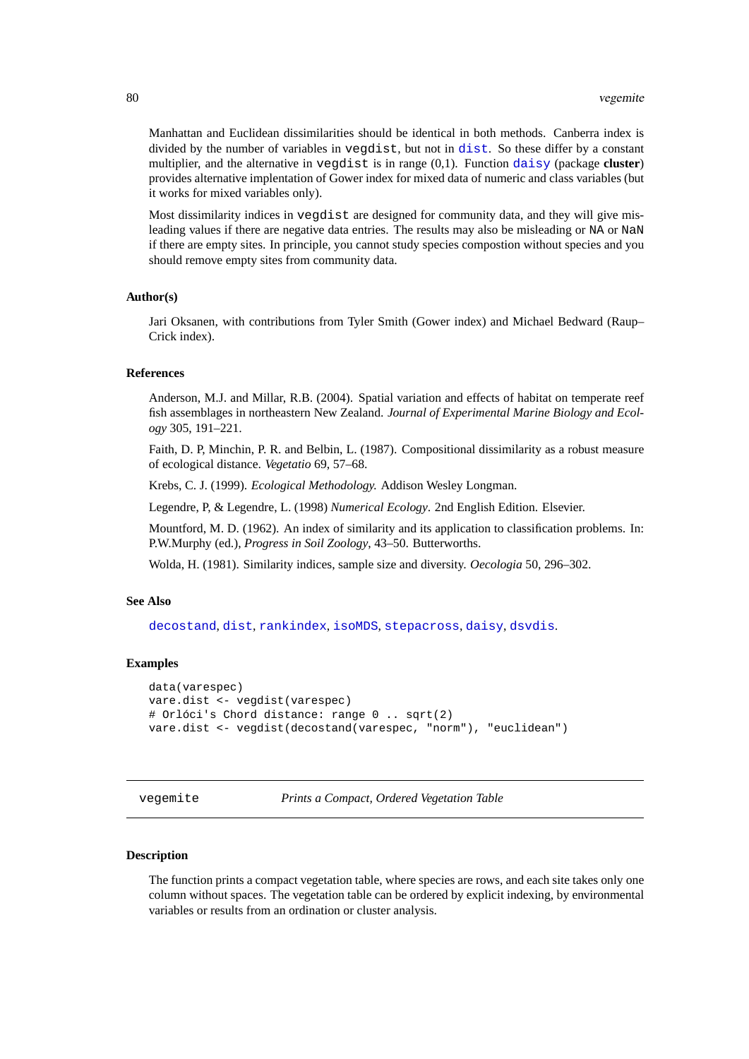Manhattan and Euclidean dissimilarities should be identical in both methods. Canberra index is divided by the number of variables in vegdist, but not in [dist](#page-0-0). So these differ by a constant multiplier, and the alternative in vegdist is in range (0,1). Function [daisy](#page-0-0) (package **cluster**) provides alternative implentation of Gower index for mixed data of numeric and class variables (but it works for mixed variables only).

Most dissimilarity indices in vegdist are designed for community data, and they will give misleading values if there are negative data entries. The results may also be misleading or NA or NaN if there are empty sites. In principle, you cannot study species compostion without species and you should remove empty sites from community data.

# **Author(s)**

Jari Oksanen, with contributions from Tyler Smith (Gower index) and Michael Bedward (Raup– Crick index).

#### **References**

Anderson, M.J. and Millar, R.B. (2004). Spatial variation and effects of habitat on temperate reef fish assemblages in northeastern New Zealand. *Journal of Experimental Marine Biology and Ecology* 305, 191–221.

Faith, D. P, Minchin, P. R. and Belbin, L. (1987). Compositional dissimilarity as a robust measure of ecological distance. *Vegetatio* 69, 57–68.

Krebs, C. J. (1999). *Ecological Methodology.* Addison Wesley Longman.

Legendre, P, & Legendre, L. (1998) *Numerical Ecology*. 2nd English Edition. Elsevier.

Mountford, M. D. (1962). An index of similarity and its application to classification problems. In: P.W.Murphy (ed.), *Progress in Soil Zoology*, 43–50. Butterworths.

Wolda, H. (1981). Similarity indices, sample size and diversity. *Oecologia* 50, 296–302.

# **See Also**

[decostand](#page-18-0), [dist](#page-0-0), [rankindex](#page-65-0), [isoMDS](#page-0-0), [stepacross](#page-74-0), [daisy](#page-0-0), [dsvdis](#page-0-0).

#### **Examples**

```
data(varespec)
vare.dist <- vegdist(varespec)
# Orlóci's Chord distance: range 0 .. sqrt(2)
vare.dist <- vegdist(decostand(varespec, "norm"), "euclidean")
```
vegemite *Prints a Compact, Ordered Vegetation Table*

#### **Description**

The function prints a compact vegetation table, where species are rows, and each site takes only one column without spaces. The vegetation table can be ordered by explicit indexing, by environmental variables or results from an ordination or cluster analysis.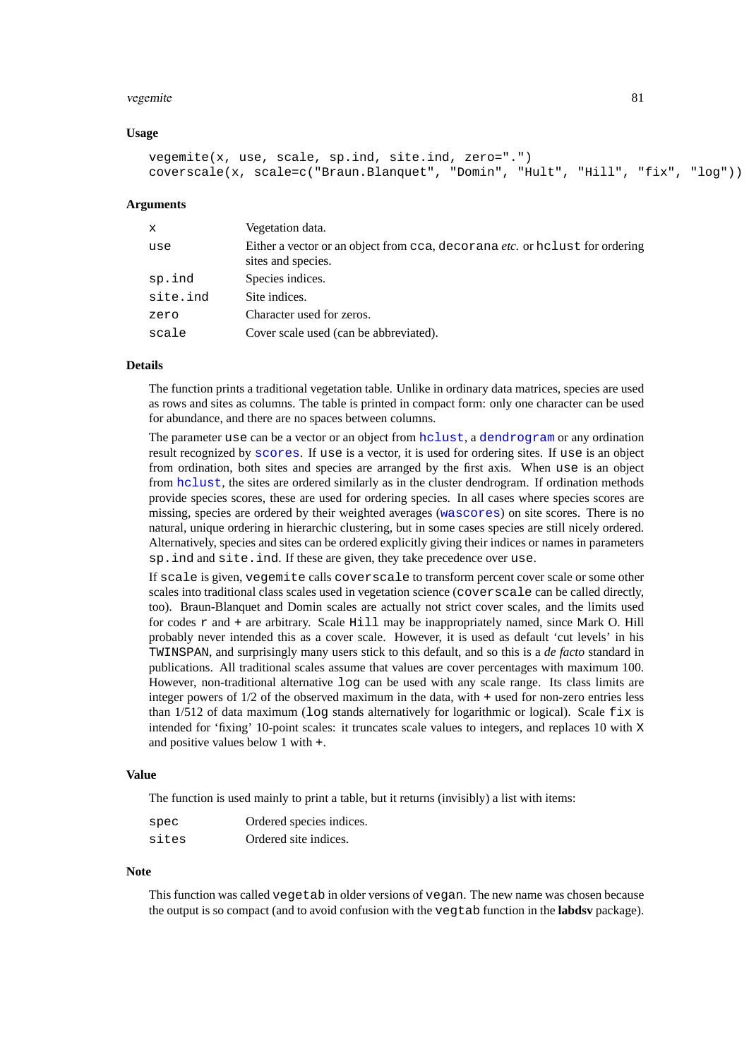#### <span id="page-80-0"></span>vegemite 81

# **Usage**

```
vegemite(x, use, scale, sp.ind, site.ind, zero=".")
coverscale(x, scale=c("Braun.Blanquet", "Domin", "Hult", "Hill", "fix", "log"))
```
#### **Arguments**

| $\mathbf{x}$ | Vegetation data.                                                                                         |
|--------------|----------------------------------------------------------------------------------------------------------|
| use          | Either a vector or an object from cca, decorana <i>etc.</i> or hclust for ordering<br>sites and species. |
| sp.ind       | Species indices.                                                                                         |
| site.ind     | Site indices.                                                                                            |
| zero         | Character used for zeros.                                                                                |
| scale        | Cover scale used (can be abbreviated).                                                                   |

# **Details**

The function prints a traditional vegetation table. Unlike in ordinary data matrices, species are used as rows and sites as columns. The table is printed in compact form: only one character can be used for abundance, and there are no spaces between columns.

The parameter use can be a vector or an object from [hclust](#page-0-0), a [dendrogram](#page-0-0) or any ordination result recognized by [scores](#page-68-0). If use is a vector, it is used for ordering sites. If use is an object from ordination, both sites and species are arranged by the first axis. When use is an object from [hclust](#page-0-0), the sites are ordered similarly as in the cluster dendrogram. If ordination methods provide species scores, these are used for ordering species. In all cases where species scores are missing, species are ordered by their weighted averages ([wascores](#page-81-0)) on site scores. There is no natural, unique ordering in hierarchic clustering, but in some cases species are still nicely ordered. Alternatively, species and sites can be ordered explicitly giving their indices or names in parameters sp.ind and site.ind. If these are given, they take precedence over use.

If scale is given, vegemite calls coverscale to transform percent cover scale or some other scales into traditional class scales used in vegetation science (coverscale can be called directly, too). Braun-Blanquet and Domin scales are actually not strict cover scales, and the limits used for codes  $r$  and  $+$  are arbitrary. Scale Hill may be inappropriately named, since Mark O. Hill probably never intended this as a cover scale. However, it is used as default 'cut levels' in his TWINSPAN, and surprisingly many users stick to this default, and so this is a *de facto* standard in publications. All traditional scales assume that values are cover percentages with maximum 100. However, non-traditional alternative log can be used with any scale range. Its class limits are integer powers of 1/2 of the observed maximum in the data, with + used for non-zero entries less than  $1/512$  of data maximum (log stands alternatively for logarithmic or logical). Scale  $fix$  is intended for 'fixing' 10-point scales: it truncates scale values to integers, and replaces 10 with X and positive values below 1 with +.

# **Value**

The function is used mainly to print a table, but it returns (invisibly) a list with items:

| spec  | Ordered species indices. |
|-------|--------------------------|
| sites | Ordered site indices.    |

# **Note**

This function was called vegetab in older versions of vegan. The new name was chosen because the output is so compact (and to avoid confusion with the vegtab function in the **labdsv** package).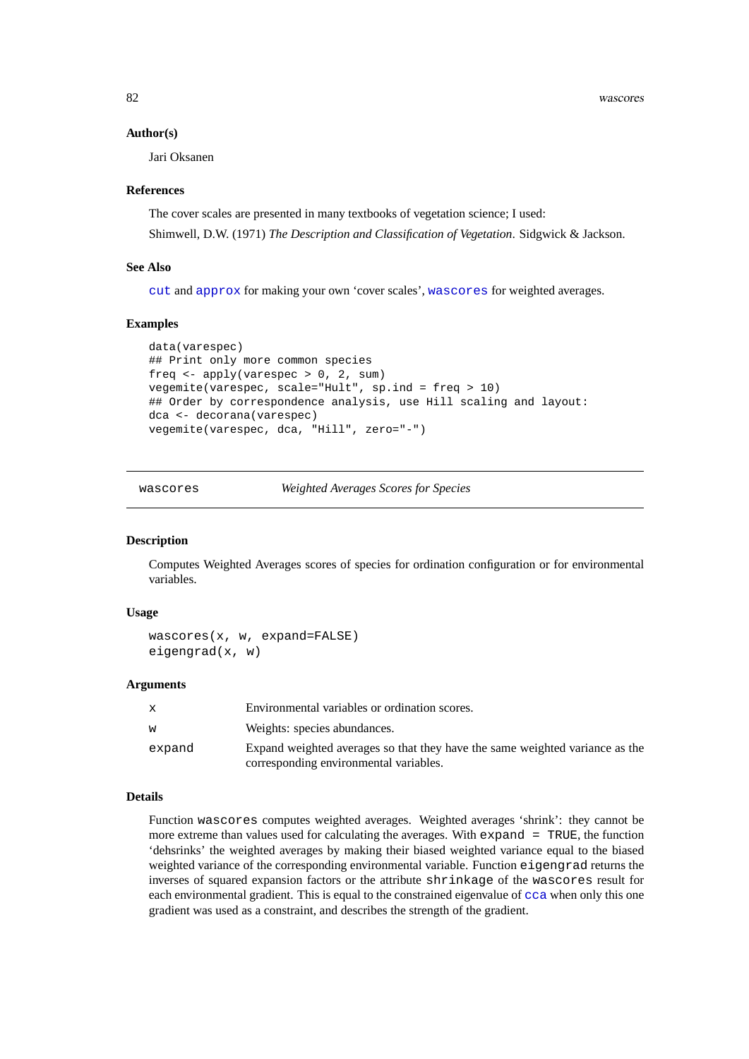82 wascores

#### **Author(s)**

Jari Oksanen

# **References**

The cover scales are presented in many textbooks of vegetation science; I used: Shimwell, D.W. (1971) *The Description and Classification of Vegetation*. Sidgwick & Jackson.

# **See Also**

[cut](#page-0-0) and [approx](#page-0-0) for making your own 'cover scales', [wascores](#page-81-0) for weighted averages.

# **Examples**

```
data(varespec)
## Print only more common species
freq <- apply(varespec > 0, 2, sum)
vegemite(varespec, scale="Hult", sp.ind = freq > 10)
## Order by correspondence analysis, use Hill scaling and layout:
dca <- decorana(varespec)
vegemite(varespec, dca, "Hill", zero="-")
```
<span id="page-81-0"></span>wascores *Weighted Averages Scores for Species*

# **Description**

Computes Weighted Averages scores of species for ordination configuration or for environmental variables.

# **Usage**

```
wascores(x, w, expand=FALSE)
eigengrad(x, w)
```
# **Arguments**

| X.     | Environmental variables or ordination scores.                                                                          |
|--------|------------------------------------------------------------------------------------------------------------------------|
| w      | Weights: species abundances.                                                                                           |
| expand | Expand weighted averages so that they have the same weighted variance as the<br>corresponding environmental variables. |

# **Details**

Function wascores computes weighted averages. Weighted averages 'shrink': they cannot be more extreme than values used for calculating the averages. With expand = TRUE, the function 'dehsrinks' the weighted averages by making their biased weighted variance equal to the biased weighted variance of the corresponding environmental variable. Function eigengrad returns the inverses of squared expansion factors or the attribute shrinkage of the wascores result for each environmental gradient. This is equal to the constrained eigenvalue of [cca](#page-9-0) when only this one gradient was used as a constraint, and describes the strength of the gradient.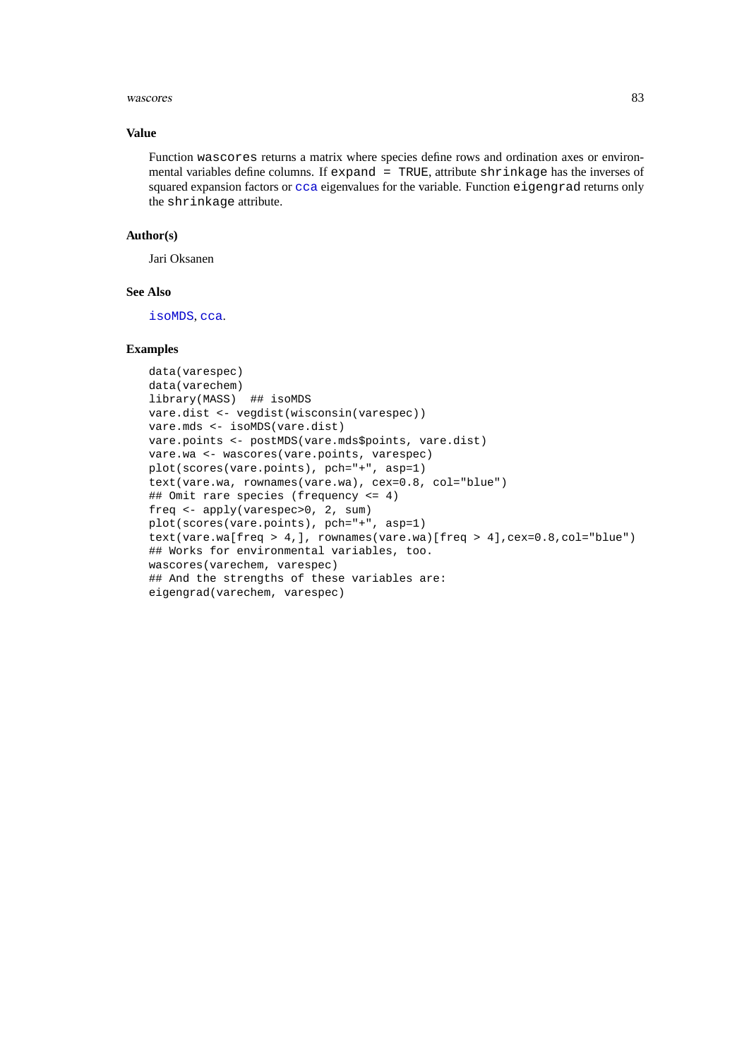#### wascores 83

# **Value**

Function wascores returns a matrix where species define rows and ordination axes or environmental variables define columns. If expand = TRUE, attribute shrinkage has the inverses of squared expansion factors or [cca](#page-9-0) eigenvalues for the variable. Function eigengrad returns only the shrinkage attribute.

# **Author(s)**

Jari Oksanen

# **See Also**

[isoMDS](#page-0-0), [cca](#page-9-0).

# **Examples**

```
data(varespec)
data(varechem)
library(MASS) ## isoMDS
vare.dist <- vegdist(wisconsin(varespec))
vare.mds <- isoMDS(vare.dist)
vare.points <- postMDS(vare.mds$points, vare.dist)
vare.wa <- wascores(vare.points, varespec)
plot(scores(vare.points), pch="+", asp=1)
text(vare.wa, rownames(vare.wa), cex=0.8, col="blue")
## Omit rare species (frequency <= 4)
freq <- apply(varespec>0, 2, sum)
plot(scores(vare.points), pch="+", asp=1)
text(vare.wa[freq > 4,], rownames(vare.wa)[freq > 4],cex=0.8,col="blue")
## Works for environmental variables, too.
wascores(varechem, varespec)
## And the strengths of these variables are:
eigengrad(varechem, varespec)
```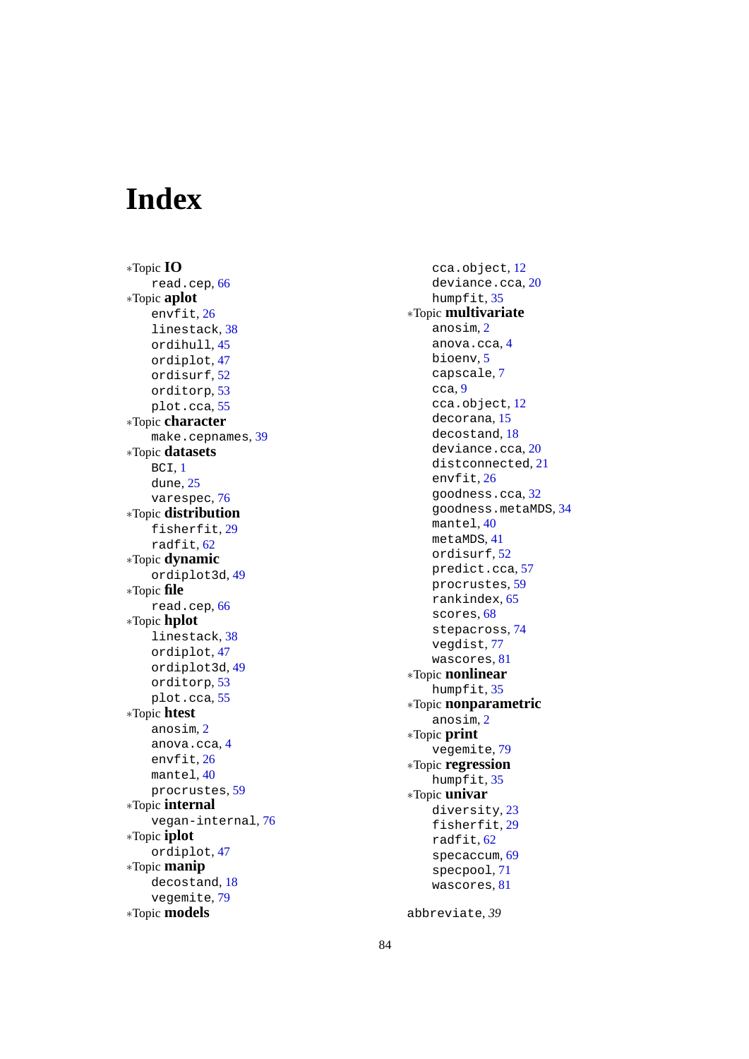# **Index**

∗Topic **IO** read.cep , [66](#page-65-1) ∗Topic **aplot** envfit , [26](#page-25-0) linestack , [38](#page-37-0) ordihull , [45](#page-44-0) ordiplot , [47](#page-46-0) ordisurf , [52](#page-51-0) orditorp , [53](#page-52-0) plot.cca , [55](#page-54-0) ∗Topic **character** make.cepnames , [39](#page-38-0) ∗Topic **datasets** BCI , [1](#page-0-1) dune, [25](#page-24-0) varespec, <mark>[76](#page-75-0)</mark> ∗Topic **distribution** fisherfit, [29](#page-28-0) radfit , [62](#page-61-0) ∗Topic **dynamic** ordiplot3d , [49](#page-48-0) ∗Topic **file** read.cep , [66](#page-65-1) ∗Topic **hplot** linestack , [38](#page-37-0) ordiplot , [47](#page-46-0) ordiplot3d , [49](#page-48-0) orditorp , [53](#page-52-0) plot.cca , [55](#page-54-0) ∗Topic **htest** anosim , [2](#page-1-0) anova.cca , [4](#page-3-0) envfit , [26](#page-25-0) mantel , [40](#page-39-0) procrustes , [59](#page-58-0) ∗Topic **internal** vegan-internal , [76](#page-75-0) ∗Topic **iplot** ordiplot , [47](#page-46-0) ∗Topic **manip** decostand , [18](#page-17-0) vegemite, [79](#page-78-0) ∗Topic **models**

cca.object , [12](#page-11-0) deviance.cca , [20](#page-19-0) humpfit, [35](#page-34-0) ∗Topic **multivariate** anosim , [2](#page-1-0) anova.cca , [4](#page-3-0) bioenv , [5](#page-4-0) capscale , [7](#page-6-0) cca , [9](#page-8-0) cca.object , [12](#page-11-0) decorana , [15](#page-14-0) decostand , [18](#page-17-0) deviance.cca , [20](#page-19-0) distconnected , [21](#page-20-0) envfit , [26](#page-25-0) goodness.cca , [32](#page-31-0) goodness.metaMDS , [34](#page-33-0) mantel , [40](#page-39-0) metaMDS , [41](#page-40-0) ordisurf , [52](#page-51-0) predict.cca , [57](#page-56-0) procrustes , [59](#page-58-0) rankindex , [65](#page-64-0) scores, [68](#page-67-0) stepacross , [74](#page-73-0) vegdist , [77](#page-76-0) wascores , [81](#page-80-0) ∗Topic **nonlinear** humpfit, [35](#page-34-0) ∗Topic **nonparametric** anosim , [2](#page-1-0) ∗Topic **print** vegemite , [79](#page-78-0) ∗Topic **regression** humpfit, [35](#page-34-0) ∗Topic **univar** diversity, [23](#page-22-0) fisherfit, [29](#page-28-0) radfit , [62](#page-61-0) specaccum , [69](#page-68-1) specpool , [71](#page-70-0) wascores , [81](#page-80-0)

abbreviate , *39*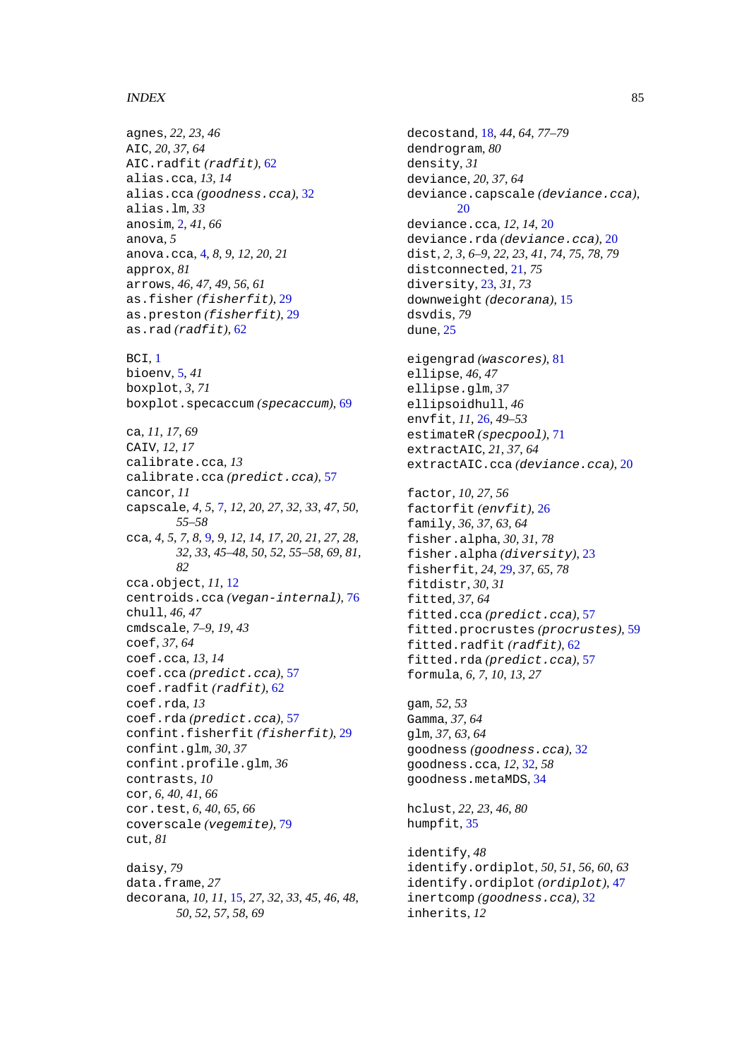# INDEX 85

agnes, *22, 23*, *46* AIC, *20*, *37*, *64* AIC.radfit *(*radfit*)*, [62](#page-61-0) alias.cca, *13, 14* alias.cca *(*goodness.cca*)*, [32](#page-31-0) alias.lm, *33* anosim, [2,](#page-1-0) *41*, *66* anova, *5* anova.cca, [4,](#page-3-0) *8, 9*, *12*, *20, 21* approx, *81* arrows, *46, 47*, *49*, *56*, *61* as.fisher *(*fisherfit*)*, [29](#page-28-0) as.preston *(*fisherfit*)*, [29](#page-28-0) as.rad *(*radfit*)*, [62](#page-61-0) BCI, [1](#page-0-1) bioenv, [5,](#page-4-0) *41* boxplot, *3*, *71* boxplot.specaccum *(*specaccum*)*, [69](#page-68-1) ca, *11*, *17*, *69* CAIV, *12*, *17* calibrate.cca, *13* calibrate.cca *(*predict.cca*)*, [57](#page-56-0) cancor, *11* capscale, *4, 5*, [7,](#page-6-0) *12*, *20*, *27*, *32, 33*, *47*, *50*, *55–58* cca, *4, 5*, *7, 8*, [9,](#page-8-0) *9*, *12*, *14*, *17*, *20, 21*, *27, 28*, *32, 33*, *45–48*, *50*, *52*, *55–58*, *69*, *81, 82* cca.object, *11*, [12](#page-11-0) centroids.cca *(*vegan-internal*)*, [76](#page-75-0) chull, *46, 47* cmdscale, *7–9*, *19*, *43* coef, *37*, *64* coef.cca, *13, 14* coef.cca *(*predict.cca*)*, [57](#page-56-0) coef.radfit *(*radfit*)*, [62](#page-61-0) coef.rda, *13* coef.rda *(*predict.cca*)*, [57](#page-56-0) confint.fisherfit *(*fisherfit*)*, [29](#page-28-0) confint.glm, *30*, *37* confint.profile.glm, *36* contrasts, *10* cor, *6*, *40, 41*, *66* cor.test, *6*, *40*, *65, 66* coverscale *(*vegemite*)*, [79](#page-78-0) cut, *81* daisy, *79* data.frame, *27*

decorana, *10, 11*, [15,](#page-14-0) *27*, *32, 33*, *45, 46*, *48*, *50*, *52*, *57, 58*, *69*

decostand, [18,](#page-17-0) *44*, *64*, *77–79* dendrogram, *80* density, *31* deviance, *20*, *37*, *64* deviance.capscale *(*deviance.cca*)*, [20](#page-19-0) deviance.cca, *12*, *14*, [20](#page-19-0) deviance.rda *(*deviance.cca*)*, [20](#page-19-0) dist, *2, 3*, *6–9*, *22, 23*, *41*, *74, 75*, *78, 79* distconnected, [21,](#page-20-0) *75* diversity, [23,](#page-22-0) *31*, *73* downweight *(*decorana*)*, [15](#page-14-0) dsvdis, *79* dune, [25](#page-24-0) eigengrad *(*wascores*)*, [81](#page-80-0) ellipse, *46, 47* ellipse.glm, *37* ellipsoidhull, *46* envfit, *11*, [26,](#page-25-0) *49–53* estimateR *(*specpool*)*, [71](#page-70-0) extractAIC, *21*, *37*, *64* extractAIC.cca *(*deviance.cca*)*, [20](#page-19-0) factor, *10*, *27*, *56* factorfit *(*envfit*)*, [26](#page-25-0) family, *36, 37*, *63, 64* fisher.alpha, *30, 31*, *78* fisher.alpha *(*diversity*)*, [23](#page-22-0) fisherfit, *24*, [29,](#page-28-0) *37*, *65*, *78* fitdistr, *30, 31* fitted, *37*, *64* fitted.cca *(*predict.cca*)*, [57](#page-56-0) fitted.procrustes *(*procrustes*)*, [59](#page-58-0) fitted.radfit *(*radfit*)*, [62](#page-61-0) fitted.rda *(*predict.cca*)*, [57](#page-56-0) formula, *6, 7*, *10*, *13*, *27* gam, *52, 53* Gamma, *37*, *64* glm, *37*, *63, 64* goodness *(*goodness.cca*)*, [32](#page-31-0) goodness.cca, *12*, [32,](#page-31-0) *58* goodness.metaMDS, [34](#page-33-0) hclust, *22, 23*, *46*, *80* humpfit, [35](#page-34-0) identify, *48* identify.ordiplot, *50, 51*, *56*, *60*, *63* identify.ordiplot *(*ordiplot*)*, [47](#page-46-0) inertcomp *(*goodness.cca*)*, [32](#page-31-0)

inherits, *12*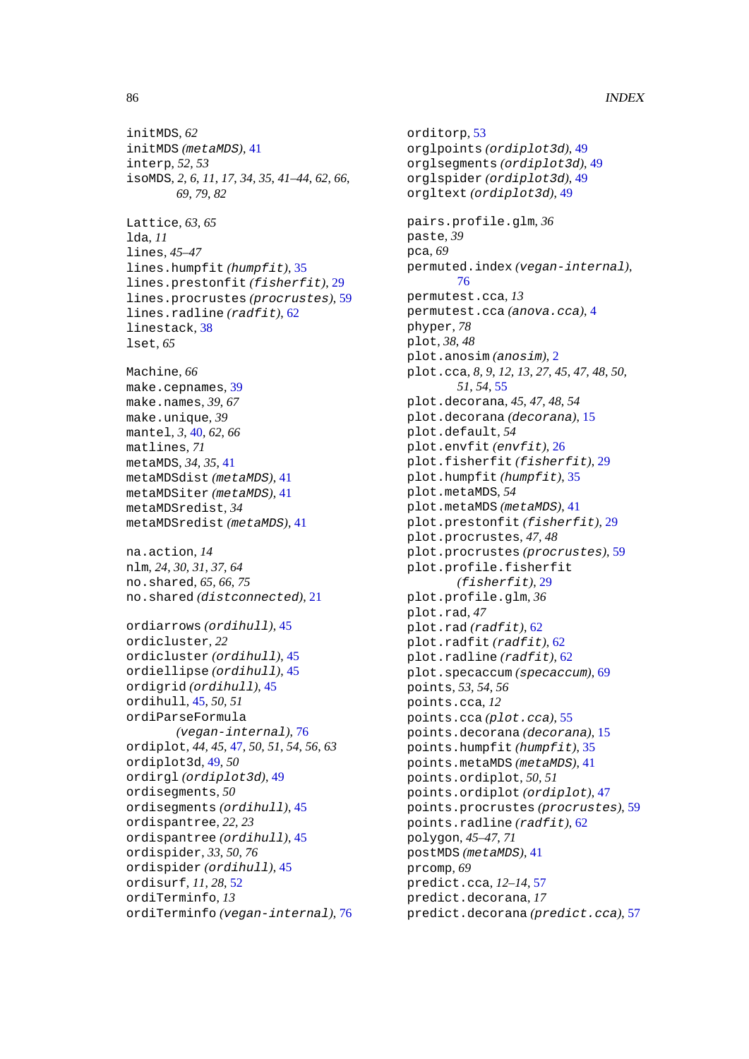initMDS, *62* initMDS *(*metaMDS*)*, [41](#page-40-0) interp, *52, 53* isoMDS, *2*, *6*, *11*, *17*, *34, 35*, *41–44*, *62*, *66*, *69*, *79*, *82* Lattice, *63*, *65* lda, *11* lines, *45–47* lines.humpfit *(*humpfit*)*, [35](#page-34-0) lines.prestonfit *(*fisherfit*)*, [29](#page-28-0) lines.procrustes *(*procrustes*)*, [59](#page-58-0) lines.radline *(*radfit*)*, [62](#page-61-0) linestack, [38](#page-37-0) lset, *65* Machine, *66* make.cepnames, [39](#page-38-0) make.names, *39*, *67* make.unique, *39* mantel, *3*, [40,](#page-39-0) *62*, *66* matlines, *71* metaMDS, *34, 35*, [41](#page-40-0) metaMDSdist *(*metaMDS*)*, [41](#page-40-0) metaMDSiter *(*metaMDS*)*, [41](#page-40-0) metaMDSredist, *34* metaMDSredist *(*metaMDS*)*, [41](#page-40-0) na.action, *14* nlm, *24*, *30, 31*, *37*, *64* no.shared, *65, 66*, *75* no.shared *(*distconnected*)*, [21](#page-20-0) ordiarrows *(*ordihull*)*, [45](#page-44-0) ordicluster, *22* ordicluster *(*ordihull*)*, [45](#page-44-0) ordiellipse *(*ordihull*)*, [45](#page-44-0) ordigrid *(*ordihull*)*, [45](#page-44-0) ordihull, [45,](#page-44-0) *50, 51* ordiParseFormula *(*vegan-internal*)*, [76](#page-75-0) ordiplot, *44, 45*, [47,](#page-46-0) *50, 51*, *54*, *56*, *63* ordiplot3d, [49,](#page-48-0) *50* ordirgl *(*ordiplot3d*)*, [49](#page-48-0) ordisegments, *50* ordisegments *(*ordihull*)*, [45](#page-44-0) ordispantree, *22, 23* ordispantree *(*ordihull*)*, [45](#page-44-0) ordispider, *33*, *50*, *76* ordispider *(*ordihull*)*, [45](#page-44-0) ordisurf, *11*, *28*, [52](#page-51-0) ordiTerminfo, *13* ordiTerminfo *(*vegan-internal*)*, [76](#page-75-0)

orditorp, [53](#page-52-0) orglpoints *(*ordiplot3d*)*, [49](#page-48-0) orglsegments *(*ordiplot3d*)*, [49](#page-48-0) orglspider *(*ordiplot3d*)*, [49](#page-48-0) orgltext *(*ordiplot3d*)*, [49](#page-48-0) pairs.profile.glm, *36* paste, *39* pca, *69* permuted.index *(*vegan-internal*)*, [76](#page-75-0) permutest.cca, *13* permutest.cca *(*anova.cca*)*, [4](#page-3-0) phyper, *78* plot, *38*, *48* plot.anosim *(*anosim*)*, [2](#page-1-0) plot.cca, *8, 9*, *12, 13*, *27*, *45*, *47, 48*, *50, 51*, *54*, [55](#page-54-0) plot.decorana, *45*, *47, 48*, *54* plot.decorana *(*decorana*)*, [15](#page-14-0) plot.default, *54* plot.envfit *(*envfit*)*, [26](#page-25-0) plot.fisherfit *(*fisherfit*)*, [29](#page-28-0) plot.humpfit *(*humpfit*)*, [35](#page-34-0) plot.metaMDS, *54* plot.metaMDS *(*metaMDS*)*, [41](#page-40-0) plot.prestonfit *(*fisherfit*)*, [29](#page-28-0) plot.procrustes, *47, 48* plot.procrustes *(*procrustes*)*, [59](#page-58-0) plot.profile.fisherfit *(*fisherfit*)*, [29](#page-28-0) plot.profile.glm, *36* plot.rad, *47* plot.rad *(*radfit*)*, [62](#page-61-0) plot.radfit *(*radfit*)*, [62](#page-61-0) plot.radline *(*radfit*)*, [62](#page-61-0) plot.specaccum *(*specaccum*)*, [69](#page-68-1) points, *53, 54*, *56* points.cca, *12* points.cca *(*plot.cca*)*, [55](#page-54-0) points.decorana *(*decorana*)*, [15](#page-14-0) points.humpfit *(*humpfit*)*, [35](#page-34-0) points.metaMDS *(*metaMDS*)*, [41](#page-40-0) points.ordiplot, *50, 51* points.ordiplot *(*ordiplot*)*, [47](#page-46-0) points.procrustes *(*procrustes*)*, [59](#page-58-0) points.radline *(*radfit*)*, [62](#page-61-0) polygon, *45–47*, *71* postMDS *(*metaMDS*)*, [41](#page-40-0) prcomp, *69* predict.cca, *12–14*, [57](#page-56-0) predict.decorana, *17* predict.decorana *(*predict.cca*)*, [57](#page-56-0)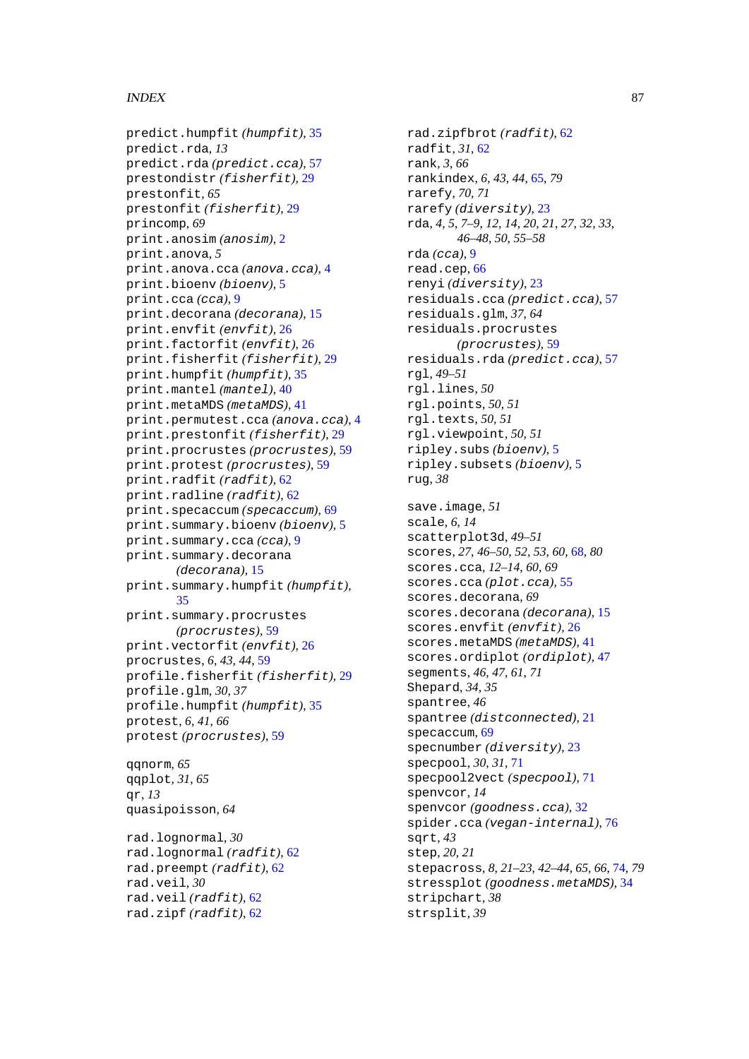# INDEX 87

```
predict.humpfit (humpfit), 35
predict.rda, 13
predict.rda (predict.cca), 57
prestondistr (fisherfit), 29
prestonfit, 65
prestonfit (fisherfit), 29
princomp, 69
print.anosim (anosim), 2
print.anova, 5
print.anova.cca (anova.cca), 4
print.bioenv (bioenv), 5
print.cca (cca), 9
print.decorana (decorana), 15
print.envfit (envfit), 26
print.factorfit (envfit), 26
print.fisherfit (fisherfit), 29
print.humpfit (humpfit), 35
print.mantel (mantel), 40
print.metaMDS (metaMDS), 41
print.permutest.cca (anova.cca), 4
print.prestonfit (fisherfit), 29
print.procrustes (procrustes), 59
print.protest (procrustes), 59
print.radfit (radfit), 62
print.radline (radfit), 62
print.specaccum (specaccum), 69
print.summary.bioenv (bioenv), 5
print.summary.cca (cca), 9
print.summary.decorana
       (decorana), 15
print.summary.humpfit (humpfit),
       35
print.summary.procrustes
       (procrustes), 59
print.vectorfit (envfit), 26
procrustes, 6, 43, 44, 59
profile.fisherfit (fisherfit), 29
profile.glm, 30, 37
profile.humpfit (humpfit), 35
protest, 6, 41, 66
protest (procrustes), 59
qqnorm, 65
qqplot, 31, 65
qr, 13
quasipoisson, 64
rad.lognormal, 30
rad.lognormal (radfit), 62
rad.preempt (radfit), 62
```
rad.veil, *30*

rad.veil *(*radfit*)*, [62](#page-61-0) rad.zipf *(*radfit*)*, [62](#page-61-0)

radfit, *31*, [62](#page-61-0) rank, *3*, *66* rankindex, *6*, *43, 44*, [65,](#page-64-0) *79* rarefy, *70, 71* rarefy *(*diversity*)*, [23](#page-22-0) rda, *4, 5*, *7–9*, *12*, *14*, *20, 21*, *27*, *32, 33*, *46–48*, *50*, *55–58* rda *(*cca*)*, [9](#page-8-0) read.cep, [66](#page-65-1) renyi *(*diversity*)*, [23](#page-22-0) residuals.cca *(*predict.cca*)*, [57](#page-56-0) residuals.glm, *37*, *64* residuals.procrustes *(*procrustes*)*, [59](#page-58-0) residuals.rda *(*predict.cca*)*, [57](#page-56-0) rgl, *49–51* rgl.lines, *50* rgl.points, *50, 51* rgl.texts, *50, 51* rgl.viewpoint, *50, 51* ripley.subs *(*bioenv*)*, [5](#page-4-0) ripley.subsets *(*bioenv*)*, [5](#page-4-0) rug, *38* save.image, *51* scale, *6*, *14* scatterplot3d, *49–51* scores, *27*, *46–50*, *52, 53*, *60*, [68,](#page-67-0) *80* scores.cca, *12–14*, *60*, *69* scores.cca *(*plot.cca*)*, [55](#page-54-0) scores.decorana, *69* scores.decorana *(*decorana*)*, [15](#page-14-0) scores.envfit *(*envfit*)*, [26](#page-25-0) scores.metaMDS *(*metaMDS*)*, [41](#page-40-0) scores.ordiplot *(*ordiplot*)*, [47](#page-46-0) segments, *46, 47*, *61*, *71* Shepard, *34, 35* spantree, *46* spantree *(*distconnected*)*, [21](#page-20-0) specaccum, [69](#page-68-1) specnumber *(*diversity*)*, [23](#page-22-0) specpool, *30, 31*, [71](#page-70-0) specpool2vect *(*specpool*)*, [71](#page-70-0) spenvcor, *14* spenvcor *(*goodness.cca*)*, [32](#page-31-0) spider.cca *(*vegan-internal*)*, [76](#page-75-0) sqrt, *43* step, *20, 21* stepacross, *8*, *21–23*, *42–44*, *65, 66*, [74,](#page-73-0) *79* stressplot *(*goodness.metaMDS*)*, [34](#page-33-0) stripchart, *38* strsplit, *39*

rad.zipfbrot *(*radfit*)*, [62](#page-61-0)